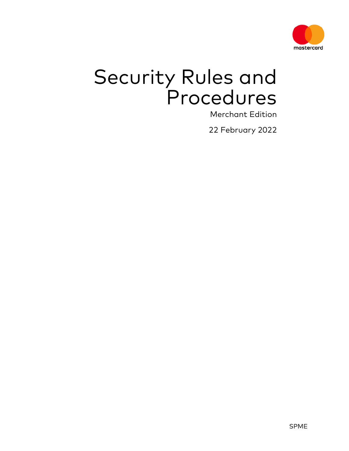

# Security Rules and Procedures

Merchant Edition

22 February 2022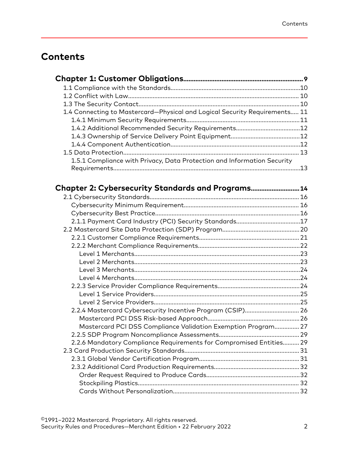# **Contents**

| 1.4 Connecting to Mastercard-Physical and Logical Security Requirements 11 |  |
|----------------------------------------------------------------------------|--|
|                                                                            |  |
|                                                                            |  |
|                                                                            |  |
|                                                                            |  |
|                                                                            |  |
| 1.5.1 Compliance with Privacy, Data Protection and Information Security    |  |
|                                                                            |  |

| <b>Chapter 2: Cybersecurity Standards and Programs 14</b>           |  |
|---------------------------------------------------------------------|--|
|                                                                     |  |
|                                                                     |  |
|                                                                     |  |
|                                                                     |  |
|                                                                     |  |
|                                                                     |  |
|                                                                     |  |
|                                                                     |  |
|                                                                     |  |
|                                                                     |  |
|                                                                     |  |
|                                                                     |  |
|                                                                     |  |
|                                                                     |  |
| 2.2.4 Mastercard Cybersecurity Incentive Program (CSIP) 26          |  |
|                                                                     |  |
| Mastercard PCI DSS Compliance Validation Exemption Program 27       |  |
|                                                                     |  |
| 2.2.6 Mandatory Compliance Requirements for Compromised Entities 29 |  |
|                                                                     |  |
|                                                                     |  |
|                                                                     |  |
|                                                                     |  |
|                                                                     |  |
|                                                                     |  |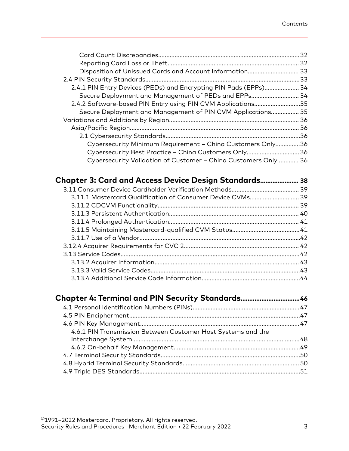| Disposition of Unissued Cards and Account Information 33         |  |
|------------------------------------------------------------------|--|
|                                                                  |  |
| 2.4.1 PIN Entry Devices (PEDs) and Encrypting PIN Pads (EPPs) 34 |  |
| Secure Deployment and Management of PEDs and EPPs 34             |  |
| 2.4.2 Software-based PIN Entry using PIN CVM Applications35      |  |
| Secure Deployment and Management of PIN CVM Applications 35      |  |
|                                                                  |  |
|                                                                  |  |
|                                                                  |  |
| Cybersecurity Minimum Requirement - China Customers Only36       |  |
| Cybersecurity Best Practice - China Customers Only 36            |  |
| Cybersecurity Validation of Customer - China Customers Only 36   |  |
|                                                                  |  |
| Chapter 3: Card and Access Device Design Standards 38            |  |
|                                                                  |  |
| 3.11.1 Mastercard Qualification of Consumer Device CVMs 39       |  |
|                                                                  |  |
|                                                                  |  |
|                                                                  |  |
|                                                                  |  |
|                                                                  |  |
|                                                                  |  |
|                                                                  |  |
|                                                                  |  |
|                                                                  |  |
|                                                                  |  |
|                                                                  |  |
| Chapter 4: Terminal and PIN Security Standards46                 |  |
|                                                                  |  |
|                                                                  |  |
|                                                                  |  |
| 4.6.1 PIN Transmission Between Customer Host Systems and the     |  |
|                                                                  |  |
|                                                                  |  |
|                                                                  |  |
|                                                                  |  |
|                                                                  |  |
|                                                                  |  |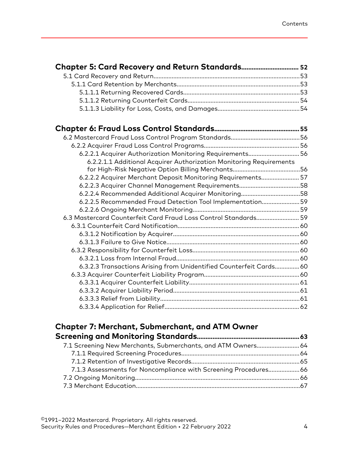| 6.2.2.1 Acquirer Authorization Monitoring Requirements 56           |  |
|---------------------------------------------------------------------|--|
| 6.2.2.1.1 Additional Acquirer Authorization Monitoring Requirements |  |
|                                                                     |  |
| 6.2.2.2 Acquirer Merchant Deposit Monitoring Requirements 57        |  |
| 6.2.2.3 Acquirer Channel Management Requirements58                  |  |
| 6.2.2.4 Recommended Additional Acquirer Monitoring58                |  |
| 6.2.2.5 Recommended Fraud Detection Tool Implementation59           |  |
|                                                                     |  |
| 6.3 Mastercard Counterfeit Card Fraud Loss Control Standards 59     |  |
|                                                                     |  |
|                                                                     |  |
|                                                                     |  |
|                                                                     |  |
|                                                                     |  |
| 6.3.2.3 Transactions Arising from Unidentified Counterfeit Cards 60 |  |
|                                                                     |  |
|                                                                     |  |
|                                                                     |  |
|                                                                     |  |
|                                                                     |  |
|                                                                     |  |

## **[Chapter 7: Merchant, Submerchant, and ATM Owner](#page-62-0) [Screening and Monitoring Standards](#page-62-0)........................................................... 63**

| 7.1 Screening New Merchants, Submerchants, and ATM Owners 64    |  |
|-----------------------------------------------------------------|--|
|                                                                 |  |
|                                                                 |  |
| 7.1.3 Assessments for Noncompliance with Screening Procedures66 |  |
|                                                                 |  |
|                                                                 |  |
|                                                                 |  |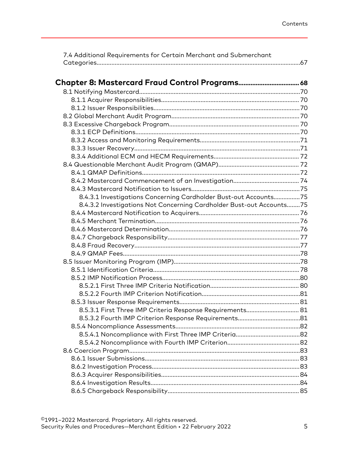| 7.4 Additional Requirements for Certain Merchant and Submerchant     |  |
|----------------------------------------------------------------------|--|
|                                                                      |  |
|                                                                      |  |
|                                                                      |  |
|                                                                      |  |
|                                                                      |  |
|                                                                      |  |
|                                                                      |  |
|                                                                      |  |
|                                                                      |  |
|                                                                      |  |
|                                                                      |  |
|                                                                      |  |
|                                                                      |  |
|                                                                      |  |
|                                                                      |  |
|                                                                      |  |
| 8.4.3.1 Investigations Concerning Cardholder Bust-out Accounts75     |  |
| 8.4.3.2 Investigations Not Concerning Cardholder Bust-out Accounts75 |  |
|                                                                      |  |
|                                                                      |  |
|                                                                      |  |
|                                                                      |  |
|                                                                      |  |
|                                                                      |  |
|                                                                      |  |
|                                                                      |  |
|                                                                      |  |
|                                                                      |  |
|                                                                      |  |
|                                                                      |  |
| 8.5.3.1 First Three IMP Criteria Response Requirements 81            |  |
|                                                                      |  |
|                                                                      |  |
|                                                                      |  |
|                                                                      |  |
|                                                                      |  |
|                                                                      |  |
|                                                                      |  |
|                                                                      |  |
|                                                                      |  |
|                                                                      |  |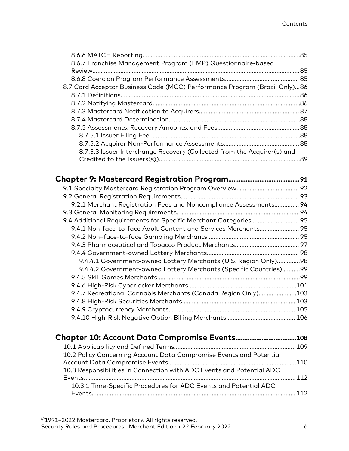|                                                                           | .85 |
|---------------------------------------------------------------------------|-----|
| 8.6.7 Franchise Management Program (FMP) Questionnaire-based              |     |
|                                                                           | .85 |
|                                                                           |     |
| 8.7 Card Acceptor Business Code (MCC) Performance Program (Brazil Only)86 |     |
|                                                                           | .86 |
|                                                                           |     |
|                                                                           |     |
|                                                                           |     |
|                                                                           |     |
|                                                                           |     |
|                                                                           |     |
| 8.7.5.3 Issuer Interchange Recovery (Collected from the Acquirer(s) and   |     |
|                                                                           | 89  |
|                                                                           |     |

| 9.2.1 Merchant Registration Fees and Noncompliance Assessments 94 |      |
|-------------------------------------------------------------------|------|
|                                                                   |      |
| 9.4 Additional Requirements for Specific Merchant Categories 95   |      |
| 9.4.1 Non-face-to-face Adult Content and Services Merchants 95    |      |
|                                                                   |      |
|                                                                   |      |
|                                                                   |      |
| 9.4.4.1 Government-owned Lottery Merchants (U.S. Region Only)98   |      |
| 9.4.4.2 Government-owned Lottery Merchants (Specific Countries)99 |      |
|                                                                   |      |
|                                                                   | .101 |
| 9.4.7 Recreational Cannabis Merchants (Canada Region Only)        | .103 |
|                                                                   | 103  |
|                                                                   |      |
|                                                                   |      |

| 10.2 Policy Concerning Account Data Compromise Events and Potential   |     |
|-----------------------------------------------------------------------|-----|
|                                                                       |     |
| 10.3 Responsibilities in Connection with ADC Events and Potential ADC |     |
|                                                                       | 112 |
| 10.3.1 Time-Specific Procedures for ADC Events and Potential ADC      |     |
|                                                                       | 112 |
|                                                                       |     |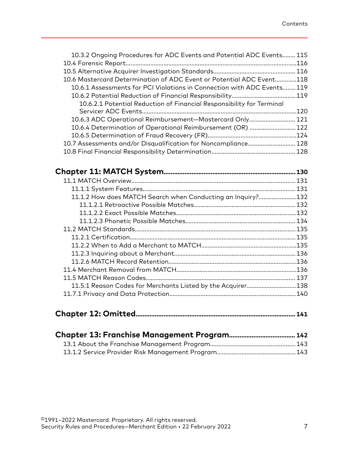| 10.3.2 Ongoing Procedures for ADC Events and Potential ADC Events     | . 115 |
|-----------------------------------------------------------------------|-------|
|                                                                       | .116  |
|                                                                       | .116  |
| 10.6 Mastercard Determination of ADC Event or Potential ADC Event     | .118  |
| 10.6.1 Assessments for PCI Violations in Connection with ADC Events   | . 119 |
|                                                                       | .119  |
| 10.6.2.1 Potential Reduction of Financial Responsibility for Terminal |       |
|                                                                       | .120  |
| 10.6.3 ADC Operational Reimbursement-Mastercard Only                  | 121   |
| 10.6.4 Determination of Operational Reimbursement (OR)                | .122  |
|                                                                       | .124  |
|                                                                       | 128   |
|                                                                       |       |
|                                                                       |       |

|                                                             | 130  |
|-------------------------------------------------------------|------|
|                                                             | 131  |
|                                                             |      |
| 11.1.2 How does MATCH Search when Conducting an Inquiry?132 |      |
|                                                             |      |
|                                                             |      |
|                                                             |      |
|                                                             |      |
|                                                             | .135 |
|                                                             |      |
|                                                             |      |
|                                                             |      |
|                                                             | .136 |
|                                                             |      |
| 11.5.1 Reason Codes for Merchants Listed by the Acquirer138 |      |
|                                                             |      |
|                                                             |      |

|--|--|--|--|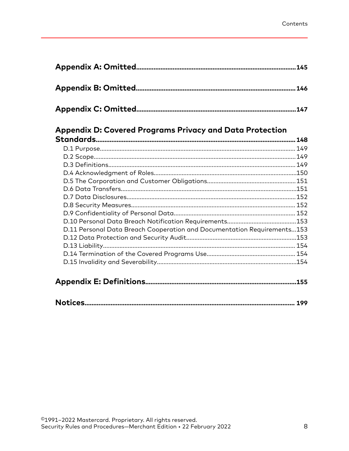| .147 |
|------|

## Appendix D: Covered Programs Privacy and Data Protection

|                                                                         | 148  |
|-------------------------------------------------------------------------|------|
|                                                                         |      |
|                                                                         |      |
|                                                                         |      |
|                                                                         |      |
|                                                                         |      |
|                                                                         |      |
|                                                                         |      |
|                                                                         |      |
|                                                                         |      |
|                                                                         |      |
| D.11 Personal Data Breach Cooperation and Documentation Requirements153 |      |
|                                                                         |      |
|                                                                         |      |
|                                                                         |      |
|                                                                         |      |
|                                                                         |      |
|                                                                         | .155 |

|--|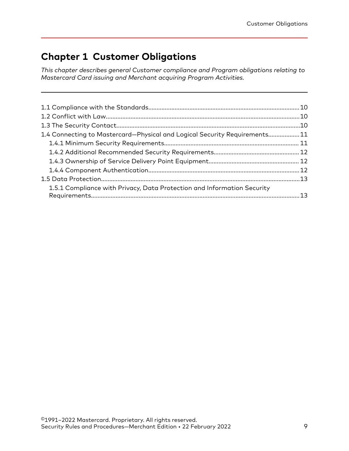# <span id="page-8-0"></span>**Chapter 1 Customer Obligations**

*This chapter describes general Customer compliance and Program obligations relating to Mastercard Card issuing and Merchant acquiring Program Activities.*

| 11.4 Connecting to Mastercard-Physical and Logical Security Requirements11 |  |
|----------------------------------------------------------------------------|--|
|                                                                            |  |
|                                                                            |  |
|                                                                            |  |
|                                                                            |  |
|                                                                            |  |
| 1.5.1 Compliance with Privacy, Data Protection and Information Security    |  |
|                                                                            |  |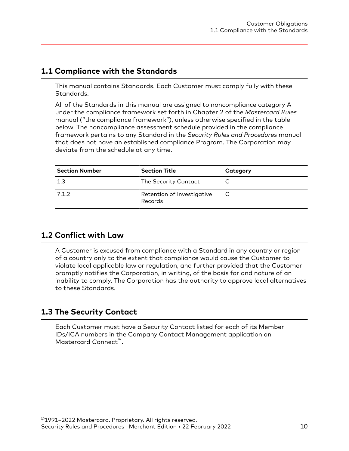## <span id="page-9-0"></span>**1.1 Compliance with the Standards**

This manual contains Standards. Each Customer must comply fully with these Standards.

All of the Standards in this manual are assigned to noncompliance category A under the compliance framework set forth in Chapter 2 of the *Mastercard Rules* manual ("the compliance framework"), unless otherwise specified in the table below. The noncompliance assessment schedule provided in the compliance framework pertains to any Standard in the *Security Rules and Procedures* manual that does not have an established compliance Program. The Corporation may deviate from the schedule at any time.

| <b>Section Number</b> | <b>Section Title</b>                  | Category |
|-----------------------|---------------------------------------|----------|
| 1.3                   | The Security Contact                  |          |
| 7.1.2                 | Retention of Investigative<br>Records |          |

### **1.2 Conflict with Law**

A Customer is excused from compliance with a Standard in any country or region of a country only to the extent that compliance would cause the Customer to violate local applicable law or regulation, and further provided that the Customer promptly notifies the Corporation, in writing, of the basis for and nature of an inability to comply. The Corporation has the authority to approve local alternatives to these Standards.

## **1.3 The Security Contact**

Each Customer must have a Security Contact listed for each of its Member IDs/ICA numbers in the Company Contact Management application on Mastercard Connect™.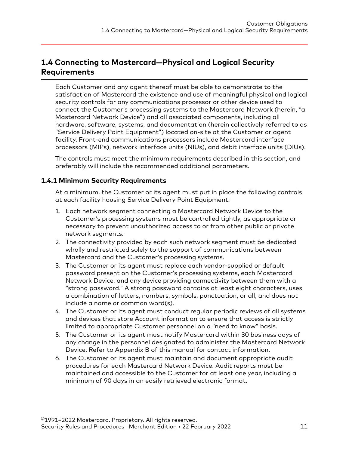## <span id="page-10-0"></span>**1.4 Connecting to Mastercard—Physical and Logical Security Requirements**

Each Customer and any agent thereof must be able to demonstrate to the satisfaction of Mastercard the existence and use of meaningful physical and logical security controls for any communications processor or other device used to connect the Customer's processing systems to the Mastercard Network (herein, "a Mastercard Network Device") and all associated components, including all hardware, software, systems, and documentation (herein collectively referred to as "Service Delivery Point Equipment") located on-site at the Customer or agent facility. Front-end communications processors include Mastercard interface processors (MIPs), network interface units (NIUs), and debit interface units (DIUs).

The controls must meet the minimum requirements described in this section, and preferably will include the recommended additional parameters.

#### **1.4.1 Minimum Security Requirements**

At a minimum, the Customer or its agent must put in place the following controls at each facility housing Service Delivery Point Equipment:

- 1. Each network segment connecting a Mastercard Network Device to the Customer's processing systems must be controlled tightly, as appropriate or necessary to prevent unauthorized access to or from other public or private network segments.
- 2. The connectivity provided by each such network segment must be dedicated wholly and restricted solely to the support of communications between Mastercard and the Customer's processing systems.
- 3. The Customer or its agent must replace each vendor-supplied or default password present on the Customer's processing systems, each Mastercard Network Device, and any device providing connectivity between them with a "strong password." A strong password contains at least eight characters, uses a combination of letters, numbers, symbols, punctuation, or all, and does not include a name or common word(s).
- 4. The Customer or its agent must conduct regular periodic reviews of all systems and devices that store Account information to ensure that access is strictly limited to appropriate Customer personnel on a "need to know" basis.
- 5. The Customer or its agent must notify Mastercard within 30 business days of any change in the personnel designated to administer the Mastercard Network Device. Refer to Appendix B of this manual for contact information.
- 6. The Customer or its agent must maintain and document appropriate audit procedures for each Mastercard Network Device. Audit reports must be maintained and accessible to the Customer for at least one year, including a minimum of 90 days in an easily retrieved electronic format.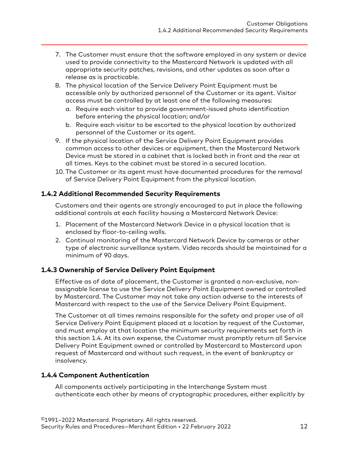- <span id="page-11-0"></span>7. The Customer must ensure that the software employed in any system or device used to provide connectivity to the Mastercard Network is updated with all appropriate security patches, revisions, and other updates as soon after a release as is practicable.
- 8. The physical location of the Service Delivery Point Equipment must be accessible only by authorized personnel of the Customer or its agent. Visitor access must be controlled by at least one of the following measures:
	- a. Require each visitor to provide government-issued photo identification before entering the physical location; and/or
	- b. Require each visitor to be escorted to the physical location by authorized personnel of the Customer or its agent.
- 9. If the physical location of the Service Delivery Point Equipment provides common access to other devices or equipment, then the Mastercard Network Device must be stored in a cabinet that is locked both in front and the rear at all times. Keys to the cabinet must be stored in a secured location.
- 10. The Customer or its agent must have documented procedures for the removal of Service Delivery Point Equipment from the physical location.

#### **1.4.2 Additional Recommended Security Requirements**

Customers and their agents are strongly encouraged to put in place the following additional controls at each facility housing a Mastercard Network Device:

- 1. Placement of the Mastercard Network Device in a physical location that is enclosed by floor-to-ceiling walls.
- 2. Continual monitoring of the Mastercard Network Device by cameras or other type of electronic surveillance system. Video records should be maintained for a minimum of 90 days.

#### **1.4.3 Ownership of Service Delivery Point Equipment**

Effective as of date of placement, the Customer is granted a non-exclusive, nonassignable license to use the Service Delivery Point Equipment owned or controlled by Mastercard. The Customer may not take any action adverse to the interests of Mastercard with respect to the use of the Service Delivery Point Equipment.

The Customer at all times remains responsible for the safety and proper use of all Service Delivery Point Equipment placed at a location by request of the Customer, and must employ at that location the minimum security requirements set forth in this section 1.4. At its own expense, the Customer must promptly return all Service Delivery Point Equipment owned or controlled by Mastercard to Mastercard upon request of Mastercard and without such request, in the event of bankruptcy or insolvency.

#### **1.4.4 Component Authentication**

All components actively participating in the Interchange System must authenticate each other by means of cryptographic procedures, either explicitly by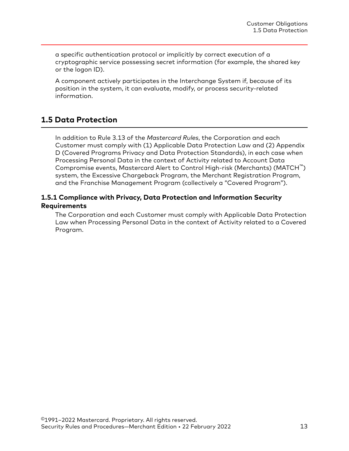<span id="page-12-0"></span>a specific authentication protocol or implicitly by correct execution of a cryptographic service possessing secret information (for example, the shared key or the logon ID).

A component actively participates in the Interchange System if, because of its position in the system, it can evaluate, modify, or process security-related information.

## **1.5 Data Protection**

In addition to Rule 3.13 of the *Mastercard Rules*, the Corporation and each Customer must comply with (1) Applicable Data Protection Law and (2) Appendix D (Covered Programs Privacy and Data Protection Standards), in each case when Processing Personal Data in the context of Activity related to Account Data Compromise events, Mastercard Alert to Control High-risk (Merchants) (MATCH™) system, the Excessive Chargeback Program, the Merchant Registration Program, and the Franchise Management Program (collectively a "Covered Program").

#### **1.5.1 Compliance with Privacy, Data Protection and Information Security Requirements**

The Corporation and each Customer must comply with Applicable Data Protection Law when Processing Personal Data in the context of Activity related to a Covered Program.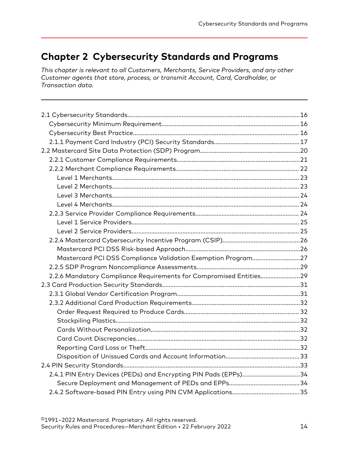## <span id="page-13-0"></span>**Chapter 2 Cybersecurity Standards and Programs**

*This chapter is relevant to all Customers, Merchants, Service Providers, and any other Customer agents that store, process, or transmit Account, Card, Cardholder, or Transaction data.*

| Mastercard PCI DSS Compliance Validation Exemption Program27       |  |
|--------------------------------------------------------------------|--|
|                                                                    |  |
|                                                                    |  |
| 2.2.6 Mandatory Compliance Requirements for Compromised Entities29 |  |
|                                                                    |  |
|                                                                    |  |
|                                                                    |  |
|                                                                    |  |
|                                                                    |  |
|                                                                    |  |
|                                                                    |  |
|                                                                    |  |
|                                                                    |  |
|                                                                    |  |
| 2.4.1 PIN Entry Devices (PEDs) and Encrypting PIN Pads (EPPs)34    |  |
|                                                                    |  |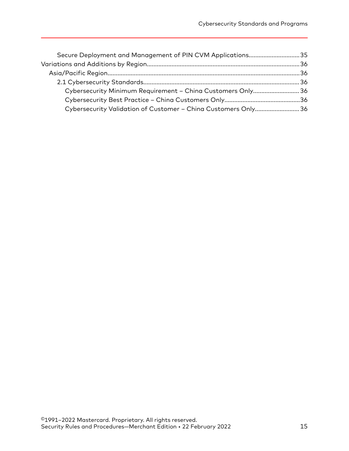| Secure Deployment and Management of PIN CVM Applications35    |
|---------------------------------------------------------------|
|                                                               |
|                                                               |
|                                                               |
| Cybersecurity Minimum Requirement - China Customers Only 36   |
|                                                               |
| Cybersecurity Validation of Customer - China Customers Only36 |
|                                                               |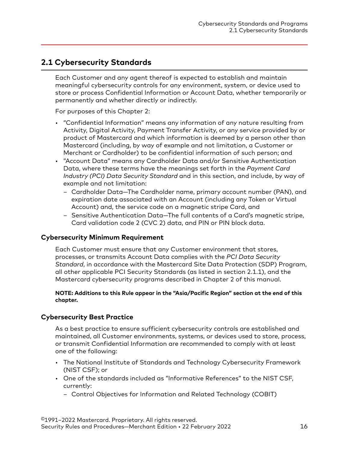## <span id="page-15-0"></span>**2.1 Cybersecurity Standards**

Each Customer and any agent thereof is expected to establish and maintain meaningful cybersecurity controls for any environment, system, or device used to store or process Confidential Information or Account Data, whether temporarily or permanently and whether directly or indirectly.

For purposes of this Chapter 2:

- "Confidential Information" means any information of any nature resulting from Activity, Digital Activity, Payment Transfer Activity, or any service provided by or product of Mastercard and which information is deemed by a person other than Mastercard (including, by way of example and not limitation, a Customer or Merchant or Cardholder) to be confidential information of such person; and
- "Account Data" means any Cardholder Data and/or Sensitive Authentication Data, where these terms have the meanings set forth in the *Payment Card Industry (PCI) Data Security Standard* and in this section, and include, by way of example and not limitation:
	- Cardholder Data—The Cardholder name, primary account number (PAN), and expiration date associated with an Account (including any Token or Virtual Account) and, the service code on a magnetic stripe Card, and
	- Sensitive Authentication Data—The full contents of a Card's magnetic stripe, Card validation code 2 (CVC 2) data, and PIN or PIN block data.

#### **Cybersecurity Minimum Requirement**

Each Customer must ensure that any Customer environment that stores, processes, or transmits Account Data complies with the *PCI Data Security Standard*, in accordance with the Mastercard Site Data Protection (SDP) Program, all other applicable PCI Security Standards (as listed in section 2.1.1), and the Mastercard cybersecurity programs described in Chapter 2 of this manual.

#### **NOTE: Additions to this Rule appear in the "Asia/Pacific Region" section at the end of this chapter.**

#### **Cybersecurity Best Practice**

As a best practice to ensure sufficient cybersecurity controls are established and maintained, all Customer environments, systems, or devices used to store, process, or transmit Confidential Information are recommended to comply with at least one of the following:

- The National Institute of Standards and Technology Cybersecurity Framework (NIST CSF); or
- One of the standards included as "Informative References" to the NIST CSF, currently:
	- Control Objectives for Information and Related Technology (COBIT)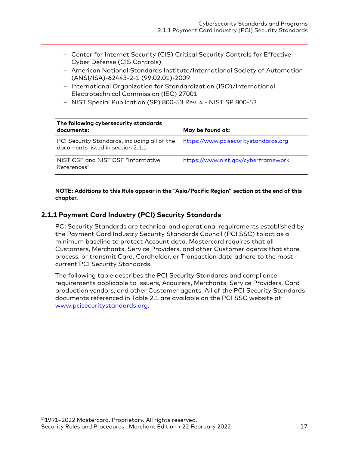- <span id="page-16-0"></span>– Center for Internet Security (CIS) Critical Security Controls for Effective Cyber Defense (CIS Controls)
- American National Standards Institute/International Society of Automation (ANSI/ISA)-62443-2-1 (99.02.01)-2009
- International Organization for Standardization (ISO)/International Electrotechnical Commission (IEC) 27001
- NIST Special Publication (SP) 800-53 Rev. 4 NIST SP 800-53

| The following cybersecurity standards<br>documents:                               | May be found at:                     |
|-----------------------------------------------------------------------------------|--------------------------------------|
| PCI Security Standards, including all of the<br>documents listed in section 2.1.1 | https://www.pcisecuritystandards.org |
| NIST CSF and NIST CSF "Informative<br>References"                                 | https://www.nist.gov/cyberframework  |

#### **NOTE: Additions to this Rule appear in the "Asia/Pacific Region" section at the end of this chapter.**

#### **2.1.1 Payment Card Industry (PCI) Security Standards**

PCI Security Standards are technical and operational requirements established by the Payment Card Industry Security Standards Council (PCI SSC) to act as a minimum baseline to protect Account data. Mastercard requires that all Customers, Merchants, Service Providers, and other Customer agents that store, process, or transmit Card, Cardholder, or Transaction data adhere to the most current PCI Security Standards.

The following table describes the PCI Security Standards and compliance requirements applicable to Issuers, Acquirers, Merchants, Service Providers, Card production vendors, and other Customer agents. All of the PCI Security Standards documents referenced in Table 2.1 are available on the PCI SSC website at [www.pcisecuritystandards.org](https://www.pcisecuritystandards.org/).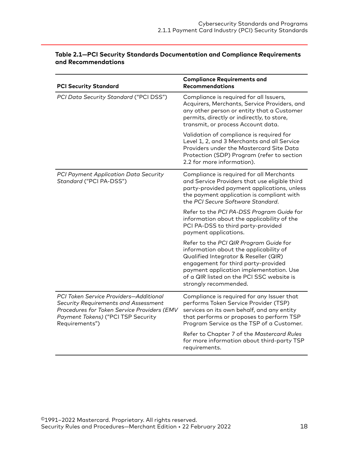| <b>PCI Security Standard</b>                                                                                                                                                                 | <b>Compliance Requirements and</b><br><b>Recommendations</b>                                                                                                                                                                                                                      |
|----------------------------------------------------------------------------------------------------------------------------------------------------------------------------------------------|-----------------------------------------------------------------------------------------------------------------------------------------------------------------------------------------------------------------------------------------------------------------------------------|
| PCI Data Security Standard ("PCI DSS")                                                                                                                                                       | Compliance is required for all Issuers,<br>Acquirers, Merchants, Service Providers, and<br>any other person or entity that a Customer<br>permits, directly or indirectly, to store,<br>transmit, or process Account data.                                                         |
|                                                                                                                                                                                              | Validation of compliance is required for<br>Level 1, 2, and 3 Merchants and all Service<br>Providers under the Mastercard Site Data<br>Protection (SDP) Program (refer to section<br>2.2 for more information).                                                                   |
| PCI Payment Application Data Security<br>Standard ("PCI PA-DSS")                                                                                                                             | Compliance is required for all Merchants<br>and Service Providers that use eligible third<br>party-provided payment applications, unless<br>the payment application is compliant with<br>the PCI Secure Software Standard.                                                        |
|                                                                                                                                                                                              | Refer to the PCI PA-DSS Program Guide for<br>information about the applicability of the<br>PCI PA-DSS to third party-provided<br>payment applications.                                                                                                                            |
|                                                                                                                                                                                              | Refer to the PCI QIR Program Guide for<br>information about the applicability of<br>Qualified Integrator & Reseller (QIR)<br>engagement for third party-provided<br>payment application implementation. Use<br>of a QIR listed on the PCI SSC website is<br>strongly recommended. |
| <b>PCI Token Service Providers-Additional</b><br>Security Requirements and Assessment<br>Procedures for Token Service Providers (EMV<br>Payment Tokens) ("PCI TSP Security<br>Requirements") | Compliance is required for any Issuer that<br>performs Token Service Provider (TSP)<br>services on its own behalf, and any entity<br>that performs or proposes to perform TSP<br>Program Service as the TSP of a Customer.                                                        |
|                                                                                                                                                                                              | Refer to Chapter 7 of the Mastercard Rules<br>for more information about third-party TSP<br>requirements.                                                                                                                                                                         |

#### **Table 2.1—PCI Security Standards Documentation and Compliance Requirements and Recommendations**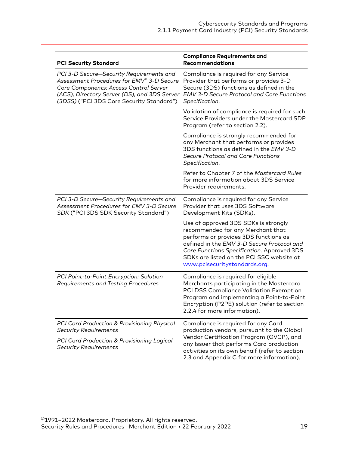| <b>PCI Security Standard</b>                                                                                                                                                                                                 | <b>Compliance Requirements and</b><br><b>Recommendations</b>                                                                                                                                                                                                                                 |
|------------------------------------------------------------------------------------------------------------------------------------------------------------------------------------------------------------------------------|----------------------------------------------------------------------------------------------------------------------------------------------------------------------------------------------------------------------------------------------------------------------------------------------|
| PCI 3-D Secure-Security Requirements and<br>Assessment Procedures for EMV® 3-D Secure<br>Core Components: Access Control Server<br>(ACS), Directory Server (DS), and 3DS Server<br>(3DSS) ("PCI 3DS Core Security Standard") | Compliance is required for any Service<br>Provider that performs or provides 3-D<br>Secure (3DS) functions as defined in the<br><b>EMV 3-D Secure Protocol and Core Functions</b><br>Specification.                                                                                          |
|                                                                                                                                                                                                                              | Validation of compliance is required for such<br>Service Providers under the Mastercard SDP<br>Program (refer to section 2.2).                                                                                                                                                               |
|                                                                                                                                                                                                                              | Compliance is strongly recommended for<br>any Merchant that performs or provides<br>3DS functions as defined in the EMV 3-D<br>Secure Protocol and Core Functions<br>Specification.                                                                                                          |
|                                                                                                                                                                                                                              | Refer to Chapter 7 of the Mastercard Rules<br>for more information about 3DS Service<br>Provider requirements.                                                                                                                                                                               |
| PCI 3-D Secure-Security Requirements and<br>Assessment Procedures for EMV 3-D Secure<br>SDK ("PCI 3DS SDK Security Standard")                                                                                                | Compliance is required for any Service<br>Provider that uses 3DS Software<br>Development Kits (SDKs).                                                                                                                                                                                        |
|                                                                                                                                                                                                                              | Use of approved 3DS SDKs is strongly<br>recommended for any Merchant that<br>performs or provides 3DS functions as<br>defined in the EMV 3-D Secure Protocol and<br>Core Functions Specification. Approved 3DS<br>SDKs are listed on the PCI SSC website at<br>www.pcisecuritystandards.org. |
| PCI Point-to-Point Encryption: Solution<br>Requirements and Testing Procedures                                                                                                                                               | Compliance is required for eligible<br>Merchants participating in the Mastercard<br>PCI DSS Compliance Validation Exemption<br>Program and implementing a Point-to-Point<br>Encryption (P2PE) solution (refer to section<br>2.2.4 for more information).                                     |
| PCI Card Production & Provisioning Physical<br><b>Security Requirements</b><br><b>PCI Card Production &amp; Provisioning Logical</b><br><b>Security Requirements</b>                                                         | Compliance is required for any Card<br>production vendors, pursuant to the Global<br>Vendor Certification Program (GVCP), and<br>any Issuer that performs Card production<br>activities on its own behalf (refer to section<br>2.3 and Appendix C for more information).                     |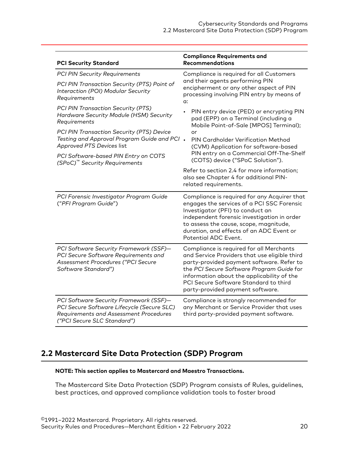<span id="page-19-0"></span>

| <b>PCI Security Standard</b>                                                                                                                                  | <b>Compliance Requirements and</b><br><b>Recommendations</b>                                                                                                                                                                                                                                                   |
|---------------------------------------------------------------------------------------------------------------------------------------------------------------|----------------------------------------------------------------------------------------------------------------------------------------------------------------------------------------------------------------------------------------------------------------------------------------------------------------|
| <b>PCI PIN Security Requirements</b>                                                                                                                          | Compliance is required for all Customers                                                                                                                                                                                                                                                                       |
| PCI PIN Transaction Security (PTS) Point of<br>Interaction (POI) Modular Security<br>Requirements                                                             | and their agents performing PIN<br>encipherment or any other aspect of PIN<br>processing involving PIN entry by means of<br>$\alpha$ :                                                                                                                                                                         |
| PCI PIN Transaction Security (PTS)<br>Hardware Security Module (HSM) Security<br>Requirements                                                                 | PIN entry device (PED) or encrypting PIN<br>$\bullet$<br>pad (EPP) on a Terminal (including a<br>Mobile Point-of-Sale [MPOS] Terminal);                                                                                                                                                                        |
| PCI PIN Transaction Security (PTS) Device<br>Testing and Approval Program Guide and PCI .<br>Approved PTS Devices list                                        | or<br><b>PIN Cardholder Verification Method</b><br>(CVM) Application for software-based                                                                                                                                                                                                                        |
| PCI Software-based PIN Entry on COTS<br>(SPoC) <sup>™</sup> Security Requirements                                                                             | PIN entry on a Commercial Off-The-Shelf<br>(COTS) device ("SPoC Solution").                                                                                                                                                                                                                                    |
|                                                                                                                                                               | Refer to section 2.4 for more information;<br>also see Chapter 4 for additional PIN-<br>related requirements.                                                                                                                                                                                                  |
| PCI Forensic Investigator Program Guide<br>("PFI Program Guide")                                                                                              | Compliance is required for any Acquirer that<br>engages the services of a PCI SSC Forensic<br>Investigator (PFI) to conduct an<br>independent forensic investigation in order<br>to assess the cause, scope, magnitude,<br>duration, and effects of an ADC Event or<br>Potential ADC Event.                    |
| PCI Software Security Framework (SSF)-<br>PCI Secure Software Requirements and<br>Assessment Procedures ("PCI Secure<br>Software Standard")                   | Compliance is required for all Merchants<br>and Service Providers that use eligible third<br>party-provided payment software. Refer to<br>the PCI Secure Software Program Guide for<br>information about the applicability of the<br>PCI Secure Software Standard to third<br>party-provided payment software. |
| PCI Software Security Framework (SSF)-<br>PCI Secure Software Lifecycle (Secure SLC)<br>Requirements and Assessment Procedures<br>("PCI Secure SLC Standard") | Compliance is strongly recommended for<br>any Merchant or Service Provider that uses<br>third party-provided payment software.                                                                                                                                                                                 |

## **2.2 Mastercard Site Data Protection (SDP) Program**

#### **NOTE: This section applies to Mastercard and Maestro Transactions.**

The Mastercard Site Data Protection (SDP) Program consists of Rules, guidelines, best practices, and approved compliance validation tools to foster broad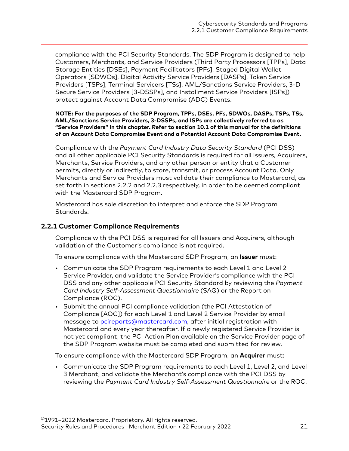<span id="page-20-0"></span>compliance with the PCI Security Standards. The SDP Program is designed to help Customers, Merchants, and Service Providers (Third Party Processors [TPPs], Data Storage Entities [DSEs], Payment Facilitators [PFs], Staged Digital Wallet Operators [SDWOs], Digital Activity Service Providers [DASPs], Token Service Providers [TSPs], Terminal Servicers [TSs], AML/Sanctions Service Providers, 3-D Secure Service Providers [3-DSSPs], and Installment Service Providers [ISPs]) protect against Account Data Compromise (ADC) Events.

**NOTE: For the purposes of the SDP Program, TPPs, DSEs, PFs, SDWOs, DASPs, TSPs, TSs, AML/Sanctions Service Providers, 3-DSSPs, and ISPs are collectively referred to as "Service Providers" in this chapter. Refer to section 10.1 of this manual for the definitions of an Account Data Compromise Event and a Potential Account Data Compromise Event.**

Compliance with the *Payment Card Industry Data Security Standard* (PCI DSS) and all other applicable PCI Security Standards is required for all Issuers, Acquirers, Merchants, Service Providers, and any other person or entity that a Customer permits, directly or indirectly, to store, transmit, or process Account Data. Only Merchants and Service Providers must validate their compliance to Mastercard, as set forth in sections 2.2.2 and 2.2.3 respectively, in order to be deemed compliant with the Mastercard SDP Program.

Mastercard has sole discretion to interpret and enforce the SDP Program Standards.

#### **2.2.1 Customer Compliance Requirements**

Compliance with the PCI DSS is required for all Issuers and Acquirers, although validation of the Customer's compliance is not required.

To ensure compliance with the Mastercard SDP Program, an **Issuer** must:

- Communicate the SDP Program requirements to each Level 1 and Level 2 Service Provider, and validate the Service Provider's compliance with the PCI DSS and any other applicable PCI Security Standard by reviewing the *Payment Card Industry Self-Assessment Questionnaire* (SAQ) or the Report on Compliance (ROC).
- Submit the annual PCI compliance validation (the PCI Attestation of Compliance [AOC]) for each Level 1 and Level 2 Service Provider by email message to [pcireports@mastercard.com,](mailto:pcireports@mastercard.com) after initial registration with Mastercard and every year thereafter. If a newly registered Service Provider is not yet compliant, the PCI Action Plan available on the Service Provider page of the SDP Program website must be completed and submitted for review.

To ensure compliance with the Mastercard SDP Program, an **Acquirer** must:

• Communicate the SDP Program requirements to each Level 1, Level 2, and Level 3 Merchant, and validate the Merchant's compliance with the PCI DSS by reviewing the *Payment Card Industry Self-Assessment Questionnaire* or the ROC.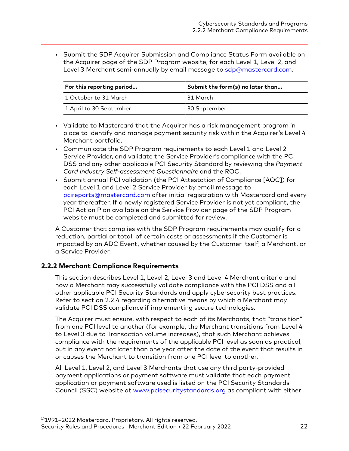<span id="page-21-0"></span>• Submit the SDP Acquirer Submission and Compliance Status Form available on the Acquirer page of the SDP Program website, for each Level 1, Level 2, and Level 3 Merchant semi-annually by email message to [sdp@mastercard.com](mailto:sdp@mastercard.com).

| For this reporting period | Submit the form(s) no later than |
|---------------------------|----------------------------------|
| 1 October to 31 March     | 31 March                         |
| 1 April to 30 September   | 30 September                     |

- Validate to Mastercard that the Acquirer has a risk management program in place to identify and manage payment security risk within the Acquirer's Level 4 Merchant portfolio.
- Communicate the SDP Program requirements to each Level 1 and Level 2 Service Provider, and validate the Service Provider's compliance with the PCI DSS and any other applicable PCI Security Standard by reviewing the *Payment Card Industry Self-assessment Questionnaire* and the ROC.
- Submit annual PCI validation (the PCI Attestation of Compliance [AOC]) for each Level 1 and Level 2 Service Provider by email message to [pcireports@mastercard.com](mailto:pcireports@mastercard.com) after initial registration with Mastercard and every year thereafter. If a newly registered Service Provider is not yet compliant, the PCI Action Plan available on the Service Provider page of the SDP Program website must be completed and submitted for review.

A Customer that complies with the SDP Program requirements may qualify for a reduction, partial or total, of certain costs or assessments if the Customer is impacted by an ADC Event, whether caused by the Customer itself, a Merchant, or a Service Provider.

#### **2.2.2 Merchant Compliance Requirements**

This section describes Level 1, Level 2, Level 3 and Level 4 Merchant criteria and how a Merchant may successfully validate compliance with the PCI DSS and all other applicable PCI Security Standards and apply cybersecurity best practices. Refer to section 2.2.4 regarding alternative means by which a Merchant may validate PCI DSS compliance if implementing secure technologies.

The Acquirer must ensure, with respect to each of its Merchants, that "transition" from one PCI level to another (for example, the Merchant transitions from Level 4 to Level 3 due to Transaction volume increases), that such Merchant achieves compliance with the requirements of the applicable PCI level as soon as practical, but in any event not later than one year after the date of the event that results in or causes the Merchant to transition from one PCI level to another.

All Level 1, Level 2, and Level 3 Merchants that use any third party-provided payment applications or payment software must validate that each payment application or payment software used is listed on the PCI Security Standards Council (SSC) website at [www.pcisecuritystandards.org](https://www.pcisecuritystandards.org/) as compliant with either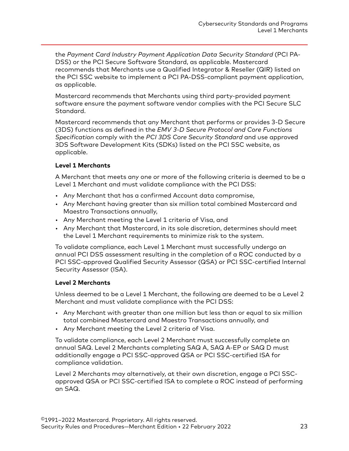<span id="page-22-0"></span>the *Payment Card Industry Payment Application Data Security Standard* (PCI PA-DSS) or the PCI Secure Software Standard, as applicable. Mastercard recommends that Merchants use a Qualified Integrator & Reseller (QIR) listed on the PCI SSC website to implement a PCI PA-DSS-compliant payment application, as applicable.

Mastercard recommends that Merchants using third party-provided payment software ensure the payment software vendor complies with the PCI Secure SLC Standard.

Mastercard recommends that any Merchant that performs or provides 3-D Secure (3DS) functions as defined in the *EMV 3-D Secure Protocol and Core Functions Specification* comply with the *PCI 3DS Core Security Standard* and use approved 3DS Software Development Kits (SDKs) listed on the PCI SSC website, as applicable.

#### **Level 1 Merchants**

A Merchant that meets any one or more of the following criteria is deemed to be a Level 1 Merchant and must validate compliance with the PCI DSS:

- Any Merchant that has a confirmed Account data compromise,
- Any Merchant having greater than six million total combined Mastercard and Maestro Transactions annually,
- Any Merchant meeting the Level 1 criteria of Visa, and
- Any Merchant that Mastercard, in its sole discretion, determines should meet the Level 1 Merchant requirements to minimize risk to the system.

To validate compliance, each Level 1 Merchant must successfully undergo an annual PCI DSS assessment resulting in the completion of a ROC conducted by a PCI SSC-approved Qualified Security Assessor (QSA) or PCI SSC-certified Internal Security Assessor (ISA).

#### **Level 2 Merchants**

Unless deemed to be a Level 1 Merchant, the following are deemed to be a Level 2 Merchant and must validate compliance with the PCI DSS:

- Any Merchant with greater than one million but less than or equal to six million total combined Mastercard and Maestro Transactions annually, and
- Any Merchant meeting the Level 2 criteria of Visa.

To validate compliance, each Level 2 Merchant must successfully complete an annual SAQ. Level 2 Merchants completing SAQ A, SAQ A-EP or SAQ D must additionally engage a PCI SSC-approved QSA or PCI SSC-certified ISA for compliance validation.

Level 2 Merchants may alternatively, at their own discretion, engage a PCI SSCapproved QSA or PCI SSC-certified ISA to complete a ROC instead of performing an SAQ.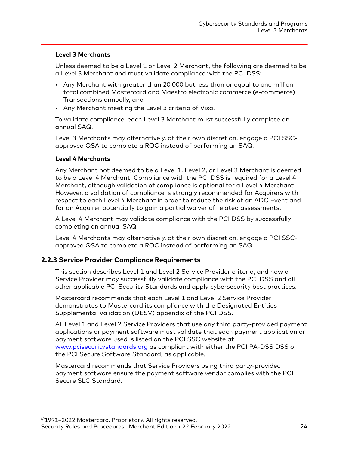#### <span id="page-23-0"></span>**Level 3 Merchants**

Unless deemed to be a Level 1 or Level 2 Merchant, the following are deemed to be a Level 3 Merchant and must validate compliance with the PCI DSS:

- Any Merchant with greater than 20,000 but less than or equal to one million total combined Mastercard and Maestro electronic commerce (e-commerce) Transactions annually, and
- Any Merchant meeting the Level 3 criteria of Visa.

To validate compliance, each Level 3 Merchant must successfully complete an annual SAQ.

Level 3 Merchants may alternatively, at their own discretion, engage a PCI SSCapproved QSA to complete a ROC instead of performing an SAQ.

#### **Level 4 Merchants**

Any Merchant not deemed to be a Level 1, Level 2, or Level 3 Merchant is deemed to be a Level 4 Merchant. Compliance with the PCI DSS is required for a Level 4 Merchant, although validation of compliance is optional for a Level 4 Merchant. However, a validation of compliance is strongly recommended for Acquirers with respect to each Level 4 Merchant in order to reduce the risk of an ADC Event and for an Acquirer potentially to gain a partial waiver of related assessments.

A Level 4 Merchant may validate compliance with the PCI DSS by successfully completing an annual SAQ.

Level 4 Merchants may alternatively, at their own discretion, engage a PCI SSCapproved QSA to complete a ROC instead of performing an SAQ.

#### **2.2.3 Service Provider Compliance Requirements**

This section describes Level 1 and Level 2 Service Provider criteria, and how a Service Provider may successfully validate compliance with the PCI DSS and all other applicable PCI Security Standards and apply cybersecurity best practices.

Mastercard recommends that each Level 1 and Level 2 Service Provider demonstrates to Mastercard its compliance with the Designated Entities Supplemental Validation (DESV) appendix of the PCI DSS.

All Level 1 and Level 2 Service Providers that use any third party-provided payment applications or payment software must validate that each payment application or payment software used is listed on the PCI SSC website at [www.pcisecuritystandards.org](https://www.pcisecuritystandards.org/) as compliant with either the PCI PA-DSS DSS or the PCI Secure Software Standard, as applicable.

Mastercard recommends that Service Providers using third party-provided payment software ensure the payment software vendor complies with the PCI Secure SLC Standard.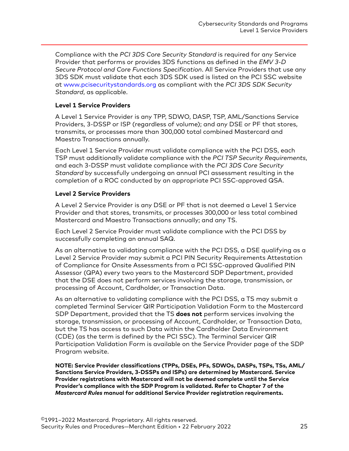<span id="page-24-0"></span>Compliance with the *PCI 3DS Core Security Standard* is required for any Service Provider that performs or provides 3DS functions as defined in the *EMV 3-D Secure Protocol and Core Functions Specification*. All Service Providers that use any 3DS SDK must validate that each 3DS SDK used is listed on the PCI SSC website at [www.pcisecuritystandards.org](https://www.pcisecuritystandards.org/) as compliant with the *PCI 3DS SDK Security Standard*, as applicable.

#### **Level 1 Service Providers**

A Level 1 Service Provider is any TPP, SDWO, DASP, TSP, AML/Sanctions Service Providers, 3-DSSP or ISP (regardless of volume); and any DSE or PF that stores, transmits, or processes more than 300,000 total combined Mastercard and Maestro Transactions annually.

Each Level 1 Service Provider must validate compliance with the PCI DSS, each TSP must additionally validate compliance with the *PCI TSP Security Requirements*, and each 3-DSSP must validate compliance with the *PCI 3DS Core Security Standard* by successfully undergoing an annual PCI assessment resulting in the completion of a ROC conducted by an appropriate PCI SSC-approved QSA.

#### **Level 2 Service Providers**

A Level 2 Service Provider is any DSE or PF that is not deemed a Level 1 Service Provider and that stores, transmits, or processes 300,000 or less total combined Mastercard and Maestro Transactions annually; and any TS.

Each Level 2 Service Provider must validate compliance with the PCI DSS by successfully completing an annual SAQ.

As an alternative to validating compliance with the PCI DSS, a DSE qualifying as a Level 2 Service Provider may submit a PCI PIN Security Requirements Attestation of Compliance for Onsite Assessments from a PCI SSC-approved Qualified PIN Assessor (QPA) every two years to the Mastercard SDP Department, provided that the DSE does not perform services involving the storage, transmission, or processing of Account, Cardholder, or Transaction Data.

As an alternative to validating compliance with the PCI DSS, a TS may submit a completed Terminal Servicer QIR Participation Validation Form to the Mastercard SDP Department, provided that the TS **does not** perform services involving the storage, transmission, or processing of Account, Cardholder, or Transaction Data, but the TS has access to such Data within the Cardholder Data Environment (CDE) (as the term is defined by the PCI SSC). The Terminal Servicer QIR Participation Validation Form is available on the Service Provider page of the SDP Program website.

**NOTE: Service Provider classifications (TPPs, DSEs, PFs, SDWOs, DASPs, TSPs, TSs, AML/ Sanctions Service Providers, 3-DSSPs and ISPs) are determined by Mastercard. Service Provider registrations with Mastercard will not be deemed complete until the Service Provider's compliance with the SDP Program is validated. Refer to Chapter 7 of the** *Mastercard Rules* **manual for additional Service Provider registration requirements.**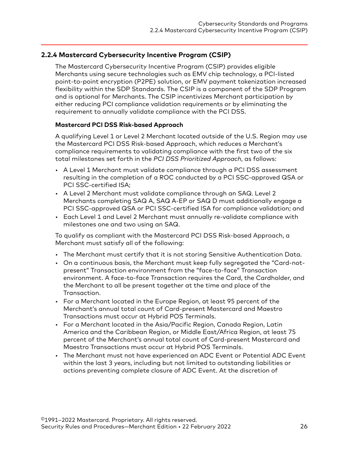#### <span id="page-25-0"></span>**2.2.4 Mastercard Cybersecurity Incentive Program (CSIP)**

The Mastercard Cybersecurity Incentive Program (CSIP) provides eligible Merchants using secure technologies such as EMV chip technology, a PCI-listed point-to-point encryption (P2PE) solution, or EMV payment tokenization increased flexibility within the SDP Standards. The CSIP is a component of the SDP Program and is optional for Merchants. The CSIP incentivizes Merchant participation by either reducing PCI compliance validation requirements or by eliminating the requirement to annually validate compliance with the PCI DSS.

#### **Mastercard PCI DSS Risk-based Approach**

A qualifying Level 1 or Level 2 Merchant located outside of the U.S. Region may use the Mastercard PCI DSS Risk-based Approach, which reduces a Merchant's compliance requirements to validating compliance with the first two of the six total milestones set forth in the *PCI DSS Prioritized Approach*, as follows:

- A Level 1 Merchant must validate compliance through a PCI DSS assessment resulting in the completion of a ROC conducted by a PCI SSC-approved QSA or PCI SSC-certified ISA;
- A Level 2 Merchant must validate compliance through an SAQ. Level 2 Merchants completing SAQ A, SAQ A-EP or SAQ D must additionally engage a PCI SSC-approved QSA or PCI SSC-certified ISA for compliance validation; and
- Each Level 1 and Level 2 Merchant must annually re-validate compliance with milestones one and two using an SAQ.

To qualify as compliant with the Mastercard PCI DSS Risk-based Approach, a Merchant must satisfy all of the following:

- The Merchant must certify that it is not storing Sensitive Authentication Data.
- On a continuous basis, the Merchant must keep fully segregated the "Card-notpresent" Transaction environment from the "face-to-face" Transaction environment. A face-to-face Transaction requires the Card, the Cardholder, and the Merchant to all be present together at the time and place of the Transaction.
- For a Merchant located in the Europe Region, at least 95 percent of the Merchant's annual total count of Card-present Mastercard and Maestro Transactions must occur at Hybrid POS Terminals.
- For a Merchant located in the Asia/Pacific Region, Canada Region, Latin America and the Caribbean Region, or Middle East/Africa Region, at least 75 percent of the Merchant's annual total count of Card-present Mastercard and Maestro Transactions must occur at Hybrid POS Terminals.
- The Merchant must not have experienced an ADC Event or Potential ADC Event within the last 3 years, including but not limited to outstanding liabilities or actions preventing complete closure of ADC Event. At the discretion of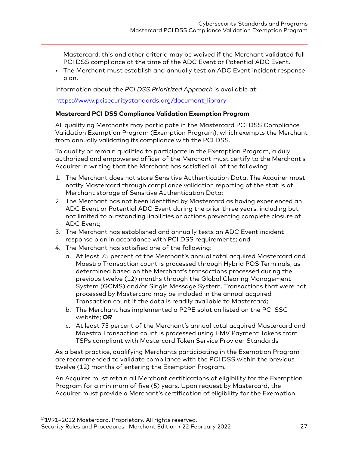<span id="page-26-0"></span>Mastercard, this and other criteria may be waived if the Merchant validated full PCI DSS compliance at the time of the ADC Event or Potential ADC Event.

• The Merchant must establish and annually test an ADC Event incident response plan.

Information about the *PCI DSS Prioritized Approach* is available at:

#### [https://www.pcisecuritystandards.org/document\\_library](https://www.pcisecuritystandards.org/document_library)

#### **Mastercard PCI DSS Compliance Validation Exemption Program**

All qualifying Merchants may participate in the Mastercard PCI DSS Compliance Validation Exemption Program (Exemption Program), which exempts the Merchant from annually validating its compliance with the PCI DSS.

To qualify or remain qualified to participate in the Exemption Program, a duly authorized and empowered officer of the Merchant must certify to the Merchant's Acquirer in writing that the Merchant has satisfied all of the following:

- 1. The Merchant does not store Sensitive Authentication Data. The Acquirer must notify Mastercard through compliance validation reporting of the status of Merchant storage of Sensitive Authentication Data;
- 2. The Merchant has not been identified by Mastercard as having experienced an ADC Event or Potential ADC Event during the prior three years, including but not limited to outstanding liabilities or actions preventing complete closure of ADC Event;
- 3. The Merchant has established and annually tests an ADC Event incident response plan in accordance with PCI DSS requirements; and
- 4. The Merchant has satisfied one of the following:
	- a. At least 75 percent of the Merchant's annual total acquired Mastercard and Maestro Transaction count is processed through Hybrid POS Terminals, as determined based on the Merchant's transactions processed during the previous twelve (12) months through the Global Clearing Management System (GCMS) and/or Single Message System. Transactions that were not processed by Mastercard may be included in the annual acquired Transaction count if the data is readily available to Mastercard;
	- b. The Merchant has implemented a P2PE solution listed on the PCI SSC website; **OR**
	- c. At least 75 percent of the Merchant's annual total acquired Mastercard and Maestro Transaction count is processed using EMV Payment Tokens from TSPs compliant with Mastercard Token Service Provider Standards

As a best practice, qualifying Merchants participating in the Exemption Program are recommended to validate compliance with the PCI DSS within the previous twelve (12) months of entering the Exemption Program.

An Acquirer must retain all Merchant certifications of eligibility for the Exemption Program for a minimum of five (5) years. Upon request by Mastercard, the Acquirer must provide a Merchant's certification of eligibility for the Exemption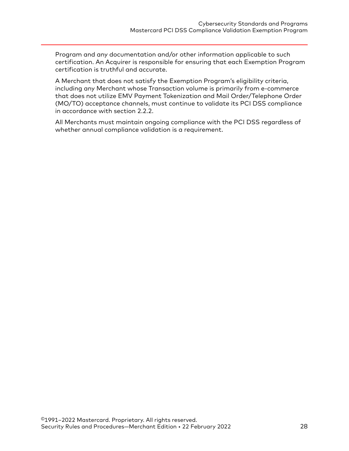Program and any documentation and/or other information applicable to such certification. An Acquirer is responsible for ensuring that each Exemption Program certification is truthful and accurate.

A Merchant that does not satisfy the Exemption Program's eligibility criteria, including any Merchant whose Transaction volume is primarily from e-commerce that does not utilize EMV Payment Tokenization and Mail Order/Telephone Order (MO/TO) acceptance channels, must continue to validate its PCI DSS compliance in accordance with section 2.2.2.

All Merchants must maintain ongoing compliance with the PCI DSS regardless of whether annual compliance validation is a requirement.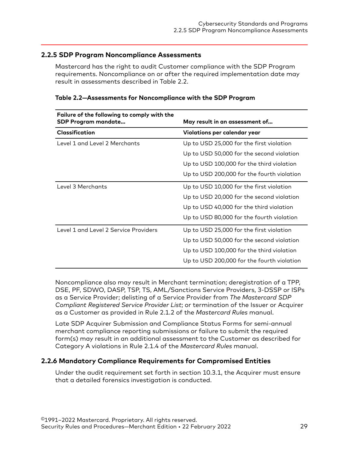#### <span id="page-28-0"></span>**2.2.5 SDP Program Noncompliance Assessments**

Mastercard has the right to audit Customer compliance with the SDP Program requirements. Noncompliance on or after the required implementation date may result in assessments described in Table 2.2.

| Failure of the following to comply with the<br><b>SDP Program mandate</b> | May result in an assessment of             |
|---------------------------------------------------------------------------|--------------------------------------------|
| <b>Classification</b>                                                     | Violations per calendar year               |
| Level 1 and Level 2 Merchants                                             | Up to USD 25,000 for the first violation   |
|                                                                           | Up to USD 50,000 for the second violation  |
|                                                                           | Up to USD 100,000 for the third violation  |
|                                                                           | Up to USD 200,000 for the fourth violation |
| Level 3 Merchants                                                         | Up to USD 10,000 for the first violation   |
|                                                                           | Up to USD 20,000 for the second violation  |
|                                                                           | Up to USD 40,000 for the third violation   |
|                                                                           | Up to USD 80,000 for the fourth violation  |
| Level 1 and Level 2 Service Providers                                     | Up to USD 25,000 for the first violation   |
|                                                                           | Up to USD 50,000 for the second violation  |
|                                                                           | Up to USD 100,000 for the third violation  |
|                                                                           | Up to USD 200,000 for the fourth violation |

#### **Table 2.2—Assessments for Noncompliance with the SDP Program**

Noncompliance also may result in Merchant termination; deregistration of a TPP, DSE, PF, SDWO, DASP, TSP, TS, AML/Sanctions Service Providers, 3-DSSP or ISPs as a Service Provider; delisting of a Service Provider from *The Mastercard SDP Compliant Registered Service Provider List*; or termination of the Issuer or Acquirer as a Customer as provided in Rule 2.1.2 of the *Mastercard Rules* manual.

Late SDP Acquirer Submission and Compliance Status Forms for semi-annual merchant compliance reporting submissions or failure to submit the required form(s) may result in an additional assessment to the Customer as described for Category A violations in Rule 2.1.4 of the *Mastercard Rules* manual.

#### **2.2.6 Mandatory Compliance Requirements for Compromised Entities**

Under the audit requirement set forth in section 10.3.1, the Acquirer must ensure that a detailed forensics investigation is conducted.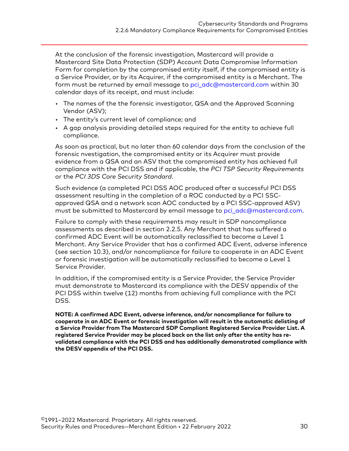At the conclusion of the forensic investigation, Mastercard will provide a Mastercard Site Data Protection (SDP) Account Data Compromise Information Form for completion by the compromised entity itself, if the compromised entity is a Service Provider, or by its Acquirer, if the compromised entity is a Merchant. The form must be returned by email message t[o pci\\_adc@mastercard.com](mailto:pci_adc@mastercard.com) within 30 calendar days of its receipt, and must include:

- The names of the the forensic investigator, QSA and the Approved Scanning Vendor (ASV);
- The entity's current level of compliance; and
- A gap analysis providing detailed steps required for the entity to achieve full compliance.

As soon as practical, but no later than 60 calendar days from the conclusion of the forensic nvestigation, the compromised entity or its Acquirer must provide evidence from a QSA and an ASV that the compromised entity has achieved full compliance with the PCI DSS and if applicable, the *PCI TSP Security Requirements* or the *PCI 3DS Core Security Standard*.

Such evidence (a completed PCI DSS AOC produced after a successful PCI DSS assessment resulting in the completion of a ROC conducted by a PCI SSCapproved QSA and a network scan AOC conducted by a PCI SSC-approved ASV) must be submitted to Mastercard by email message to [pci\\_adc@mastercard.com.](mailto:pci_adc@mastercard.com)

Failure to comply with these requirements may result in SDP noncompliance assessments as described in section 2.2.5. Any Merchant that has suffered a confirmed ADC Event will be automatically reclassified to become a Level 1 Merchant. Any Service Provider that has a confirmed ADC Event, adverse inference (see section 10.3), and/or noncompliance for failure to cooperate in an ADC Event or forensic investigation will be automatically reclassified to become a Level 1 Service Provider.

In addition, if the compromised entity is a Service Provider, the Service Provider must demonstrate to Mastercard its compliance with the DESV appendix of the PCI DSS within twelve (12) months from achieving full compliance with the PCI DSS.

**NOTE: A confirmed ADC Event, adverse inference, and/or noncompliance for failure to cooperate in an ADC Event or forensic investigation will result in the automatic delisting of a Service Provider from The Mastercard SDP Compliant Registered Service Provider List. A registered Service Provider may be placed back on the list only after the entity has revalidated compliance with the PCI DSS and has additionally demonstrated compliance with the DESV appendix of the PCI DSS.**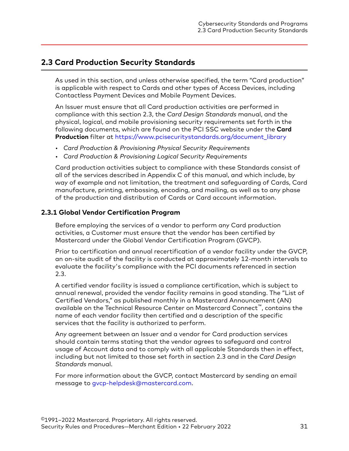## <span id="page-30-0"></span>**2.3 Card Production Security Standards**

As used in this section, and unless otherwise specified, the term "Card production" is applicable with respect to Cards and other types of Access Devices, including Contactless Payment Devices and Mobile Payment Devices.

An Issuer must ensure that all Card production activities are performed in compliance with this section 2.3, the *Card Design Standards* manual, and the physical, logical, and mobile provisioning security requirements set forth in the following documents, which are found on the PCI SSC website under the **Card Production** filter at [https://www.pcisecuritystandards.org/document\\_library](https://www.pcisecuritystandards.org/document_library)

- *Card Production & Provisioning Physical Security Requirements*
- *Card Production & Provisioning Logical Security Requirements*

Card production activities subject to compliance with these Standards consist of all of the services described in Appendix C of this manual, and which include, by way of example and not limitation, the treatment and safeguarding of Cards, Card manufacture, printing, embossing, encoding, and mailing, as well as to any phase of the production and distribution of Cards or Card account information.

#### **2.3.1 Global Vendor Certification Program**

Before employing the services of a vendor to perform any Card production activities, a Customer must ensure that the vendor has been certified by Mastercard under the Global Vendor Certification Program (GVCP).

Prior to certification and annual recertification of a vendor facility under the GVCP, an on-site audit of the facility is conducted at approximately 12-month intervals to evaluate the facility's compliance with the PCI documents referenced in section 2.3.

A certified vendor facility is issued a compliance certification, which is subject to annual renewal, provided the vendor facility remains in good standing. The "List of Certified Vendors," as published monthly in a Mastercard Announcement (AN) available on the Technical Resource Center on Mastercard Connect™, contains the name of each vendor facility then certified and a description of the specific services that the facility is authorized to perform.

Any agreement between an Issuer and a vendor for Card production services should contain terms stating that the vendor agrees to safeguard and control usage of Account data and to comply with all applicable Standards then in effect, including but not limited to those set forth in section 2.3 and in the *Card Design Standards* manual.

For more information about the GVCP, contact Mastercard by sending an email message to [gvcp-helpdesk@mastercard.com](mailto:gvcp-helpdesk@mastercard.com).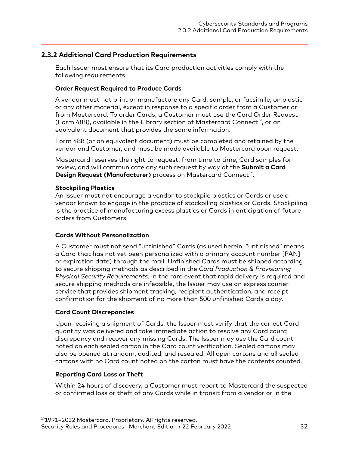#### <span id="page-31-0"></span>**2.3.2 Additional Card Production Requirements**

Each Issuer must ensure that its Card production activities comply with the following requirements.

#### **Order Request Required to Produce Cards**

A vendor must not print or manufacture any Card, sample, or facsimile, on plastic or any other material, except in response to a specific order from a Customer or from Mastercard. To order Cards, a Customer must use the Card Order Request (Form 488), available in the Library section of Mastercard Connect™, or an equivalent document that provides the same information.

Form 488 (or an equivalent document) must be completed and retained by the vendor and Customer, and must be made available to Mastercard upon request.

Mastercard reserves the right to request, from time to time, Card samples for review, and will communicate any such request by way of the **Submit a Card Design Request (Manufacturer)** process on Mastercard Connect™.

#### **Stockpiling Plastics**

An Issuer must not encourage a vendor to stockpile plastics or Cards or use a vendor known to engage in the practice of stockpiling plastics or Cards. Stockpiling is the practice of manufacturing excess plastics or Cards in anticipation of future orders from Customers.

#### **Cards Without Personalization**

A Customer must not send "unfinished" Cards (as used herein, "unfinished" means a Card that has not yet been personalized with a primary account number [PAN] or expiration date) through the mail. Unfinished Cards must be shipped according to secure shipping methods as described in the *Card Production & Provisioning Physical Security Requirements*. In the rare event that rapid delivery is required and secure shipping methods are infeasible, the Issuer may use an express courier service that provides shipment tracking, recipient authentication, and receipt confirmation for the shipment of no more than 500 unfinished Cards a day.

#### **Card Count Discrepancies**

Upon receiving a shipment of Cards, the Issuer must verify that the correct Card quantity was delivered and take immediate action to resolve any Card count discrepancy and recover any missing Cards. The Issuer may use the Card count noted on each sealed carton in the Card count verification. Sealed cartons may also be opened at random, audited, and resealed. All open cartons and all sealed cartons with no Card count noted on the carton must have the contents counted.

#### **Reporting Card Loss or Theft**

Within 24 hours of discovery, a Customer must report to Mastercard the suspected or confirmed loss or theft of any Cards while in transit from a vendor or in the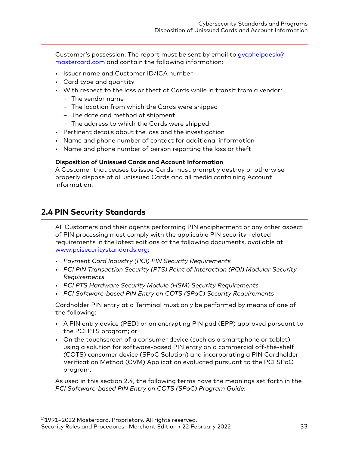<span id="page-32-0"></span>Customer's possession. The report must be sent by email to [gvcphelpdesk@](mailto:gvcphelpdesk@%20mastercard.com) [mastercard.com](mailto:gvcphelpdesk@%20mastercard.com) and contain the following information:

- Issuer name and Customer ID/ICA number
- Card type and quantity
- With respect to the loss or theft of Cards while in transit from a vendor:
	- The vendor name
	- The location from which the Cards were shipped
	- The date and method of shipment
	- The address to which the Cards were shipped
- Pertinent details about the loss and the investigation
- Name and phone number of contact for additional information
- Name and phone number of person reporting the loss or theft

#### **Disposition of Unissued Cards and Account Information**

A Customer that ceases to issue Cards must promptly destroy or otherwise properly dispose of all unissued Cards and all media containing Account information.

## **2.4 PIN Security Standards**

All Customers and their agents performing PIN encipherment or any other aspect of PIN processing must comply with the applicable PIN security-related requirements in the latest editions of the following documents, available at [www.pcisecuritystandards.org](http://www.pcisecuritystandards.org):

- *Payment Card Industry (PCI) PIN Security Requirements*
- *PCI PIN Transaction Security (PTS) Point of Interaction (POI) Modular Security Requirements*
- *PCI PTS Hardware Security Module (HSM) Security Requirements*
- *PCI Software-based PIN Entry on COTS (SPoC) Security Requirements*

Cardholder PIN entry at a Terminal must only be performed by means of one of the following:

- A PIN entry device (PED) or an encrypting PIN pad (EPP) approved pursuant to the PCI PTS program; or
- On the touchscreen of a consumer device (such as a smartphone or tablet) using a solution for software-based PIN entry on a commercial off-the-shelf (COTS) consumer device (SPoC Solution) and incorporating a PIN Cardholder Verification Method (CVM) Application evaluated pursuant to the PCI SPoC program.

As used in this section 2.4, the following terms have the meanings set forth in the *PCI Software-based PIN Entry on COTS (SPoC) Program Guide*: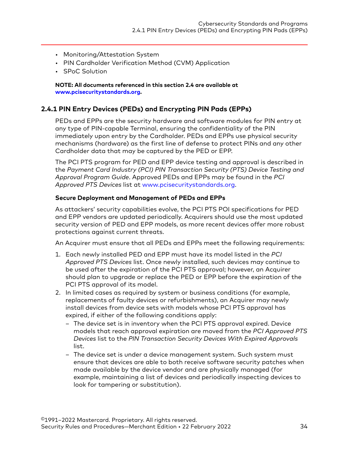- <span id="page-33-0"></span>• Monitoring/Attestation System
- PIN Cardholder Verification Method (CVM) Application
- SPoC Solution

**NOTE: All documents referenced in this section 2.4 are available at [www.pcisecuritystandards.org](http://www.pcisecuritystandards.org).**

#### **2.4.1 PIN Entry Devices (PEDs) and Encrypting PIN Pads (EPPs)**

PEDs and EPPs are the security hardware and software modules for PIN entry at any type of PIN-capable Terminal, ensuring the confidentiality of the PIN immediately upon entry by the Cardholder. PEDs and EPPs use physical security mechanisms (hardware) as the first line of defense to protect PINs and any other Cardholder data that may be captured by the PED or EPP.

The PCI PTS program for PED and EPP device testing and approval is described in the *Payment Card Industry (PCI) PIN Transaction Security (PTS) Device Testing and Approval Program Guide*. Approved PEDs and EPPs may be found in the *PCI Approved PTS Devices* list at [www.pcisecuritystandards.org](http://www.pcisecuritystandards.org).

#### **Secure Deployment and Management of PEDs and EPPs**

As attackers' security capabilities evolve, the PCI PTS POI specifications for PED and EPP vendors are updated periodically. Acquirers should use the most updated security version of PED and EPP models, as more recent devices offer more robust protections against current threats.

An Acquirer must ensure that all PEDs and EPPs meet the following requirements:

- 1. Each newly installed PED and EPP must have its model listed in the *PCI Approved PTS Devices* list. Once newly installed, such devices may continue to be used after the expiration of the PCI PTS approval; however, an Acquirer should plan to upgrade or replace the PED or EPP before the expiration of the PCI PTS approval of its model.
- 2. In limited cases as required by system or business conditions (for example, replacements of faulty devices or refurbishments), an Acquirer may newly install devices from device sets with models whose PCI PTS approval has expired, if either of the following conditions apply:
	- The device set is in inventory when the PCI PTS approval expired. Device models that reach approval expiration are moved from the *PCI Approved PTS Devices* list to the *PIN Transaction Security Devices With Expired Approvals* list.
	- The device set is under a device management system. Such system must ensure that devices are able to both receive software security patches when made available by the device vendor and are physically managed (for example, maintaining a list of devices and periodically inspecting devices to look for tampering or substitution).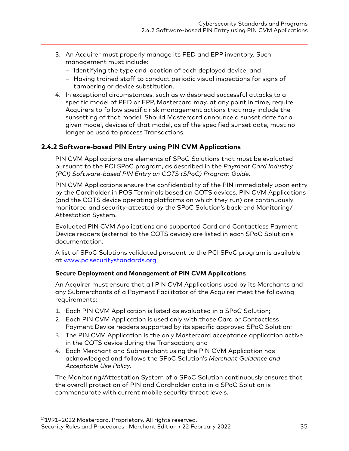- <span id="page-34-0"></span>3. An Acquirer must properly manage its PED and EPP inventory. Such management must include:
	- Identifying the type and location of each deployed device; and
	- Having trained staff to conduct periodic visual inspections for signs of tampering or device substitution.
- 4. In exceptional circumstances, such as widespread successful attacks to a specific model of PED or EPP, Mastercard may, at any point in time, require Acquirers to follow specific risk management actions that may include the sunsetting of that model. Should Mastercard announce a sunset date for a given model, devices of that model, as of the specified sunset date, must no longer be used to process Transactions.

#### **2.4.2 Software-based PIN Entry using PIN CVM Applications**

PIN CVM Applications are elements of SPoC Solutions that must be evaluated pursuant to the PCI SPoC program, as described in the *Payment Card Industry (PCI) Software-based PIN Entry on COTS (SPoC) Program Guide*.

PIN CVM Applications ensure the confidentiality of the PIN immediately upon entry by the Cardholder in POS Terminals based on COTS devices. PIN CVM Applications (and the COTS device operating platforms on which they run) are continuously monitored and security-attested by the SPoC Solution's back-end Monitoring/ Attestation System.

Evaluated PIN CVM Applications and supported Card and Contactless Payment Device readers (external to the COTS device) are listed in each SPoC Solution's documentation.

A list of SPoC Solutions validated pursuant to the PCI SPoC program is available at [www.pcisecuritystandards.org](http://www.pcisecuritystandards.org).

#### **Secure Deployment and Management of PIN CVM Applications**

An Acquirer must ensure that all PIN CVM Applications used by its Merchants and any Submerchants of a Payment Facilitator of the Acquirer meet the following requirements:

- 1. Each PIN CVM Application is listed as evaluated in a SPoC Solution;
- 2. Each PIN CVM Application is used only with those Card or Contactless Payment Device readers supported by its specific approved SPoC Solution;
- 3. The PIN CVM Application is the only Mastercard acceptance application active in the COTS device during the Transaction; and
- 4. Each Merchant and Submerchant using the PIN CVM Application has acknowledged and follows the SPoC Solution's *Merchant Guidance and Acceptable Use Policy*.

The Monitoring/Attestation System of a SPoC Solution continuously ensures that the overall protection of PIN and Cardholder data in a SPoC Solution is commensurate with current mobile security threat levels.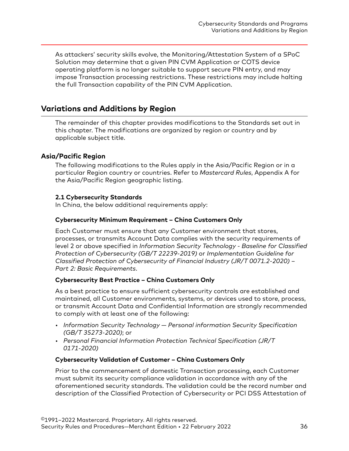<span id="page-35-0"></span>As attackers' security skills evolve, the Monitoring/Attestation System of a SPoC Solution may determine that a given PIN CVM Application or COTS device operating platform is no longer suitable to support secure PIN entry, and may impose Transaction processing restrictions. These restrictions may include halting the full Transaction capability of the PIN CVM Application.

## **Variations and Additions by Region**

The remainder of this chapter provides modifications to the Standards set out in this chapter. The modifications are organized by region or country and by applicable subject title.

#### **Asia/Pacific Region**

The following modifications to the Rules apply in the Asia/Pacific Region or in a particular Region country or countries. Refer to *Mastercard Rules*, Appendix A for the Asia/Pacific Region geographic listing.

#### **2.1 Cybersecurity Standards**

In China, the below additional requirements apply:

#### **Cybersecurity Minimum Requirement – China Customers Only**

Each Customer must ensure that any Customer environment that stores, processes, or transmits Account Data complies with the security requirements of level 2 or above specified in *Information Security Technology - Baseline for Classified Protection of Cybersecurity (GB/T 22239-2019)* or *Implementation Guideline for Classified Protection of Cybersecurity of Financial Industry (JR/T 0071.2-2020) – Part 2: Basic Requirements*.

#### **Cybersecurity Best Practice – China Customers Only**

As a best practice to ensure sufficient cybersecurity controls are established and maintained, all Customer environments, systems, or devices used to store, process, or transmit Account Data and Confidential Information are strongly recommended to comply with at least one of the following:

- *Information Security Technology Personal information Security Specification (GB/T 35273-2020)*; or
- *Personal Financial Information Protection Technical Specification (JR/T 0171-2020)*

#### **Cybersecurity Validation of Customer – China Customers Only**

Prior to the commencement of domestic Transaction processing, each Customer must submit its security compliance validation in accordance with any of the aforementioned security standards. The validation could be the record number and description of the Classified Protection of Cybersecurity or PCI DSS Attestation of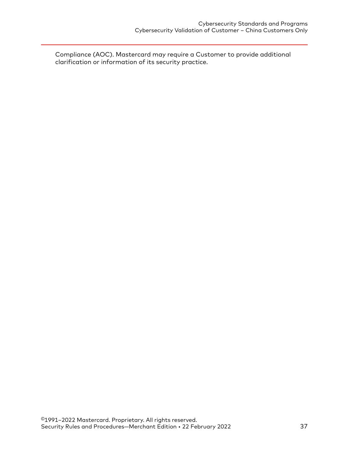Compliance (AOC). Mastercard may require a Customer to provide additional clarification or information of its security practice.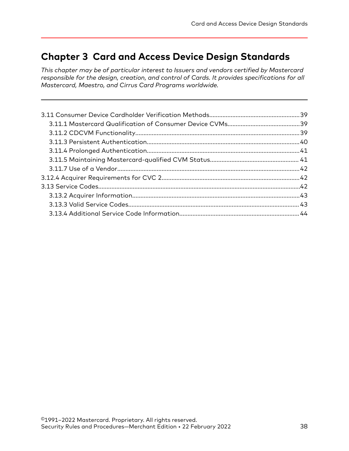# <span id="page-37-0"></span>**Chapter 3 Card and Access Device Design Standards**

*This chapter may be of particular interest to Issuers and vendors certified by Mastercard responsible for the design, creation, and control of Cards. It provides specifications for all Mastercard, Maestro, and Cirrus Card Programs worldwide.*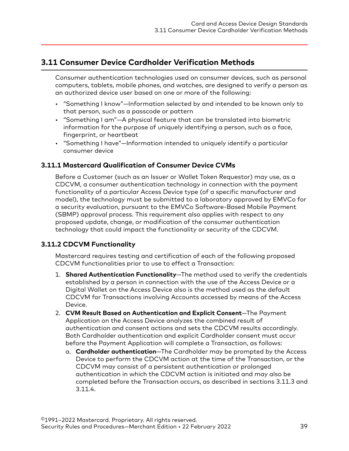# <span id="page-38-0"></span>**3.11 Consumer Device Cardholder Verification Methods**

Consumer authentication technologies used on consumer devices, such as personal computers, tablets, mobile phones, and watches, are designed to verify a person as an authorized device user based on one or more of the following:

- "Something I know"—Information selected by and intended to be known only to that person, such as a passcode or pattern
- "Something I am"—A physical feature that can be translated into biometric information for the purpose of uniquely identifying a person, such as a face, fingerprint, or heartbeat
- "Something I have"—Information intended to uniquely identify a particular consumer device

### **3.11.1 Mastercard Qualification of Consumer Device CVMs**

Before a Customer (such as an Issuer or Wallet Token Requestor) may use, as a CDCVM, a consumer authentication technology in connection with the payment functionality of a particular Access Device type (of a specific manufacturer and model), the technology must be submitted to a laboratory approved by EMVCo for a security evaluation, pursuant to the EMVCo Software-Based Mobile Payment (SBMP) approval process. This requirement also applies with respect to any proposed update, change, or modification of the consumer authentication technology that could impact the functionality or security of the CDCVM.

### **3.11.2 CDCVM Functionality**

Mastercard requires testing and certification of each of the following proposed CDCVM functionalities prior to use to effect a Transaction:

- 1. **Shared Authentication Functionality**—The method used to verify the credentials established by a person in connection with the use of the Access Device or a Digital Wallet on the Access Device also is the method used as the default CDCVM for Transactions involving Accounts accessed by means of the Access Device.
- 2. **CVM Result Based on Authentication and Explicit Consent**—The Payment Application on the Access Device analyzes the combined result of authentication and consent actions and sets the CDCVM results accordingly. Both Cardholder authentication and explicit Cardholder consent must occur before the Payment Application will complete a Transaction, as follows:
	- a. **Cardholder authentication**—The Cardholder may be prompted by the Access Device to perform the CDCVM action at the time of the Transaction, or the CDCVM may consist of a persistent authentication or prolonged authentication in which the CDCVM action is initiated and may also be completed before the Transaction occurs, as described in sections 3.11.3 and 3.11.4.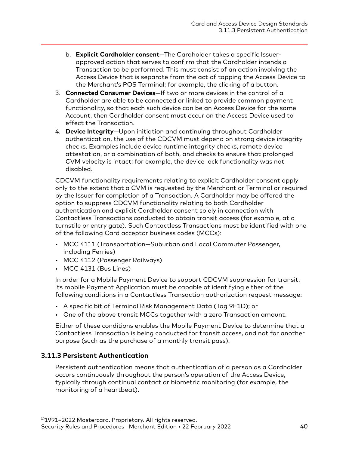- <span id="page-39-0"></span>b. **Explicit Cardholder consent**—The Cardholder takes a specific Issuerapproved action that serves to confirm that the Cardholder intends a Transaction to be performed. This must consist of an action involving the Access Device that is separate from the act of tapping the Access Device to the Merchant's POS Terminal; for example, the clicking of a button.
- 3. **Connected Consumer Devices**—If two or more devices in the control of a Cardholder are able to be connected or linked to provide common payment functionality, so that each such device can be an Access Device for the same Account, then Cardholder consent must occur on the Access Device used to effect the Transaction.
- 4. **Device Integrity**—Upon initiation and continuing throughout Cardholder authentication, the use of the CDCVM must depend on strong device integrity checks. Examples include device runtime integrity checks, remote device attestation, or a combination of both, and checks to ensure that prolonged CVM velocity is intact; for example, the device lock functionality was not disabled.

CDCVM functionality requirements relating to explicit Cardholder consent apply only to the extent that a CVM is requested by the Merchant or Terminal or required by the Issuer for completion of a Transaction. A Cardholder may be offered the option to suppress CDCVM functionality relating to both Cardholder authentication and explicit Cardholder consent solely in connection with Contactless Transactions conducted to obtain transit access (for example, at a turnstile or entry gate). Such Contactless Transactions must be identified with one of the following Card acceptor business codes (MCCs):

- MCC 4111 (Transportation—Suburban and Local Commuter Passenger, including Ferries)
- MCC 4112 (Passenger Railways)
- MCC 4131 (Bus Lines)

In order for a Mobile Payment Device to support CDCVM suppression for transit, its mobile Payment Application must be capable of identifying either of the following conditions in a Contactless Transaction authorization request message:

- A specific bit of Terminal Risk Management Data (Tag 9F1D); or
- One of the above transit MCCs together with a zero Transaction amount.

Either of these conditions enables the Mobile Payment Device to determine that a Contactless Transaction is being conducted for transit access, and not for another purpose (such as the purchase of a monthly transit pass).

### **3.11.3 Persistent Authentication**

Persistent authentication means that authentication of a person as a Cardholder occurs continuously throughout the person's operation of the Access Device, typically through continual contact or biometric monitoring (for example, the monitoring of a heartbeat).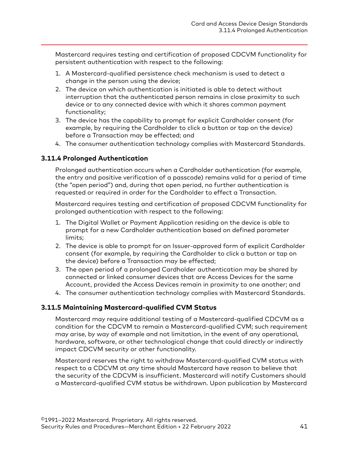<span id="page-40-0"></span>Mastercard requires testing and certification of proposed CDCVM functionality for persistent authentication with respect to the following:

- 1. A Mastercard-qualified persistence check mechanism is used to detect a change in the person using the device;
- 2. The device on which authentication is initiated is able to detect without interruption that the authenticated person remains in close proximity to such device or to any connected device with which it shares common payment functionality;
- 3. The device has the capability to prompt for explicit Cardholder consent (for example, by requiring the Cardholder to click a button or tap on the device) before a Transaction may be effected; and
- 4. The consumer authentication technology complies with Mastercard Standards.

## **3.11.4 Prolonged Authentication**

Prolonged authentication occurs when a Cardholder authentication (for example, the entry and positive verification of a passcode) remains valid for a period of time (the "open period") and, during that open period, no further authentication is requested or required in order for the Cardholder to effect a Transaction.

Mastercard requires testing and certification of proposed CDCVM functionality for prolonged authentication with respect to the following:

- 1. The Digital Wallet or Payment Application residing on the device is able to prompt for a new Cardholder authentication based on defined parameter limits;
- 2. The device is able to prompt for an Issuer-approved form of explicit Cardholder consent (for example, by requiring the Cardholder to click a button or tap on the device) before a Transaction may be effected;
- 3. The open period of a prolonged Cardholder authentication may be shared by connected or linked consumer devices that are Access Devices for the same Account, provided the Access Devices remain in proximity to one another; and
- 4. The consumer authentication technology complies with Mastercard Standards.

### **3.11.5 Maintaining Mastercard-qualified CVM Status**

Mastercard may require additional testing of a Mastercard-qualified CDCVM as a condition for the CDCVM to remain a Mastercard-qualified CVM; such requirement may arise, by way of example and not limitation, in the event of any operational, hardware, software, or other technological change that could directly or indirectly impact CDCVM security or other functionality.

Mastercard reserves the right to withdraw Mastercard-qualified CVM status with respect to a CDCVM at any time should Mastercard have reason to believe that the security of the CDCVM is insufficient. Mastercard will notify Customers should a Mastercard-qualified CVM status be withdrawn. Upon publication by Mastercard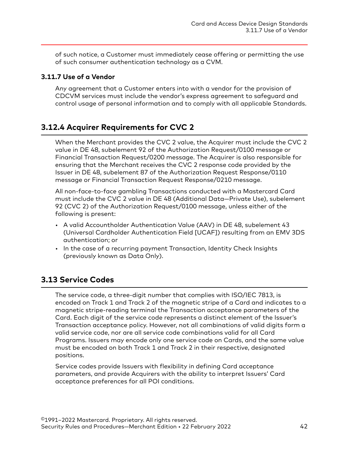<span id="page-41-0"></span>of such notice, a Customer must immediately cease offering or permitting the use of such consumer authentication technology as a CVM.

## **3.11.7 Use of a Vendor**

Any agreement that a Customer enters into with a vendor for the provision of CDCVM services must include the vendor's express agreement to safeguard and control usage of personal information and to comply with all applicable Standards.

# **3.12.4 Acquirer Requirements for CVC 2**

When the Merchant provides the CVC 2 value, the Acquirer must include the CVC 2 value in DE 48, subelement 92 of the Authorization Request/0100 message or Financial Transaction Request/0200 message. The Acquirer is also responsible for ensuring that the Merchant receives the CVC 2 response code provided by the Issuer in DE 48, subelement 87 of the Authorization Request Response/0110 message or Financial Transaction Request Response/0210 message.

All non-face-to-face gambling Transactions conducted with a Mastercard Card must include the CVC 2 value in DE 48 (Additional Data—Private Use), subelement 92 (CVC 2) of the Authorization Request/0100 message, unless either of the following is present:

- A valid Accountholder Authentication Value (AAV) in DE 48, subelement 43 (Universal Cardholder Authentication Field [UCAF]) resulting from an EMV 3DS authentication; or
- In the case of a recurring payment Transaction, Identity Check Insights (previously known as Data Only).

# **3.13 Service Codes**

The service code, a three-digit number that complies with ISO/IEC 7813, is encoded on Track 1 and Track 2 of the magnetic stripe of a Card and indicates to a magnetic stripe-reading terminal the Transaction acceptance parameters of the Card. Each digit of the service code represents a distinct element of the Issuer's Transaction acceptance policy. However, not all combinations of valid digits form a valid service code, nor are all service code combinations valid for all Card Programs. Issuers may encode only one service code on Cards, and the same value must be encoded on both Track 1 and Track 2 in their respective, designated positions.

Service codes provide Issuers with flexibility in defining Card acceptance parameters, and provide Acquirers with the ability to interpret Issuers' Card acceptance preferences for all POI conditions.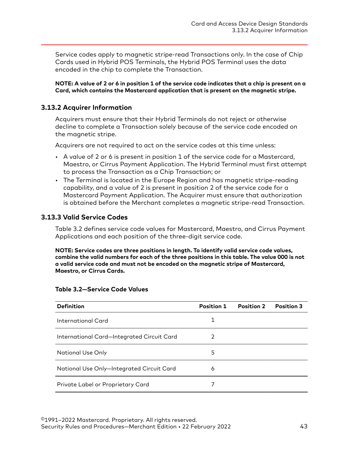<span id="page-42-0"></span>Service codes apply to magnetic stripe-read Transactions only. In the case of Chip Cards used in Hybrid POS Terminals, the Hybrid POS Terminal uses the data encoded in the chip to complete the Transaction.

**NOTE: A value of 2 or 6 in position 1 of the service code indicates that a chip is present on a Card, which contains the Mastercard application that is present on the magnetic stripe.**

## **3.13.2 Acquirer Information**

Acquirers must ensure that their Hybrid Terminals do not reject or otherwise decline to complete a Transaction solely because of the service code encoded on the magnetic stripe.

Acquirers are not required to act on the service codes at this time unless:

- A value of 2 or 6 is present in position 1 of the service code for a Mastercard, Maestro, or Cirrus Payment Application. The Hybrid Terminal must first attempt to process the Transaction as a Chip Transaction; or
- The Terminal is located in the Europe Region and has magnetic stripe-reading capability, and a value of 2 is present in position 2 of the service code for a Mastercard Payment Application. The Acquirer must ensure that authorization is obtained before the Merchant completes a magnetic stripe-read Transaction.

## **3.13.3 Valid Service Codes**

Table 3.2 defines service code values for Mastercard, Maestro, and Cirrus Payment Applications and each position of the three-digit service code.

**NOTE: Service codes are three positions in length. To identify valid service code values, combine the valid numbers for each of the three positions in this table. The value 000 is not a valid service code and must not be encoded on the magnetic stripe of Mastercard, Maestro, or Cirrus Cards.**

| <b>Definition</b>                          | <b>Position 1</b> | <b>Position 2</b> | <b>Position 3</b> |
|--------------------------------------------|-------------------|-------------------|-------------------|
| International Card                         | 1                 |                   |                   |
| International Card-Integrated Circuit Card | 2                 |                   |                   |
| National Use Only                          | 5                 |                   |                   |
| National Use Only-Integrated Circuit Card  | 6                 |                   |                   |
| Private Label or Proprietary Card          |                   |                   |                   |

#### **Table 3.2—Service Code Values**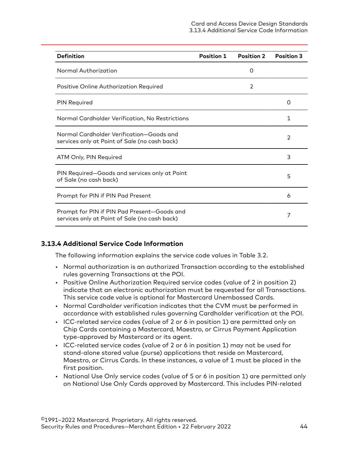<span id="page-43-0"></span>

| <b>Definition</b>                                                                            | <b>Position 1</b> | <b>Position 2</b> | <b>Position 3</b> |
|----------------------------------------------------------------------------------------------|-------------------|-------------------|-------------------|
| Normal Authorization                                                                         |                   | 0                 |                   |
| Positive Online Authorization Required                                                       |                   | 2                 |                   |
| <b>PIN Required</b>                                                                          |                   |                   | Ω                 |
| Normal Cardholder Verification, No Restrictions                                              |                   |                   | 1                 |
| Normal Cardholder Verification-Goods and<br>services only at Point of Sale (no cash back)    |                   |                   | $\mathcal{P}$     |
| ATM Only, PIN Required                                                                       |                   |                   | 3                 |
| PIN Required-Goods and services only at Point<br>of Sale (no cash back)                      |                   |                   | 5                 |
| Prompt for PIN if PIN Pad Present                                                            |                   |                   | 6                 |
| Prompt for PIN if PIN Pad Present-Goods and<br>services only at Point of Sale (no cash back) |                   |                   | 7                 |

### **3.13.4 Additional Service Code Information**

The following information explains the service code values in Table 3.2.

- Normal authorization is an authorized Transaction according to the established rules governing Transactions at the POI.
- Positive Online Authorization Required service codes (value of 2 in position 2) indicate that an electronic authorization must be requested for all Transactions. This service code value is optional for Mastercard Unembossed Cards.
- Normal Cardholder verification indicates that the CVM must be performed in accordance with established rules governing Cardholder verification at the POI.
- ICC-related service codes (value of 2 or 6 in position 1) are permitted only on Chip Cards containing a Mastercard, Maestro, or Cirrus Payment Application type-approved by Mastercard or its agent.
- ICC-related service codes (value of 2 or 6 in position 1) may not be used for stand-alone stored value (purse) applications that reside on Mastercard, Maestro, or Cirrus Cards. In these instances, a value of 1 must be placed in the first position.
- National Use Only service codes (value of 5 or 6 in position 1) are permitted only on National Use Only Cards approved by Mastercard. This includes PIN-related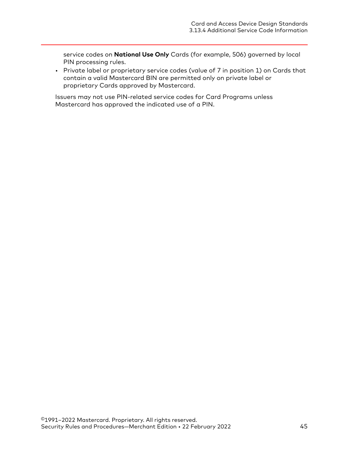service codes on **National Use Only** Cards (for example, 506) governed by local PIN processing rules.

• Private label or proprietary service codes (value of 7 in position 1) on Cards that contain a valid Mastercard BIN are permitted only on private label or proprietary Cards approved by Mastercard.

Issuers may not use PIN-related service codes for Card Programs unless Mastercard has approved the indicated use of a PIN.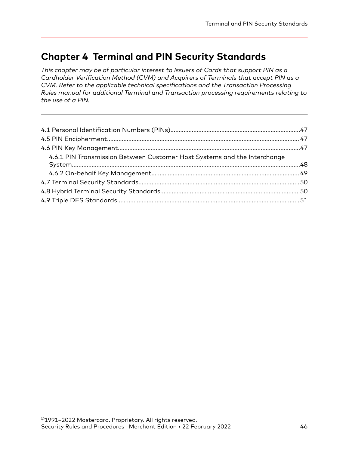# **Chapter 4 Terminal and PIN Security Standards**

*This chapter may be of particular interest to Issuers of Cards that support PIN as a Cardholder Verification Method (CVM) and Acquirers of Terminals that accept PIN as a CVM. Refer to the applicable technical specifications and the Transaction Processing Rules manual for additional Terminal and Transaction processing requirements relating to the use of a PIN.*

| 4.6.1 PIN Transmission Between Customer Host Systems and the Interchange |  |
|--------------------------------------------------------------------------|--|
|                                                                          |  |
|                                                                          |  |
|                                                                          |  |
|                                                                          |  |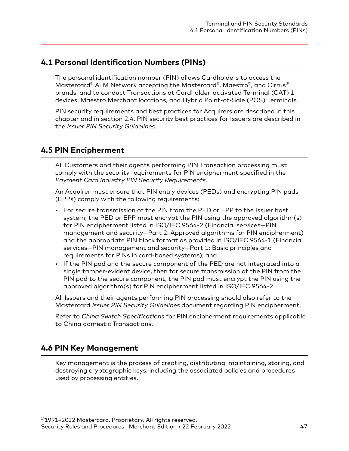## <span id="page-46-0"></span>**4.1 Personal Identification Numbers (PINs)**

The personal identification number (PIN) allows Cardholders to access the Mastercard® ATM Network accepting the Mastercard® , Maestro® , and Cirrus® brands, and to conduct Transactions at Cardholder-activated Terminal (CAT) 1 devices, Maestro Merchant locations, and Hybrid Point-of-Sale (POS) Terminals.

PIN security requirements and best practices for Acquirers are described in this chapter and in section 2.4. PIN security best practices for Issuers are described in the *Issuer PIN Security Guidelines*.

## **4.5 PIN Encipherment**

All Customers and their agents performing PIN Transaction processing must comply with the security requirements for PIN encipherment specified in the *Payment Card Industry PIN Security Requirements*.

An Acquirer must ensure that PIN entry devices (PEDs) and encrypting PIN pads (EPPs) comply with the following requirements:

- For secure transmission of the PIN from the PED or EPP to the Issuer host system, the PED or EPP must encrypt the PIN using the approved algorithm(s) for PIN encipherment listed in ISO/IEC 9564-2 (Financial services—PIN management and security—Part 2: Approved algorithms for PIN encipherment) and the appropriate PIN block format as provided in ISO/IEC 9564-1 (Financial services—PIN management and security—Part 1: Basic principles and requirements for PINs in card-based systems); and
- If the PIN pad and the secure component of the PED are not integrated into a single tamper-evident device, then for secure transmission of the PIN from the PIN pad to the secure component, the PIN pad must encrypt the PIN using the approved algorithm(s) for PIN encipherment listed in ISO/IEC 9564-2.

All Issuers and their agents performing PIN processing should also refer to the Mastercard *Issuer PIN Security Guidelines* document regarding PIN encipherment.

Refer to *China Switch Specifications* for PIN encipherment requirements applicable to China domestic Transactions.

# **4.6 PIN Key Management**

Key management is the process of creating, distributing, maintaining, storing, and destroying cryptographic keys, including the associated policies and procedures used by processing entities.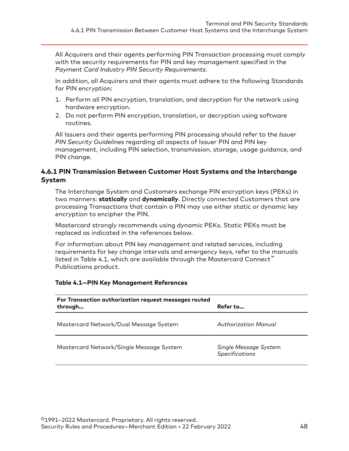<span id="page-47-0"></span>All Acquirers and their agents performing PIN Transaction processing must comply with the security requirements for PIN and key management specified in the *Payment Card Industry PIN Security Requirements*.

In addition, all Acquirers and their agents must adhere to the following Standards for PIN encryption:

- 1. Perform all PIN encryption, translation, and decryption for the network using hardware encryption.
- 2. Do not perform PIN encryption, translation, or decryption using software routines.

All Issuers and their agents performing PIN processing should refer to the *Issuer PIN Security Guidelines* regarding all aspects of Issuer PIN and PIN key management, including PIN selection, transmission, storage, usage guidance, and PIN change.

## **4.6.1 PIN Transmission Between Customer Host Systems and the Interchange System**

The Interchange System and Customers exchange PIN encryption keys (PEKs) in two manners: **statically** and **dynamically**. Directly connected Customers that are processing Transactions that contain a PIN may use either static or dynamic key encryption to encipher the PIN.

Mastercard strongly recommends using dynamic PEKs. Static PEKs must be replaced as indicated in the references below.

For information about PIN key management and related services, including requirements for key change intervals and emergency keys, refer to the manuals listed in Table 4.1, which are available through the Mastercard Connect™ Publications product.

| For Transaction authorization request messages routed<br>through | Refer to                                       |
|------------------------------------------------------------------|------------------------------------------------|
| Mastercard Network/Dual Message System                           | Authorization Manual                           |
| Mastercard Network/Single Message System                         | Single Message System<br><b>Specifications</b> |

#### **Table 4.1—PIN Key Management References**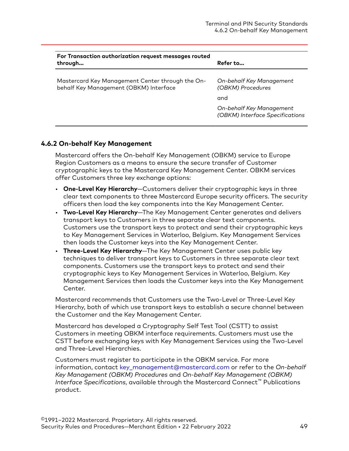<span id="page-48-0"></span>

| For Transaction authorization request messages routed<br>through                           | Refer to                                                    |
|--------------------------------------------------------------------------------------------|-------------------------------------------------------------|
| Mastercard Key Management Center through the On-<br>behalf Key Management (OBKM) Interface | On-behalf Key Management<br>(OBKM) Procedures               |
|                                                                                            | and                                                         |
|                                                                                            | On-behalf Key Management<br>(OBKM) Interface Specifications |

## **4.6.2 On-behalf Key Management**

Mastercard offers the On-behalf Key Management (OBKM) service to Europe Region Customers as a means to ensure the secure transfer of Customer cryptographic keys to the Mastercard Key Management Center. OBKM services offer Customers three key exchange options:

- **One-Level Key Hierarchy**—Customers deliver their cryptographic keys in three clear text components to three Mastercard Europe security officers. The security officers then load the key components into the Key Management Center.
- **Two-Level Key Hierarchy**—The Key Management Center generates and delivers transport keys to Customers in three separate clear text components. Customers use the transport keys to protect and send their cryptographic keys to Key Management Services in Waterloo, Belgium. Key Management Services then loads the Customer keys into the Key Management Center.
- **Three-Level Key Hierarchy**—The Key Management Center uses public key techniques to deliver transport keys to Customers in three separate clear text components. Customers use the transport keys to protect and send their cryptographic keys to Key Management Services in Waterloo, Belgium. Key Management Services then loads the Customer keys into the Key Management Center.

Mastercard recommends that Customers use the Two-Level or Three-Level Key Hierarchy, both of which use transport keys to establish a secure channel between the Customer and the Key Management Center.

Mastercard has developed a Cryptography Self Test Tool (CSTT) to assist Customers in meeting OBKM interface requirements. Customers must use the CSTT before exchanging keys with Key Management Services using the Two-Level and Three-Level Hierarchies.

Customers must register to participate in the OBKM service. For more information, contact [key\\_management@mastercard.com o](mailto:key_management@mastercard.com)r refer to the *On-behalf Key Management (OBKM) Procedures* and *On-behalf Key Management (OBKM) Interface Specifications*, available through the Mastercard Connect™ Publications product.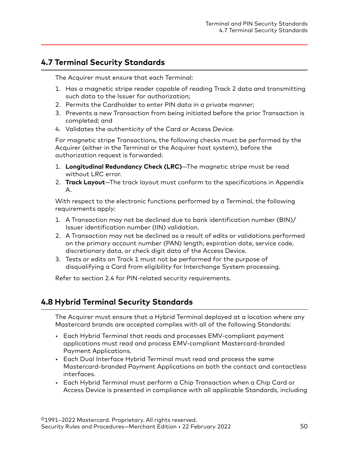# <span id="page-49-0"></span>**4.7 Terminal Security Standards**

The Acquirer must ensure that each Terminal:

- 1. Has a magnetic stripe reader capable of reading Track 2 data and transmitting such data to the Issuer for authorization;
- 2. Permits the Cardholder to enter PIN data in a private manner;
- 3. Prevents a new Transaction from being initiated before the prior Transaction is completed; and
- 4. Validates the authenticity of the Card or Access Device.

For magnetic stripe Transactions, the following checks must be performed by the Acquirer (either in the Terminal or the Acquirer host system), before the authorization request is forwarded:

- 1. **Longitudinal Redundancy Check (LRC)**—The magnetic stripe must be read without LRC error.
- 2. **Track Layout**—The track layout must conform to the specifications in Appendix A.

With respect to the electronic functions performed by a Terminal, the following requirements apply:

- 1. A Transaction may not be declined due to bank identification number (BIN)/ Issuer identification number (IIN) validation.
- 2. A Transaction may not be declined as a result of edits or validations performed on the primary account number (PAN) length, expiration date, service code, discretionary data, or check digit data of the Access Device.
- 3. Tests or edits on Track 1 must not be performed for the purpose of disqualifying a Card from eligibility for Interchange System processing.

Refer to section 2.4 for PIN-related security requirements.

# **4.8 Hybrid Terminal Security Standards**

The Acquirer must ensure that a Hybrid Terminal deployed at a location where any Mastercard brands are accepted complies with all of the following Standards:

- Each Hybrid Terminal that reads and processes EMV-compliant payment applications must read and process EMV-compliant Mastercard-branded Payment Applications.
- Each Dual Interface Hybrid Terminal must read and process the same Mastercard-branded Payment Applications on both the contact and contactless interfaces.
- Each Hybrid Terminal must perform a Chip Transaction when a Chip Card or Access Device is presented in compliance with all applicable Standards, including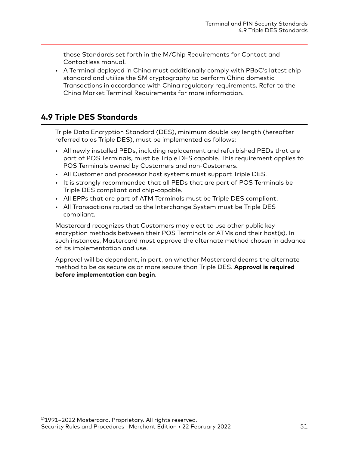<span id="page-50-0"></span>those Standards set forth in the M/Chip Requirements for Contact and Contactless manual.

• A Terminal deployed in China must additionally comply with PBoC's latest chip standard and utilize the SM cryptography to perform China domestic Transactions in accordance with China regulatory requirements. Refer to the China Market Terminal Requirements for more information.

# **4.9 Triple DES Standards**

Triple Data Encryption Standard (DES), minimum double key length (hereafter referred to as Triple DES), must be implemented as follows:

- All newly installed PEDs, including replacement and refurbished PEDs that are part of POS Terminals, must be Triple DES capable. This requirement applies to POS Terminals owned by Customers and non-Customers.
- All Customer and processor host systems must support Triple DES.
- It is strongly recommended that all PEDs that are part of POS Terminals be Triple DES compliant and chip-capable.
- All EPPs that are part of ATM Terminals must be Triple DES compliant.
- All Transactions routed to the Interchange System must be Triple DES compliant.

Mastercard recognizes that Customers may elect to use other public key encryption methods between their POS Terminals or ATMs and their host(s). In such instances, Mastercard must approve the alternate method chosen in advance of its implementation and use.

Approval will be dependent, in part, on whether Mastercard deems the alternate method to be as secure as or more secure than Triple DES. **Approval is required before implementation can begin**.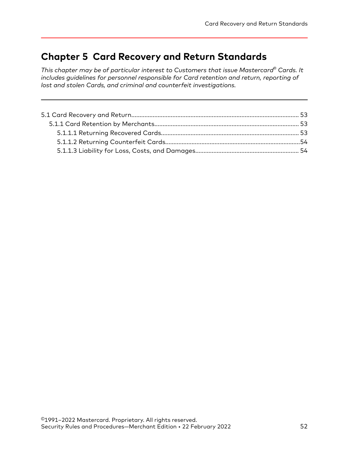# **Chapter 5 Card Recovery and Return Standards**

*This chapter may be of particular interest to Customers that issue Mastercard® Cards. It includes guidelines for personnel responsible for Card retention and return, reporting of lost and stolen Cards, and criminal and counterfeit investigations.*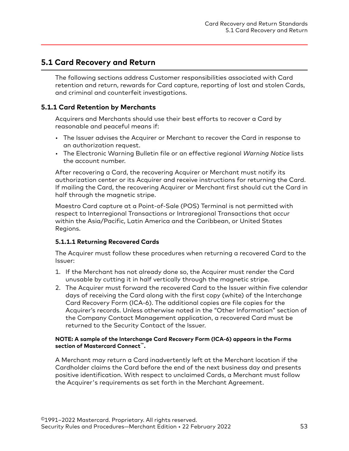## <span id="page-52-0"></span>**5.1 Card Recovery and Return**

The following sections address Customer responsibilities associated with Card retention and return, rewards for Card capture, reporting of lost and stolen Cards, and criminal and counterfeit investigations.

## **5.1.1 Card Retention by Merchants**

Acquirers and Merchants should use their best efforts to recover a Card by reasonable and peaceful means if:

- The Issuer advises the Acquirer or Merchant to recover the Card in response to an authorization request.
- The Electronic Warning Bulletin file or an effective regional *Warning Notice* lists the account number.

After recovering a Card, the recovering Acquirer or Merchant must notify its authorization center or its Acquirer and receive instructions for returning the Card. If mailing the Card, the recovering Acquirer or Merchant first should cut the Card in half through the magnetic stripe.

Maestro Card capture at a Point-of-Sale (POS) Terminal is not permitted with respect to Interregional Transactions or Intraregional Transactions that occur within the Asia/Pacific, Latin America and the Caribbean, or United States Regions.

### **5.1.1.1 Returning Recovered Cards**

The Acquirer must follow these procedures when returning a recovered Card to the Issuer:

- 1. If the Merchant has not already done so, the Acquirer must render the Card unusable by cutting it in half vertically through the magnetic stripe.
- 2. The Acquirer must forward the recovered Card to the Issuer within five calendar days of receiving the Card along with the first copy (white) of the Interchange Card Recovery Form (ICA-6). The additional copies are file copies for the Acquirer's records. Unless otherwise noted in the "Other Information" section of the Company Contact Management application, a recovered Card must be returned to the Security Contact of the Issuer.

#### **NOTE: A sample of the Interchange Card Recovery Form (ICA-6) appears in the Forms section of Mastercard Connect™.**

A Merchant may return a Card inadvertently left at the Merchant location if the Cardholder claims the Card before the end of the next business day and presents positive identification. With respect to unclaimed Cards, a Merchant must follow the Acquirer's requirements as set forth in the Merchant Agreement.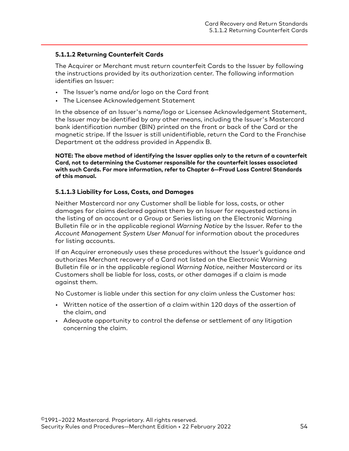#### <span id="page-53-0"></span>**5.1.1.2 Returning Counterfeit Cards**

The Acquirer or Merchant must return counterfeit Cards to the Issuer by following the instructions provided by its authorization center. The following information identifies an Issuer:

- The Issuer's name and/or logo on the Card front
- The Licensee Acknowledgement Statement

In the absence of an Issuer's name/logo or Licensee Acknowledgement Statement, the Issuer may be identified by any other means, including the Issuer's Mastercard bank identification number (BIN) printed on the front or back of the Card or the magnetic stripe. If the Issuer is still unidentifiable, return the Card to the Franchise Department at the address provided in Appendix B.

**NOTE: The above method of identifying the Issuer applies only to the return of a counterfeit Card, not to determining the Customer responsible for the counterfeit losses associated with such Cards. For more information, refer to Chapter 6—Fraud Loss Control Standards of this manual.**

#### **5.1.1.3 Liability for Loss, Costs, and Damages**

Neither Mastercard nor any Customer shall be liable for loss, costs, or other damages for claims declared against them by an Issuer for requested actions in the listing of an account or a Group or Series listing on the Electronic Warning Bulletin file or in the applicable regional *Warning Notice* by the Issuer. Refer to the *Account Management System User Manual* for information about the procedures for listing accounts.

If an Acquirer erroneously uses these procedures without the Issuer's guidance and authorizes Merchant recovery of a Card not listed on the Electronic Warning Bulletin file or in the applicable regional *Warning Notice*, neither Mastercard or its Customers shall be liable for loss, costs, or other damages if a claim is made against them.

No Customer is liable under this section for any claim unless the Customer has:

- Written notice of the assertion of a claim within 120 days of the assertion of the claim, and
- Adequate opportunity to control the defense or settlement of any litigation concerning the claim.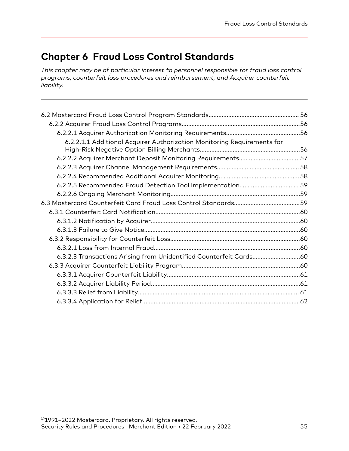# **Chapter 6 Fraud Loss Control Standards**

*This chapter may be of particular interest to personnel responsible for fraud loss control programs, counterfeit loss procedures and reimbursement, and Acquirer counterfeit liability.*

| 6.2.2.1.1 Additional Acquirer Authorization Monitoring Requirements for |  |
|-------------------------------------------------------------------------|--|
| 6.2.2.2 Acquirer Merchant Deposit Monitoring Requirements57             |  |
|                                                                         |  |
|                                                                         |  |
|                                                                         |  |
|                                                                         |  |
|                                                                         |  |
|                                                                         |  |
|                                                                         |  |
|                                                                         |  |
|                                                                         |  |
|                                                                         |  |
| 6.3.2.3 Transactions Arising from Unidentified Counterfeit Cards60      |  |
|                                                                         |  |
|                                                                         |  |
|                                                                         |  |
|                                                                         |  |
|                                                                         |  |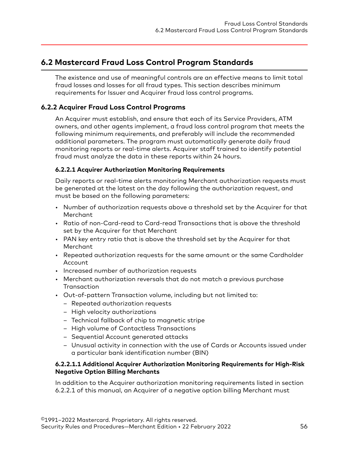# <span id="page-55-0"></span>**6.2 Mastercard Fraud Loss Control Program Standards**

The existence and use of meaningful controls are an effective means to limit total fraud losses and losses for all fraud types. This section describes minimum requirements for Issuer and Acquirer fraud loss control programs.

## **6.2.2 Acquirer Fraud Loss Control Programs**

An Acquirer must establish, and ensure that each of its Service Providers, ATM owners, and other agents implement, a fraud loss control program that meets the following minimum requirements, and preferably will include the recommended additional parameters. The program must automatically generate daily fraud monitoring reports or real-time alerts. Acquirer staff trained to identify potential fraud must analyze the data in these reports within 24 hours.

#### **6.2.2.1 Acquirer Authorization Monitoring Requirements**

Daily reports or real-time alerts monitoring Merchant authorization requests must be generated at the latest on the day following the authorization request, and must be based on the following parameters:

- Number of authorization requests above a threshold set by the Acquirer for that Merchant
- Ratio of non-Card-read to Card-read Transactions that is above the threshold set by the Acquirer for that Merchant
- PAN key entry ratio that is above the threshold set by the Acquirer for that Merchant
- Repeated authorization requests for the same amount or the same Cardholder Account
- Increased number of authorization requests
- Merchant authorization reversals that do not match a previous purchase **Transaction**
- Out-of-pattern Transaction volume, including but not limited to:
	- Repeated authorization requests
	- High velocity authorizations
	- Technical fallback of chip to magnetic stripe
	- High volume of Contactless Transactions
	- Sequential Account generated attacks
	- Unusual activity in connection with the use of Cards or Accounts issued under a particular bank identification number (BIN)

#### **6.2.2.1.1 Additional Acquirer Authorization Monitoring Requirements for High-Risk Negative Option Billing Merchants**

In addition to the Acquirer authorization monitoring requirements listed in section 6.2.2.1 of this manual, an Acquirer of a negative option billing Merchant must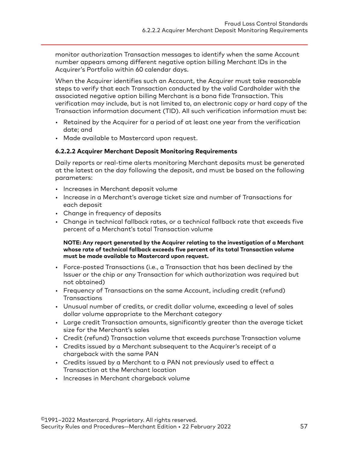<span id="page-56-0"></span>monitor authorization Transaction messages to identify when the same Account number appears among different negative option billing Merchant IDs in the Acquirer's Portfolio within 60 calendar days.

When the Acquirer identifies such an Account, the Acquirer must take reasonable steps to verify that each Transaction conducted by the valid Cardholder with the associated negative option billing Merchant is a bona fide Transaction. This verification may include, but is not limited to, an electronic copy or hard copy of the Transaction information document (TID). All such verification information must be:

- Retained by the Acquirer for a period of at least one year from the verification date; and
- Made available to Mastercard upon request.

#### **6.2.2.2 Acquirer Merchant Deposit Monitoring Requirements**

Daily reports or real-time alerts monitoring Merchant deposits must be generated at the latest on the day following the deposit, and must be based on the following parameters:

- Increases in Merchant deposit volume
- Increase in a Merchant's average ticket size and number of Transactions for each deposit
- Change in frequency of deposits
- Change in technical fallback rates, or a technical fallback rate that exceeds five percent of a Merchant's total Transaction volume

**NOTE: Any report generated by the Acquirer relating to the investigation of a Merchant whose rate of technical fallback exceeds five percent of its total Transaction volume must be made available to Mastercard upon request.**

- Force-posted Transactions (i.e., a Transaction that has been declined by the Issuer or the chip or any Transaction for which authorization was required but not obtained)
- Frequency of Transactions on the same Account, including credit (refund) **Transactions**
- Unusual number of credits, or credit dollar volume, exceeding a level of sales dollar volume appropriate to the Merchant category
- Large credit Transaction amounts, significantly greater than the average ticket size for the Merchant's sales
- Credit (refund) Transaction volume that exceeds purchase Transaction volume
- Credits issued by a Merchant subsequent to the Acquirer's receipt of a chargeback with the same PAN
- Credits issued by a Merchant to a PAN not previously used to effect a Transaction at the Merchant location
- Increases in Merchant chargeback volume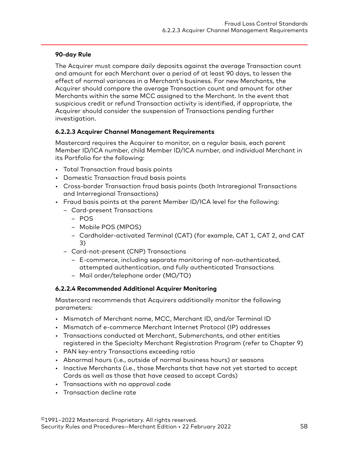## <span id="page-57-0"></span>**90-day Rule**

The Acquirer must compare daily deposits against the average Transaction count and amount for each Merchant over a period of at least 90 days, to lessen the effect of normal variances in a Merchant's business. For new Merchants, the Acquirer should compare the average Transaction count and amount for other Merchants within the same MCC assigned to the Merchant. In the event that suspicious credit or refund Transaction activity is identified, if appropriate, the Acquirer should consider the suspension of Transactions pending further investigation.

### **6.2.2.3 Acquirer Channel Management Requirements**

Mastercard requires the Acquirer to monitor, on a regular basis, each parent Member ID/ICA number, child Member ID/ICA number, and individual Merchant in its Portfolio for the following:

- Total Transaction fraud basis points
- Domestic Transaction fraud basis points
- Cross-border Transaction fraud basis points (both Intraregional Transactions and Interregional Transactions)
- Fraud basis points at the parent Member ID/ICA level for the following:
	- Card-present Transactions
		- POS
		- Mobile POS (MPOS)
		- Cardholder-activated Terminal (CAT) (for example, CAT 1, CAT 2, and CAT 3)
	- Card-not-present (CNP) Transactions
		- E-commerce, including separate monitoring of non-authenticated, attempted authentication, and fully authenticated Transactions
		- Mail order/telephone order (MO/TO)

## **6.2.2.4 Recommended Additional Acquirer Monitoring**

Mastercard recommends that Acquirers additionally monitor the following parameters:

- Mismatch of Merchant name, MCC, Merchant ID, and/or Terminal ID
- Mismatch of e-commerce Merchant Internet Protocol (IP) addresses
- Transactions conducted at Merchant, Submerchants, and other entities registered in the Specialty Merchant Registration Program (refer to Chapter 9)
- PAN key-entry Transactions exceeding ratio
- Abnormal hours (i.e., outside of normal business hours) or seasons
- Inactive Merchants (i.e., those Merchants that have not yet started to accept Cards as well as those that have ceased to accept Cards)
- Transactions with no approval code
- Transaction decline rate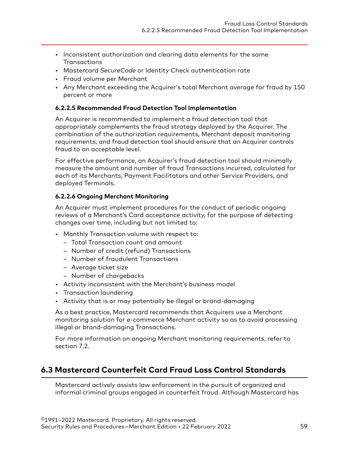- <span id="page-58-0"></span>• Inconsistent authorization and clearing data elements for the same **Transactions**
- Mastercard *SecureCode* or Identity Check authentication rate
- Fraud volume per Merchant
- Any Merchant exceeding the Acquirer's total Merchant average for fraud by 150 percent or more

## **6.2.2.5 Recommended Fraud Detection Tool Implementation**

An Acquirer is recommended to implement a fraud detection tool that appropriately complements the fraud strategy deployed by the Acquirer. The combination of the authorization requirements, Merchant deposit monitoring requirements, and fraud detection tool should ensure that an Acquirer controls fraud to an acceptable level.

For effective performance, an Acquirer's fraud detection tool should minimally measure the amount and number of fraud Transactions incurred, calculated for each of its Merchants, Payment Facilitators and other Service Providers, and deployed Terminals.

## **6.2.2.6 Ongoing Merchant Monitoring**

An Acquirer must implement procedures for the conduct of periodic ongoing reviews of a Merchant's Card acceptance activity, for the purpose of detecting changes over time, including but not limited to:

- Monthly Transaction volume with respect to:
	- Total Transaction count and amount
	- Number of credit (refund) Transactions
	- Number of fraudulent Transactions
	- Average ticket size
	- Number of chargebacks
- Activity inconsistent with the Merchant's business model
- Transaction laundering
- Activity that is or may potentially be illegal or brand-damaging

As a best practice, Mastercard recommends that Acquirers use a Merchant monitoring solution for e-commerce Merchant activity so as to avoid processing illegal or brand-damaging Transactions.

For more information on ongoing Merchant monitoring requirements, refer to section 7.2.

# **6.3 Mastercard Counterfeit Card Fraud Loss Control Standards**

Mastercard actively assists law enforcement in the pursuit of organized and informal criminal groups engaged in counterfeit fraud. Although Mastercard has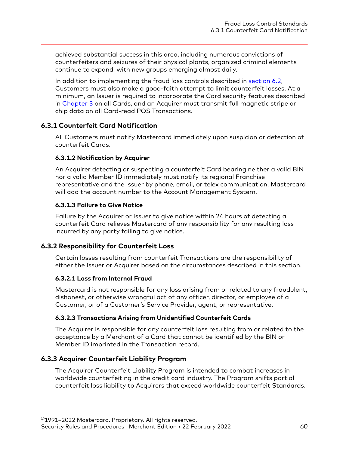<span id="page-59-0"></span>achieved substantial success in this area, including numerous convictions of counterfeiters and seizures of their physical plants, organized criminal elements continue to expand, with new groups emerging almost daily.

In addition to implementing the fraud loss controls described in [section 6.2](#page-55-0), Customers must also make a good-faith attempt to limit counterfeit losses. At a minimum, an Issuer is required to incorporate the Card security features described in [Chapter 3](#page-37-0) on all Cards, and an Acquirer must transmit full magnetic stripe or chip data on all Card-read POS Transactions.

### **6.3.1 Counterfeit Card Notification**

All Customers must notify Mastercard immediately upon suspicion or detection of counterfeit Cards.

#### **6.3.1.2 Notification by Acquirer**

An Acquirer detecting or suspecting a counterfeit Card bearing neither a valid BIN nor a valid Member ID immediately must notify its regional Franchise representative and the Issuer by phone, email, or telex communication. Mastercard will add the account number to the Account Management System.

#### **6.3.1.3 Failure to Give Notice**

Failure by the Acquirer or Issuer to give notice within 24 hours of detecting a counterfeit Card relieves Mastercard of any responsibility for any resulting loss incurred by any party failing to give notice.

#### **6.3.2 Responsibility for Counterfeit Loss**

Certain losses resulting from counterfeit Transactions are the responsibility of either the Issuer or Acquirer based on the circumstances described in this section.

#### **6.3.2.1 Loss from Internal Fraud**

Mastercard is not responsible for any loss arising from or related to any fraudulent, dishonest, or otherwise wrongful act of any officer, director, or employee of a Customer, or of a Customer's Service Provider, agent, or representative.

#### **6.3.2.3 Transactions Arising from Unidentified Counterfeit Cards**

The Acquirer is responsible for any counterfeit loss resulting from or related to the acceptance by a Merchant of a Card that cannot be identified by the BIN or Member ID imprinted in the Transaction record.

#### **6.3.3 Acquirer Counterfeit Liability Program**

The Acquirer Counterfeit Liability Program is intended to combat increases in worldwide counterfeiting in the credit card industry. The Program shifts partial counterfeit loss liability to Acquirers that exceed worldwide counterfeit Standards.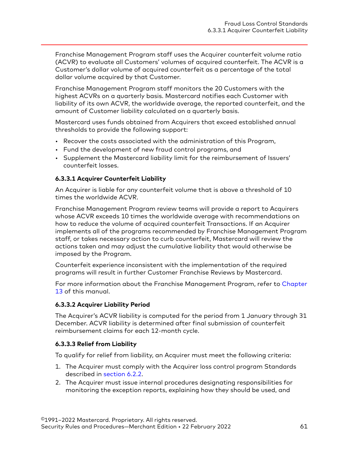<span id="page-60-0"></span>Franchise Management Program staff uses the Acquirer counterfeit volume ratio (ACVR) to evaluate all Customers' volumes of acquired counterfeit. The ACVR is a Customer's dollar volume of acquired counterfeit as a percentage of the total dollar volume acquired by that Customer.

Franchise Management Program staff monitors the 20 Customers with the highest ACVRs on a quarterly basis. Mastercard notifies each Customer with liability of its own ACVR, the worldwide average, the reported counterfeit, and the amount of Customer liability calculated on a quarterly basis.

Mastercard uses funds obtained from Acquirers that exceed established annual thresholds to provide the following support:

- Recover the costs associated with the administration of this Program,
- Fund the development of new fraud control programs, and
- Supplement the Mastercard liability limit for the reimbursement of Issuers' counterfeit losses.

#### **6.3.3.1 Acquirer Counterfeit Liability**

An Acquirer is liable for any counterfeit volume that is above a threshold of 10 times the worldwide ACVR.

Franchise Management Program review teams will provide a report to Acquirers whose ACVR exceeds 10 times the worldwide average with recommendations on how to reduce the volume of acquired counterfeit Transactions. If an Acquirer implements all of the programs recommended by Franchise Management Program staff, or takes necessary action to curb counterfeit, Mastercard will review the actions taken and may adjust the cumulative liability that would otherwise be imposed by the Program.

Counterfeit experience inconsistent with the implementation of the required programs will result in further Customer Franchise Reviews by Mastercard.

For more information about the Franchise Management Program, refer to [Chapter](#page-141-0) [13](#page-141-0) of this manual.

#### **6.3.3.2 Acquirer Liability Period**

The Acquirer's ACVR liability is computed for the period from 1 January through 31 December. ACVR liability is determined after final submission of counterfeit reimbursement claims for each 12-month cycle.

### **6.3.3.3 Relief from Liability**

To qualify for relief from liability, an Acquirer must meet the following criteria:

- 1. The Acquirer must comply with the Acquirer loss control program Standards described in [section 6.2.2](#page-55-0).
- 2. The Acquirer must issue internal procedures designating responsibilities for monitoring the exception reports, explaining how they should be used, and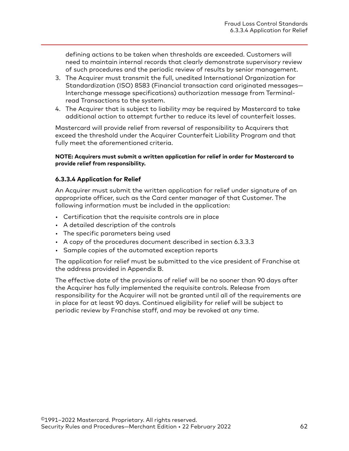<span id="page-61-0"></span>defining actions to be taken when thresholds are exceeded. Customers will need to maintain internal records that clearly demonstrate supervisory review of such procedures and the periodic review of results by senior management.

- 3. The Acquirer must transmit the full, unedited International Organization for Standardization (ISO) 8583 (Financial transaction card originated messages— Interchange message specifications) authorization message from Terminalread Transactions to the system.
- 4. The Acquirer that is subject to liability may be required by Mastercard to take additional action to attempt further to reduce its level of counterfeit losses.

Mastercard will provide relief from reversal of responsibility to Acquirers that exceed the threshold under the Acquirer Counterfeit Liability Program and that fully meet the aforementioned criteria.

#### **NOTE: Acquirers must submit a written application for relief in order for Mastercard to provide relief from responsibility.**

#### **6.3.3.4 Application for Relief**

An Acquirer must submit the written application for relief under signature of an appropriate officer, such as the Card center manager of that Customer. The following information must be included in the application:

- Certification that the requisite controls are in place
- A detailed description of the controls
- The specific parameters being used
- A copy of the procedures document described in section 6.3.3.3
- Sample copies of the automated exception reports

The application for relief must be submitted to the vice president of Franchise at the address provided in Appendix B.

The effective date of the provisions of relief will be no sooner than 90 days after the Acquirer has fully implemented the requisite controls. Release from responsibility for the Acquirer will not be granted until all of the requirements are in place for at least 90 days. Continued eligibility for relief will be subject to periodic review by Franchise staff, and may be revoked at any time.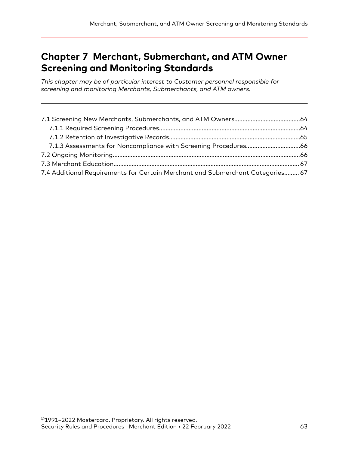# **Chapter 7 Merchant, Submerchant, and ATM Owner Screening and Monitoring Standards**

*This chapter may be of particular interest to Customer personnel responsible for screening and monitoring Merchants, Submerchants, and ATM owners.*

| 7.4 Additional Requirements for Certain Merchant and Submerchant Categories 67 |  |
|--------------------------------------------------------------------------------|--|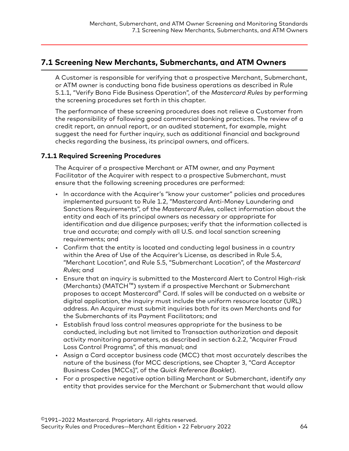# <span id="page-63-0"></span>**7.1 Screening New Merchants, Submerchants, and ATM Owners**

A Customer is responsible for verifying that a prospective Merchant, Submerchant, or ATM owner is conducting bona fide business operations as described in Rule 5.1.1, "Verify Bona Fide Business Operation", of the *Mastercard Rules* by performing the screening procedures set forth in this chapter.

The performance of these screening procedures does not relieve a Customer from the responsibility of following good commercial banking practices. The review of a credit report, an annual report, or an audited statement, for example, might suggest the need for further inquiry, such as additional financial and background checks regarding the business, its principal owners, and officers.

## **7.1.1 Required Screening Procedures**

The Acquirer of a prospective Merchant or ATM owner, and any Payment Facilitator of the Acquirer with respect to a prospective Submerchant, must ensure that the following screening procedures are performed:

- In accordance with the Acquirer's "know your customer" policies and procedures implemented pursuant to Rule 1.2, "Mastercard Anti-Money Laundering and Sanctions Requirements", of the *Mastercard Rules*, collect information about the entity and each of its principal owners as necessary or appropriate for identification and due diligence purposes; verify that the information collected is true and accurate; and comply with all U.S. and local sanction screening requirements; and
- Confirm that the entity is located and conducting legal business in a country within the Area of Use of the Acquirer's License, as described in Rule 5.4, "Merchant Location", and Rule 5.5, "Submerchant Location", of the *Mastercard Rules*; and
- Ensure that an inquiry is submitted to the Mastercard Alert to Control High-risk (Merchants) (MATCH™) system if a prospective Merchant or Submerchant proposes to accept Mastercard® Card. If sales will be conducted on a website or digital application, the inquiry must include the uniform resource locator (URL) address. An Acquirer must submit inquiries both for its own Merchants and for the Submerchants of its Payment Facilitators; and
- Establish fraud loss control measures appropriate for the business to be conducted, including but not limited to Transaction authorization and deposit activity monitoring parameters, as described in section 6.2.2, "Acquirer Fraud Loss Control Programs", of this manual; and
- Assign a Card acceptor business code (MCC) that most accurately describes the nature of the business (for MCC descriptions, see Chapter 3, "Card Acceptor Business Codes [MCCs]", of the *Quick Reference Booklet*).
- For a prospective negative option billing Merchant or Submerchant, identify any entity that provides service for the Merchant or Submerchant that would allow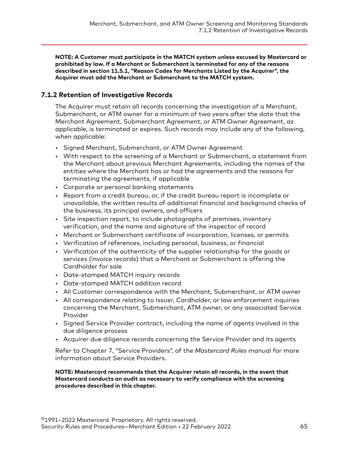<span id="page-64-0"></span>**NOTE: A Customer must participate in the MATCH system unless excused by Mastercard or prohibited by law. If a Merchant or Submerchant is terminated for any of the reasons described in section 11.5.1, "Reason Codes for Merchants Listed by the Acquirer", the Acquirer must add the Merchant or Submerchant to the MATCH system.**

## **7.1.2 Retention of Investigative Records**

The Acquirer must retain all records concerning the investigation of a Merchant, Submerchant, or ATM owner for a minimum of two years after the date that the Merchant Agreement, Submerchant Agreement, or ATM Owner Agreement, as applicable, is terminated or expires. Such records may include any of the following, when applicable:

- Signed Merchant, Submerchant, or ATM Owner Agreement
- With respect to the screening of a Merchant or Submerchant, a statement from the Merchant about previous Merchant Agreements, including the names of the entities where the Merchant has or had the agreements and the reasons for terminating the agreements, if applicable
- Corporate or personal banking statements
- Report from a credit bureau, or, if the credit bureau report is incomplete or unavailable, the written results of additional financial and background checks of the business, its principal owners, and officers
- Site inspection report, to include photographs of premises, inventory verification, and the name and signature of the inspector of record
- Merchant or Submerchant certificate of incorporation, licenses, or permits
- Verification of references, including personal, business, or financial
- Verification of the authenticity of the supplier relationship for the goods or services (invoice records) that a Merchant or Submerchant is offering the Cardholder for sale
- Date-stamped MATCH inquiry records
- Date-stamped MATCH addition record
- All Customer correspondence with the Merchant, Submerchant, or ATM owner
- All correspondence relating to Issuer, Cardholder, or law enforcement inquiries concerning the Merchant, Submerchant, ATM owner, or any associated Service Provider
- Signed Service Provider contract, including the name of agents involved in the due diligence process
- Acquirer due diligence records concerning the Service Provider and its agents

Refer to Chapter 7, "Service Providers", of the *Mastercard Rules* manual for more information about Service Providers.

**NOTE: Mastercard recommends that the Acquirer retain all records, in the event that Mastercard conducts an audit as necessary to verify compliance with the screening procedures described in this chapter.**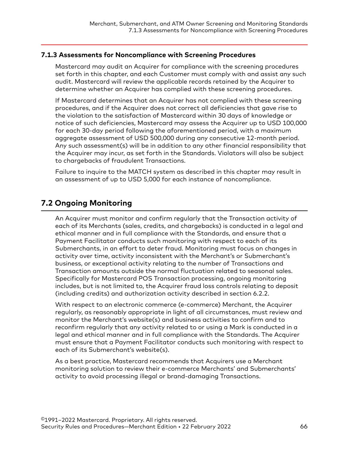## <span id="page-65-0"></span>**7.1.3 Assessments for Noncompliance with Screening Procedures**

Mastercard may audit an Acquirer for compliance with the screening procedures set forth in this chapter, and each Customer must comply with and assist any such audit. Mastercard will review the applicable records retained by the Acquirer to determine whether an Acquirer has complied with these screening procedures.

If Mastercard determines that an Acquirer has not complied with these screening procedures, and if the Acquirer does not correct all deficiencies that gave rise to the violation to the satisfaction of Mastercard within 30 days of knowledge or notice of such deficiencies, Mastercard may assess the Acquirer up to USD 100,000 for each 30-day period following the aforementioned period, with a maximum aggregate assessment of USD 500,000 during any consecutive 12-month period. Any such assessment(s) will be in addition to any other financial responsibility that the Acquirer may incur, as set forth in the Standards. Violators will also be subject to chargebacks of fraudulent Transactions.

Failure to inquire to the MATCH system as described in this chapter may result in an assessment of up to USD 5,000 for each instance of noncompliance.

# **7.2 Ongoing Monitoring**

An Acquirer must monitor and confirm regularly that the Transaction activity of each of its Merchants (sales, credits, and chargebacks) is conducted in a legal and ethical manner and in full compliance with the Standards, and ensure that a Payment Facilitator conducts such monitoring with respect to each of its Submerchants, in an effort to deter fraud. Monitoring must focus on changes in activity over time, activity inconsistent with the Merchant's or Submerchant's business, or exceptional activity relating to the number of Transactions and Transaction amounts outside the normal fluctuation related to seasonal sales. Specifically for Mastercard POS Transaction processing, ongoing monitoring includes, but is not limited to, the Acquirer fraud loss controls relating to deposit (including credits) and authorization activity described in section 6.2.2.

With respect to an electronic commerce (e-commerce) Merchant, the Acquirer regularly, as reasonably appropriate in light of all circumstances, must review and monitor the Merchant's website(s) and business activities to confirm and to reconfirm regularly that any activity related to or using a Mark is conducted in a legal and ethical manner and in full compliance with the Standards. The Acquirer must ensure that a Payment Facilitator conducts such monitoring with respect to each of its Submerchant's website(s).

As a best practice, Mastercard recommends that Acquirers use a Merchant monitoring solution to review their e-commerce Merchants' and Submerchants' activity to avoid processing illegal or brand-damaging Transactions.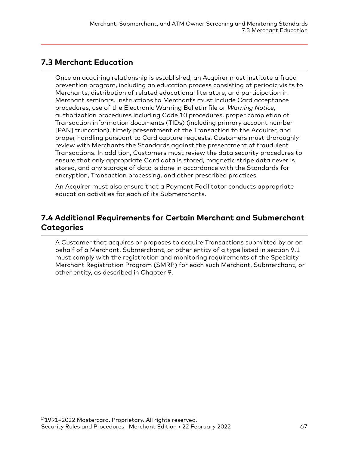# <span id="page-66-0"></span>**7.3 Merchant Education**

Once an acquiring relationship is established, an Acquirer must institute a fraud prevention program, including an education process consisting of periodic visits to Merchants, distribution of related educational literature, and participation in Merchant seminars. Instructions to Merchants must include Card acceptance procedures, use of the Electronic Warning Bulletin file or *Warning Notice*, authorization procedures including Code 10 procedures, proper completion of Transaction information documents (TIDs) (including primary account number [PAN] truncation), timely presentment of the Transaction to the Acquirer, and proper handling pursuant to Card capture requests. Customers must thoroughly review with Merchants the Standards against the presentment of fraudulent Transactions. In addition, Customers must review the data security procedures to ensure that only appropriate Card data is stored, magnetic stripe data never is stored, and any storage of data is done in accordance with the Standards for encryption, Transaction processing, and other prescribed practices.

An Acquirer must also ensure that a Payment Facilitator conducts appropriate education activities for each of its Submerchants.

# **7.4 Additional Requirements for Certain Merchant and Submerchant Categories**

A Customer that acquires or proposes to acquire Transactions submitted by or on behalf of a Merchant, Submerchant, or other entity of a type listed in section 9.1 must comply with the registration and monitoring requirements of the Specialty Merchant Registration Program (SMRP) for each such Merchant, Submerchant, or other entity, as described in Chapter 9.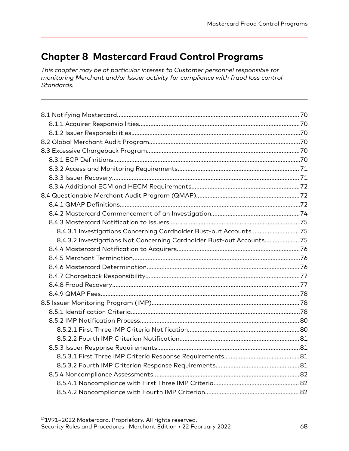# **Chapter 8 Mastercard Fraud Control Programs**

*This chapter may be of particular interest to Customer personnel responsible for monitoring Merchant and/or Issuer activity for compliance with fraud loss control Standards.*

| 8.4.3.1 Investigations Concerning Cardholder Bust-out Accounts 75     |  |
|-----------------------------------------------------------------------|--|
| 8.4.3.2 Investigations Not Concerning Cardholder Bust-out Accounts 75 |  |
|                                                                       |  |
|                                                                       |  |
|                                                                       |  |
|                                                                       |  |
|                                                                       |  |
|                                                                       |  |
|                                                                       |  |
|                                                                       |  |
|                                                                       |  |
|                                                                       |  |
|                                                                       |  |
|                                                                       |  |
|                                                                       |  |
|                                                                       |  |
|                                                                       |  |
|                                                                       |  |
|                                                                       |  |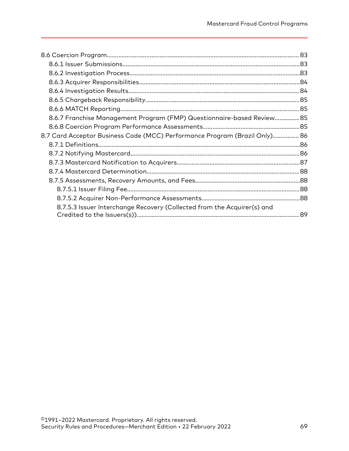| 8.6.7 Franchise Management Program (FMP) Questionnaire-based Review 85         |    |
|--------------------------------------------------------------------------------|----|
|                                                                                |    |
| 86. B.7 Card Acceptor Business Code (MCC) Performance Program (Brazil Only) 86 |    |
|                                                                                |    |
|                                                                                |    |
|                                                                                |    |
|                                                                                |    |
|                                                                                |    |
|                                                                                |    |
|                                                                                |    |
| 8.7.5.3 Issuer Interchange Recovery (Collected from the Acquirer(s) and        |    |
|                                                                                | 89 |
|                                                                                |    |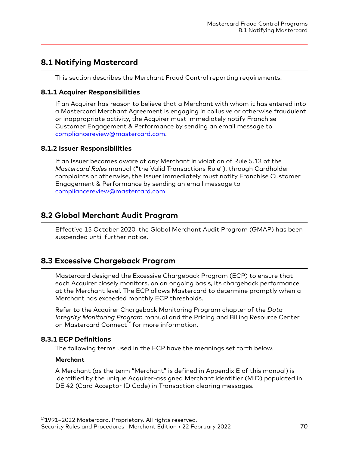# <span id="page-69-0"></span>**8.1 Notifying Mastercard**

This section describes the Merchant Fraud Control reporting requirements.

#### **8.1.1 Acquirer Responsibilities**

If an Acquirer has reason to believe that a Merchant with whom it has entered into a Mastercard Merchant Agreement is engaging in collusive or otherwise fraudulent or inappropriate activity, the Acquirer must immediately notify Franchise Customer Engagement & Performance by sending an email message to [compliancereview@mastercard.com.](mailto:compliancereview@mastercard.com)

#### **8.1.2 Issuer Responsibilities**

If an Issuer becomes aware of any Merchant in violation of Rule 5.13 of the *Mastercard Rules* manual ("the Valid Transactions Rule"), through Cardholder complaints or otherwise, the Issuer immediately must notify Franchise Customer Engagement & Performance by sending an email message to [compliancereview@mastercard.com.](mailto:compliancereview@mastercard.com)

# **8.2 Global Merchant Audit Program**

Effective 15 October 2020, the Global Merchant Audit Program (GMAP) has been suspended until further notice.

# **8.3 Excessive Chargeback Program**

Mastercard designed the Excessive Chargeback Program (ECP) to ensure that each Acquirer closely monitors, on an ongoing basis, its chargeback performance at the Merchant level. The ECP allows Mastercard to determine promptly when a Merchant has exceeded monthly ECP thresholds.

Refer to the Acquirer Chargeback Monitoring Program chapter of the *Data Integrity Monitoring Program* manual and the Pricing and Billing Resource Center on Mastercard Connect™ for more information.

### **8.3.1 ECP Definitions**

The following terms used in the ECP have the meanings set forth below.

#### **Merchant**

A Merchant (as the term "Merchant" is defined in Appendix E of this manual) is identified by the unique Acquirer-assigned Merchant identifier (MID) populated in DE 42 (Card Acceptor ID Code) in Transaction clearing messages.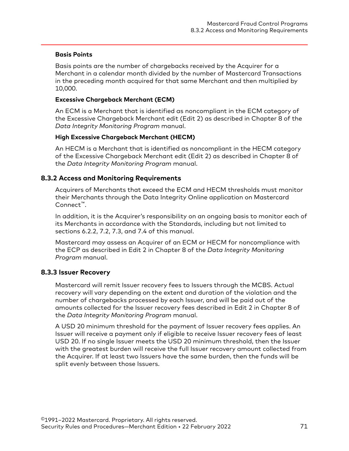#### <span id="page-70-0"></span>**Basis Points**

Basis points are the number of chargebacks received by the Acquirer for a Merchant in a calendar month divided by the number of Mastercard Transactions in the preceding month acquired for that same Merchant and then multiplied by 10,000.

#### **Excessive Chargeback Merchant (ECM)**

An ECM is a Merchant that is identified as noncompliant in the ECM category of the Excessive Chargeback Merchant edit (Edit 2) as described in Chapter 8 of the *Data Integrity Monitoring Program* manual.

#### **High Excessive Chargeback Merchant (HECM)**

An HECM is a Merchant that is identified as noncompliant in the HECM category of the Excessive Chargeback Merchant edit (Edit 2) as described in Chapter 8 of the *Data Integrity Monitoring Program* manual.

### **8.3.2 Access and Monitoring Requirements**

Acquirers of Merchants that exceed the ECM and HECM thresholds must monitor their Merchants through the Data Integrity Online application on Mastercard Connect™.

In addition, it is the Acquirer's responsibility on an ongoing basis to monitor each of its Merchants in accordance with the Standards, including but not limited to sections 6.2.2, 7.2, 7.3, and 7.4 of this manual.

Mastercard may assess an Acquirer of an ECM or HECM for noncompliance with the ECP as described in Edit 2 in Chapter 8 of the *Data Integrity Monitoring Program* manual.

### **8.3.3 Issuer Recovery**

Mastercard will remit Issuer recovery fees to Issuers through the MCBS. Actual recovery will vary depending on the extent and duration of the violation and the number of chargebacks processed by each Issuer, and will be paid out of the amounts collected for the Issuer recovery fees described in Edit 2 in Chapter 8 of the *Data Integrity Monitoring Program* manual.

A USD 20 minimum threshold for the payment of Issuer recovery fees applies. An Issuer will receive a payment only if eligible to receive Issuer recovery fees of least USD 20. If no single Issuer meets the USD 20 minimum threshold, then the Issuer with the greatest burden will receive the full Issuer recovery amount collected from the Acquirer. If at least two Issuers have the same burden, then the funds will be split evenly between those Issuers.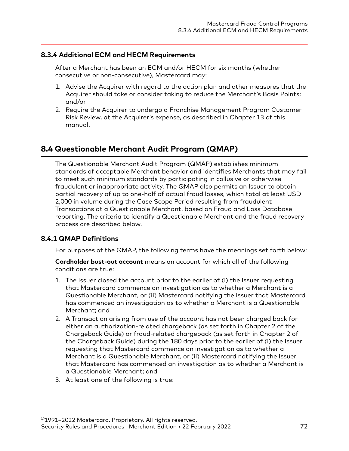## <span id="page-71-0"></span>**8.3.4 Additional ECM and HECM Requirements**

After a Merchant has been an ECM and/or HECM for six months (whether consecutive or non-consecutive), Mastercard may:

- 1. Advise the Acquirer with regard to the action plan and other measures that the Acquirer should take or consider taking to reduce the Merchant's Basis Points; and/or
- 2. Require the Acquirer to undergo a Franchise Management Program Customer Risk Review, at the Acquirer's expense, as described in Chapter 13 of this manual.

# **8.4 Questionable Merchant Audit Program (QMAP)**

The Questionable Merchant Audit Program (QMAP) establishes minimum standards of acceptable Merchant behavior and identifies Merchants that may fail to meet such minimum standards by participating in collusive or otherwise fraudulent or inappropriate activity. The QMAP also permits an Issuer to obtain partial recovery of up to one-half of actual fraud losses, which total at least USD 2,000 in volume during the Case Scope Period resulting from fraudulent Transactions at a Questionable Merchant, based on Fraud and Loss Database reporting. The criteria to identify a Questionable Merchant and the fraud recovery process are described below.

### **8.4.1 QMAP Definitions**

For purposes of the QMAP, the following terms have the meanings set forth below:

**Cardholder bust-out account** means an account for which all of the following conditions are true:

- 1. The Issuer closed the account prior to the earlier of (i) the Issuer requesting that Mastercard commence an investigation as to whether a Merchant is a Questionable Merchant, or (ii) Mastercard notifying the Issuer that Mastercard has commenced an investigation as to whether a Merchant is a Questionable Merchant; and
- 2. A Transaction arising from use of the account has not been charged back for either an authorization-related chargeback (as set forth in Chapter 2 of the Chargeback Guide) or fraud-related chargeback (as set forth in Chapter 2 of the Chargeback Guide) during the 180 days prior to the earlier of (i) the Issuer requesting that Mastercard commence an investigation as to whether a Merchant is a Questionable Merchant, or (ii) Mastercard notifying the Issuer that Mastercard has commenced an investigation as to whether a Merchant is a Questionable Merchant; and
- 3. At least one of the following is true: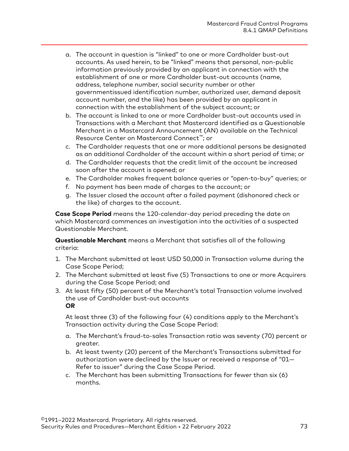- a. The account in question is "linked" to one or more Cardholder bust-out accounts. As used herein, to be "linked" means that personal, non-public information previously provided by an applicant in connection with the establishment of one or more Cardholder bust-out accounts (name, address, telephone number, social security number or other governmentissued identification number, authorized user, demand deposit account number, and the like) has been provided by an applicant in connection with the establishment of the subject account; or
- b. The account is linked to one or more Cardholder bust-out accounts used in Transactions with a Merchant that Mastercard identified as a Questionable Merchant in a Mastercard Announcement (AN) available on the Technical Resource Center on Mastercard Connect™; or
- c. The Cardholder requests that one or more additional persons be designated as an additional Cardholder of the account within a short period of time; or
- d. The Cardholder requests that the credit limit of the account be increased soon after the account is opened; or
- e. The Cardholder makes frequent balance queries or "open-to-buy" queries; or
- f. No payment has been made of charges to the account; or
- g. The Issuer closed the account after a failed payment (dishonored check or the like) of charges to the account.

**Case Scope Period** means the 120-calendar-day period preceding the date on which Mastercard commences an investigation into the activities of a suspected Questionable Merchant.

**Questionable Merchant** means a Merchant that satisfies all of the following criteria:

- 1. The Merchant submitted at least USD 50,000 in Transaction volume during the Case Scope Period;
- 2. The Merchant submitted at least five (5) Transactions to one or more Acquirers during the Case Scope Period; and
- 3. At least fifty (50) percent of the Merchant's total Transaction volume involved the use of Cardholder bust-out accounts **OR**

At least three (3) of the following four (4) conditions apply to the Merchant's Transaction activity during the Case Scope Period:

- a. The Merchant's fraud-to-sales Transaction ratio was seventy (70) percent or greater.
- b. At least twenty (20) percent of the Merchant's Transactions submitted for authorization were declined by the Issuer or received a response of "01— Refer to issuer" during the Case Scope Period.
- c. The Merchant has been submitting Transactions for fewer than six (6) months.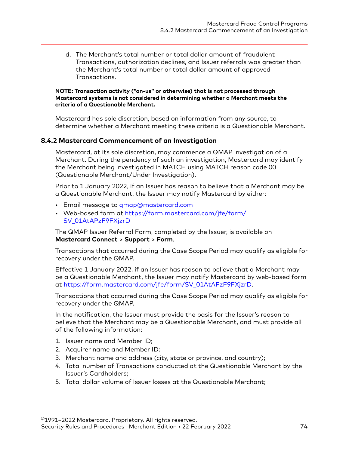d. The Merchant's total number or total dollar amount of fraudulent Transactions, authorization declines, and Issuer referrals was greater than the Merchant's total number or total dollar amount of approved Transactions.

#### **NOTE: Transaction activity ("on-us" or otherwise) that is not processed through Mastercard systems is not considered in determining whether a Merchant meets the criteria of a Questionable Merchant.**

Mastercard has sole discretion, based on information from any source, to determine whether a Merchant meeting these criteria is a Questionable Merchant.

#### **8.4.2 Mastercard Commencement of an Investigation**

Mastercard, at its sole discretion, may commence a QMAP investigation of a Merchant. During the pendency of such an investigation, Mastercard may identify the Merchant being investigated in MATCH using MATCH reason code 00 (Questionable Merchant/Under Investigation).

Prior to 1 January 2022, if an Issuer has reason to believe that a Merchant may be a Questionable Merchant, the Issuer may notify Mastercard by either:

- Email message to [qmap@mastercard.com](mailto:qmap@mastercard.com)
- Web-based form at [https://form.mastercard.com/jfe/form/](https://form.mastercard.com/jfe/form/SV_01AtAPzF9FXjzrD) [SV\\_01AtAPzF9FXjzrD](https://form.mastercard.com/jfe/form/SV_01AtAPzF9FXjzrD)

The QMAP Issuer Referral Form, completed by the Issuer, is available on **Mastercard Connect** > **Support** > **Form**.

Transactions that occurred during the Case Scope Period may qualify as eligible for recovery under the QMAP.

Effective 1 January 2022, if an Issuer has reason to believe that a Merchant may be a Questionable Merchant, the Issuer may notify Mastercard by web-based form at [https://form.mastercard.com/jfe/form/SV\\_01AtAPzF9FXjzrD](https://form.mastercard.com/jfe/form/SV_01AtAPzF9FXjzrD).

Transactions that occurred during the Case Scope Period may qualify as eligible for recovery under the QMAP.

In the notification, the Issuer must provide the basis for the Issuer's reason to believe that the Merchant may be a Questionable Merchant, and must provide all of the following information:

- 1. Issuer name and Member ID;
- 2. Acquirer name and Member ID;
- 3. Merchant name and address (city, state or province, and country);
- 4. Total number of Transactions conducted at the Questionable Merchant by the Issuer's Cardholders;
- 5. Total dollar volume of Issuer losses at the Questionable Merchant;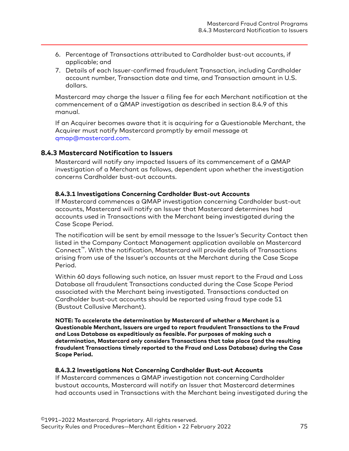- 6. Percentage of Transactions attributed to Cardholder bust-out accounts, if applicable; and
- 7. Details of each Issuer-confirmed fraudulent Transaction, including Cardholder account number, Transaction date and time, and Transaction amount in U.S. dollars.

Mastercard may charge the Issuer a filing fee for each Merchant notification at the commencement of a QMAP investigation as described in section 8.4.9 of this manual.

If an Acquirer becomes aware that it is acquiring for a Questionable Merchant, the Acquirer must notify Mastercard promptly by email message at [qmap@mastercard.com](mailto:qmap@mastercard.com).

### **8.4.3 Mastercard Notification to Issuers**

Mastercard will notify any impacted Issuers of its commencement of a QMAP investigation of a Merchant as follows, dependent upon whether the investigation concerns Cardholder bust-out accounts.

#### **8.4.3.1 Investigations Concerning Cardholder Bust-out Accounts**

If Mastercard commences a QMAP investigation concerning Cardholder bust-out accounts, Mastercard will notify an Issuer that Mastercard determines had accounts used in Transactions with the Merchant being investigated during the Case Scope Period.

The notification will be sent by email message to the Issuer's Security Contact then listed in the Company Contact Management application available on Mastercard Connect™. With the notification, Mastercard will provide details of Transactions arising from use of the Issuer's accounts at the Merchant during the Case Scope Period.

Within 60 days following such notice, an Issuer must report to the Fraud and Loss Database all fraudulent Transactions conducted during the Case Scope Period associated with the Merchant being investigated. Transactions conducted on Cardholder bust-out accounts should be reported using fraud type code 51 (Bustout Collusive Merchant).

**NOTE: To accelerate the determination by Mastercard of whether a Merchant is a Questionable Merchant, Issuers are urged to report fraudulent Transactions to the Fraud and Loss Database as expeditiously as feasible. For purposes of making such a determination, Mastercard only considers Transactions that take place (and the resulting fraudulent Transactions timely reported to the Fraud and Loss Database) during the Case Scope Period.**

#### **8.4.3.2 Investigations Not Concerning Cardholder Bust-out Accounts**

If Mastercard commences a QMAP investigation not concerning Cardholder bustout accounts, Mastercard will notify an Issuer that Mastercard determines had accounts used in Transactions with the Merchant being investigated during the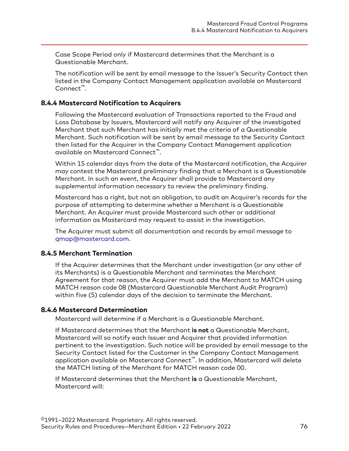Case Scope Period only if Mastercard determines that the Merchant is a Questionable Merchant.

The notification will be sent by email message to the Issuer's Security Contact then listed in the Company Contact Management application available on Mastercard Connect™.

#### **8.4.4 Mastercard Notification to Acquirers**

Following the Mastercard evaluation of Transactions reported to the Fraud and Loss Database by Issuers, Mastercard will notify any Acquirer of the investigated Merchant that such Merchant has initially met the criteria of a Questionable Merchant. Such notification will be sent by email message to the Security Contact then listed for the Acquirer in the Company Contact Management application available on Mastercard Connect™.

Within 15 calendar days from the date of the Mastercard notification, the Acquirer may contest the Mastercard preliminary finding that a Merchant is a Questionable Merchant. In such an event, the Acquirer shall provide to Mastercard any supplemental information necessary to review the preliminary finding.

Mastercard has a right, but not an obligation, to audit an Acquirer's records for the purpose of attempting to determine whether a Merchant is a Questionable Merchant. An Acquirer must provide Mastercard such other or additional information as Mastercard may request to assist in the investigation.

The Acquirer must submit all documentation and records by email message to [qmap@mastercard.com](mailto:qmap@mastercard.com).

### **8.4.5 Merchant Termination**

If the Acquirer determines that the Merchant under investigation (or any other of its Merchants) is a Questionable Merchant and terminates the Merchant Agreement for that reason, the Acquirer must add the Merchant to MATCH using MATCH reason code 08 (Mastercard Questionable Merchant Audit Program) within five (5) calendar days of the decision to terminate the Merchant.

#### **8.4.6 Mastercard Determination**

Mastercard will determine if a Merchant is a Questionable Merchant.

If Mastercard determines that the Merchant **is not** a Questionable Merchant, Mastercard will so notify each Issuer and Acquirer that provided information pertinent to the investigation. Such notice will be provided by email message to the Security Contact listed for the Customer in the Company Contact Management application available on Mastercard Connect™. In addition, Mastercard will delete the MATCH listing of the Merchant for MATCH reason code 00.

If Mastercard determines that the Merchant **is** a Questionable Merchant, Mastercard will: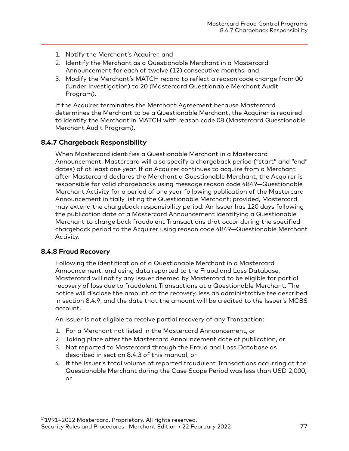- 1. Notify the Merchant's Acquirer, and
- 2. Identify the Merchant as a Questionable Merchant in a Mastercard Announcement for each of twelve (12) consecutive months, and
- 3. Modify the Merchant's MATCH record to reflect a reason code change from 00 (Under Investigation) to 20 (Mastercard Questionable Merchant Audit Program).

If the Acquirer terminates the Merchant Agreement because Mastercard determines the Merchant to be a Questionable Merchant, the Acquirer is required to identify the Merchant in MATCH with reason code 08 (Mastercard Questionable Merchant Audit Program).

### **8.4.7 Chargeback Responsibility**

When Mastercard identifies a Questionable Merchant in a Mastercard Announcement, Mastercard will also specify a chargeback period ("start" and "end" dates) of at least one year. If an Acquirer continues to acquire from a Merchant after Mastercard declares the Merchant a Questionable Merchant, the Acquirer is responsible for valid chargebacks using message reason code 4849—Questionable Merchant Activity for a period of one year following publication of the Mastercard Announcement initially listing the Questionable Merchant; provided, Mastercard may extend the chargeback responsibility period. An Issuer has 120 days following the publication date of a Mastercard Announcement identifying a Questionable Merchant to charge back fraudulent Transactions that occur during the specified chargeback period to the Acquirer using reason code 4849—Questionable Merchant Activity.

#### **8.4.8 Fraud Recovery**

Following the identification of a Questionable Merchant in a Mastercard Announcement, and using data reported to the Fraud and Loss Database, Mastercard will notify any Issuer deemed by Mastercard to be eligible for partial recovery of loss due to fraudulent Transactions at a Questionable Merchant. The notice will disclose the amount of the recovery, less an administrative fee described in section 8.4.9, and the date that the amount will be credited to the Issuer's MCBS account.

An Issuer is not eligible to receive partial recovery of any Transaction:

- 1. For a Merchant not listed in the Mastercard Announcement, or
- 2. Taking place after the Mastercard Announcement date of publication, or
- 3. Not reported to Mastercard through the Fraud and Loss Database as described in section 8.4.3 of this manual, or
- 4. If the Issuer's total volume of reported fraudulent Transactions occurring at the Questionable Merchant during the Case Scope Period was less than USD 2,000, or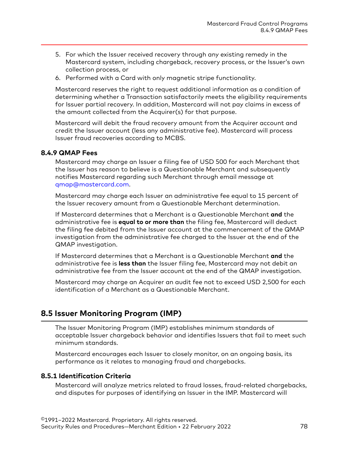- 5. For which the Issuer received recovery through any existing remedy in the Mastercard system, including chargeback, recovery process, or the Issuer's own collection process, or
- 6. Performed with a Card with only magnetic stripe functionality.

Mastercard reserves the right to request additional information as a condition of determining whether a Transaction satisfactorily meets the eligibility requirements for Issuer partial recovery. In addition, Mastercard will not pay claims in excess of the amount collected from the Acquirer(s) for that purpose.

Mastercard will debit the fraud recovery amount from the Acquirer account and credit the Issuer account (less any administrative fee). Mastercard will process Issuer fraud recoveries according to MCBS.

### **8.4.9 QMAP Fees**

Mastercard may charge an Issuer a filing fee of USD 500 for each Merchant that the Issuer has reason to believe is a Questionable Merchant and subsequently notifies Mastercard regarding such Merchant through email message at [qmap@mastercard.com](mailto:qmap@mastercard.com).

Mastercard may charge each Issuer an administrative fee equal to 15 percent of the Issuer recovery amount from a Questionable Merchant determination.

If Mastercard determines that a Merchant is a Questionable Merchant **and** the administrative fee is **equal to or more than** the filing fee, Mastercard will deduct the filing fee debited from the Issuer account at the commencement of the QMAP investigation from the administrative fee charged to the Issuer at the end of the QMAP investigation.

If Mastercard determines that a Merchant is a Questionable Merchant **and** the administrative fee is **less than** the Issuer filing fee, Mastercard may not debit an administrative fee from the Issuer account at the end of the QMAP investigation.

Mastercard may charge an Acquirer an audit fee not to exceed USD 2,500 for each identification of a Merchant as a Questionable Merchant.

# **8.5 Issuer Monitoring Program (IMP)**

The Issuer Monitoring Program (IMP) establishes minimum standards of acceptable Issuer chargeback behavior and identifies Issuers that fail to meet such minimum standards.

Mastercard encourages each Issuer to closely monitor, on an ongoing basis, its performance as it relates to managing fraud and chargebacks.

#### **8.5.1 Identification Criteria**

Mastercard will analyze metrics related to fraud losses, fraud-related chargebacks, and disputes for purposes of identifying an Issuer in the IMP. Mastercard will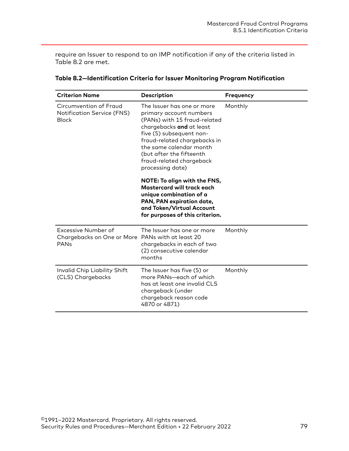require an Issuer to respond to an IMP notification if any of the criteria listed in Table 8.2 are met.

| <b>Criterion Name</b>                                                                       | Description                                                                                                                                                                                                                                                                          | <b>Frequency</b> |
|---------------------------------------------------------------------------------------------|--------------------------------------------------------------------------------------------------------------------------------------------------------------------------------------------------------------------------------------------------------------------------------------|------------------|
| Circumvention of Fraud<br>Notification Service (FNS)<br><b>Block</b>                        | The Issuer has one or more<br>primary account numbers<br>(PANs) with 15 fraud-related<br>chargebacks and at least<br>five (5) subsequent non-<br>fraud-related chargebacks in<br>the same calendar month<br>(but after the fifteenth<br>fraud-related chargeback<br>processing date) | Monthly          |
|                                                                                             | NOTE: To align with the FNS,<br>Mastercard will track each<br>unique combination of a<br>PAN, PAN expiration date,<br>and Token/Virtual Account<br>for purposes of this criterion.                                                                                                   |                  |
| Excessive Number of<br>Chargebacks on One or More PANs with at least 20<br>PAN <sub>s</sub> | The Issuer has one or more<br>chargebacks in each of two<br>(2) consecutive calendar<br>months                                                                                                                                                                                       | Monthly          |
| Invalid Chip Liability Shift<br>(CLS) Chargebacks                                           | The Issuer has five (5) or<br>more PANs-each of which<br>has at least one invalid CLS<br>chargeback (under<br>chargeback reason code<br>4870 or 4871)                                                                                                                                | Monthly          |

#### **Table 8.2—Identification Criteria for Issuer Monitoring Program Notification**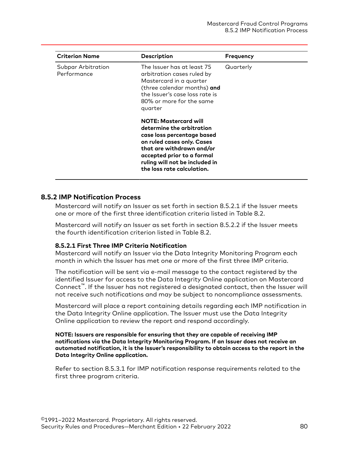| <b>Criterion Name</b>             | <b>Description</b>                                                                                                                                                                                                                               | <b>Frequency</b> |
|-----------------------------------|--------------------------------------------------------------------------------------------------------------------------------------------------------------------------------------------------------------------------------------------------|------------------|
| Subpar Arbitration<br>Performance | The Issuer has at least 75<br>arbitration cases ruled by<br>Mastercard in a quarter<br>(three calendar months) and<br>the Issuer's case loss rate is<br>80% or more for the same<br>quarter                                                      | Quarterly        |
|                                   | <b>NOTE: Mastercard will</b><br>determine the arbitration<br>case loss percentage based<br>on ruled cases only. Cases<br>that are withdrawn and/or<br>accepted prior to a formal<br>ruling will not be included in<br>the loss rate calculation. |                  |

#### **8.5.2 IMP Notification Process**

Mastercard will notify an Issuer as set forth in section 8.5.2.1 if the Issuer meets one or more of the first three identification criteria listed in Table 8.2.

Mastercard will notify an Issuer as set forth in section 8.5.2.2 if the Issuer meets the fourth identification criterion listed in Table 8.2.

#### **8.5.2.1 First Three IMP Criteria Notification**

Mastercard will notify an Issuer via the Data Integrity Monitoring Program each month in which the Issuer has met one or more of the first three IMP criteria.

The notification will be sent via e-mail message to the contact registered by the identified Issuer for access to the Data Integrity Online application on Mastercard Connect™. If the Issuer has not registered a designated contact, then the Issuer will not receive such notifications and may be subject to noncompliance assessments.

Mastercard will place a report containing details regarding each IMP notification in the Data Integrity Online application. The Issuer must use the Data Integrity Online application to review the report and respond accordingly.

#### **NOTE: Issuers are responsible for ensuring that they are capable of receiving IMP notifications via the Data Integrity Monitoring Program. If an Issuer does not receive an automated notification, it is the Issuer's responsibility to obtain access to the report in the Data Integrity Online application.**

Refer to section 8.5.3.1 for IMP notification response requirements related to the first three program criteria.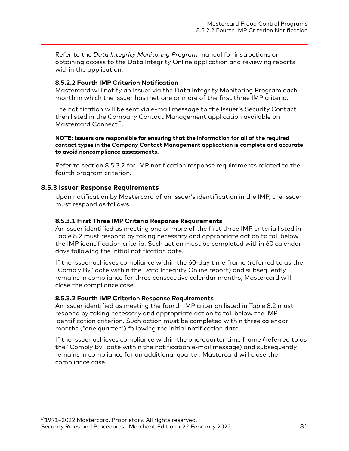Refer to the *Data Integrity Monitoring Program* manual for instructions on obtaining access to the Data Integrity Online application and reviewing reports within the application.

#### **8.5.2.2 Fourth IMP Criterion Notification**

Mastercard will notify an Issuer via the Data Integrity Monitoring Program each month in which the Issuer has met one or more of the first three IMP criteria.

The notification will be sent via e-mail message to the Issuer's Security Contact then listed in the Company Contact Management application available on Mastercard Connect™.

**NOTE: Issuers are responsible for ensuring that the information for all of the required contact types in the Company Contact Management application is complete and accurate to avoid noncompliance assessments.**

Refer to section 8.5.3.2 for IMP notification response requirements related to the fourth program criterion.

#### **8.5.3 Issuer Response Requirements**

Upon notification by Mastercard of an Issuer's identification in the IMP, the Issuer must respond as follows.

#### **8.5.3.1 First Three IMP Criteria Response Requirements**

An Issuer identified as meeting one or more of the first three IMP criteria listed in Table 8.2 must respond by taking necessary and appropriate action to fall below the IMP identification criteria. Such action must be completed within 60 calendar days following the initial notification date.

If the Issuer achieves compliance within the 60-day time frame (referred to as the "Comply By" date within the Data Integrity Online report) and subsequently remains in compliance for three consecutive calendar months, Mastercard will close the compliance case.

#### **8.5.3.2 Fourth IMP Criterion Response Requirements**

An Issuer identified as meeting the fourth IMP criterion listed in Table 8.2 must respond by taking necessary and appropriate action to fall below the IMP identification criterion. Such action must be completed within three calendar months ("one quarter") following the initial notification date.

If the Issuer achieves compliance within the one-quarter time frame (referred to as the "Comply By" date within the notification e-mail message) and subsequently remains in compliance for an additional quarter, Mastercard will close the compliance case.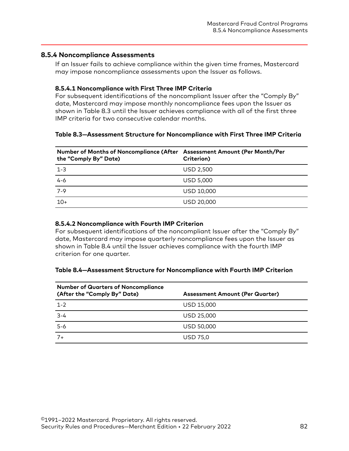#### **8.5.4 Noncompliance Assessments**

If an Issuer fails to achieve compliance within the given time frames, Mastercard may impose noncompliance assessments upon the Issuer as follows.

#### **8.5.4.1 Noncompliance with First Three IMP Criteria**

For subsequent identifications of the noncompliant Issuer after the "Comply By" date, Mastercard may impose monthly noncompliance fees upon the Issuer as shown in Table 8.3 until the Issuer achieves compliance with all of the first three IMP criteria for two consecutive calendar months.

#### **Table 8.3—Assessment Structure for Noncompliance with First Three IMP Criteria**

| Number of Months of Noncompliance (After Assessment Amount (Per Month/Per<br>the "Comply By" Date) | Criterion)       |
|----------------------------------------------------------------------------------------------------|------------------|
| $1 - 3$                                                                                            | USD 2.500        |
| $4 - 6$                                                                                            | <b>USD 5,000</b> |
| 7-9                                                                                                | USD 10,000       |
| $10+$                                                                                              | USD 20,000       |

#### **8.5.4.2 Noncompliance with Fourth IMP Criterion**

For subsequent identifications of the noncompliant Issuer after the "Comply By" date, Mastercard may impose quarterly noncompliance fees upon the Issuer as shown in Table 8.4 until the Issuer achieves compliance with the fourth IMP criterion for one quarter.

#### **Table 8.4—Assessment Structure for Noncompliance with Fourth IMP Criterion**

| <b>Number of Quarters of Noncompliance</b><br>(After the "Comply By" Date) | <b>Assessment Amount (Per Quarter)</b> |
|----------------------------------------------------------------------------|----------------------------------------|
| $1 - 2$                                                                    | USD 15,000                             |
| $3 - 4$                                                                    | USD 25,000                             |
| $5 - 6$                                                                    | USD 50,000                             |
| $7+$                                                                       | <b>USD 75,0</b>                        |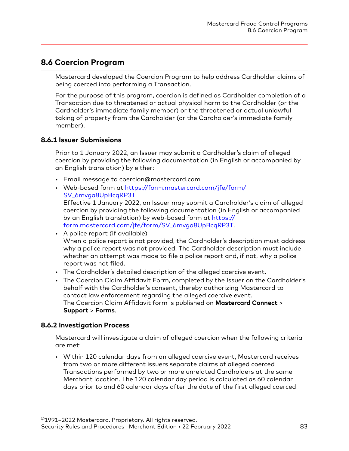# **8.6 Coercion Program**

Mastercard developed the Coercion Program to help address Cardholder claims of being coerced into performing a Transaction.

For the purpose of this program, coercion is defined as Cardholder completion of a Transaction due to threatened or actual physical harm to the Cardholder (or the Cardholder's immediate family member) or the threatened or actual unlawful taking of property from the Cardholder (or the Cardholder's immediate family member).

### **8.6.1 Issuer Submissions**

Prior to 1 January 2022, an Issuer may submit a Cardholder's claim of alleged coercion by providing the following documentation (in English or accompanied by an English translation) by either:

- Email message to coercion@mastercard.com
- Web-based form at [https://form.mastercard.com/jfe/form/](https://form.mastercard.com/jfe/form/SV_6mvga8UpBcqRP3T) [SV\\_6mvga8UpBcqRP3T](https://form.mastercard.com/jfe/form/SV_6mvga8UpBcqRP3T) Effective 1 January 2022, an Issuer may submit a Cardholder's claim of alleged coercion by providing the following documentation (in English or accompanied by an English translation) by web-based form at [https://](https://form.mastercard.com/jfe/form/SV_6mvga8UpBcqRP3T) [form.mastercard.com/jfe/form/SV\\_6mvga8UpBcqRP3T.](https://form.mastercard.com/jfe/form/SV_6mvga8UpBcqRP3T)
- A police report (if available) When a police report is not provided, the Cardholder's description must address why a police report was not provided. The Cardholder description must include whether an attempt was made to file a police report and, if not, why a police report was not filed.
- The Cardholder's detailed description of the alleged coercive event.
- The Coercion Claim Affidavit Form, completed by the Issuer on the Cardholder's behalf with the Cardholder's consent, thereby authorizing Mastercard to contact law enforcement regarding the alleged coercive event. The Coercion Claim Affidavit form is published on **Mastercard Connect** > **Support** > **Forms**.

# **8.6.2 Investigation Process**

Mastercard will investigate a claim of alleged coercion when the following criteria are met:

• Within 120 calendar days from an alleged coercive event, Mastercard receives from two or more different issuers separate claims of alleged coerced Transactions performed by two or more unrelated Cardholders at the same Merchant location. The 120 calendar day period is calculated as 60 calendar days prior to and 60 calendar days after the date of the first alleged coerced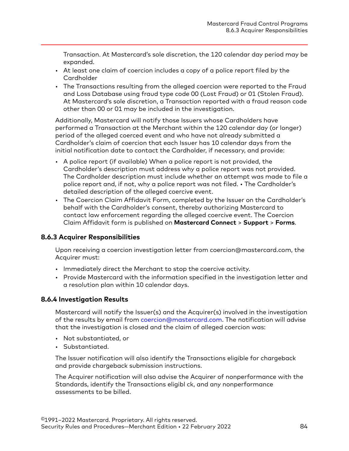Transaction. At Mastercard's sole discretion, the 120 calendar day period may be expanded.

- At least one claim of coercion includes a copy of a police report filed by the **Cardholder**
- The Transactions resulting from the alleged coercion were reported to the Fraud and Loss Database using fraud type code 00 (Lost Fraud) or 01 (Stolen Fraud). At Mastercard's sole discretion, a Transaction reported with a fraud reason code other than 00 or 01 may be included in the investigation.

Additionally, Mastercard will notify those Issuers whose Cardholders have performed a Transaction at the Merchant within the 120 calendar day (or longer) period of the alleged coerced event and who have not already submitted a Cardholder's claim of coercion that each Issuer has 10 calendar days from the initial notification date to contact the Cardholder, if necessary, and provide:

- A police report (if available) When a police report is not provided, the Cardholder's description must address why a police report was not provided. The Cardholder description must include whether an attempt was made to file a police report and, if not, why a police report was not filed. • The Cardholder's detailed description of the alleged coercive event.
- The Coercion Claim Affidavit Form, completed by the Issuer on the Cardholder's behalf with the Cardholder's consent, thereby authorizing Mastercard to contact law enforcement regarding the alleged coercive event. The Coercion Claim Affidavit form is published on **Mastercard Connect** > **Support** > **Forms**.

# **8.6.3 Acquirer Responsibilities**

Upon receiving a coercion investigation letter from coercion@mastercard.com, the Acquirer must:

- Immediately direct the Merchant to stop the coercive activity.
- Provide Mastercard with the information specified in the investigation letter and a resolution plan within 10 calendar days.

#### **8.6.4 Investigation Results**

Mastercard will notify the Issuer(s) and the Acquirer(s) involved in the investigation of the results by email from [coercion@mastercard.com.](mailto:coercion@mastercard.com) The notification will advise that the investigation is closed and the claim of alleged coercion was:

- Not substantiated, or
- Substantiated.

The Issuer notification will also identify the Transactions eligible for chargeback and provide chargeback submission instructions.

The Acquirer notification will also advise the Acquirer of nonperformance with the Standards, identify the Transactions eligibl ck, and any nonperformance assessments to be billed.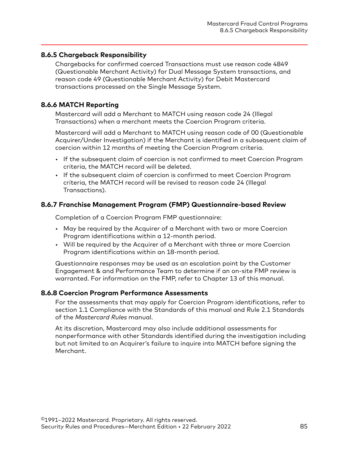### **8.6.5 Chargeback Responsibility**

Chargebacks for confirmed coerced Transactions must use reason code 4849 (Questionable Merchant Activity) for Dual Message System transactions, and reason code 49 (Questionable Merchant Activity) for Debit Mastercard transactions processed on the Single Message System.

### **8.6.6 MATCH Reporting**

Mastercard will add a Merchant to MATCH using reason code 24 (Illegal Transactions) when a merchant meets the Coercion Program criteria.

Mastercard will add a Merchant to MATCH using reason code of 00 (Questionable Acquirer/Under Investigation) if the Merchant is identified in a subsequent claim of coercion within 12 months of meeting the Coercion Program criteria.

- If the subsequent claim of coercion is not confirmed to meet Coercion Program criteria, the MATCH record will be deleted.
- If the subsequent claim of coercion is confirmed to meet Coercion Program criteria, the MATCH record will be revised to reason code 24 (Illegal Transactions).

#### **8.6.7 Franchise Management Program (FMP) Questionnaire-based Review**

Completion of a Coercion Program FMP questionnaire:

- May be required by the Acquirer of a Merchant with two or more Coercion Program identifications within a 12-month period.
- Will be required by the Acquirer of a Merchant with three or more Coercion Program identifications within an 18-month period.

Questionnaire responses may be used as an escalation point by the Customer Engagement & and Performance Team to determine if an on-site FMP review is warranted. For information on the FMP, refer to Chapter 13 of this manual.

#### **8.6.8 Coercion Program Performance Assessments**

For the assessments that may apply for Coercion Program identifications, refer to section 1.1 Compliance with the Standards of this manual and Rule 2.1 Standards of the *Mastercard Rules* manual.

At its discretion, Mastercard may also include additional assessments for nonperformance with other Standards identified during the investigation including but not limited to an Acquirer's failure to inquire into MATCH before signing the Merchant.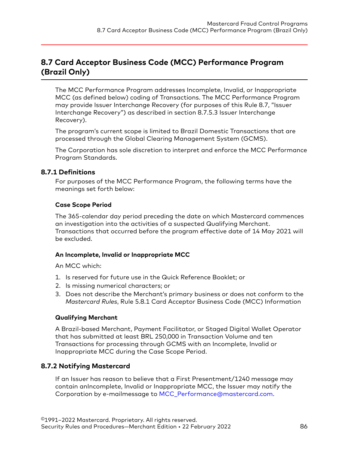# **8.7 Card Acceptor Business Code (MCC) Performance Program (Brazil Only)**

The MCC Performance Program addresses Incomplete, Invalid, or Inappropriate MCC (as defined below) coding of Transactions. The MCC Performance Program may provide Issuer Interchange Recovery (for purposes of this Rule 8.7, "Issuer Interchange Recovery") as described in section 8.7.5.3 Issuer Interchange Recovery).

The program's current scope is limited to Brazil Domestic Transactions that are processed through the Global Clearing Management System (GCMS).

The Corporation has sole discretion to interpret and enforce the MCC Performance Program Standards.

#### **8.7.1 Definitions**

For purposes of the MCC Performance Program, the following terms have the meanings set forth below:

#### **Case Scope Period**

The 365-calendar day period preceding the date on which Mastercard commences an investigation into the activities of a suspected Qualifying Merchant. Transactions that occurred before the program effective date of 14 May 2021 will be excluded.

#### **An Incomplete, Invalid or Inappropriate MCC**

An MCC which:

- 1. Is reserved for future use in the Quick Reference Booklet; or
- 2. Is missing numerical characters; or
- 3. Does not describe the Merchant's primary business or does not conform to the *Mastercard Rules*, Rule 5.8.1 Card Acceptor Business Code (MCC) Information

#### **Qualifying Merchant**

A Brazil-based Merchant, Payment Facilitator, or Staged Digital Wallet Operator that has submitted at least BRL 250,000 in Transaction Volume and ten Transactions for processing through GCMS with an Incomplete, Invalid or Inappropriate MCC during the Case Scope Period.

# **8.7.2 Notifying Mastercard**

If an Issuer has reason to believe that a First Presentment/1240 message may contain anIncomplete, Invalid or Inappropriate MCC, the Issuer may notify the Corporation by e-mailmessage to [MCC\\_Performance@mastercard.com.](mailto:MCC_Performance@mastercard.com)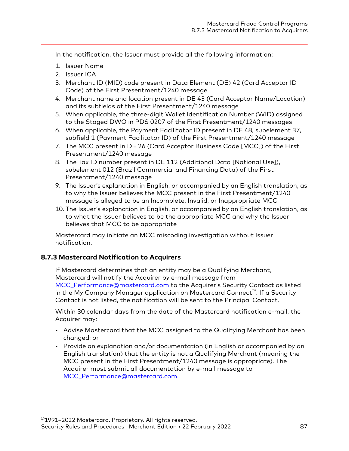In the notification, the Issuer must provide all the following information:

- 1. Issuer Name
- 2. Issuer ICA
- 3. Merchant ID (MID) code present in Data Element (DE) 42 (Card Acceptor ID Code) of the First Presentment/1240 message
- 4. Merchant name and location present in DE 43 (Card Acceptor Name/Location) and its subfields of the First Presentment/1240 message
- 5. When applicable, the three-digit Wallet Identification Number (WID) assigned to the Staged DWO in PDS 0207 of the First Presentment/1240 messages
- 6. When applicable, the Payment Facilitator ID present in DE 48, subelement 37, subfield 1 (Payment Facilitator ID) of the First Presentment/1240 message
- 7. The MCC present in DE 26 (Card Acceptor Business Code [MCC]) of the First Presentment/1240 message
- 8. The Tax ID number present in DE 112 (Additional Data [National Use]), subelement 012 (Brazil Commercial and Financing Data) of the First Presentment/1240 message
- 9. The Issuer's explanation in English, or accompanied by an English translation, as to why the Issuer believes the MCC present in the First Presentment/1240 message is alleged to be an Incomplete, Invalid, or Inappropriate MCC
- 10. The Issuer's explanation in English, or accompanied by an English translation, as to what the Issuer believes to be the appropriate MCC and why the Issuer believes that MCC to be appropriate

Mastercard may initiate an MCC miscoding investigation without Issuer notification.

#### **8.7.3 Mastercard Notification to Acquirers**

If Mastercard determines that an entity may be a Qualifying Merchant, Mastercard will notify the Acquirer by e-mail message from [MCC\\_Performance@mastercard.com](mailto:MCC_Performance@mastercard.com) to the Acquirer's Security Contact as listed in the My Company Manager application on Mastercard Connect™. If a Security Contact is not listed, the notification will be sent to the Principal Contact.

Within 30 calendar days from the date of the Mastercard notification e-mail, the Acquirer may:

- Advise Mastercard that the MCC assigned to the Qualifying Merchant has been changed; or
- Provide an explanation and/or documentation (in English or accompanied by an English translation) that the entity is not a Qualifying Merchant (meaning the MCC present in the First Presentment/1240 message is appropriate). The Acquirer must submit all documentation by e-mail message to [MCC\\_Performance@mastercard.com.](mailto:MCC_Performance@mastercard.com)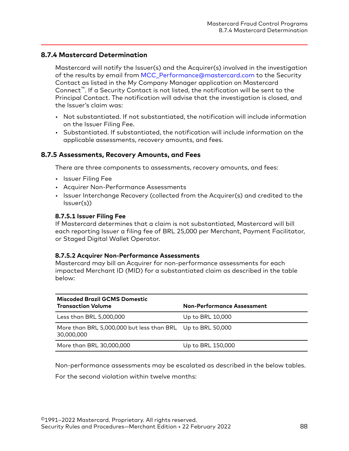### **8.7.4 Mastercard Determination**

Mastercard will notify the Issuer(s) and the Acquirer(s) involved in the investigation of the results by email from [MCC\\_Performance@mastercard.com](mailto:MCC_Performance@mastercard.com) to the Security Contact as listed in the My Company Manager application on Mastercard Connect™. If a Security Contact is not listed, the notification will be sent to the Principal Contact. The notification will advise that the investigation is closed, and the Issuer's claim was:

- Not substantiated. If not substantiated, the notification will include information on the Issuer Filing Fee.
- Substantiated. If substantiated, the notification will include information on the applicable assessments, recovery amounts, and fees.

#### **8.7.5 Assessments, Recovery Amounts, and Fees**

There are three components to assessments, recovery amounts, and fees:

- Issuer Filing Fee
- Acquirer Non-Performance Assessments
- Issuer Interchange Recovery (collected from the Acquirer(s) and credited to the Issuer(s))

#### **8.7.5.1 Issuer Filing Fee**

If Mastercard determines that a claim is not substantiated, Mastercard will bill each reporting Issuer a filing fee of BRL 25,000 per Merchant, Payment Facilitator, or Staged Digital Wallet Operator.

#### **8.7.5.2 Acquirer Non-Performance Assessments**

Mastercard may bill an Acquirer for non-performance assessments for each impacted Merchant ID (MID) for a substantiated claim as described in the table below:

| Miscoded Brazil GCMS Domestic<br><b>Transaction Volume</b>               | <b>Non-Performance Assessment</b> |
|--------------------------------------------------------------------------|-----------------------------------|
| Less than BRL 5,000,000                                                  | Up to BRL 10,000                  |
| More than BRL 5,000,000 but less than BRL Up to BRL 50,000<br>30,000,000 |                                   |
| More than BRL 30,000,000                                                 | Up to BRL 150,000                 |

Non-performance assessments may be escalated as described in the below tables.

For the second violation within twelve months: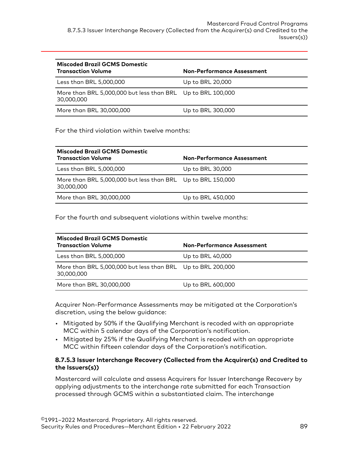| <b>Miscoded Brazil GCMS Domestic</b><br><b>Transaction Volume</b>         | <b>Non-Performance Assessment</b> |
|---------------------------------------------------------------------------|-----------------------------------|
| Less than BRL 5,000,000                                                   | Up to BRL 20,000                  |
| More than BRL 5,000,000 but less than BRL Up to BRL 100,000<br>30,000,000 |                                   |
| More than BRL 30,000,000                                                  | Up to BRL 300,000                 |

#### For the third violation within twelve months:

| Miscoded Brazil GCMS Domestic<br><b>Transaction Volume</b>                | <b>Non-Performance Assessment</b> |
|---------------------------------------------------------------------------|-----------------------------------|
| Less than BRL 5,000,000                                                   | Up to BRL 30,000                  |
| More than BRL 5,000,000 but less than BRL Up to BRL 150,000<br>30,000,000 |                                   |
| More than BRL 30,000,000                                                  | Up to BRL 450,000                 |

For the fourth and subsequent violations within twelve months:

| Miscoded Brazil GCMS Domestic<br><b>Transaction Volume</b>                | <b>Non-Performance Assessment</b> |
|---------------------------------------------------------------------------|-----------------------------------|
| Less than BRL 5,000,000                                                   | Up to BRL 40,000                  |
| More than BRL 5,000,000 but less than BRL Up to BRL 200,000<br>30,000,000 |                                   |
| More than BRL 30,000,000                                                  | Up to BRL 600,000                 |

Acquirer Non-Performance Assessments may be mitigated at the Corporation's discretion, using the below guidance:

- Mitigated by 50% if the Qualifying Merchant is recoded with an appropriate MCC within 5 calendar days of the Corporation's notification.
- Mitigated by 25% if the Qualifying Merchant is recoded with an appropriate MCC within fifteen calendar days of the Corporation's notification.

#### **8.7.5.3 Issuer Interchange Recovery (Collected from the Acquirer(s) and Credited to the Issuers(s))**

Mastercard will calculate and assess Acquirers for Issuer Interchange Recovery by applying adjustments to the interchange rate submitted for each Transaction processed through GCMS within a substantiated claim. The interchange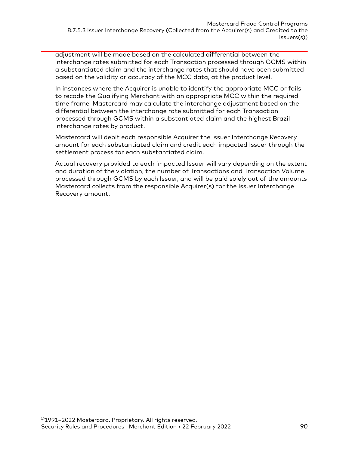adjustment will be made based on the calculated differential between the interchange rates submitted for each Transaction processed through GCMS within a substantiated claim and the interchange rates that should have been submitted based on the validity or accuracy of the MCC data, at the product level.

In instances where the Acquirer is unable to identify the appropriate MCC or fails to recode the Qualifying Merchant with an appropriate MCC within the required time frame, Mastercard may calculate the interchange adjustment based on the differential between the interchange rate submitted for each Transaction processed through GCMS within a substantiated claim and the highest Brazil interchange rates by product.

Mastercard will debit each responsible Acquirer the Issuer Interchange Recovery amount for each substantiated claim and credit each impacted Issuer through the settlement process for each substantiated claim.

Actual recovery provided to each impacted Issuer will vary depending on the extent and duration of the violation, the number of Transactions and Transaction Volume processed through GCMS by each Issuer, and will be paid solely out of the amounts Mastercard collects from the responsible Acquirer(s) for the Issuer Interchange Recovery amount.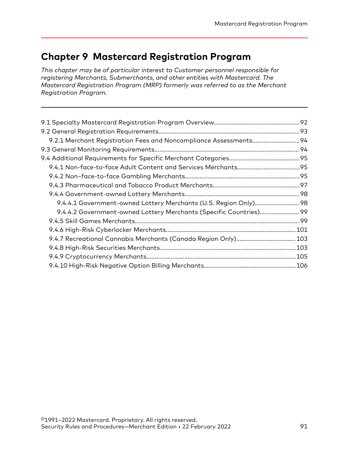# **Chapter 9 Mastercard Registration Program**

*This chapter may be of particular interest to Customer personnel responsible for registering Merchants, Submerchants, and other entities with Mastercard. The Mastercard Registration Program (MRP) formerly was referred to as the Merchant Registration Program.*

| 9.2.1 Merchant Registration Fees and Noncompliance Assessments 94  |  |
|--------------------------------------------------------------------|--|
|                                                                    |  |
|                                                                    |  |
|                                                                    |  |
|                                                                    |  |
|                                                                    |  |
|                                                                    |  |
| 9.4.4.1 Government-owned Lottery Merchants (U.S. Region Only) 98   |  |
| 9.4.4.2 Government-owned Lottery Merchants (Specific Countries) 99 |  |
|                                                                    |  |
|                                                                    |  |
|                                                                    |  |
|                                                                    |  |
|                                                                    |  |
|                                                                    |  |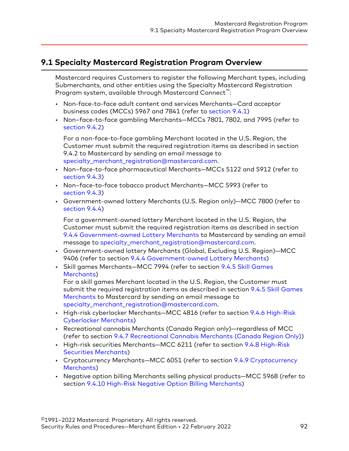# <span id="page-91-0"></span>**9.1 Specialty Mastercard Registration Program Overview**

Mastercard requires Customers to register the following Merchant types, including Submerchants, and other entities using the Specialty Mastercard Registration Program system, available through Mastercard Connect™:

- Non-face-to-face adult content and services Merchants—Card acceptor business codes (MCCs) 5967 and 7841 (refer to [section 9.4.1](#page-94-0))
- Non–face-to-face gambling Merchants—MCCs 7801, 7802, and 7995 (refer to [section 9.4.2\)](#page-94-0)

For a non-face-to-face gambling Merchant located in the U.S. Region, the Customer must submit the required registration items as described in section 9.4.2 to Mastercard by sending an email message to [specialty\\_merchant\\_registration@mastercard.com](mailto:specialty_merchant_registration@mastercard.com).

- Non–face-to-face pharmaceutical Merchants—MCCs 5122 and 5912 (refer to [section 9.4.3\)](#page-96-0)
- Non–face-to-face tobacco product Merchants—MCC 5993 (refer to [section 9.4.3\)](#page-96-0)
- Government-owned lottery Merchants (U.S. Region only)—MCC 7800 (refer to [section 9.4.4\)](#page-97-0)

For a government-owned lottery Merchant located in the U.S. Region, the Customer must submit the required registration items as described in section [9.4.4 Government-owned Lottery Merchants](#page-97-0) to Mastercard by sending an email message to [specialty\\_merchant\\_registration@mastercard.com](mailto:specialty_merchant_registration@mastercard.com).

- Government-owned lottery Merchants (Global, Excluding U.S. Region)—MCC 9406 (refer to section [9.4.4 Government-owned Lottery Merchants](#page-97-0))
- Skill games Merchants—MCC 7994 (refer to section [9.4.5 Skill Games](#page-98-0) [Merchants](#page-98-0))

For a skill games Merchant located in the U.S. Region, the Customer must submit the required registration items as described in section [9.4.5 Skill Games](#page-98-0) [Merchants](#page-98-0) to Mastercard by sending an email message to [specialty\\_merchant\\_registration@mastercard.com](mailto:specialty_merchant_registration@mastercard.com).

- High-risk cyberlocker Merchants—MCC 4816 (refer to section [9.4.6 High-Risk](#page-100-0) [Cyberlocker Merchants](#page-100-0))
- Recreational cannabis Merchants (Canada Region only)—regardless of MCC (refer to section [9.4.7 Recreational Cannabis Merchants \(Canada Region Only\)\)](#page-102-0)
- High-risk securities Merchants—MCC 6211 (refer to section [9.4.8 High-Risk](#page-102-0) [Securities Merchants](#page-102-0))
- Cryptocurrency Merchants—MCC 6051 (refer to section [9.4.9 Cryptocurrency](#page-104-0) [Merchants](#page-104-0))
- Negative option billing Merchants selling physical products—MCC 5968 (refer to section [9.4.10 High-Risk Negative Option Billing Merchants](#page-105-0))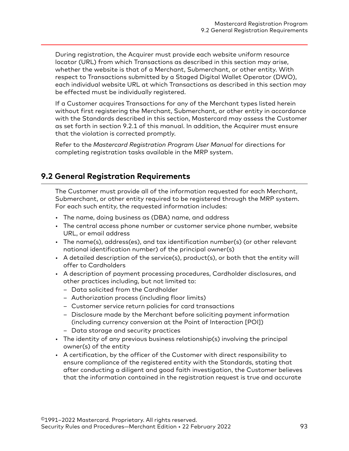<span id="page-92-0"></span>During registration, the Acquirer must provide each website uniform resource locator (URL) from which Transactions as described in this section may arise, whether the website is that of a Merchant, Submerchant, or other entity. With respect to Transactions submitted by a Staged Digital Wallet Operator (DWO), each individual website URL at which Transactions as described in this section may be effected must be individually registered.

If a Customer acquires Transactions for any of the Merchant types listed herein without first registering the Merchant, Submerchant, or other entity in accordance with the Standards described in this section, Mastercard may assess the Customer as set forth in section 9.2.1 of this manual. In addition, the Acquirer must ensure that the violation is corrected promptly.

Refer to the *Mastercard Registration Program User Manual* for directions for completing registration tasks available in the MRP system.

# **9.2 General Registration Requirements**

The Customer must provide all of the information requested for each Merchant, Submerchant, or other entity required to be registered through the MRP system. For each such entity, the requested information includes:

- The name, doing business as (DBA) name, and address
- The central access phone number or customer service phone number, website URL, or email address
- The name(s), address(es), and tax identification number(s) (or other relevant national identification number) of the principal owner(s)
- A detailed description of the service(s), product(s), or both that the entity will offer to Cardholders
- A description of payment processing procedures, Cardholder disclosures, and other practices including, but not limited to:
	- Data solicited from the Cardholder
	- Authorization process (including floor limits)
	- Customer service return policies for card transactions
	- Disclosure made by the Merchant before soliciting payment information (including currency conversion at the Point of Interaction [POI])
	- Data storage and security practices
- The identity of any previous business relationship(s) involving the principal owner(s) of the entity
- A certification, by the officer of the Customer with direct responsibility to ensure compliance of the registered entity with the Standards, stating that after conducting a diligent and good faith investigation, the Customer believes that the information contained in the registration request is true and accurate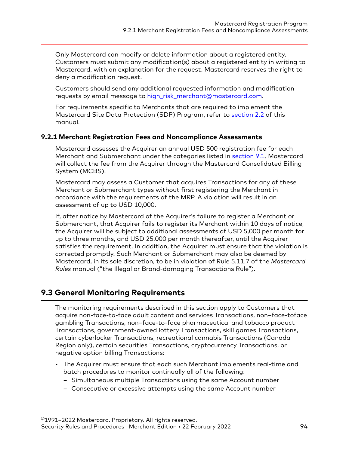<span id="page-93-0"></span>Only Mastercard can modify or delete information about a registered entity. Customers must submit any modification(s) about a registered entity in writing to Mastercard, with an explanation for the request. Mastercard reserves the right to deny a modification request.

Customers should send any additional requested information and modification requests by email message to [high\\_risk\\_merchant@mastercard.com.](mailto:high_risk_merchant@mastercard.com)

For requirements specific to Merchants that are required to implement the Mastercard Site Data Protection (SDP) Program, refer to [section 2.2](#page-19-0) of this manual.

#### **9.2.1 Merchant Registration Fees and Noncompliance Assessments**

Mastercard assesses the Acquirer an annual USD 500 registration fee for each Merchant and Submerchant under the categories listed in [section 9.1](#page-91-0). Mastercard will collect the fee from the Acquirer through the Mastercard Consolidated Billing System (MCBS).

Mastercard may assess a Customer that acquires Transactions for any of these Merchant or Submerchant types without first registering the Merchant in accordance with the requirements of the MRP. A violation will result in an assessment of up to USD 10,000.

If, after notice by Mastercard of the Acquirer's failure to register a Merchant or Submerchant, that Acquirer fails to register its Merchant within 10 days of notice, the Acquirer will be subject to additional assessments of USD 5,000 per month for up to three months, and USD 25,000 per month thereafter, until the Acquirer satisfies the requirement. In addition, the Acquirer must ensure that the violation is corrected promptly. Such Merchant or Submerchant may also be deemed by Mastercard, in its sole discretion, to be in violation of Rule 5.11.7 of the *Mastercard Rules* manual ("the Illegal or Brand-damaging Transactions Rule").

# **9.3 General Monitoring Requirements**

The monitoring requirements described in this section apply to Customers that acquire non-face-to-face adult content and services Transactions, non–face-toface gambling Transactions, non–face-to-face pharmaceutical and tobacco product Transactions, government-owned lottery Transactions, skill games Transactions, certain cyberlocker Transactions, recreational cannabis Transactions (Canada Region only), certain securities Transactions, cryptocurrency Transactions, or negative option billing Transactions:

- The Acquirer must ensure that each such Merchant implements real-time and batch procedures to monitor continually all of the following:
	- Simultaneous multiple Transactions using the same Account number
	- Consecutive or excessive attempts using the same Account number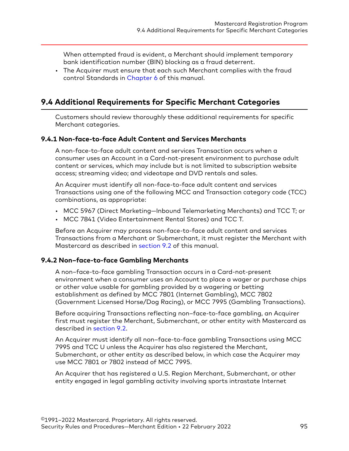<span id="page-94-0"></span>When attempted fraud is evident, a Merchant should implement temporary bank identification number (BIN) blocking as a fraud deterrent.

• The Acquirer must ensure that each such Merchant complies with the fraud control Standards in [Chapter 6](#page-54-0) of this manual.

# **9.4 Additional Requirements for Specific Merchant Categories**

Customers should review thoroughly these additional requirements for specific Merchant categories.

### **9.4.1 Non-face-to-face Adult Content and Services Merchants**

A non-face-to-face adult content and services Transaction occurs when a consumer uses an Account in a Card-not-present environment to purchase adult content or services, which may include but is not limited to subscription website access; streaming video; and videotape and DVD rentals and sales.

An Acquirer must identify all non-face-to-face adult content and services Transactions using one of the following MCC and Transaction category code (TCC) combinations, as appropriate:

- MCC 5967 (Direct Marketing—Inbound Telemarketing Merchants) and TCC T; or
- MCC 7841 (Video Entertainment Rental Stores) and TCC T.

Before an Acquirer may process non-face-to-face adult content and services Transactions from a Merchant or Submerchant, it must register the Merchant with Mastercard as described in [section 9.2](#page-92-0) of this manual.

#### **9.4.2 Non–face-to-face Gambling Merchants**

A non–face-to-face gambling Transaction occurs in a Card-not-present environment when a consumer uses an Account to place a wager or purchase chips or other value usable for gambling provided by a wagering or betting establishment as defined by MCC 7801 (Internet Gambling), MCC 7802 (Government Licensed Horse/Dog Racing), or MCC 7995 (Gambling Transactions).

Before acquiring Transactions reflecting non–face-to-face gambling, an Acquirer first must register the Merchant, Submerchant, or other entity with Mastercard as described in [section 9.2.](#page-92-0)

An Acquirer must identify all non–face-to-face gambling Transactions using MCC 7995 and TCC U unless the Acquirer has also registered the Merchant, Submerchant, or other entity as described below, in which case the Acquirer may use MCC 7801 or 7802 instead of MCC 7995.

An Acquirer that has registered a U.S. Region Merchant, Submerchant, or other entity engaged in legal gambling activity involving sports intrastate Internet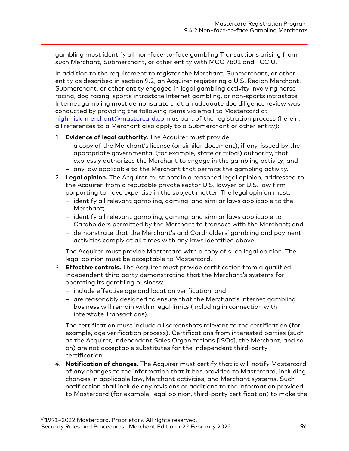gambling must identify all non-face-to-face gambling Transactions arising from such Merchant, Submerchant, or other entity with MCC 7801 and TCC U.

In addition to the requirement to register the Merchant, Submerchant, or other entity as described in section 9.2, an Acquirer registering a U.S. Region Merchant, Submerchant, or other entity engaged in legal gambling activity involving horse racing, dog racing, sports intrastate Internet gambling, or non-sports intrastate Internet gambling must demonstrate that an adequate due diligence review was conducted by providing the following items via email to Mastercard at [high\\_risk\\_merchant@mastercard.com](mailto:high_risk_merchant@mastercard.com) as part of the registration process (herein, all references to a Merchant also apply to a Submerchant or other entity):

- 1. **Evidence of legal authority.** The Acquirer must provide:
	- a copy of the Merchant's license (or similar document), if any, issued by the appropriate governmental (for example, state or tribal) authority, that expressly authorizes the Merchant to engage in the gambling activity; and
	- any law applicable to the Merchant that permits the gambling activity.
- 2. **Legal opinion.** The Acquirer must obtain a reasoned legal opinion, addressed to the Acquirer, from a reputable private sector U.S. lawyer or U.S. law firm purporting to have expertise in the subject matter. The legal opinion must:
	- identify all relevant gambling, gaming, and similar laws applicable to the Merchant;
	- identify all relevant gambling, gaming, and similar laws applicable to Cardholders permitted by the Merchant to transact with the Merchant; and
	- demonstrate that the Merchant's and Cardholders' gambling and payment activities comply at all times with any laws identified above.

The Acquirer must provide Mastercard with a copy of such legal opinion. The legal opinion must be acceptable to Mastercard.

- 3. **Effective controls.** The Acquirer must provide certification from a qualified independent third party demonstrating that the Merchant's systems for operating its gambling business:
	- include effective age and location verification; and
	- are reasonably designed to ensure that the Merchant's Internet gambling business will remain within legal limits (including in connection with interstate Transactions).

The certification must include all screenshots relevant to the certification (for example, age verification process). Certifications from interested parties (such as the Acquirer, Independent Sales Organizations [ISOs], the Merchant, and so on) are not acceptable substitutes for the independent third-party certification.

4. **Notification of changes.** The Acquirer must certify that it will notify Mastercard of any changes to the information that it has provided to Mastercard, including changes in applicable law, Merchant activities, and Merchant systems. Such notification shall include any revisions or additions to the information provided to Mastercard (for example, legal opinion, third-party certification) to make the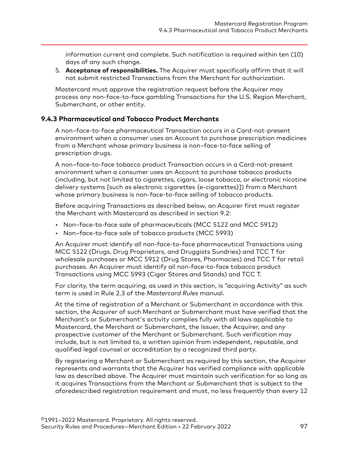<span id="page-96-0"></span>information current and complete. Such notification is required within ten (10) days of any such change.

5. **Acceptance of responsibilities.** The Acquirer must specifically affirm that it will not submit restricted Transactions from the Merchant for authorization.

Mastercard must approve the registration request before the Acquirer may process any non-face-to-face gambling Transactions for the U.S. Region Merchant, Submerchant, or other entity.

### **9.4.3 Pharmaceutical and Tobacco Product Merchants**

A non–face-to-face pharmaceutical Transaction occurs in a Card-not-present environment when a consumer uses an Account to purchase prescription medicines from a Merchant whose primary business is non–face-to-face selling of prescription drugs.

A non–face-to-face tobacco product Transaction occurs in a Card-not-present environment when a consumer uses an Account to purchase tobacco products (including, but not limited to cigarettes, cigars, loose tobacco, or electronic nicotine delivery systems [such as electronic cigarettes {e-cigarettes}]) from a Merchant whose primary business is non-face-to-face selling of tobacco products.

Before acquiring Transactions as described below, an Acquirer first must register the Merchant with Mastercard as described in section 9.2:

- Non–face-to-face sale of pharmaceuticals (MCC 5122 and MCC 5912)
- Non–face-to-face sale of tobacco products (MCC 5993)

An Acquirer must identify all non-face-to-face pharmaceutical Transactions using MCC 5122 (Drugs, Drug Proprietors, and Druggists Sundries) and TCC T for wholesale purchases or MCC 5912 (Drug Stores, Pharmacies) and TCC T for retail purchases. An Acquirer must identify all non-face-to-face tobacco product Transactions using MCC 5993 (Cigar Stores and Stands) and TCC T.

For clarity, the term acquiring, as used in this section, is "acquiring Activity" as such term is used in Rule 2.3 of the *Mastercard Rules* manual.

At the time of registration of a Merchant or Submerchant in accordance with this section, the Acquirer of such Merchant or Submerchant must have verified that the Merchant's or Submerchant's activity complies fully with all laws applicable to Mastercard, the Merchant or Submerchant, the Issuer, the Acquirer, and any prospective customer of the Merchant or Submerchant. Such verification may include, but is not limited to, a written opinion from independent, reputable, and qualified legal counsel or accreditation by a recognized third party.

By registering a Merchant or Submerchant as required by this section, the Acquirer represents and warrants that the Acquirer has verified compliance with applicable law as described above. The Acquirer must maintain such verification for so long as it acquires Transactions from the Merchant or Submerchant that is subject to the aforedescribed registration requirement and must, no less frequently than every 12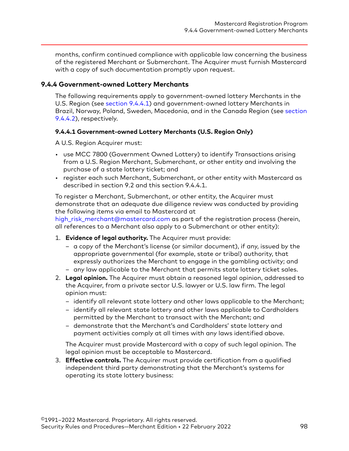<span id="page-97-0"></span>months, confirm continued compliance with applicable law concerning the business of the registered Merchant or Submerchant. The Acquirer must furnish Mastercard with a copy of such documentation promptly upon request.

#### **9.4.4 Government-owned Lottery Merchants**

The following requirements apply to government-owned lottery Merchants in the U.S. Region (see section 9.4.4.1) and government-owned lottery Merchants in Brazil, Norway, Poland, Sweden, Macedonia, and in the Canada Region (see [section](#page-98-0) [9.4.4.2](#page-98-0)), respectively.

#### **9.4.4.1 Government-owned Lottery Merchants (U.S. Region Only)**

A U.S. Region Acquirer must:

- use MCC 7800 (Government Owned Lottery) to identify Transactions arising from a U.S. Region Merchant, Submerchant, or other entity and involving the purchase of a state lottery ticket; and
- register each such Merchant, Submerchant, or other entity with Mastercard as described in section 9.2 and this section 9.4.4.1.

To register a Merchant, Submerchant, or other entity, the Acquirer must demonstrate that an adequate due diligence review was conducted by providing the following items via email to Mastercard at

[high\\_risk\\_merchant@mastercard.com](mailto:high_risk_merchant@mastercard.com) as part of the registration process (herein, all references to a Merchant also apply to a Submerchant or other entity):

- 1. **Evidence of legal authority.** The Acquirer must provide:
	- a copy of the Merchant's license (or similar document), if any, issued by the appropriate governmental (for example, state or tribal) authority, that expressly authorizes the Merchant to engage in the gambling activity; and
	- any law applicable to the Merchant that permits state lottery ticket sales.
- 2. **Legal opinion.** The Acquirer must obtain a reasoned legal opinion, addressed to the Acquirer, from a private sector U.S. lawyer or U.S. law firm. The legal opinion must:
	- identify all relevant state lottery and other laws applicable to the Merchant;
	- identify all relevant state lottery and other laws applicable to Cardholders permitted by the Merchant to transact with the Merchant; and
	- demonstrate that the Merchant's and Cardholders' state lottery and payment activities comply at all times with any laws identified above.

The Acquirer must provide Mastercard with a copy of such legal opinion. The legal opinion must be acceptable to Mastercard.

3. **Effective controls.** The Acquirer must provide certification from a qualified independent third party demonstrating that the Merchant's systems for operating its state lottery business: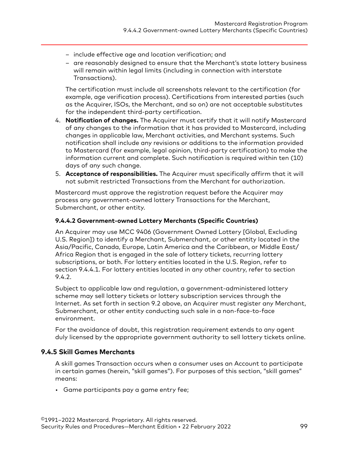- <span id="page-98-0"></span>– include effective age and location verification; and
- are reasonably designed to ensure that the Merchant's state lottery business will remain within legal limits (including in connection with interstate Transactions).

The certification must include all screenshots relevant to the certification (for example, age verification process). Certifications from interested parties (such as the Acquirer, ISOs, the Merchant, and so on) are not acceptable substitutes for the independent third-party certification.

- 4. **Notification of changes.** The Acquirer must certify that it will notify Mastercard of any changes to the information that it has provided to Mastercard, including changes in applicable law, Merchant activities, and Merchant systems. Such notification shall include any revisions or additions to the information provided to Mastercard (for example, legal opinion, third-party certification) to make the information current and complete. Such notification is required within ten (10) days of any such change.
- 5. **Acceptance of responsibilities.** The Acquirer must specifically affirm that it will not submit restricted Transactions from the Merchant for authorization.

Mastercard must approve the registration request before the Acquirer may process any government-owned lottery Transactions for the Merchant, Submerchant, or other entity.

#### **9.4.4.2 Government-owned Lottery Merchants (Specific Countries)**

An Acquirer may use MCC 9406 (Government Owned Lottery [Global, Excluding U.S. Region]) to identify a Merchant, Submerchant, or other entity located in the Asia/Pacific, Canada, Europe, Latin America and the Caribbean, or Middle East/ Africa Region that is engaged in the sale of lottery tickets, recurring lottery subscriptions, or both. For lottery entities located in the U.S. Region, refer to section 9.4.4.1. For lottery entities located in any other country, refer to section 9.4.2.

Subject to applicable law and regulation, a government-administered lottery scheme may sell lottery tickets or lottery subscription services through the Internet. As set forth in section 9.2 above, an Acquirer must register any Merchant, Submerchant, or other entity conducting such sale in a non-face-to-face environment.

For the avoidance of doubt, this registration requirement extends to any agent duly licensed by the appropriate government authority to sell lottery tickets online.

### **9.4.5 Skill Games Merchants**

A skill games Transaction occurs when a consumer uses an Account to participate in certain games (herein, "skill games"). For purposes of this section, "skill games" means:

• Game participants pay a game entry fee;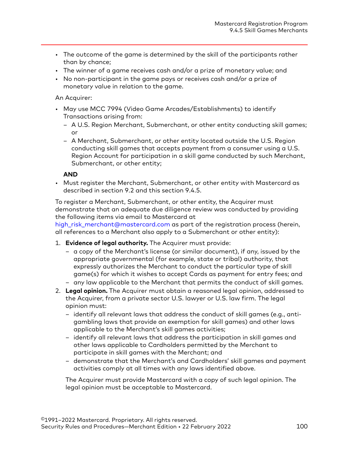- The outcome of the game is determined by the skill of the participants rather than by chance;
- The winner of a game receives cash and/or a prize of monetary value; and
- No non-participant in the game pays or receives cash and/or a prize of monetary value in relation to the game.

#### An Acquirer:

- May use MCC 7994 (Video Game Arcades/Establishments) to identify Transactions arising from:
	- A U.S. Region Merchant, Submerchant, or other entity conducting skill games; or
	- A Merchant, Submerchant, or other entity located outside the U.S. Region conducting skill games that accepts payment from a consumer using a U.S. Region Account for participation in a skill game conducted by such Merchant, Submerchant, or other entity;

#### **AND**

• Must register the Merchant, Submerchant, or other entity with Mastercard as described in section 9.2 and this section 9.4.5.

To register a Merchant, Submerchant, or other entity, the Acquirer must demonstrate that an adequate due diligence review was conducted by providing the following items via email to Mastercard at

[high\\_risk\\_merchant@mastercard.com](mailto:high_risk_merchant@mastercard.com) as part of the registration process (herein, all references to a Merchant also apply to a Submerchant or other entity):

- 1. **Evidence of legal authority.** The Acquirer must provide:
	- a copy of the Merchant's license (or similar document), if any, issued by the appropriate governmental (for example, state or tribal) authority, that expressly authorizes the Merchant to conduct the particular type of skill game(s) for which it wishes to accept Cards as payment for entry fees; and
	- any law applicable to the Merchant that permits the conduct of skill games.
- 2. **Legal opinion.** The Acquirer must obtain a reasoned legal opinion, addressed to the Acquirer, from a private sector U.S. lawyer or U.S. law firm. The legal opinion must:
	- identify all relevant laws that address the conduct of skill games (e.g., antigambling laws that provide an exemption for skill games) and other laws applicable to the Merchant's skill games activities;
	- identify all relevant laws that address the participation in skill games and other laws applicable to Cardholders permitted by the Merchant to participate in skill games with the Merchant; and
	- demonstrate that the Merchant's and Cardholders' skill games and payment activities comply at all times with any laws identified above.

The Acquirer must provide Mastercard with a copy of such legal opinion. The legal opinion must be acceptable to Mastercard.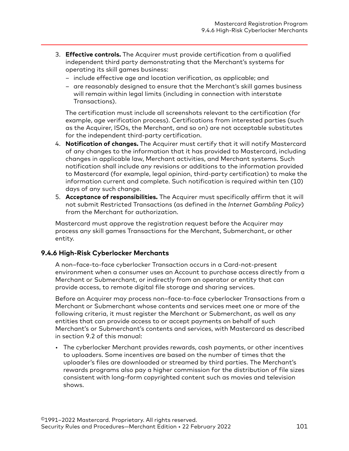- <span id="page-100-0"></span>3. **Effective controls.** The Acquirer must provide certification from a qualified independent third party demonstrating that the Merchant's systems for operating its skill games business:
	- include effective age and location verification, as applicable; and
	- are reasonably designed to ensure that the Merchant's skill games business will remain within legal limits (including in connection with interstate Transactions).

The certification must include all screenshots relevant to the certification (for example, age verification process). Certifications from interested parties (such as the Acquirer, ISOs, the Merchant, and so on) are not acceptable substitutes for the independent third-party certification.

- 4. **Notification of changes.** The Acquirer must certify that it will notify Mastercard of any changes to the information that it has provided to Mastercard, including changes in applicable law, Merchant activities, and Merchant systems. Such notification shall include any revisions or additions to the information provided to Mastercard (for example, legal opinion, third-party certification) to make the information current and complete. Such notification is required within ten (10) days of any such change.
- 5. **Acceptance of responsibilities.** The Acquirer must specifically affirm that it will not submit Restricted Transactions (as defined in the *Internet Gambling Policy*) from the Merchant for authorization.

Mastercard must approve the registration request before the Acquirer may process any skill games Transactions for the Merchant, Submerchant, or other entity.

# **9.4.6 High-Risk Cyberlocker Merchants**

A non–face-to-face cyberlocker Transaction occurs in a Card-not-present environment when a consumer uses an Account to purchase access directly from a Merchant or Submerchant, or indirectly from an operator or entity that can provide access, to remote digital file storage and sharing services.

Before an Acquirer may process non–face-to-face cyberlocker Transactions from a Merchant or Submerchant whose contents and services meet one or more of the following criteria, it must register the Merchant or Submerchant, as well as any entities that can provide access to or accept payments on behalf of such Merchant's or Submerchant's contents and services, with Mastercard as described in section 9.2 of this manual:

• The cyberlocker Merchant provides rewards, cash payments, or other incentives to uploaders. Some incentives are based on the number of times that the uploader's files are downloaded or streamed by third parties. The Merchant's rewards programs also pay a higher commission for the distribution of file sizes consistent with long-form copyrighted content such as movies and television shows.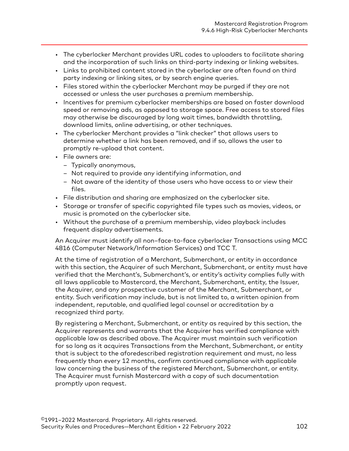- The cyberlocker Merchant provides URL codes to uploaders to facilitate sharing and the incorporation of such links on third-party indexing or linking websites.
- Links to prohibited content stored in the cyberlocker are often found on third party indexing or linking sites, or by search engine queries.
- Files stored within the cyberlocker Merchant may be purged if they are not accessed or unless the user purchases a premium membership.
- Incentives for premium cyberlocker memberships are based on faster download speed or removing ads, as opposed to storage space. Free access to stored files may otherwise be discouraged by long wait times, bandwidth throttling, download limits, online advertising, or other techniques.
- The cyberlocker Merchant provides a "link checker" that allows users to determine whether a link has been removed, and if so, allows the user to promptly re-upload that content.
- File owners are:
	- Typically anonymous,
	- Not required to provide any identifying information, and
	- Not aware of the identity of those users who have access to or view their files.
- File distribution and sharing are emphasized on the cyberlocker site.
- Storage or transfer of specific copyrighted file types such as movies, videos, or music is promoted on the cyberlocker site.
- Without the purchase of a premium membership, video playback includes frequent display advertisements.

An Acquirer must identify all non–face-to-face cyberlocker Transactions using MCC 4816 (Computer Network/Information Services) and TCC T.

At the time of registration of a Merchant, Submerchant, or entity in accordance with this section, the Acquirer of such Merchant, Submerchant, or entity must have verified that the Merchant's, Submerchant's, or entity's activity complies fully with all laws applicable to Mastercard, the Merchant, Submerchant, entity, the Issuer, the Acquirer, and any prospective customer of the Merchant, Submerchant, or entity. Such verification may include, but is not limited to, a written opinion from independent, reputable, and qualified legal counsel or accreditation by a recognized third party.

By registering a Merchant, Submerchant, or entity as required by this section, the Acquirer represents and warrants that the Acquirer has verified compliance with applicable law as described above. The Acquirer must maintain such verification for so long as it acquires Transactions from the Merchant, Submerchant, or entity that is subject to the aforedescribed registration requirement and must, no less frequently than every 12 months, confirm continued compliance with applicable law concerning the business of the registered Merchant, Submerchant, or entity. The Acquirer must furnish Mastercard with a copy of such documentation promptly upon request.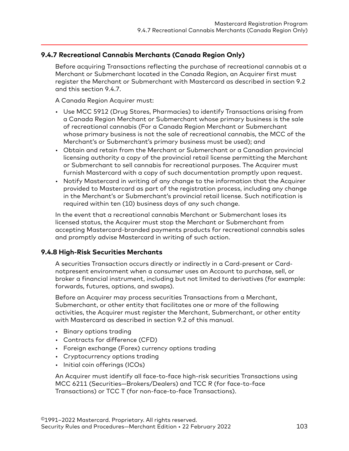# <span id="page-102-0"></span>**9.4.7 Recreational Cannabis Merchants (Canada Region Only)**

Before acquiring Transactions reflecting the purchase of recreational cannabis at a Merchant or Submerchant located in the Canada Region, an Acquirer first must register the Merchant or Submerchant with Mastercard as described in section 9.2 and this section 9.4.7.

A Canada Region Acquirer must:

- Use MCC 5912 (Drug Stores, Pharmacies) to identify Transactions arising from a Canada Region Merchant or Submerchant whose primary business is the sale of recreational cannabis (For a Canada Region Merchant or Submerchant whose primary business is not the sale of recreational cannabis, the MCC of the Merchant's or Submerchant's primary business must be used); and
- Obtain and retain from the Merchant or Submerchant or a Canadian provincial licensing authority a copy of the provincial retail license permitting the Merchant or Submerchant to sell cannabis for recreational purposes. The Acquirer must furnish Mastercard with a copy of such documentation promptly upon request.
- Notify Mastercard in writing of any change to the information that the Acquirer provided to Mastercard as part of the registration process, including any change in the Merchant's or Submerchant's provincial retail license. Such notification is required within ten (10) business days of any such change.

In the event that a recreational cannabis Merchant or Submerchant loses its licensed status, the Acquirer must stop the Merchant or Submerchant from accepting Mastercard-branded payments products for recreational cannabis sales and promptly advise Mastercard in writing of such action.

#### **9.4.8 High-Risk Securities Merchants**

A securities Transaction occurs directly or indirectly in a Card-present or Cardnotpresent environment when a consumer uses an Account to purchase, sell, or broker a financial instrument, including but not limited to derivatives (for example: forwards, futures, options, and swaps).

Before an Acquirer may process securities Transactions from a Merchant, Submerchant, or other entity that facilitates one or more of the following activities, the Acquirer must register the Merchant, Submerchant, or other entity with Mastercard as described in section 9.2 of this manual.

- Binary options trading
- Contracts for difference (CFD)
- Foreign exchange (Forex) currency options trading
- Cryptocurrency options trading
- Initial coin offerings (ICOs)

An Acquirer must identify all face-to-face high-risk securities Transactions using MCC 6211 (Securities—Brokers/Dealers) and TCC R (for face-to-face Transactions) or TCC T (for non-face-to-face Transactions).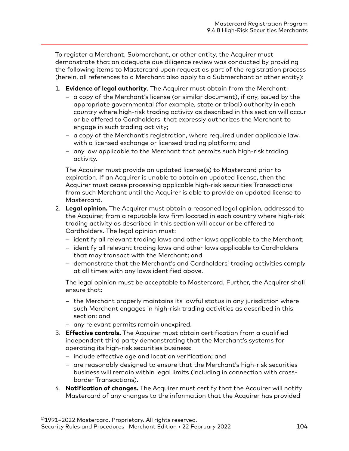To register a Merchant, Submerchant, or other entity, the Acquirer must demonstrate that an adequate due diligence review was conducted by providing the following items to Mastercard upon request as part of the registration process (herein, all references to a Merchant also apply to a Submerchant or other entity):

- 1. **Evidence of legal authority**. The Acquirer must obtain from the Merchant:
	- a copy of the Merchant's license (or similar document), if any, issued by the appropriate governmental (for example, state or tribal) authority in each country where high-risk trading activity as described in this section will occur or be offered to Cardholders, that expressly authorizes the Merchant to engage in such trading activity;
	- a copy of the Merchant's registration, where required under applicable law, with a licensed exchange or licensed trading platform; and
	- any law applicable to the Merchant that permits such high-risk trading activity.

The Acquirer must provide an updated license(s) to Mastercard prior to expiration. If an Acquirer is unable to obtain an updated license, then the Acquirer must cease processing applicable high-risk securities Transactions from such Merchant until the Acquirer is able to provide an updated license to Mastercard.

- 2. **Legal opinion.** The Acquirer must obtain a reasoned legal opinion, addressed to the Acquirer, from a reputable law firm located in each country where high-risk trading activity as described in this section will occur or be offered to Cardholders. The legal opinion must:
	- identify all relevant trading laws and other laws applicable to the Merchant;
	- identify all relevant trading laws and other laws applicable to Cardholders that may transact with the Merchant; and
	- demonstrate that the Merchant's and Cardholders' trading activities comply at all times with any laws identified above.

The legal opinion must be acceptable to Mastercard. Further, the Acquirer shall ensure that:

- the Merchant properly maintains its lawful status in any jurisdiction where such Merchant engages in high-risk trading activities as described in this section; and
- any relevant permits remain unexpired.
- 3. **Effective controls.** The Acquirer must obtain certification from a qualified independent third party demonstrating that the Merchant's systems for operating its high-risk securities business:
	- include effective age and location verification; and
	- are reasonably designed to ensure that the Merchant's high-risk securities business will remain within legal limits (including in connection with crossborder Transactions).
- 4. **Notification of changes.** The Acquirer must certify that the Acquirer will notify Mastercard of any changes to the information that the Acquirer has provided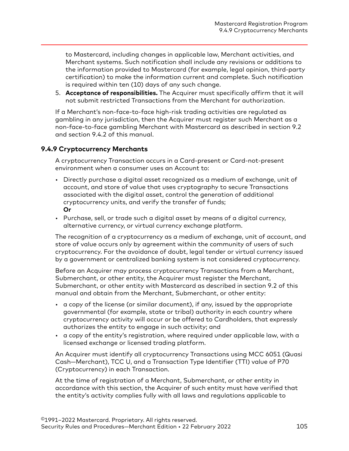<span id="page-104-0"></span>to Mastercard, including changes in applicable law, Merchant activities, and Merchant systems. Such notification shall include any revisions or additions to the information provided to Mastercard (for example, legal opinion, third-party certification) to make the information current and complete. Such notification is required within ten (10) days of any such change.

5. **Acceptance of responsibilities.** The Acquirer must specifically affirm that it will not submit restricted Transactions from the Merchant for authorization.

If a Merchant's non-face-to-face high-risk trading activities are regulated as gambling in any jurisdiction, then the Acquirer must register such Merchant as a non-face-to-face gambling Merchant with Mastercard as described in section 9.2 and section 9.4.2 of this manual.

#### **9.4.9 Cryptocurrency Merchants**

A cryptocurrency Transaction occurs in a Card-present or Card-not-present environment when a consumer uses an Account to:

- Directly purchase a digital asset recognized as a medium of exchange, unit of account, and store of value that uses cryptography to secure Transactions associated with the digital asset, control the generation of additional cryptocurrency units, and verify the transfer of funds; **Or**
- Purchase, sell, or trade such a digital asset by means of a digital currency, alternative currency, or virtual currency exchange platform.

The recognition of a cryptocurrency as a medium of exchange, unit of account, and store of value occurs only by agreement within the community of users of such cryptocurrency. For the avoidance of doubt, legal tender or virtual currency issued by a government or centralized banking system is not considered cryptocurrency.

Before an Acquirer may process cryptocurrency Transactions from a Merchant, Submerchant, or other entity, the Acquirer must register the Merchant, Submerchant, or other entity with Mastercard as described in section 9.2 of this manual and obtain from the Merchant, Submerchant, or other entity:

- a copy of the license (or similar document), if any, issued by the appropriate governmental (for example, state or tribal) authority in each country where cryptocurrency activity will occur or be offered to Cardholders, that expressly authorizes the entity to engage in such activity; and
- a copy of the entity's registration, where required under applicable law, with a licensed exchange or licensed trading platform.

An Acquirer must identify all cryptocurrency Transactions using MCC 6051 (Quasi Cash—Merchant), TCC U, and a Transaction Type Identifier (TTI) value of P70 (Cryptocurrency) in each Transaction.

At the time of registration of a Merchant, Submerchant, or other entity in accordance with this section, the Acquirer of such entity must have verified that the entity's activity complies fully with all laws and regulations applicable to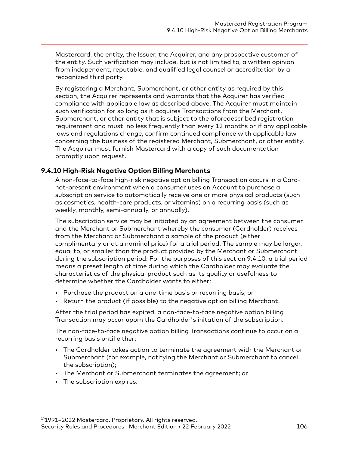<span id="page-105-0"></span>Mastercard, the entity, the Issuer, the Acquirer, and any prospective customer of the entity. Such verification may include, but is not limited to, a written opinion from independent, reputable, and qualified legal counsel or accreditation by a recognized third party.

By registering a Merchant, Submerchant, or other entity as required by this section, the Acquirer represents and warrants that the Acquirer has verified compliance with applicable law as described above. The Acquirer must maintain such verification for so long as it acquires Transactions from the Merchant, Submerchant, or other entity that is subject to the aforedescribed registration requirement and must, no less frequently than every 12 months or if any applicable laws and regulations change, confirm continued compliance with applicable law concerning the business of the registered Merchant, Submerchant, or other entity. The Acquirer must furnish Mastercard with a copy of such documentation promptly upon request.

#### **9.4.10 High-Risk Negative Option Billing Merchants**

A non-face-to-face high-risk negative option billing Transaction occurs in a Cardnot-present environment when a consumer uses an Account to purchase a subscription service to automatically receive one or more physical products (such as cosmetics, health-care products, or vitamins) on a recurring basis (such as weekly, monthly, semi-annually, or annually).

The subscription service may be initiated by an agreement between the consumer and the Merchant or Submerchant whereby the consumer (Cardholder) receives from the Merchant or Submerchant a sample of the product (either complimentary or at a nominal price) for a trial period. The sample may be larger, equal to, or smaller than the product provided by the Merchant or Submerchant during the subscription period. For the purposes of this section 9.4.10, a trial period means a preset length of time during which the Cardholder may evaluate the characteristics of the physical product such as its quality or usefulness to determine whether the Cardholder wants to either:

- Purchase the product on a one-time basis or recurring basis; or
- Return the product (if possible) to the negative option billing Merchant.

After the trial period has expired, a non-face-to-face negative option billing Transaction may occur upom the Cardholder's initation of the subscription.

The non-face-to-face negative option billing Transactions continue to occur on a recurring basis until either:

- The Cardholder takes action to terminate the agreement with the Merchant or Submerchant (for example, notifying the Merchant or Submerchant to cancel the subscription);
- The Merchant or Submerchant terminates the agreement; or
- The subscription expires.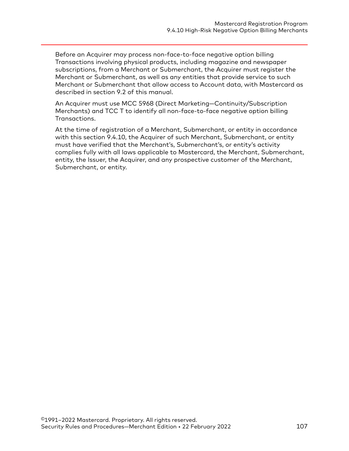Before an Acquirer may process non-face-to-face negative option billing Transactions involving physical products, including magazine and newspaper subscriptions, from a Merchant or Submerchant, the Acquirer must register the Merchant or Submerchant, as well as any entities that provide service to such Merchant or Submerchant that allow access to Account data, with Mastercard as described in section 9.2 of this manual.

An Acquirer must use MCC 5968 (Direct Marketing—Continuity/Subscription Merchants) and TCC T to identify all non-face-to-face negative option billing Transactions.

At the time of registration of a Merchant, Submerchant, or entity in accordance with this section 9.4.10, the Acquirer of such Merchant, Submerchant, or entity must have verified that the Merchant's, Submerchant's, or entity's activity complies fully with all laws applicable to Mastercard, the Merchant, Submerchant, entity, the Issuer, the Acquirer, and any prospective customer of the Merchant, Submerchant, or entity.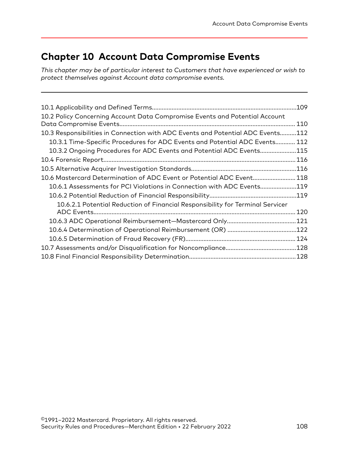# **Chapter 10 Account Data Compromise Events**

*This chapter may be of particular interest to Customers that have experienced or wish to protect themselves against Account data compromise events.*

|                                                                                 | 109  |
|---------------------------------------------------------------------------------|------|
| 10.2 Policy Concerning Account Data Compromise Events and Potential Account     | 110  |
| 10.3 Responsibilities in Connection with ADC Events and Potential ADC Events112 |      |
| 10.3.1 Time-Specific Procedures for ADC Events and Potential ADC Events 112     |      |
| 10.3.2 Ongoing Procedures for ADC Events and Potential ADC Events115            |      |
|                                                                                 | .116 |
|                                                                                 |      |
| 10.6 Mastercard Determination of ADC Event or Potential ADC Event 118           |      |
| 10.6.1 Assessments for PCI Violations in Connection with ADC Events119          |      |
|                                                                                 | .119 |
| 10.6.2.1 Potential Reduction of Financial Responsibility for Terminal Servicer  |      |
|                                                                                 | 120  |
|                                                                                 | .121 |
|                                                                                 | .122 |
|                                                                                 |      |
|                                                                                 |      |
|                                                                                 |      |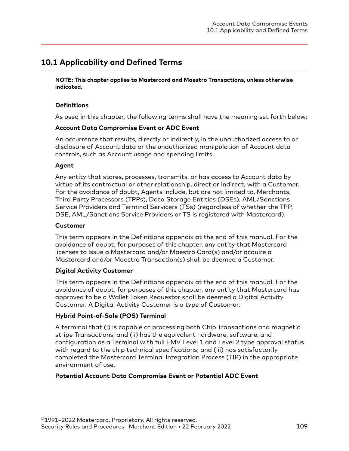## **10.1 Applicability and Defined Terms**

**NOTE: This chapter applies to Mastercard and Maestro Transactions, unless otherwise indicated.**

#### **Definitions**

As used in this chapter, the following terms shall have the meaning set forth below:

#### **Account Data Compromise Event or ADC Event**

An occurrence that results, directly or indirectly, in the unauthorized access to or disclosure of Account data or the unauthorized manipulation of Account data controls, such as Account usage and spending limits.

#### **Agent**

Any entity that stores, processes, transmits, or has access to Account data by virtue of its contractual or other relationship, direct or indirect, with a Customer. For the avoidance of doubt, Agents include, but are not limited to, Merchants, Third Party Processors (TPPs), Data Storage Entities (DSEs), AML/Sanctions Service Providers and Terminal Servicers (TSs) (regardless of whether the TPP, DSE, AML/Sanctions Service Providers or TS is registered with Mastercard).

#### **Customer**

This term appears in the Definitions appendix at the end of this manual. For the avoidance of doubt, for purposes of this chapter, any entity that Mastercard licenses to issue a Mastercard and/or Maestro Card(s) and/or acquire a Mastercard and/or Maestro Transaction(s) shall be deemed a Customer.

#### **Digital Activity Customer**

This term appears in the Definitions appendix at the end of this manual. For the avoidance of doubt, for purposes of this chapter, any entity that Mastercard has approved to be a Wallet Token Requestor shall be deemed a Digital Activity Customer. A Digital Activity Customer is a type of Customer.

#### **Hybrid Point-of-Sale (POS) Terminal**

A terminal that (i) is capable of processing both Chip Transactions and magnetic stripe Transactions; and (ii) has the equivalent hardware, software, and configuration as a Terminal with full EMV Level 1 and Level 2 type approval status with regard to the chip technical specifications; and (iii) has satisfactorily completed the Mastercard Terminal Integration Process (TIP) in the appropriate environment of use.

#### **Potential Account Data Compromise Event or Potential ADC Event**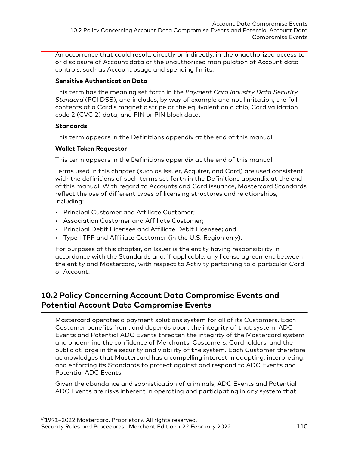An occurrence that could result, directly or indirectly, in the unauthorized access to or disclosure of Account data or the unauthorized manipulation of Account data controls, such as Account usage and spending limits.

#### **Sensitive Authentication Data**

This term has the meaning set forth in the *Payment Card Industry Data Security Standard* (PCI DSS), and includes, by way of example and not limitation, the full contents of a Card's magnetic stripe or the equivalent on a chip, Card validation code 2 (CVC 2) data, and PIN or PIN block data.

#### **Standards**

This term appears in the Definitions appendix at the end of this manual.

#### **Wallet Token Requestor**

This term appears in the Definitions appendix at the end of this manual.

Terms used in this chapter (such as Issuer, Acquirer, and Card) are used consistent with the definitions of such terms set forth in the Definitions appendix at the end of this manual. With regard to Accounts and Card issuance, Mastercard Standards reflect the use of different types of licensing structures and relationships, including:

- Principal Customer and Affiliate Customer;
- Association Customer and Affiliate Customer;
- Principal Debit Licensee and Affiliate Debit Licensee; and
- Type I TPP and Affiliate Customer (in the U.S. Region only).

For purposes of this chapter, an Issuer is the entity having responsibility in accordance with the Standards and, if applicable, any license agreement between the entity and Mastercard, with respect to Activity pertaining to a particular Card or Account.

## **10.2 Policy Concerning Account Data Compromise Events and Potential Account Data Compromise Events**

Mastercard operates a payment solutions system for all of its Customers. Each Customer benefits from, and depends upon, the integrity of that system. ADC Events and Potential ADC Events threaten the integrity of the Mastercard system and undermine the confidence of Merchants, Customers, Cardholders, and the public at large in the security and viability of the system. Each Customer therefore acknowledges that Mastercard has a compelling interest in adopting, interpreting, and enforcing its Standards to protect against and respond to ADC Events and Potential ADC Events.

Given the abundance and sophistication of criminals, ADC Events and Potential ADC Events are risks inherent in operating and participating in any system that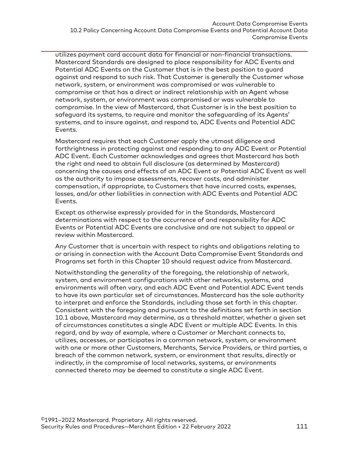utilizes payment card account data for financial or non-financial transactions. Mastercard Standards are designed to place responsibility for ADC Events and Potential ADC Events on the Customer that is in the best position to guard against and respond to such risk. That Customer is generally the Customer whose network, system, or environment was compromised or was vulnerable to compromise or that has a direct or indirect relationship with an Agent whose network, system, or environment was compromised or was vulnerable to compromise. In the view of Mastercard, that Customer is in the best position to safeguard its systems, to require and monitor the safeguarding of its Agents' systems, and to insure against, and respond to, ADC Events and Potential ADC Events.

Mastercard requires that each Customer apply the utmost diligence and forthrightness in protecting against and responding to any ADC Event or Potential ADC Event. Each Customer acknowledges and agrees that Mastercard has both the right and need to obtain full disclosure (as determined by Mastercard) concerning the causes and effects of an ADC Event or Potential ADC Event as well as the authority to impose assessments, recover costs, and administer compensation, if appropriate, to Customers that have incurred costs, expenses, losses, and/or other liabilities in connection with ADC Events and Potential ADC Events.

Except as otherwise expressly provided for in the Standards, Mastercard determinations with respect to the occurrence of and responsibility for ADC Events or Potential ADC Events are conclusive and are not subject to appeal or review within Mastercard.

Any Customer that is uncertain with respect to rights and obligations relating to or arising in connection with the Account Data Compromise Event Standards and Programs set forth in this Chapter 10 should request advice from Mastercard.

Notwithstanding the generality of the foregoing, the relationship of network, system, and environment configurations with other networks, systems, and environments will often vary, and each ADC Event and Potential ADC Event tends to have its own particular set of circumstances. Mastercard has the sole authority to interpret and enforce the Standards, including those set forth in this chapter. Consistent with the foregoing and pursuant to the definitions set forth in section 10.1 above, Mastercard may determine, as a threshold matter, whether a given set of circumstances constitutes a single ADC Event or multiple ADC Events. In this regard, and by way of example, where a Customer or Merchant connects to, utilizes, accesses, or participates in a common network, system, or environment with one or more other Customers, Merchants, Service Providers, or third parties, a breach of the common network, system, or environment that results, directly or indirectly, in the compromise of local networks, systems, or environments connected thereto may be deemed to constitute a single ADC Event.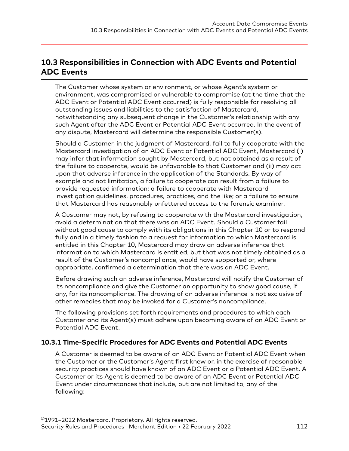## **10.3 Responsibilities in Connection with ADC Events and Potential ADC Events**

The Customer whose system or environment, or whose Agent's system or environment, was compromised or vulnerable to compromise (at the time that the ADC Event or Potential ADC Event occurred) is fully responsible for resolving all outstanding issues and liabilities to the satisfaction of Mastercard, notwithstanding any subsequent change in the Customer's relationship with any such Agent after the ADC Event or Potential ADC Event occurred. In the event of any dispute, Mastercard will determine the responsible Customer(s).

Should a Customer, in the judgment of Mastercard, fail to fully cooperate with the Mastercard investigation of an ADC Event or Potential ADC Event, Mastercard (i) may infer that information sought by Mastercard, but not obtained as a result of the failure to cooperate, would be unfavorable to that Customer and (ii) may act upon that adverse inference in the application of the Standards. By way of example and not limitation, a failure to cooperate can result from a failure to provide requested information; a failure to cooperate with Mastercard investigation guidelines, procedures, practices, and the like; or a failure to ensure that Mastercard has reasonably unfettered access to the forensic examiner.

A Customer may not, by refusing to cooperate with the Mastercard investigation, avoid a determination that there was an ADC Event. Should a Customer fail without good cause to comply with its obligations in this Chapter 10 or to respond fully and in a timely fashion to a request for information to which Mastercard is entitled in this Chapter 10, Mastercard may draw an adverse inference that information to which Mastercard is entitled, but that was not timely obtained as a result of the Customer's noncompliance, would have supported or, where appropriate, confirmed a determination that there was an ADC Event.

Before drawing such an adverse inference, Mastercard will notify the Customer of its noncompliance and give the Customer an opportunity to show good cause, if any, for its noncompliance. The drawing of an adverse inference is not exclusive of other remedies that may be invoked for a Customer's noncompliance.

The following provisions set forth requirements and procedures to which each Customer and its Agent(s) must adhere upon becoming aware of an ADC Event or Potential ADC Event.

#### **10.3.1 Time-Specific Procedures for ADC Events and Potential ADC Events**

A Customer is deemed to be aware of an ADC Event or Potential ADC Event when the Customer or the Customer's Agent first knew or, in the exercise of reasonable security practices should have known of an ADC Event or a Potential ADC Event. A Customer or its Agent is deemed to be aware of an ADC Event or Potential ADC Event under circumstances that include, but are not limited to, any of the following: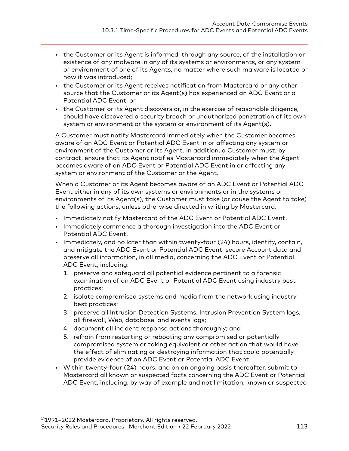- the Customer or its Agent is informed, through any source, of the installation or existence of any malware in any of its systems or environments, or any system or environment of one of its Agents, no matter where such malware is located or how it was introduced;
- the Customer or its Agent receives notification from Mastercard or any other source that the Customer or its Agent(s) has experienced an ADC Event or a Potential ADC Event; or
- the Customer or its Agent discovers or, in the exercise of reasonable diligence, should have discovered a security breach or unauthorized penetration of its own system or environment or the system or environment of its Agent(s).

A Customer must notify Mastercard immediately when the Customer becomes aware of an ADC Event or Potential ADC Event in or affecting any system or environment of the Customer or its Agent. In addition, a Customer must, by contract, ensure that its Agent notifies Mastercard immediately when the Agent becomes aware of an ADC Event or Potential ADC Event in or affecting any system or environment of the Customer or the Agent.

When a Customer or its Agent becomes aware of an ADC Event or Potential ADC Event either in any of its own systems or environments or in the systems or environments of its Agent(s), the Customer must take (or cause the Agent to take) the following actions, unless otherwise directed in writing by Mastercard.

- Immediately notify Mastercard of the ADC Event or Potential ADC Event.
- Immediately commence a thorough investigation into the ADC Event or Potential ADC Event.
- Immediately, and no later than within twenty-four (24) hours, identify, contain, and mitigate the ADC Event or Potential ADC Event, secure Account data and preserve all information, in all media, concerning the ADC Event or Potential ADC Event, including:
	- 1. preserve and safeguard all potential evidence pertinent to a forensic examination of an ADC Event or Potential ADC Event using industry best practices;
	- 2. isolate compromised systems and media from the network using industry best practices;
	- 3. preserve all Intrusion Detection Systems, Intrusion Prevention System logs, all firewall, Web, database, and events logs;
	- 4. document all incident response actions thoroughly; and
	- 5. refrain from restarting or rebooting any compromised or potentially compromised system or taking equivalent or other action that would have the effect of eliminating or destroying information that could potentially provide evidence of an ADC Event or Potential ADC Event.
- Within twenty-four (24) hours, and on an ongoing basis thereafter, submit to Mastercard all known or suspected facts concerning the ADC Event or Potential ADC Event, including, by way of example and not limitation, known or suspected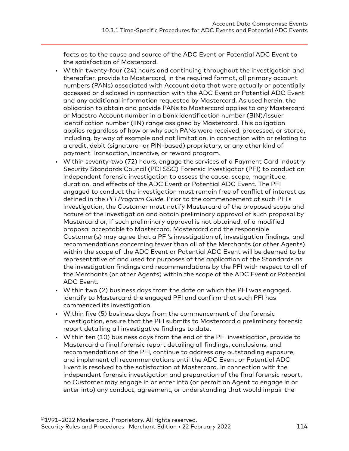facts as to the cause and source of the ADC Event or Potential ADC Event to the satisfaction of Mastercard.

- Within twenty-four (24) hours and continuing throughout the investigation and thereafter, provide to Mastercard, in the required format, all primary account numbers (PANs) associated with Account data that were actually or potentially accessed or disclosed in connection with the ADC Event or Potential ADC Event and any additional information requested by Mastercard. As used herein, the obligation to obtain and provide PANs to Mastercard applies to any Mastercard or Maestro Account number in a bank identification number (BIN)/Issuer identification number (IIN) range assigned by Mastercard. This obligation applies regardless of how or why such PANs were received, processed, or stored, including, by way of example and not limitation, in connection with or relating to a credit, debit (signature- or PIN-based) proprietary, or any other kind of payment Transaction, incentive, or reward program.
- Within seventy-two (72) hours, engage the services of a Payment Card Industry Security Standards Council (PCI SSC) Forensic Investigator (PFI) to conduct an independent forensic investigation to assess the cause, scope, magnitude, duration, and effects of the ADC Event or Potential ADC Event. The PFI engaged to conduct the investigation must remain free of conflict of interest as defined in the *PFI Program Guide*. Prior to the commencement of such PFI's investigation, the Customer must notify Mastercard of the proposed scope and nature of the investigation and obtain preliminary approval of such proposal by Mastercard or, if such preliminary approval is not obtained, of a modified proposal acceptable to Mastercard. Mastercard and the responsible Customer(s) may agree that a PFI's investigation of, investigation findings, and recommendations concerning fewer than all of the Merchants (or other Agents) within the scope of the ADC Event or Potential ADC Event will be deemed to be representative of and used for purposes of the application of the Standards as the investigation findings and recommendations by the PFI with respect to all of the Merchants (or other Agents) within the scope of the ADC Event or Potential ADC Event.
- Within two (2) business days from the date on which the PFI was engaged, identify to Mastercard the engaged PFI and confirm that such PFI has commenced its investigation.
- Within five (5) business days from the commencement of the forensic investigation, ensure that the PFI submits to Mastercard a preliminary forensic report detailing all investigative findings to date.
- Within ten (10) business days from the end of the PFI investigation, provide to Mastercard a final forensic report detailing all findings, conclusions, and recommendations of the PFI, continue to address any outstanding exposure, and implement all recommendations until the ADC Event or Potential ADC Event is resolved to the satisfaction of Mastercard. In connection with the independent forensic investigation and preparation of the final forensic report, no Customer may engage in or enter into (or permit an Agent to engage in or enter into) any conduct, agreement, or understanding that would impair the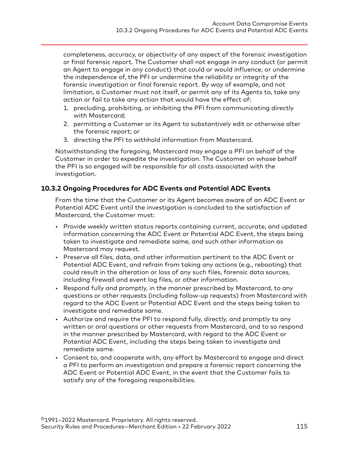completeness, accuracy, or objectivity of any aspect of the forensic investigation or final forensic report. The Customer shall not engage in any conduct (or permit an Agent to engage in any conduct) that could or would influence, or undermine the independence of, the PFI or undermine the reliability or integrity of the forensic investigation or final forensic report. By way of example, and not limitation, a Customer must not itself, or permit any of its Agents to, take any action or fail to take any action that would have the effect of:

- 1. precluding, prohibiting, or inhibiting the PFI from communicating directly with Mastercard;
- 2. permitting a Customer or its Agent to substantively edit or otherwise alter the forensic report; or
- 3. directing the PFI to withhold information from Mastercard.

Notwithstanding the foregoing, Mastercard may engage a PFI on behalf of the Customer in order to expedite the investigation. The Customer on whose behalf the PFI is so engaged will be responsible for all costs associated with the investigation.

#### **10.3.2 Ongoing Procedures for ADC Events and Potential ADC Events**

From the time that the Customer or its Agent becomes aware of an ADC Event or Potential ADC Event until the investigation is concluded to the satisfaction of Mastercard, the Customer must:

- Provide weekly written status reports containing current, accurate, and updated information concerning the ADC Event or Potential ADC Event, the steps being taken to investigate and remediate same, and such other information as Mastercard may request.
- Preserve all files, data, and other information pertinent to the ADC Event or Potential ADC Event, and refrain from taking any actions (e.g., rebooting) that could result in the alteration or loss of any such files, forensic data sources, including firewall and event log files, or other information.
- Respond fully and promptly, in the manner prescribed by Mastercard, to any questions or other requests (including follow-up requests) from Mastercard with regard to the ADC Event or Potential ADC Event and the steps being taken to investigate and remediate same.
- Authorize and require the PFI to respond fully, directly, and promptly to any written or oral questions or other requests from Mastercard, and to so respond in the manner prescribed by Mastercard, with regard to the ADC Event or Potential ADC Event, including the steps being taken to investigate and remediate same.
- Consent to, and cooperate with, any effort by Mastercard to engage and direct a PFI to perform an investigation and prepare a forensic report concerning the ADC Event or Potential ADC Event, in the event that the Customer fails to satisfy any of the foregoing responsibilities.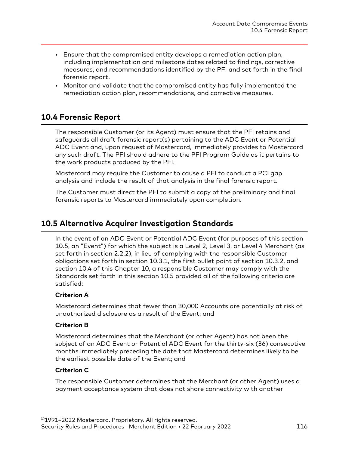- Ensure that the compromised entity develops a remediation action plan, including implementation and milestone dates related to findings, corrective measures, and recommendations identified by the PFI and set forth in the final forensic report.
- Monitor and validate that the compromised entity has fully implemented the remediation action plan, recommendations, and corrective measures.

## **10.4 Forensic Report**

The responsible Customer (or its Agent) must ensure that the PFI retains and safeguards all draft forensic report(s) pertaining to the ADC Event or Potential ADC Event and, upon request of Mastercard, immediately provides to Mastercard any such draft. The PFI should adhere to the PFI Program Guide as it pertains to the work products produced by the PFI.

Mastercard may require the Customer to cause a PFI to conduct a PCI gap analysis and include the result of that analysis in the final forensic report.

The Customer must direct the PFI to submit a copy of the preliminary and final forensic reports to Mastercard immediately upon completion.

## **10.5 Alternative Acquirer Investigation Standards**

In the event of an ADC Event or Potential ADC Event (for purposes of this section 10.5, an "Event") for which the subject is a Level 2, Level 3, or Level 4 Merchant (as set forth in section 2.2.2), in lieu of complying with the responsible Customer obligations set forth in section 10.3.1, the first bullet point of section 10.3.2, and section 10.4 of this Chapter 10, a responsible Customer may comply with the Standards set forth in this section 10.5 provided all of the following criteria are satisfied:

#### **Criterion A**

Mastercard determines that fewer than 30,000 Accounts are potentially at risk of unauthorized disclosure as a result of the Event; and

#### **Criterion B**

Mastercard determines that the Merchant (or other Agent) has not been the subject of an ADC Event or Potential ADC Event for the thirty-six (36) consecutive months immediately preceding the date that Mastercard determines likely to be the earliest possible date of the Event; and

#### **Criterion C**

The responsible Customer determines that the Merchant (or other Agent) uses a payment acceptance system that does not share connectivity with another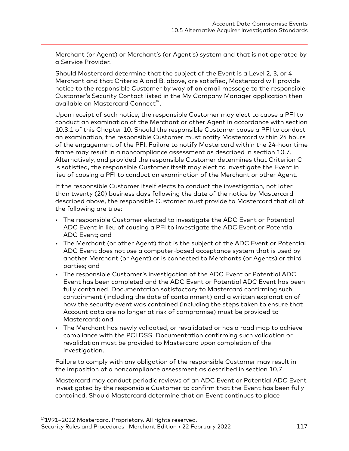Merchant (or Agent) or Merchant's (or Agent's) system and that is not operated by a Service Provider.

Should Mastercard determine that the subject of the Event is a Level 2, 3, or 4 Merchant and that Criteria A and B, above, are satisfied, Mastercard will provide notice to the responsible Customer by way of an email message to the responsible Customer's Security Contact listed in the My Company Manager application then available on Mastercard Connect™.

Upon receipt of such notice, the responsible Customer may elect to cause a PFI to conduct an examination of the Merchant or other Agent in accordance with section 10.3.1 of this Chapter 10. Should the responsible Customer cause a PFI to conduct an examination, the responsible Customer must notify Mastercard within 24 hours of the engagement of the PFI. Failure to notify Mastercard within the 24-hour time frame may result in a noncompliance assessment as described in section 10.7. Alternatively, and provided the responsible Customer determines that Criterion C is satisfied, the responsible Customer itself may elect to investigate the Event in lieu of causing a PFI to conduct an examination of the Merchant or other Agent.

If the responsible Customer itself elects to conduct the investigation, not later than twenty (20) business days following the date of the notice by Mastercard described above, the responsible Customer must provide to Mastercard that all of the following are true:

- The responsible Customer elected to investigate the ADC Event or Potential ADC Event in lieu of causing a PFI to investigate the ADC Event or Potential ADC Event; and
- The Merchant (or other Agent) that is the subject of the ADC Event or Potential ADC Event does not use a computer-based acceptance system that is used by another Merchant (or Agent) or is connected to Merchants (or Agents) or third parties; and
- The responsible Customer's investigation of the ADC Event or Potential ADC Event has been completed and the ADC Event or Potential ADC Event has been fully contained. Documentation satisfactory to Mastercard confirming such containment (including the date of containment) and a written explanation of how the security event was contained (including the steps taken to ensure that Account data are no longer at risk of compromise) must be provided to Mastercard; and
- The Merchant has newly validated, or revalidated or has a road map to achieve compliance with the PCI DSS. Documentation confirming such validation or revalidation must be provided to Mastercard upon completion of the investigation.

Failure to comply with any obligation of the responsible Customer may result in the imposition of a noncompliance assessment as described in section 10.7.

Mastercard may conduct periodic reviews of an ADC Event or Potential ADC Event investigated by the responsible Customer to confirm that the Event has been fully contained. Should Mastercard determine that an Event continues to place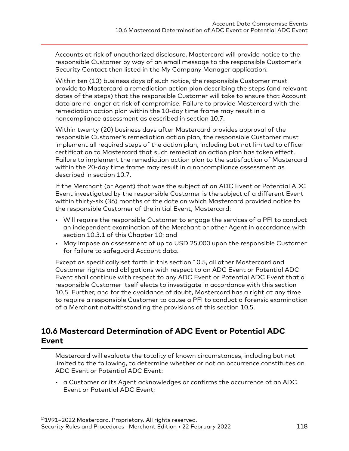Accounts at risk of unauthorized disclosure, Mastercard will provide notice to the responsible Customer by way of an email message to the responsible Customer's Security Contact then listed in the My Company Manager application.

Within ten (10) business days of such notice, the responsible Customer must provide to Mastercard a remediation action plan describing the steps (and relevant dates of the steps) that the responsible Customer will take to ensure that Account data are no longer at risk of compromise. Failure to provide Mastercard with the remediation action plan within the 10-day time frame may result in a noncompliance assessment as described in section 10.7.

Within twenty (20) business days after Mastercard provides approval of the responsible Customer's remediation action plan, the responsible Customer must implement all required steps of the action plan, including but not limited to officer certification to Mastercard that such remediation action plan has taken effect. Failure to implement the remediation action plan to the satisfaction of Mastercard within the 20-day time frame may result in a noncompliance assessment as described in section 10.7.

If the Merchant (or Agent) that was the subject of an ADC Event or Potential ADC Event investigated by the responsible Customer is the subject of a different Event within thirty-six (36) months of the date on which Mastercard provided notice to the responsible Customer of the initial Event, Mastercard:

- Will require the responsible Customer to engage the services of a PFI to conduct an independent examination of the Merchant or other Agent in accordance with section 10.3.1 of this Chapter 10; and
- May impose an assessment of up to USD 25,000 upon the responsible Customer for failure to safeguard Account data.

Except as specifically set forth in this section 10.5, all other Mastercard and Customer rights and obligations with respect to an ADC Event or Potential ADC Event shall continue with respect to any ADC Event or Potential ADC Event that a responsible Customer itself elects to investigate in accordance with this section 10.5. Further, and for the avoidance of doubt, Mastercard has a right at any time to require a responsible Customer to cause a PFI to conduct a forensic examination of a Merchant notwithstanding the provisions of this section 10.5.

## **10.6 Mastercard Determination of ADC Event or Potential ADC Event**

Mastercard will evaluate the totality of known circumstances, including but not limited to the following, to determine whether or not an occurrence constitutes an ADC Event or Potential ADC Event:

• a Customer or its Agent acknowledges or confirms the occurrence of an ADC Event or Potential ADC Event;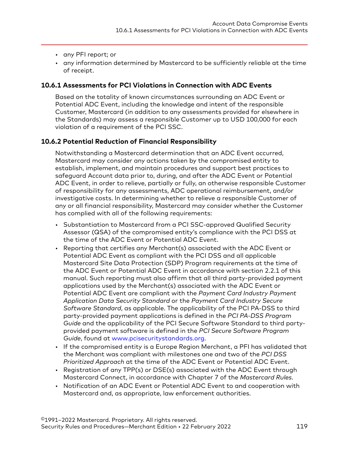- <span id="page-118-0"></span>• any PFI report; or
- any information determined by Mastercard to be sufficiently reliable at the time of receipt.

#### **10.6.1 Assessments for PCI Violations in Connection with ADC Events**

Based on the totality of known circumstances surrounding an ADC Event or Potential ADC Event, including the knowledge and intent of the responsible Customer, Mastercard (in addition to any assessments provided for elsewhere in the Standards) may assess a responsible Customer up to USD 100,000 for each violation of a requirement of the PCI SSC.

#### **10.6.2 Potential Reduction of Financial Responsibility**

Notwithstanding a Mastercard determination that an ADC Event occurred, Mastercard may consider any actions taken by the compromised entity to establish, implement, and maintain procedures and support best practices to safeguard Account data prior to, during, and after the ADC Event or Potential ADC Event, in order to relieve, partially or fully, an otherwise responsible Customer of responsibility for any assessments, ADC operational reimbursement, and/or investigative costs. In determining whether to relieve a responsible Customer of any or all financial responsibility, Mastercard may consider whether the Customer has complied with all of the following requirements:

- Substantiation to Mastercard from a PCI SSC-approved Qualified Security Assessor (QSA) of the compromised entity's compliance with the PCI DSS at the time of the ADC Event or Potential ADC Event.
- Reporting that certifies any Merchant(s) associated with the ADC Event or Potential ADC Event as compliant with the PCI DSS and all applicable Mastercard Site Data Protection (SDP) Program requirements at the time of the ADC Event or Potential ADC Event in accordance with section 2.2.1 of this manual. Such reporting must also affirm that all third party-provided payment applications used by the Merchant(s) associated with the ADC Event or Potential ADC Event are compliant with the *Payment Card Industry Payment Application Data Security Standard* or the *Payment Card Industry Secure Software Standard*, as applicable. The applicability of the PCI PA-DSS to third party-provided payment applications is defined in the *PCI PA-DSS Program Guide* and the applicability of the PCI Secure Software Standard to third partyprovided payment software is defined in the *PCI Secure Software Program Guide*, found at [www.pcisecuritystandards.org.](https://www.pcisecuritystandards.org)
- If the compromised entity is a Europe Region Merchant, a PFI has validated that the Merchant was compliant with milestones one and two of the *PCI DSS Prioritized Approach* at the time of the ADC Event or Potential ADC Event.
- Registration of any TPP(s) or DSE(s) associated with the ADC Event through Mastercard Connect, in accordance with Chapter 7 of the *Mastercard Rules*.
- Notification of an ADC Event or Potential ADC Event to and cooperation with Mastercard and, as appropriate, law enforcement authorities.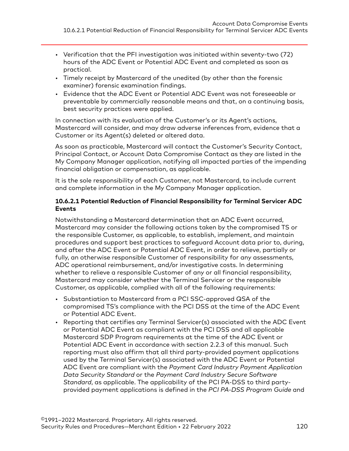- Verification that the PFI investigation was initiated within seventy-two (72) hours of the ADC Event or Potential ADC Event and completed as soon as practical.
- Timely receipt by Mastercard of the unedited (by other than the forensic examiner) forensic examination findings.
- Evidence that the ADC Event or Potential ADC Event was not foreseeable or preventable by commercially reasonable means and that, on a continuing basis, best security practices were applied.

In connection with its evaluation of the Customer's or its Agent's actions, Mastercard will consider, and may draw adverse inferences from, evidence that a Customer or its Agent(s) deleted or altered data.

As soon as practicable, Mastercard will contact the Customer's Security Contact, Principal Contact, or Account Data Compromise Contact as they are listed in the My Company Manager application, notifying all impacted parties of the impending financial obligation or compensation, as applicable.

It is the sole responsibility of each Customer, not Mastercard, to include current and complete information in the My Company Manager application.

#### **10.6.2.1 Potential Reduction of Financial Responsibility for Terminal Servicer ADC Events**

Notwithstanding a Mastercard determination that an ADC Event occurred, Mastercard may consider the following actions taken by the compromised TS or the responsible Customer, as applicable, to establish, implement, and maintain procedures and support best practices to safeguard Account data prior to, during, and after the ADC Event or Potential ADC Event, in order to relieve, partially or fully, an otherwise responsible Customer of responsibility for any assessments, ADC operational reimbursement, and/or investigative costs. In determining whether to relieve a responsible Customer of any or all financial responsibility, Mastercard may consider whether the Terminal Servicer or the responsible Customer, as applicable, complied with all of the following requirements:

- Substantiation to Mastercard from a PCI SSC-approved QSA of the compromised TS's compliance with the PCI DSS at the time of the ADC Event or Potential ADC Event.
- Reporting that certifies any Terminal Servicer(s) associated with the ADC Event or Potential ADC Event as compliant with the PCI DSS and all applicable Mastercard SDP Program requirements at the time of the ADC Event or Potential ADC Event in accordance with section 2.2.3 of this manual. Such reporting must also affirm that all third party-provided payment applications used by the Terminal Servicer(s) associated with the ADC Event or Potential ADC Event are compliant with the *Payment Card Industry Payment Application Data Security Standard* or the *Payment Card Industry Secure Software Standard*, as applicable. The applicability of the PCI PA-DSS to third partyprovided payment applications is defined in the *PCI PA-DSS Program Guide* and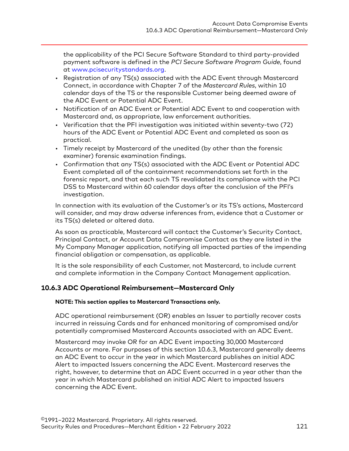the applicability of the PCI Secure Software Standard to third party-provided payment software is defined in the *PCI Secure Software Program Guide*, found at [www.pcisecuritystandards.org](https://www.pcisecuritystandards.org).

- Registration of any TS(s) associated with the ADC Event through Mastercard Connect, in accordance with Chapter 7 of the *Mastercard Rules*, within 10 calendar days of the TS or the responsible Customer being deemed aware of the ADC Event or Potential ADC Event.
- Notification of an ADC Event or Potential ADC Event to and cooperation with Mastercard and, as appropriate, law enforcement authorities.
- Verification that the PFI investigation was initiated within seventy-two (72) hours of the ADC Event or Potential ADC Event and completed as soon as practical.
- Timely receipt by Mastercard of the unedited (by other than the forensic examiner) forensic examination findings.
- Confirmation that any TS(s) associated with the ADC Event or Potential ADC Event completed all of the containment recommendations set forth in the forensic report, and that each such TS revalidated its compliance with the PCI DSS to Mastercard within 60 calendar days after the conclusion of the PFI's investigation.

In connection with its evaluation of the Customer's or its TS's actions, Mastercard will consider, and may draw adverse inferences from, evidence that a Customer or its TS(s) deleted or altered data.

As soon as practicable, Mastercard will contact the Customer's Security Contact, Principal Contact, or Account Data Compromise Contact as they are listed in the My Company Manager application, notifying all impacted parties of the impending financial obligation or compensation, as applicable.

It is the sole responsibility of each Customer, not Mastercard, to include current and complete information in the Company Contact Management application.

#### **10.6.3 ADC Operational Reimbursement—Mastercard Only**

#### **NOTE: This section applies to Mastercard Transactions only.**

ADC operational reimbursement (OR) enables an Issuer to partially recover costs incurred in reissuing Cards and for enhanced monitoring of compromised and/or potentially compromised Mastercard Accounts associated with an ADC Event.

Mastercard may invoke OR for an ADC Event impacting 30,000 Mastercard Accounts or more. For purposes of this section 10.6.3, Mastercard generally deems an ADC Event to occur in the year in which Mastercard publishes an initial ADC Alert to impacted Issuers concerning the ADC Event. Mastercard reserves the right, however, to determine that an ADC Event occurred in a year other than the year in which Mastercard published an initial ADC Alert to impacted Issuers concerning the ADC Event.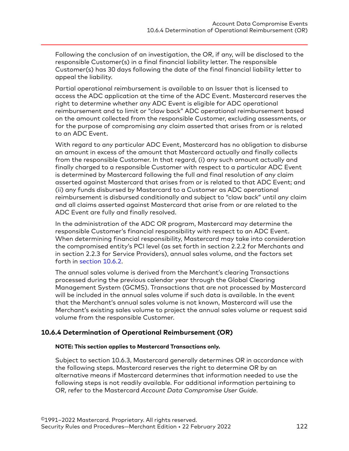Following the conclusion of an investigation, the OR, if any, will be disclosed to the responsible Customer(s) in a final financial liability letter. The responsible Customer(s) has 30 days following the date of the final financial liability letter to appeal the liability.

Partial operational reimbursement is available to an Issuer that is licensed to access the ADC application at the time of the ADC Event. Mastercard reserves the right to determine whether any ADC Event is eligible for ADC operational reimbursement and to limit or "claw back" ADC operational reimbursement based on the amount collected from the responsible Customer, excluding assessments, or for the purpose of compromising any claim asserted that arises from or is related to an ADC Event.

With regard to any particular ADC Event, Mastercard has no obligation to disburse an amount in excess of the amount that Mastercard actually and finally collects from the responsible Customer. In that regard, (i) any such amount actually and finally charged to a responsible Customer with respect to a particular ADC Event is determined by Mastercard following the full and final resolution of any claim asserted against Mastercard that arises from or is related to that ADC Event; and (ii) any funds disbursed by Mastercard to a Customer as ADC operational reimbursement is disbursed conditionally and subject to "claw back" until any claim and all claims asserted against Mastercard that arise from or are related to the ADC Event are fully and finally resolved.

In the administration of the ADC OR program, Mastercard may determine the responsible Customer's financial responsibility with respect to an ADC Event. When determining financial responsibility, Mastercard may take into consideration the compromised entity's PCI level (as set forth in section 2.2.2 for Merchants and in section 2.2.3 for Service Providers), annual sales volume, and the factors set forth in [section 10.6.2.](#page-118-0)

The annual sales volume is derived from the Merchant's clearing Transactions processed during the previous calendar year through the Global Clearing Management System (GCMS). Transactions that are not processed by Mastercard will be included in the annual sales volume if such data is available. In the event that the Merchant's annual sales volume is not known, Mastercard will use the Merchant's existing sales volume to project the annual sales volume or request said volume from the responsible Customer.

#### **10.6.4 Determination of Operational Reimbursement (OR)**

#### **NOTE: This section applies to Mastercard Transactions only.**

Subject to section 10.6.3, Mastercard generally determines OR in accordance with the following steps. Mastercard reserves the right to determine OR by an alternative means if Mastercard determines that information needed to use the following steps is not readily available. For additional information pertaining to OR, refer to the Mastercard *Account Data Compromise User Guide*.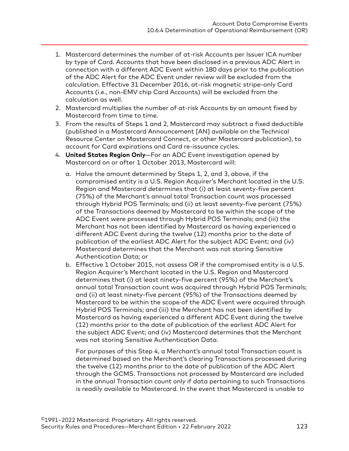- 1. Mastercard determines the number of at-risk Accounts per Issuer ICA number by type of Card. Accounts that have been disclosed in a previous ADC Alert in connection with a different ADC Event within 180 days prior to the publication of the ADC Alert for the ADC Event under review will be excluded from the calculation. Effective 31 December 2016, at-risk magnetic stripe-only Card Accounts (i.e., non-EMV chip Card Accounts) will be excluded from the calculation as well.
- 2. Mastercard multiplies the number of at-risk Accounts by an amount fixed by Mastercard from time to time.
- 3. From the results of Steps 1 and 2, Mastercard may subtract a fixed deductible (published in a Mastercard Announcement [AN] available on the Technical Resource Center on Mastercard Connect, or other Mastercard publication), to account for Card expirations and Card re-issuance cycles.
- 4. **United States Region Only**—For an ADC Event investigation opened by Mastercard on or after 1 October 2013, Mastercard will:
	- a. Halve the amount determined by Steps 1, 2, and 3, above, if the compromised entity is a U.S. Region Acquirer's Merchant located in the U.S. Region and Mastercard determines that (i) at least seventy-five percent (75%) of the Merchant's annual total Transaction count was processed through Hybrid POS Terminals; and (ii) at least seventy-five percent (75%) of the Transactions deemed by Mastercard to be within the scope of the ADC Event were processed through Hybrid POS Terminals; and (iii) the Merchant has not been identified by Mastercard as having experienced a different ADC Event during the twelve (12) months prior to the date of publication of the earliest ADC Alert for the subject ADC Event; and (iv) Mastercard determines that the Merchant was not storing Sensitive Authentication Data; or
	- b. Effective 1 October 2015, not assess OR if the compromised entity is a U.S. Region Acquirer's Merchant located in the U.S. Region and Mastercard determines that (i) at least ninety-five percent (95%) of the Merchant's annual total Transaction count was acquired through Hybrid POS Terminals; and (ii) at least ninety-five percent (95%) of the Transactions deemed by Mastercard to be within the scope of the ADC Event were acquired through Hybrid POS Terminals; and (iii) the Merchant has not been identified by Mastercard as having experienced a different ADC Event during the twelve (12) months prior to the date of publication of the earliest ADC Alert for the subject ADC Event; and (iv) Mastercard determines that the Merchant was not storing Sensitive Authentication Data.

For purposes of this Step 4, a Merchant's annual total Transaction count is determined based on the Merchant's clearing Transactions processed during the twelve (12) months prior to the date of publication of the ADC Alert through the GCMS. Transactions not processed by Mastercard are included in the annual Transaction count only if data pertaining to such Transactions is readily available to Mastercard. In the event that Mastercard is unable to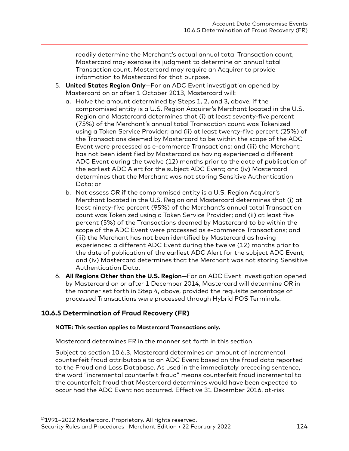readily determine the Merchant's actual annual total Transaction count, Mastercard may exercise its judgment to determine an annual total Transaction count. Mastercard may require an Acquirer to provide information to Mastercard for that purpose.

- 5. **United States Region Only**—For an ADC Event investigation opened by Mastercard on or after 1 October 2013, Mastercard will:
	- a. Halve the amount determined by Steps 1, 2, and 3, above, if the compromised entity is a U.S. Region Acquirer's Merchant located in the U.S. Region and Mastercard determines that (i) at least seventy-five percent (75%) of the Merchant's annual total Transaction count was Tokenized using a Token Service Provider; and (ii) at least twenty-five percent (25%) of the Transactions deemed by Mastercard to be within the scope of the ADC Event were processed as e-commerce Transactions; and (iii) the Merchant has not been identified by Mastercard as having experienced a different ADC Event during the twelve (12) months prior to the date of publication of the earliest ADC Alert for the subject ADC Event; and (iv) Mastercard determines that the Merchant was not storing Sensitive Authentication Data; or
	- b. Not assess OR if the compromised entity is a U.S. Region Acquirer's Merchant located in the U.S. Region and Mastercard determines that (i) at least ninety-five percent (95%) of the Merchant's annual total Transaction count was Tokenized using a Token Service Provider; and (ii) at least five percent (5%) of the Transactions deemed by Mastercard to be within the scope of the ADC Event were processed as e-commerce Transactions; and (iii) the Merchant has not been identified by Mastercard as having experienced a different ADC Event during the twelve (12) months prior to the date of publication of the earliest ADC Alert for the subject ADC Event; and (iv) Mastercard determines that the Merchant was not storing Sensitive Authentication Data.
- 6. **All Regions Other than the U.S. Region**—For an ADC Event investigation opened by Mastercard on or after 1 December 2014, Mastercard will determine OR in the manner set forth in Step 4, above, provided the requisite percentage of processed Transactions were processed through Hybrid POS Terminals.

#### **10.6.5 Determination of Fraud Recovery (FR)**

#### **NOTE: This section applies to Mastercard Transactions only.**

Mastercard determines FR in the manner set forth in this section.

Subject to section 10.6.3, Mastercard determines an amount of incremental counterfeit fraud attributable to an ADC Event based on the fraud data reported to the Fraud and Loss Database. As used in the immediately preceding sentence, the word "incremental counterfeit fraud" means counterfeit fraud incremental to the counterfeit fraud that Mastercard determines would have been expected to occur had the ADC Event not occurred. Effective 31 December 2016, at-risk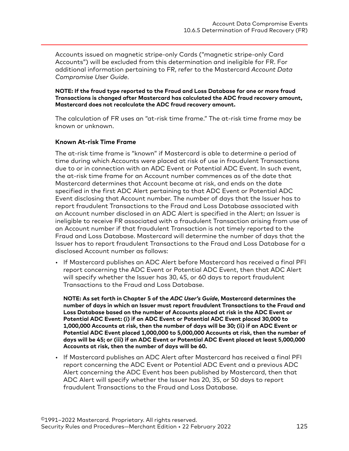Accounts issued on magnetic stripe-only Cards ("magnetic stripe-only Card Accounts") will be excluded from this determination and ineligible for FR. For additional information pertaining to FR, refer to the Mastercard *Account Data Compromise User Guide*.

**NOTE: If the fraud type reported to the Fraud and Loss Database for one or more fraud Transactions is changed after Mastercard has calculated the ADC fraud recovery amount, Mastercard does not recalculate the ADC fraud recovery amount.**

The calculation of FR uses an "at-risk time frame." The at-risk time frame may be known or unknown.

#### **Known At-risk Time Frame**

The at-risk time frame is "known" if Mastercard is able to determine a period of time during which Accounts were placed at risk of use in fraudulent Transactions due to or in connection with an ADC Event or Potential ADC Event. In such event, the at-risk time frame for an Account number commences as of the date that Mastercard determines that Account became at risk, and ends on the date specified in the first ADC Alert pertaining to that ADC Event or Potential ADC Event disclosing that Account number. The number of days that the Issuer has to report fraudulent Transactions to the Fraud and Loss Database associated with an Account number disclosed in an ADC Alert is specified in the Alert; an Issuer is ineligible to receive FR associated with a fraudulent Transaction arising from use of an Account number if that fraudulent Transaction is not timely reported to the Fraud and Loss Database. Mastercard will determine the number of days that the Issuer has to report fraudulent Transactions to the Fraud and Loss Database for a disclosed Account number as follows:

• If Mastercard publishes an ADC Alert before Mastercard has received a final PFI report concerning the ADC Event or Potential ADC Event, then that ADC Alert will specify whether the Issuer has 30, 45, or 60 days to report fraudulent Transactions to the Fraud and Loss Database.

**NOTE: As set forth in Chapter 5 of the** *ADC User's Guide***, Mastercard determines the number of days in which an Issuer must report fraudulent Transactions to the Fraud and Loss Database based on the number of Accounts placed at risk in the ADC Event or Potential ADC Event: (i) if an ADC Event or Potential ADC Event placed 30,000 to 1,000,000 Accounts at risk, then the number of days will be 30; (ii) if an ADC Event or Potential ADC Event placed 1,000,000 to 5,000,000 Accounts at risk, then the number of days will be 45; or (iii) if an ADC Event or Potential ADC Event placed at least 5,000,000 Accounts at risk, then the number of days will be 60.**

• If Mastercard publishes an ADC Alert after Mastercard has received a final PFI report concerning the ADC Event or Potential ADC Event and a previous ADC Alert concerning the ADC Event has been published by Mastercard, then that ADC Alert will specify whether the Issuer has 20, 35, or 50 days to report fraudulent Transactions to the Fraud and Loss Database.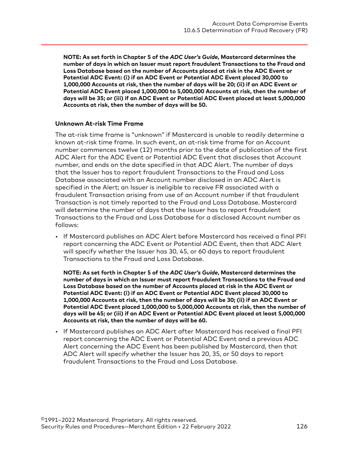**NOTE: As set forth in Chapter 5 of the** *ADC User's Guide***, Mastercard determines the number of days in which an Issuer must report fraudulent Transactions to the Fraud and Loss Database based on the number of Accounts placed at risk in the ADC Event or Potential ADC Event: (i) if an ADC Event or Potential ADC Event placed 30,000 to 1,000,000 Accounts at risk, then the number of days will be 20; (ii) if an ADC Event or Potential ADC Event placed 1,000,000 to 5,000,000 Accounts at risk, then the number of days will be 35; or (iii) if an ADC Event or Potential ADC Event placed at least 5,000,000 Accounts at risk, then the number of days will be 50.**

#### **Unknown At-risk Time Frame**

The at-risk time frame is "unknown" if Mastercard is unable to readily determine a known at-risk time frame. In such event, an at-risk time frame for an Account number commences twelve (12) months prior to the date of publication of the first ADC Alert for the ADC Event or Potential ADC Event that discloses that Account number, and ends on the date specified in that ADC Alert. The number of days that the Issuer has to report fraudulent Transactions to the Fraud and Loss Database associated with an Account number disclosed in an ADC Alert is specified in the Alert; an Issuer is ineligible to receive FR associated with a fraudulent Transaction arising from use of an Account number if that fraudulent Transaction is not timely reported to the Fraud and Loss Database. Mastercard will determine the number of days that the Issuer has to report fraudulent Transactions to the Fraud and Loss Database for a disclosed Account number as follows:

• If Mastercard publishes an ADC Alert before Mastercard has received a final PFI report concerning the ADC Event or Potential ADC Event, then that ADC Alert will specify whether the Issuer has 30, 45, or 60 days to report fraudulent Transactions to the Fraud and Loss Database.

**NOTE: As set forth in Chapter 5 of the** *ADC User's Guide***, Mastercard determines the number of days in which an Issuer must report fraudulent Transactions to the Fraud and Loss Database based on the number of Accounts placed at risk in the ADC Event or Potential ADC Event: (i) if an ADC Event or Potential ADC Event placed 30,000 to 1,000,000 Accounts at risk, then the number of days will be 30; (ii) if an ADC Event or Potential ADC Event placed 1,000,000 to 5,000,000 Accounts at risk, then the number of days will be 45; or (iii) if an ADC Event or Potential ADC Event placed at least 5,000,000 Accounts at risk, then the number of days will be 60.**

• If Mastercard publishes an ADC Alert after Mastercard has received a final PFI report concerning the ADC Event or Potential ADC Event and a previous ADC Alert concerning the ADC Event has been published by Mastercard, then that ADC Alert will specify whether the Issuer has 20, 35, or 50 days to report fraudulent Transactions to the Fraud and Loss Database.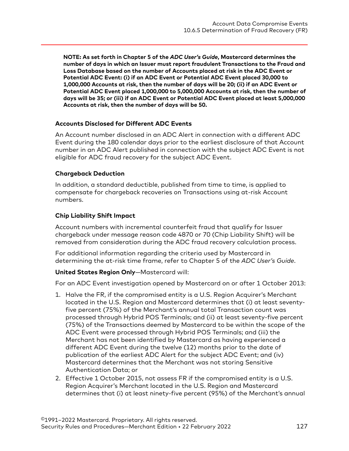**NOTE: As set forth in Chapter 5 of the** *ADC User's Guide***, Mastercard determines the number of days in which an Issuer must report fraudulent Transactions to the Fraud and Loss Database based on the number of Accounts placed at risk in the ADC Event or Potential ADC Event: (i) if an ADC Event or Potential ADC Event placed 30,000 to 1,000,000 Accounts at risk, then the number of days will be 20; (ii) if an ADC Event or Potential ADC Event placed 1,000,000 to 5,000,000 Accounts at risk, then the number of days will be 35; or (iii) if an ADC Event or Potential ADC Event placed at least 5,000,000 Accounts at risk, then the number of days will be 50.**

#### **Accounts Disclosed for Different ADC Events**

An Account number disclosed in an ADC Alert in connection with a different ADC Event during the 180 calendar days prior to the earliest disclosure of that Account number in an ADC Alert published in connection with the subject ADC Event is not eligible for ADC fraud recovery for the subject ADC Event.

#### **Chargeback Deduction**

In addition, a standard deductible, published from time to time, is applied to compensate for chargeback recoveries on Transactions using at-risk Account numbers.

#### **Chip Liability Shift Impact**

Account numbers with incremental counterfeit fraud that qualify for Issuer chargeback under message reason code 4870 or 70 (Chip Liability Shift) will be removed from consideration during the ADC fraud recovery calculation process.

For additional information regarding the criteria used by Mastercard in determining the at-risk time frame, refer to Chapter 5 of the *ADC User's Guide*.

#### **United States Region Only**—Mastercard will:

For an ADC Event investigation opened by Mastercard on or after 1 October 2013:

- 1. Halve the FR, if the compromised entity is a U.S. Region Acquirer's Merchant located in the U.S. Region and Mastercard determines that (i) at least seventyfive percent (75%) of the Merchant's annual total Transaction count was processed through Hybrid POS Terminals; and (ii) at least seventy-five percent (75%) of the Transactions deemed by Mastercard to be within the scope of the ADC Event were processed through Hybrid POS Terminals; and (iii) the Merchant has not been identified by Mastercard as having experienced a different ADC Event during the twelve (12) months prior to the date of publication of the earliest ADC Alert for the subject ADC Event; and (iv) Mastercard determines that the Merchant was not storing Sensitive Authentication Data; or
- 2. Effective 1 October 2015, not assess FR if the compromised entity is a U.S. Region Acquirer's Merchant located in the U.S. Region and Mastercard determines that (i) at least ninety-five percent (95%) of the Merchant's annual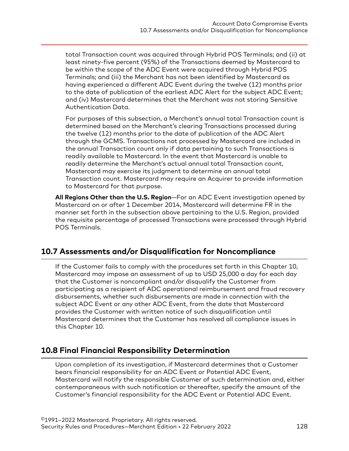total Transaction count was acquired through Hybrid POS Terminals; and (ii) at least ninety-five percent (95%) of the Transactions deemed by Mastercard to be within the scope of the ADC Event were acquired through Hybrid POS Terminals; and (iii) the Merchant has not been identified by Mastercard as having experienced a different ADC Event during the twelve (12) months prior to the date of publication of the earliest ADC Alert for the subject ADC Event; and (iv) Mastercard determines that the Merchant was not storing Sensitive Authentication Data.

For purposes of this subsection, a Merchant's annual total Transaction count is determined based on the Merchant's clearing Transactions processed during the twelve (12) months prior to the date of publication of the ADC Alert through the GCMS. Transactions not processed by Mastercard are included in the annual Transaction count only if data pertaining to such Transactions is readily available to Mastercard. In the event that Mastercard is unable to readily determine the Merchant's actual annual total Transaction count, Mastercard may exercise its judgment to determine an annual total Transaction count. Mastercard may require an Acquirer to provide information to Mastercard for that purpose.

**All Regions Other than the U.S. Region**—For an ADC Event investigation opened by Mastercard on or after 1 December 2014, Mastercard will determine FR in the manner set forth in the subsection above pertaining to the U.S. Region, provided the requisite percentage of processed Transactions were processed through Hybrid POS Terminals.

## **10.7 Assessments and/or Disqualification for Noncompliance**

If the Customer fails to comply with the procedures set forth in this Chapter 10, Mastercard may impose an assessment of up to USD 25,000 a day for each day that the Customer is noncompliant and/or disqualify the Customer from participating as a recipient of ADC operational reimbursement and fraud recovery disbursements, whether such disbursements are made in connection with the subject ADC Event or any other ADC Event, from the date that Mastercard provides the Customer with written notice of such disqualification until Mastercard determines that the Customer has resolved all compliance issues in this Chapter 10.

## **10.8 Final Financial Responsibility Determination**

Upon completion of its investigation, if Mastercard determines that a Customer bears financial responsibility for an ADC Event or Potential ADC Event, Mastercard will notify the responsible Customer of such determination and, either contemporaneous with such notification or thereafter, specify the amount of the Customer's financial responsibility for the ADC Event or Potential ADC Event.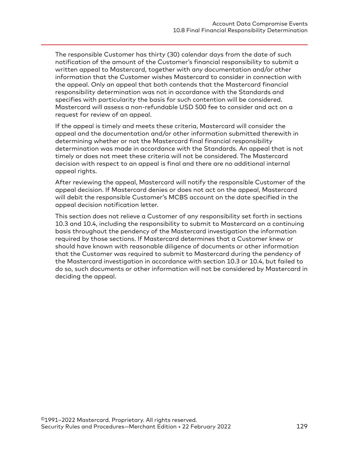The responsible Customer has thirty (30) calendar days from the date of such notification of the amount of the Customer's financial responsibility to submit a written appeal to Mastercard, together with any documentation and/or other information that the Customer wishes Mastercard to consider in connection with the appeal. Only an appeal that both contends that the Mastercard financial responsibility determination was not in accordance with the Standards and specifies with particularity the basis for such contention will be considered. Mastercard will assess a non-refundable USD 500 fee to consider and act on a request for review of an appeal.

If the appeal is timely and meets these criteria, Mastercard will consider the appeal and the documentation and/or other information submitted therewith in determining whether or not the Mastercard final financial responsibility determination was made in accordance with the Standards. An appeal that is not timely or does not meet these criteria will not be considered. The Mastercard decision with respect to an appeal is final and there are no additional internal appeal rights.

After reviewing the appeal, Mastercard will notify the responsible Customer of the appeal decision. If Mastercard denies or does not act on the appeal, Mastercard will debit the responsible Customer's MCBS account on the date specified in the appeal decision notification letter.

This section does not relieve a Customer of any responsibility set forth in sections 10.3 and 10.4, including the responsibility to submit to Mastercard on a continuing basis throughout the pendency of the Mastercard investigation the information required by those sections. If Mastercard determines that a Customer knew or should have known with reasonable diligence of documents or other information that the Customer was required to submit to Mastercard during the pendency of the Mastercard investigation in accordance with section 10.3 or 10.4, but failed to do so, such documents or other information will not be considered by Mastercard in deciding the appeal.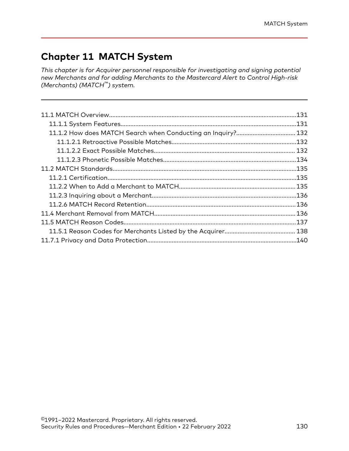## **Chapter 11 MATCH System**

*This chapter is for Acquirer personnel responsible for investigating and signing potential new Merchants and for adding Merchants to the Mastercard Alert to Control High-risk (Merchants) (MATCH™) system.*

| 11.1.2 How does MATCH Search when Conducting an Inquiry? 132 |  |
|--------------------------------------------------------------|--|
|                                                              |  |
|                                                              |  |
|                                                              |  |
|                                                              |  |
|                                                              |  |
|                                                              |  |
|                                                              |  |
|                                                              |  |
|                                                              |  |
|                                                              |  |
|                                                              |  |
|                                                              |  |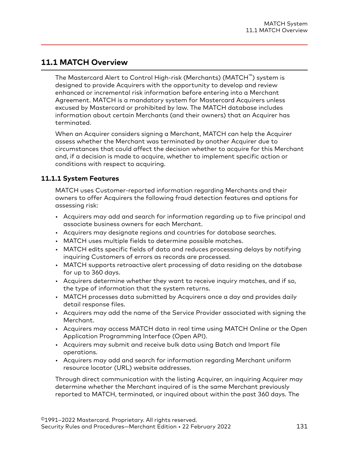### <span id="page-130-0"></span>**11.1 MATCH Overview**

The Mastercard Alert to Control High-risk (Merchants) (MATCH™) system is designed to provide Acquirers with the opportunity to develop and review enhanced or incremental risk information before entering into a Merchant Agreement. MATCH is a mandatory system for Mastercard Acquirers unless excused by Mastercard or prohibited by law. The MATCH database includes information about certain Merchants (and their owners) that an Acquirer has terminated.

When an Acquirer considers signing a Merchant, MATCH can help the Acquirer assess whether the Merchant was terminated by another Acquirer due to circumstances that could affect the decision whether to acquire for this Merchant and, if a decision is made to acquire, whether to implement specific action or conditions with respect to acquiring.

#### **11.1.1 System Features**

MATCH uses Customer-reported information regarding Merchants and their owners to offer Acquirers the following fraud detection features and options for assessing risk:

- Acquirers may add and search for information regarding up to five principal and associate business owners for each Merchant.
- Acquirers may designate regions and countries for database searches.
- MATCH uses multiple fields to determine possible matches.
- MATCH edits specific fields of data and reduces processing delays by notifying inquiring Customers of errors as records are processed.
- MATCH supports retroactive alert processing of data residing on the database for up to 360 days.
- Acquirers determine whether they want to receive inquiry matches, and if so, the type of information that the system returns.
- MATCH processes data submitted by Acquirers once a day and provides daily detail response files.
- Acquirers may add the name of the Service Provider associated with signing the Merchant.
- Acquirers may access MATCH data in real time using MATCH Online or the Open Application Programming Interface (Open API).
- Acquirers may submit and receive bulk data using Batch and Import file operations.
- Acquirers may add and search for information regarding Merchant uniform resource locator (URL) website addresses.

Through direct communication with the listing Acquirer, an inquiring Acquirer may determine whether the Merchant inquired of is the same Merchant previously reported to MATCH, terminated, or inquired about within the past 360 days. The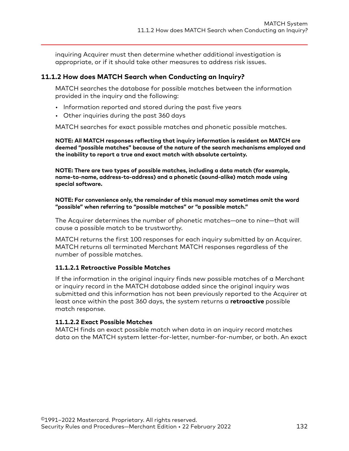<span id="page-131-0"></span>inquiring Acquirer must then determine whether additional investigation is appropriate, or if it should take other measures to address risk issues.

#### **11.1.2 How does MATCH Search when Conducting an Inquiry?**

MATCH searches the database for possible matches between the information provided in the inquiry and the following:

- Information reported and stored during the past five years
- Other inquiries during the past 360 days

MATCH searches for exact possible matches and phonetic possible matches.

**NOTE: All MATCH responses reflecting that inquiry information is resident on MATCH are deemed "possible matches" because of the nature of the search mechanisms employed and the inability to report a true and exact match with absolute certainty.**

**NOTE: There are two types of possible matches, including a data match (for example, name-to-name, address-to-address) and a phonetic (sound-alike) match made using special software.**

**NOTE: For convenience only, the remainder of this manual may sometimes omit the word "possible" when referring to "possible matches" or "a possible match."**

The Acquirer determines the number of phonetic matches—one to nine—that will cause a possible match to be trustworthy.

MATCH returns the first 100 responses for each inquiry submitted by an Acquirer. MATCH returns all terminated Merchant MATCH responses regardless of the number of possible matches.

#### **11.1.2.1 Retroactive Possible Matches**

If the information in the original inquiry finds new possible matches of a Merchant or inquiry record in the MATCH database added since the original inquiry was submitted and this information has not been previously reported to the Acquirer at least once within the past 360 days, the system returns a **retroactive** possible match response.

#### **11.1.2.2 Exact Possible Matches**

MATCH finds an exact possible match when data in an inquiry record matches data on the MATCH system letter-for-letter, number-for-number, or both. An exact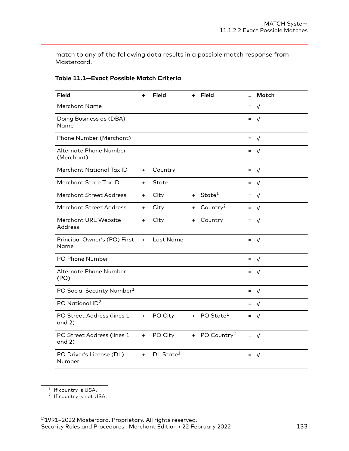<span id="page-132-0"></span>match to any of the following data results in a possible match response from Mastercard.

| <b>Field</b>                           | ÷         | <b>Field</b>          | ÷.  | <b>Field</b>              | Ξ   | Match          |
|----------------------------------------|-----------|-----------------------|-----|---------------------------|-----|----------------|
| Merchant Name                          |           |                       |     |                           | $=$ | $\sqrt{ }$     |
| Doing Business as (DBA)<br>Name        |           |                       |     |                           |     | $=$ $\sqrt{ }$ |
| Phone Number (Merchant)                |           |                       |     |                           | $=$ | √              |
| Alternate Phone Number<br>(Merchant)   |           |                       |     |                           | $=$ | $\sqrt{ }$     |
| Merchant National Tax ID               | $+$       | Country               |     |                           |     | $=$ $\sqrt{ }$ |
| Merchant State Tax ID                  | $\ddot{}$ | State                 |     |                           | $=$ | $\sqrt{ }$     |
| <b>Merchant Street Address</b>         | $+$       | City                  | $+$ | State <sup>1</sup>        | $=$ | $\sqrt{ }$     |
| <b>Merchant Street Address</b>         | $\ddot{}$ | City                  | $+$ | Country <sup>2</sup>      |     | $=$ $\sqrt{ }$ |
| Merchant URL Website<br>Address        | $\ddot{}$ | City                  | $+$ | Country                   |     | $=$ $\sqrt{ }$ |
| Principal Owner's (PO) First<br>Name   | $+$       | Last Name             |     |                           |     | $=$ $\sqrt{ }$ |
| PO Phone Number                        |           |                       |     |                           |     | $=$ $\sqrt{ }$ |
| Alternate Phone Number<br>(PO)         |           |                       |     |                           |     | $=$ $\sqrt{ }$ |
| PO Social Security Number <sup>1</sup> |           |                       |     |                           |     | $=$ $\sqrt{ }$ |
| PO National ID <sup>2</sup>            |           |                       |     |                           |     | $=$ $\sqrt{ }$ |
| PO Street Address (lines 1<br>and $2)$ | $+$       | PO City               | $+$ | PO State $^1$             |     | $=$ $\sqrt{ }$ |
| PO Street Address (lines 1<br>and $2)$ | $+$       | PO City               |     | + PO Country <sup>2</sup> |     | $=$ $\sqrt{ }$ |
| PO Driver's License (DL)<br>Number     | $+$       | DL State <sup>1</sup> |     |                           | $=$ | $\sqrt{ }$     |

#### **Table 11.1—Exact Possible Match Criteria**

 $1$  If country is USA.

<sup>2</sup> If country is not USA.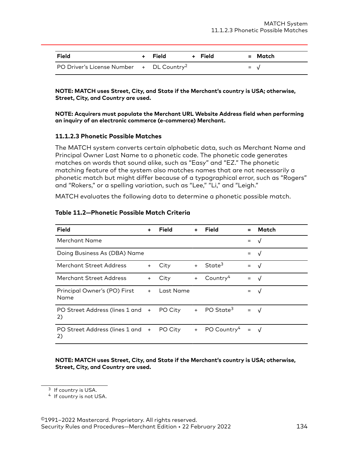<span id="page-133-0"></span>

| Field                                                | + Field | + Field | = Match        |
|------------------------------------------------------|---------|---------|----------------|
| PO Driver's License Number + DL Country <sup>2</sup> |         |         | $=$ $\sqrt{ }$ |

**NOTE: MATCH uses Street, City, and State if the Merchant's country is USA; otherwise, Street, City, and Country are used.**

**NOTE: Acquirers must populate the Merchant URL Website Address field when performing an inquiry of an electronic commerce (e-commerce) Merchant.**

#### **11.1.2.3 Phonetic Possible Matches**

The MATCH system converts certain alphabetic data, such as Merchant Name and Principal Owner Last Name to a phonetic code. The phonetic code generates matches on words that sound alike, such as "Easy" and "EZ." The phonetic matching feature of the system also matches names that are not necessarily a phonetic match but might differ because of a typographical error, such as "Rogers" and "Rokers," or a spelling variation, such as "Lee," "Li," and "Leigh."

MATCH evaluates the following data to determine a phonetic possible match.

| <b>Field</b>                         | ÷         | Field     | $\ddot{}$ | Field                   | $\equiv$        | <b>Match</b> |
|--------------------------------------|-----------|-----------|-----------|-------------------------|-----------------|--------------|
| Merchant Name                        |           |           |           |                         | $=$             | $\sqrt{ }$   |
| Doing Business As (DBA) Name         |           |           |           |                         | $=$             | $\sqrt{ }$   |
| Merchant Street Address              | $+$       | City      | $+$       | State <sup>3</sup>      | $=$             | $\sqrt{ }$   |
| <b>Merchant Street Address</b>       | $\ddot{}$ | City      | $+$       | Country <sup>4</sup>    | $=$             | √            |
| Principal Owner's (PO) First<br>Name | $+$       | Last Name |           |                         | $=$             | $\sqrt{ }$   |
| PO Street Address (lines 1 and<br>2) | $+$       | PO City   |           | + PO State <sup>3</sup> | $=$             | $\sqrt{ }$   |
| PO Street Address (lines 1 and<br>2) | $+$       | PO City   | $+$       | PO Country <sup>4</sup> | $\quad \  \  =$ | $\sqrt{ }$   |

#### **Table 11.2—Phonetic Possible Match Criteria**

**NOTE: MATCH uses Street, City, and State if the Merchant's country is USA; otherwise, Street, City, and Country are used.**

<sup>&</sup>lt;sup>3</sup> If country is USA.

<sup>4</sup> If country is not USA.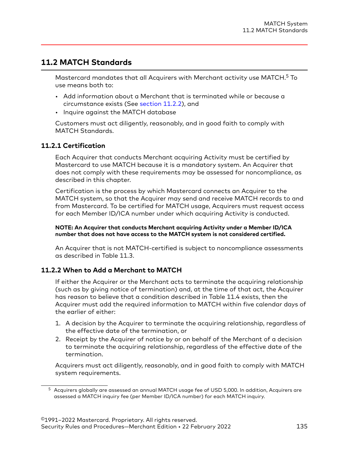## <span id="page-134-0"></span>**11.2 MATCH Standards**

Mastercard mandates that all Acquirers with Merchant activity use MATCH.<sup>5</sup> To use means both to:

- Add information about a Merchant that is terminated while or because a circumstance exists (See section 11.2.2), and
- Inquire against the MATCH database

Customers must act diligently, reasonably, and in good faith to comply with MATCH Standards.

#### **11.2.1 Certification**

Each Acquirer that conducts Merchant acquiring Activity must be certified by Mastercard to use MATCH because it is a mandatory system. An Acquirer that does not comply with these requirements may be assessed for noncompliance, as described in this chapter.

Certification is the process by which Mastercard connects an Acquirer to the MATCH system, so that the Acquirer may send and receive MATCH records to and from Mastercard. To be certified for MATCH usage, Acquirers must request access for each Member ID/ICA number under which acquiring Activity is conducted.

**NOTE: An Acquirer that conducts Merchant acquiring Activity under a Member ID/ICA number that does not have access to the MATCH system is not considered certified.**

An Acquirer that is not MATCH-certified is subject to noncompliance assessments as described in Table 11.3.

#### **11.2.2 When to Add a Merchant to MATCH**

If either the Acquirer or the Merchant acts to terminate the acquiring relationship (such as by giving notice of termination) and, at the time of that act, the Acquirer has reason to believe that a condition described in Table 11.4 exists, then the Acquirer must add the required information to MATCH within five calendar days of the earlier of either:

- 1. A decision by the Acquirer to terminate the acquiring relationship, regardless of the effective date of the termination, or
- 2. Receipt by the Acquirer of notice by or on behalf of the Merchant of a decision to terminate the acquiring relationship, regardless of the effective date of the termination.

Acquirers must act diligently, reasonably, and in good faith to comply with MATCH system requirements.

<sup>5</sup> Acquirers globally are assessed an annual MATCH usage fee of USD 5,000. In addition, Acquirers are assessed a MATCH inquiry fee (per Member ID/ICA number) for each MATCH inquiry.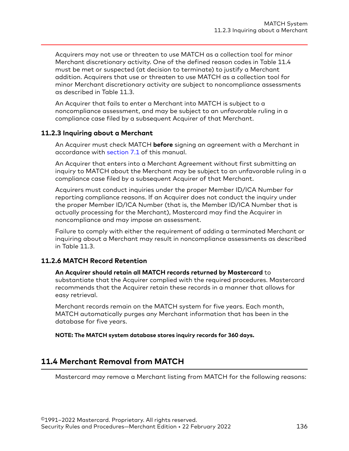<span id="page-135-0"></span>Acquirers may not use or threaten to use MATCH as a collection tool for minor Merchant discretionary activity. One of the defined reason codes in Table 11.4 must be met or suspected (at decision to terminate) to justify a Merchant addition. Acquirers that use or threaten to use MATCH as a collection tool for minor Merchant discretionary activity are subject to noncompliance assessments as described in Table 11.3.

An Acquirer that fails to enter a Merchant into MATCH is subject to a noncompliance assessment, and may be subject to an unfavorable ruling in a compliance case filed by a subsequent Acquirer of that Merchant.

#### **11.2.3 Inquiring about a Merchant**

An Acquirer must check MATCH **before** signing an agreement with a Merchant in accordance with [section 7.1](#page-63-0) of this manual.

An Acquirer that enters into a Merchant Agreement without first submitting an inquiry to MATCH about the Merchant may be subject to an unfavorable ruling in a compliance case filed by a subsequent Acquirer of that Merchant.

Acquirers must conduct inquiries under the proper Member ID/ICA Number for reporting compliance reasons. If an Acquirer does not conduct the inquiry under the proper Member ID/ICA Number (that is, the Member ID/ICA Number that is actually processing for the Merchant), Mastercard may find the Acquirer in noncompliance and may impose an assessment.

Failure to comply with either the requirement of adding a terminated Merchant or inquiring about a Merchant may result in noncompliance assessments as described in Table 11.3.

#### **11.2.6 MATCH Record Retention**

#### **An Acquirer should retain all MATCH records returned by Mastercard** to

substantiate that the Acquirer complied with the required procedures. Mastercard recommends that the Acquirer retain these records in a manner that allows for easy retrieval.

Merchant records remain on the MATCH system for five years. Each month, MATCH automatically purges any Merchant information that has been in the database for five years.

**NOTE: The MATCH system database stores inquiry records for 360 days.**

## **11.4 Merchant Removal from MATCH**

Mastercard may remove a Merchant listing from MATCH for the following reasons: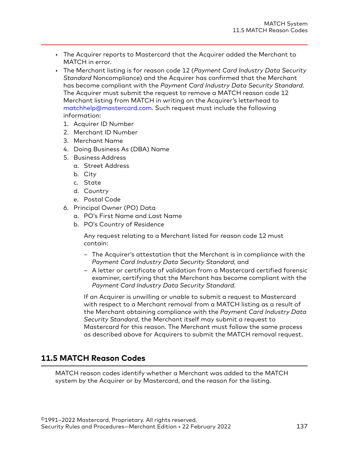- <span id="page-136-0"></span>• The Acquirer reports to Mastercard that the Acquirer added the Merchant to MATCH in error.
- The Merchant listing is for reason code 12 (*Payment Card Industry Data Security Standard* Noncompliance) and the Acquirer has confirmed that the Merchant has become compliant with the *Payment Card Industry Data Security Standard*. The Acquirer must submit the request to remove a MATCH reason code 12 Merchant listing from MATCH in writing on the Acquirer's letterhead to [matchhelp@mastercard.com](mailto:matchhelp@mastercard.com). Such request must include the following information:
	- 1. Acquirer ID Number
	- 2. Merchant ID Number
	- 3. Merchant Name
	- 4. Doing Business As (DBA) Name
	- 5. Business Address
		- a. Street Address
		- b. City
		- c. State
		- d. Country
		- e. Postal Code
	- 6. Principal Owner (PO) Data
		- a. PO's First Name and Last Name
		- b. PO's Country of Residence

Any request relating to a Merchant listed for reason code 12 must contain:

- The Acquirer's attestation that the Merchant is in compliance with the *Payment Card Industry Data Security Standard*, and
- A letter or certificate of validation from a Mastercard certified forensic examiner, certifying that the Merchant has become compliant with the *Payment Card Industry Data Security Standard*.

If an Acquirer is unwilling or unable to submit a request to Mastercard with respect to a Merchant removal from a MATCH listing as a result of the Merchant obtaining compliance with the *Payment Card Industry Data Security Standard*, the Merchant itself may submit a request to Mastercard for this reason. The Merchant must follow the same process as described above for Acquirers to submit the MATCH removal request.

## **11.5 MATCH Reason Codes**

MATCH reason codes identify whether a Merchant was added to the MATCH system by the Acquirer or by Mastercard, and the reason for the listing.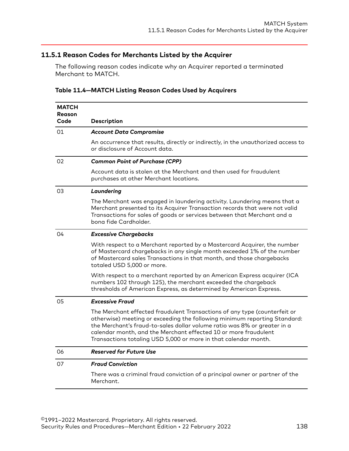#### <span id="page-137-0"></span>**11.5.1 Reason Codes for Merchants Listed by the Acquirer**

The following reason codes indicate why an Acquirer reported a terminated Merchant to MATCH.

| <b>MATCH</b><br><b>Reason</b><br>Code | Description                                                                                                                                                                                                                                                                                                                                                              |
|---------------------------------------|--------------------------------------------------------------------------------------------------------------------------------------------------------------------------------------------------------------------------------------------------------------------------------------------------------------------------------------------------------------------------|
| 01                                    | <b>Account Data Compromise</b>                                                                                                                                                                                                                                                                                                                                           |
|                                       | An occurrence that results, directly or indirectly, in the unauthorized access to<br>or disclosure of Account data.                                                                                                                                                                                                                                                      |
| 02                                    | <b>Common Point of Purchase (CPP)</b>                                                                                                                                                                                                                                                                                                                                    |
|                                       | Account data is stolen at the Merchant and then used for fraudulent<br>purchases at other Merchant locations.                                                                                                                                                                                                                                                            |
| 03                                    | Laundering                                                                                                                                                                                                                                                                                                                                                               |
|                                       | The Merchant was engaged in laundering activity. Laundering means that a<br>Merchant presented to its Acquirer Transaction records that were not valid<br>Transactions for sales of goods or services between that Merchant and a<br>bong fide Cardholder.                                                                                                               |
| 04                                    | <b>Excessive Chargebacks</b>                                                                                                                                                                                                                                                                                                                                             |
|                                       | With respect to a Merchant reported by a Mastercard Acquirer, the number<br>of Mastercard chargebacks in any single month exceeded 1% of the number<br>of Mastercard sales Transactions in that month, and those chargebacks<br>totaled USD 5,000 or more.                                                                                                               |
|                                       | With respect to a merchant reported by an American Express acquirer (ICA<br>numbers 102 through 125), the merchant exceeded the chargeback<br>thresholds of American Express, as determined by American Express.                                                                                                                                                         |
| 05                                    | <b>Excessive Fraud</b>                                                                                                                                                                                                                                                                                                                                                   |
|                                       | The Merchant effected fraudulent Transactions of any type (counterfeit or<br>otherwise) meeting or exceeding the following minimum reporting Standard:<br>the Merchant's fraud-to-sales dollar volume ratio was 8% or greater in a<br>calendar month, and the Merchant effected 10 or more fraudulent<br>Transactions totaling USD 5,000 or more in that calendar month. |
| 06                                    | <b>Reserved for Future Use</b>                                                                                                                                                                                                                                                                                                                                           |
| 07                                    | <b>Fraud Conviction</b>                                                                                                                                                                                                                                                                                                                                                  |
|                                       | There was a criminal fraud conviction of a principal owner or partner of the<br>Merchant.                                                                                                                                                                                                                                                                                |

#### **Table 11.4—MATCH Listing Reason Codes Used by Acquirers**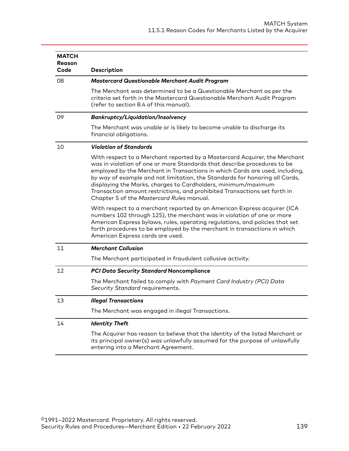| <b>MATCH</b><br>Reason |                                                                                                                                                                                                                                                                                                                                                                                                                                                                                                                  |
|------------------------|------------------------------------------------------------------------------------------------------------------------------------------------------------------------------------------------------------------------------------------------------------------------------------------------------------------------------------------------------------------------------------------------------------------------------------------------------------------------------------------------------------------|
| Code                   | Description                                                                                                                                                                                                                                                                                                                                                                                                                                                                                                      |
| 08                     | <b>Mastercard Questionable Merchant Audit Program</b>                                                                                                                                                                                                                                                                                                                                                                                                                                                            |
|                        | The Merchant was determined to be a Questionable Merchant as per the<br>criteria set forth in the Mastercard Questionable Merchant Audit Program<br>(refer to section 8.4 of this manual).                                                                                                                                                                                                                                                                                                                       |
| 09                     | <b>Bankruptcy/Liquidation/Insolvency</b>                                                                                                                                                                                                                                                                                                                                                                                                                                                                         |
|                        | The Merchant was unable or is likely to become unable to discharge its<br>financial obligations.                                                                                                                                                                                                                                                                                                                                                                                                                 |
| 10                     | <b>Violation of Standards</b>                                                                                                                                                                                                                                                                                                                                                                                                                                                                                    |
|                        | With respect to a Merchant reported by a Mastercard Acquirer, the Merchant<br>was in violation of one or more Standards that describe procedures to be<br>employed by the Merchant in Transactions in which Cards are used, including,<br>by way of example and not limitation, the Standards for honoring all Cards,<br>displaying the Marks, charges to Cardholders, minimum/maximum<br>Transaction amount restrictions, and prohibited Transactions set forth in<br>Chapter 5 of the Mastercard Rules manual. |
|                        | With respect to a merchant reported by an American Express acquirer (ICA<br>numbers 102 through 125), the merchant was in violation of one or more<br>American Express bylaws, rules, operating regulations, and policies that set<br>forth procedures to be employed by the merchant in transactions in which<br>American Express cards are used.                                                                                                                                                               |
| 11                     | <b>Merchant Collusion</b>                                                                                                                                                                                                                                                                                                                                                                                                                                                                                        |
|                        | The Merchant participated in fraudulent collusive activity.                                                                                                                                                                                                                                                                                                                                                                                                                                                      |
| 12                     | <b>PCI Data Security Standard Noncompliance</b>                                                                                                                                                                                                                                                                                                                                                                                                                                                                  |
|                        | The Merchant failed to comply with Payment Card Industry (PCI) Data<br>Security Standard requirements.                                                                                                                                                                                                                                                                                                                                                                                                           |
| 13                     | <b>Illegal Transactions</b>                                                                                                                                                                                                                                                                                                                                                                                                                                                                                      |
|                        | The Merchant was engaged in illegal Transactions.                                                                                                                                                                                                                                                                                                                                                                                                                                                                |
| 14                     | <b>Identity Theft</b>                                                                                                                                                                                                                                                                                                                                                                                                                                                                                            |
|                        | The Acquirer has reason to believe that the identity of the listed Merchant or<br>its principal owner(s) was unlawfully assumed for the purpose of unlawfully<br>entering into a Merchant Agreement.                                                                                                                                                                                                                                                                                                             |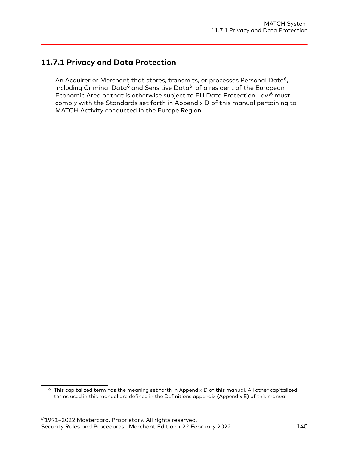## <span id="page-139-0"></span>**11.7.1 Privacy and Data Protection**

An Acquirer or Merchant that stores, transmits, or processes Personal Data<sup>6</sup>, including Criminal Data<sup>6</sup> and Sensitive Data<sup>6</sup>, of a resident of the European Economic Area or that is otherwise subject to EU Data Protection Law<sup>6</sup> must comply with the Standards set forth in Appendix D of this manual pertaining to MATCH Activity conducted in the Europe Region.

 $6$  This capitalized term has the meaning set forth in Appendix D of this manual. All other capitalized terms used in this manual are defined in the Definitions appendix (Appendix E) of this manual.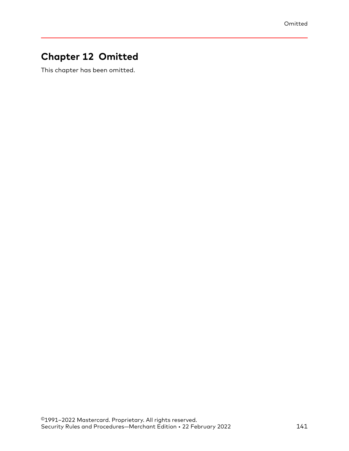# **Chapter 12 Omitted**

This chapter has been omitted.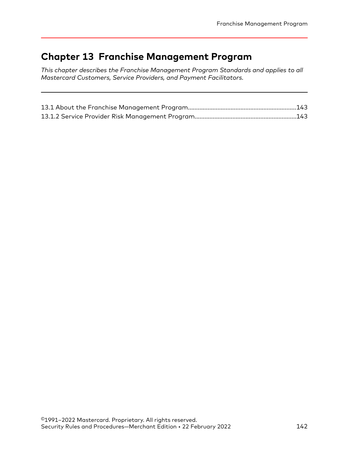# **Chapter 13 Franchise Management Program**

*This chapter describes the Franchise Management Program Standards and applies to all Mastercard Customers, Service Providers, and Payment Facilitators.*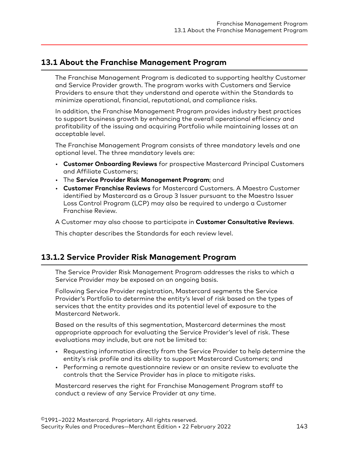## <span id="page-142-0"></span>**13.1 About the Franchise Management Program**

The Franchise Management Program is dedicated to supporting healthy Customer and Service Provider growth. The program works with Customers and Service Providers to ensure that they understand and operate within the Standards to minimize operational, financial, reputational, and compliance risks.

In addition, the Franchise Management Program provides industry best practices to support business growth by enhancing the overall operational efficiency and profitability of the issuing and acquiring Portfolio while maintaining losses at an acceptable level.

The Franchise Management Program consists of three mandatory levels and one optional level. The three mandatory levels are:

- **Customer Onboarding Reviews** for prospective Mastercard Principal Customers and Affiliate Customers;
- The **Service Provider Risk Management Program**; and
- **Customer Franchise Reviews** for Mastercard Customers. A Maestro Customer identified by Mastercard as a Group 3 Issuer pursuant to the Maestro Issuer Loss Control Program (LCP) may also be required to undergo a Customer Franchise Review.

A Customer may also choose to participate in **Customer Consultative Reviews**.

This chapter describes the Standards for each review level.

## **13.1.2 Service Provider Risk Management Program**

The Service Provider Risk Management Program addresses the risks to which a Service Provider may be exposed on an ongoing basis.

Following Service Provider registration, Mastercard segments the Service Provider's Portfolio to determine the entity's level of risk based on the types of services that the entity provides and its potential level of exposure to the Mastercard Network.

Based on the results of this segmentation, Mastercard determines the most appropriate approach for evaluating the Service Provider's level of risk. These evaluations may include, but are not be limited to:

- Requesting information directly from the Service Provider to help determine the entity's risk profile and its ability to support Mastercard Customers; and
- Performing a remote questionnaire review or an onsite review to evaluate the controls that the Service Provider has in place to mitigate risks.

Mastercard reserves the right for Franchise Management Program staff to conduct a review of any Service Provider at any time.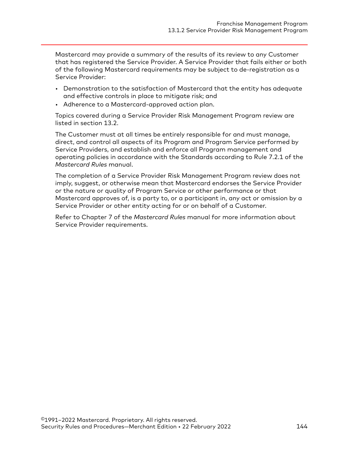Mastercard may provide a summary of the results of its review to any Customer that has registered the Service Provider. A Service Provider that fails either or both of the following Mastercard requirements may be subject to de-registration as a Service Provider:

- Demonstration to the satisfaction of Mastercard that the entity has adequate and effective controls in place to mitigate risk; and
- Adherence to a Mastercard-approved action plan.

Topics covered during a Service Provider Risk Management Program review are listed in section 13.2.

The Customer must at all times be entirely responsible for and must manage, direct, and control all aspects of its Program and Program Service performed by Service Providers, and establish and enforce all Program management and operating policies in accordance with the Standards according to Rule 7.2.1 of the *Mastercard Rules* manual.

The completion of a Service Provider Risk Management Program review does not imply, suggest, or otherwise mean that Mastercard endorses the Service Provider or the nature or quality of Program Service or other performance or that Mastercard approves of, is a party to, or a participant in, any act or omission by a Service Provider or other entity acting for or on behalf of a Customer.

Refer to Chapter 7 of the *Mastercard Rules* manual for more information about Service Provider requirements.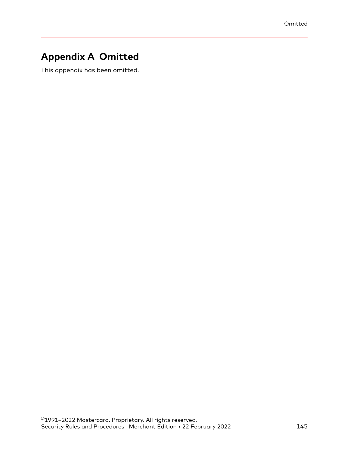# **Appendix A Omitted**

This appendix has been omitted.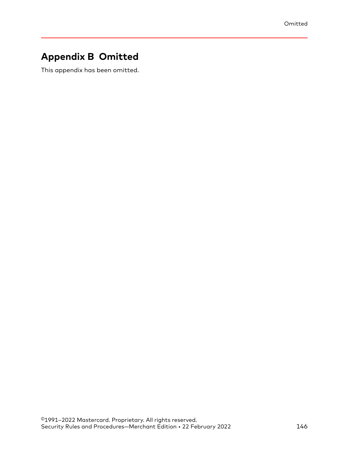# **Appendix B Omitted**

This appendix has been omitted.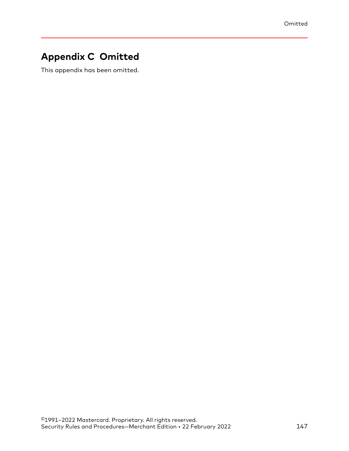# **Appendix C Omitted**

This appendix has been omitted.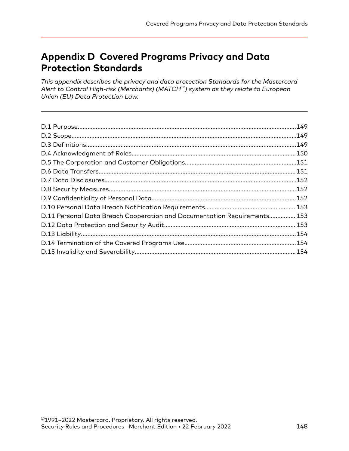# **Appendix D Covered Programs Privacy and Data Protection Standards**

*This appendix describes the privacy and data protection Standards for the Mastercard Alert to Control High-risk (Merchants) (MATCH™) system as they relate to European Union (EU) Data Protection Law.*

| D.11 Personal Data Breach Cooperation and Documentation Requirements 153 |  |
|--------------------------------------------------------------------------|--|
|                                                                          |  |
|                                                                          |  |
|                                                                          |  |
|                                                                          |  |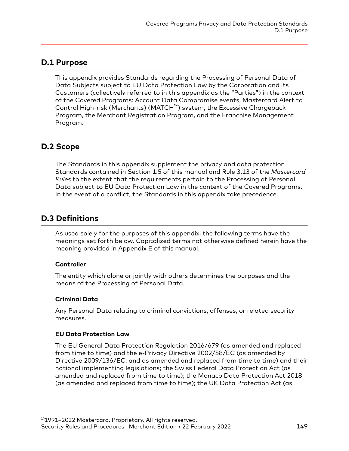#### <span id="page-148-0"></span>**D.1 Purpose**

This appendix provides Standards regarding the Processing of Personal Data of Data Subjects subject to EU Data Protection Law by the Corporation and its Customers (collectively referred to in this appendix as the "Parties") in the context of the Covered Programs: Account Data Compromise events, Mastercard Alert to Control High-risk (Merchants) (MATCH™) system, the Excessive Chargeback Program, the Merchant Registration Program, and the Franchise Management Program.

# **D.2 Scope**

The Standards in this appendix supplement the privacy and data protection Standards contained in Section 1.5 of this manual and Rule 3.13 of the *Mastercard Rules* to the extent that the requirements pertain to the Processing of Personal Data subject to EU Data Protection Law in the context of the Covered Programs. In the event of a conflict, the Standards in this appendix take precedence.

# **D.3 Definitions**

As used solely for the purposes of this appendix, the following terms have the meanings set forth below. Capitalized terms not otherwise defined herein have the meaning provided in Appendix E of this manual.

#### **Controller**

The entity which alone or jointly with others determines the purposes and the means of the Processing of Personal Data.

#### **Criminal Data**

Any Personal Data relating to criminal convictions, offenses, or related security measures.

#### **EU Data Protection Law**

The EU General Data Protection Regulation 2016/679 (as amended and replaced from time to time) and the e-Privacy Directive 2002/58/EC (as amended by Directive 2009/136/EC, and as amended and replaced from time to time) and their national implementing legislations; the Swiss Federal Data Protection Act (as amended and replaced from time to time); the Monaco Data Protection Act 2018 (as amended and replaced from time to time); the UK Data Protection Act (as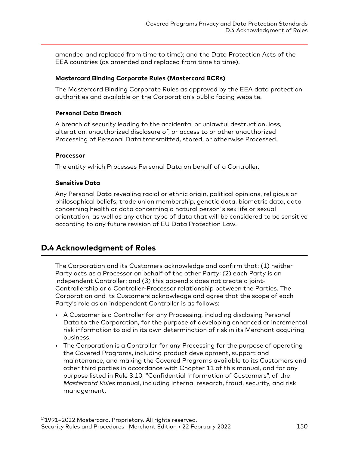<span id="page-149-0"></span>amended and replaced from time to time); and the Data Protection Acts of the EEA countries (as amended and replaced from time to time).

#### **Mastercard Binding Corporate Rules (Mastercard BCRs)**

The Mastercard Binding Corporate Rules as approved by the EEA data protection authorities and available on the Corporation's public facing website.

#### **Personal Data Breach**

A breach of security leading to the accidental or unlawful destruction, loss, alteration, unauthorized disclosure of, or access to or other unauthorized Processing of Personal Data transmitted, stored, or otherwise Processed.

#### **Processor**

The entity which Processes Personal Data on behalf of a Controller.

#### **Sensitive Data**

Any Personal Data revealing racial or ethnic origin, political opinions, religious or philosophical beliefs, trade union membership, genetic data, biometric data, data concerning health or data concerning a natural person's sex life or sexual orientation, as well as any other type of data that will be considered to be sensitive according to any future revision of EU Data Protection Law.

# **D.4 Acknowledgment of Roles**

The Corporation and its Customers acknowledge and confirm that: (1) neither Party acts as a Processor on behalf of the other Party; (2) each Party is an independent Controller; and (3) this appendix does not create a joint-Controllership or a Controller-Processor relationship between the Parties. The Corporation and its Customers acknowledge and agree that the scope of each Party's role as an independent Controller is as follows:

- A Customer is a Controller for any Processing, including disclosing Personal Data to the Corporation, for the purpose of developing enhanced or incremental risk information to aid in its own determination of risk in its Merchant acquiring business.
- The Corporation is a Controller for any Processing for the purpose of operating the Covered Programs, including product development, support and maintenance, and making the Covered Programs available to its Customers and other third parties in accordance with Chapter 11 of this manual, and for any purpose listed in Rule 3.10, "Confidential Information of Customers", of the *Mastercard Rules* manual, including internal research, fraud, security, and risk management.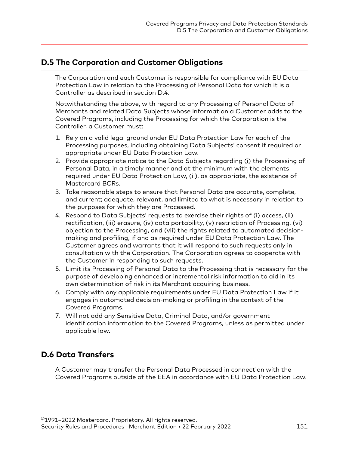# <span id="page-150-0"></span>**D.5 The Corporation and Customer Obligations**

The Corporation and each Customer is responsible for compliance with EU Data Protection Law in relation to the Processing of Personal Data for which it is a Controller as described in section D.4.

Notwithstanding the above, with regard to any Processing of Personal Data of Merchants and related Data Subjects whose information a Customer adds to the Covered Programs, including the Processing for which the Corporation is the Controller, a Customer must:

- 1. Rely on a valid legal ground under EU Data Protection Law for each of the Processing purposes, including obtaining Data Subjects' consent if required or appropriate under EU Data Protection Law.
- 2. Provide appropriate notice to the Data Subjects regarding (i) the Processing of Personal Data, in a timely manner and at the minimum with the elements required under EU Data Protection Law, (ii), as appropriate, the existence of Mastercard BCRs.
- 3. Take reasonable steps to ensure that Personal Data are accurate, complete, and current; adequate, relevant, and limited to what is necessary in relation to the purposes for which they are Processed.
- 4. Respond to Data Subjects' requests to exercise their rights of (i) access, (ii) rectification, (iii) erasure, (iv) data portability, (v) restriction of Processing, (vi) objection to the Processing, and (vii) the rights related to automated decisionmaking and profiling, if and as required under EU Data Protection Law. The Customer agrees and warrants that it will respond to such requests only in consultation with the Corporation. The Corporation agrees to cooperate with the Customer in responding to such requests.
- 5. Limit its Processing of Personal Data to the Processing that is necessary for the purpose of developing enhanced or incremental risk information to aid in its own determination of risk in its Merchant acquiring business.
- 6. Comply with any applicable requirements under EU Data Protection Law if it engages in automated decision-making or profiling in the context of the Covered Programs.
- 7. Will not add any Sensitive Data, Criminal Data, and/or government identification information to the Covered Programs, unless as permitted under applicable law.

# **D.6 Data Transfers**

A Customer may transfer the Personal Data Processed in connection with the Covered Programs outside of the EEA in accordance with EU Data Protection Law.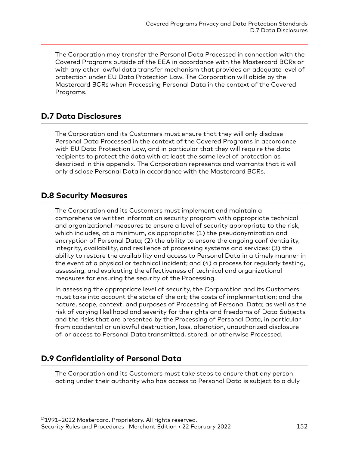<span id="page-151-0"></span>The Corporation may transfer the Personal Data Processed in connection with the Covered Programs outside of the EEA in accordance with the Mastercard BCRs or with any other lawful data transfer mechanism that provides an adequate level of protection under EU Data Protection Law. The Corporation will abide by the Mastercard BCRs when Processing Personal Data in the context of the Covered Programs.

# **D.7 Data Disclosures**

The Corporation and its Customers must ensure that they will only disclose Personal Data Processed in the context of the Covered Programs in accordance with EU Data Protection Law, and in particular that they will require the data recipients to protect the data with at least the same level of protection as described in this appendix. The Corporation represents and warrants that it will only disclose Personal Data in accordance with the Mastercard BCRs.

# **D.8 Security Measures**

The Corporation and its Customers must implement and maintain a comprehensive written information security program with appropriate technical and organizational measures to ensure a level of security appropriate to the risk, which includes, at a minimum, as appropriate: (1) the pseudonymization and encryption of Personal Data; (2) the ability to ensure the ongoing confidentiality, integrity, availability, and resilience of processing systems and services; (3) the ability to restore the availability and access to Personal Data in a timely manner in the event of a physical or technical incident; and (4) a process for regularly testing, assessing, and evaluating the effectiveness of technical and organizational measures for ensuring the security of the Processing.

In assessing the appropriate level of security, the Corporation and its Customers must take into account the state of the art; the costs of implementation; and the nature, scope, context, and purposes of Processing of Personal Data; as well as the risk of varying likelihood and severity for the rights and freedoms of Data Subjects and the risks that are presented by the Processing of Personal Data, in particular from accidental or unlawful destruction, loss, alteration, unauthorized disclosure of, or access to Personal Data transmitted, stored, or otherwise Processed.

# **D.9 Confidentiality of Personal Data**

The Corporation and its Customers must take steps to ensure that any person acting under their authority who has access to Personal Data is subject to a duly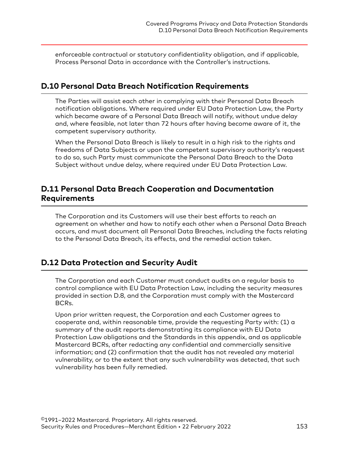<span id="page-152-0"></span>enforceable contractual or statutory confidentiality obligation, and if applicable, Process Personal Data in accordance with the Controller's instructions.

#### **D.10 Personal Data Breach Notification Requirements**

The Parties will assist each other in complying with their Personal Data Breach notification obligations. Where required under EU Data Protection Law, the Party which became aware of a Personal Data Breach will notify, without undue delay and, where feasible, not later than 72 hours after having become aware of it, the competent supervisory authority.

When the Personal Data Breach is likely to result in a high risk to the rights and freedoms of Data Subjects or upon the competent supervisory authority's request to do so, such Party must communicate the Personal Data Breach to the Data Subject without undue delay, where required under EU Data Protection Law.

# **D.11 Personal Data Breach Cooperation and Documentation Requirements**

The Corporation and its Customers will use their best efforts to reach an agreement on whether and how to notify each other when a Personal Data Breach occurs, and must document all Personal Data Breaches, including the facts relating to the Personal Data Breach, its effects, and the remedial action taken.

# **D.12 Data Protection and Security Audit**

The Corporation and each Customer must conduct audits on a regular basis to control compliance with EU Data Protection Law, including the security measures provided in section D.8, and the Corporation must comply with the Mastercard BCRs.

Upon prior written request, the Corporation and each Customer agrees to cooperate and, within reasonable time, provide the requesting Party with: (1) a summary of the audit reports demonstrating its compliance with EU Data Protection Law obligations and the Standards in this appendix, and as applicable Mastercard BCRs, after redacting any confidential and commercially sensitive information; and (2) confirmation that the audit has not revealed any material vulnerability, or to the extent that any such vulnerability was detected, that such vulnerability has been fully remedied.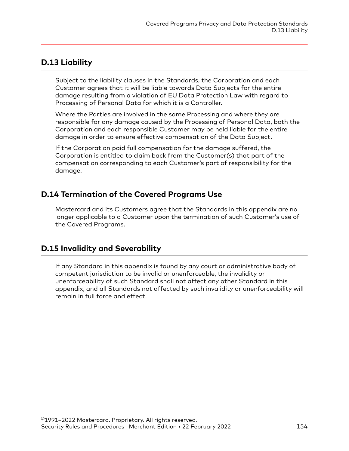#### <span id="page-153-0"></span>**D.13 Liability**

Subject to the liability clauses in the Standards, the Corporation and each Customer agrees that it will be liable towards Data Subjects for the entire damage resulting from a violation of EU Data Protection Law with regard to Processing of Personal Data for which it is a Controller.

Where the Parties are involved in the same Processing and where they are responsible for any damage caused by the Processing of Personal Data, both the Corporation and each responsible Customer may be held liable for the entire damage in order to ensure effective compensation of the Data Subject.

If the Corporation paid full compensation for the damage suffered, the Corporation is entitled to claim back from the Customer(s) that part of the compensation corresponding to each Customer's part of responsibility for the damage.

# **D.14 Termination of the Covered Programs Use**

Mastercard and its Customers agree that the Standards in this appendix are no longer applicable to a Customer upon the termination of such Customer's use of the Covered Programs.

# **D.15 Invalidity and Severability**

If any Standard in this appendix is found by any court or administrative body of competent jurisdiction to be invalid or unenforceable, the invalidity or unenforceability of such Standard shall not affect any other Standard in this appendix, and all Standards not affected by such invalidity or unenforceability will remain in full force and effect.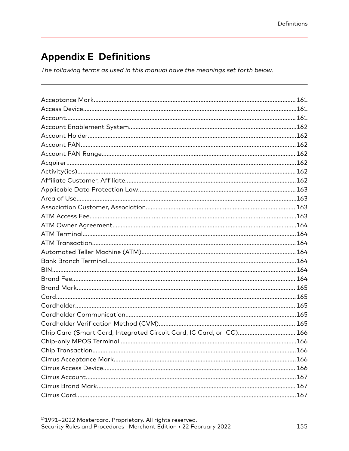# **Appendix E Definitions**

The following terms as used in this manual have the meanings set forth below.

| Chip Card (Smart Card, Integrated Circuit Card, IC Card, or ICC) 166 |  |
|----------------------------------------------------------------------|--|
|                                                                      |  |
|                                                                      |  |
|                                                                      |  |
|                                                                      |  |
|                                                                      |  |
|                                                                      |  |
|                                                                      |  |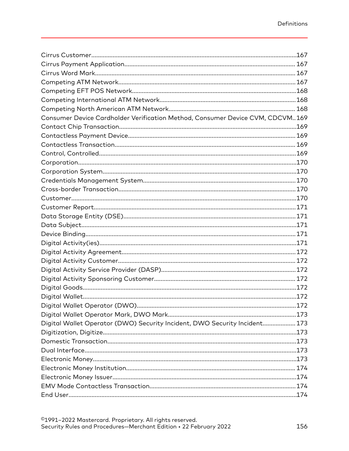| Consumer Device Cardholder Verification Method, Consumer Device CVM, CDCVM169 |  |
|-------------------------------------------------------------------------------|--|
|                                                                               |  |
|                                                                               |  |
|                                                                               |  |
|                                                                               |  |
|                                                                               |  |
|                                                                               |  |
|                                                                               |  |
|                                                                               |  |
|                                                                               |  |
|                                                                               |  |
|                                                                               |  |
|                                                                               |  |
|                                                                               |  |
|                                                                               |  |
|                                                                               |  |
|                                                                               |  |
|                                                                               |  |
|                                                                               |  |
|                                                                               |  |
|                                                                               |  |
|                                                                               |  |
|                                                                               |  |
| Digital Wallet Operator (DWO) Security Incident, DWO Security Incident 173    |  |
|                                                                               |  |
|                                                                               |  |
|                                                                               |  |
|                                                                               |  |
|                                                                               |  |
|                                                                               |  |
|                                                                               |  |
|                                                                               |  |
|                                                                               |  |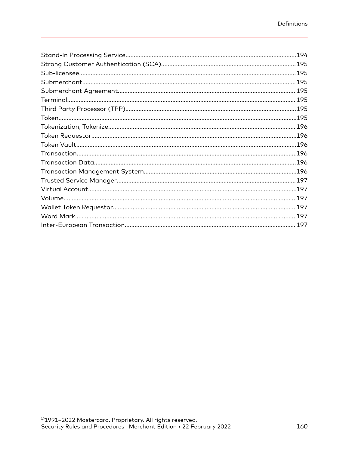| .194 |
|------|
|      |
|      |
|      |
|      |
|      |
|      |
|      |
|      |
|      |
|      |
|      |
|      |
|      |
|      |
|      |
|      |
|      |
|      |
|      |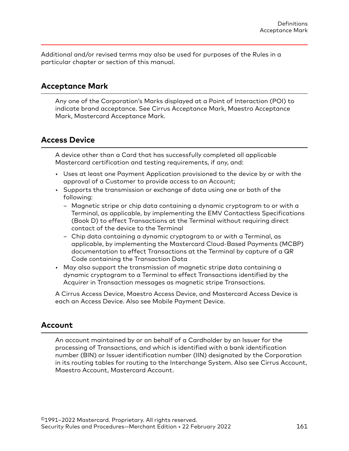<span id="page-160-0"></span>Additional and/or revised terms may also be used for purposes of the Rules in a particular chapter or section of this manual.

#### **Acceptance Mark**

Any one of the Corporation's Marks displayed at a Point of Interaction (POI) to indicate brand acceptance. See Cirrus Acceptance Mark, Maestro Acceptance Mark, Mastercard Acceptance Mark.

#### **Access Device**

A device other than a Card that has successfully completed all applicable Mastercard certification and testing requirements, if any, and:

- Uses at least one Payment Application provisioned to the device by or with the approval of a Customer to provide access to an Account;
- Supports the transmission or exchange of data using one or both of the following:
	- Magnetic stripe or chip data containing a dynamic cryptogram to or with a Terminal, as applicable, by implementing the EMV Contactless Specifications (Book D) to effect Transactions at the Terminal without requiring direct contact of the device to the Terminal
	- Chip data containing a dynamic cryptogram to or with a Terminal, as applicable, by implementing the Mastercard Cloud-Based Payments (MCBP) documentation to effect Transactions at the Terminal by capture of a QR Code containing the Transaction Data
- May also support the transmission of magnetic stripe data containing a dynamic cryptogram to a Terminal to effect Transactions identified by the Acquirer in Transaction messages as magnetic stripe Transactions.

A Cirrus Access Device, Maestro Access Device, and Mastercard Access Device is each an Access Device. Also see Mobile Payment Device.

#### **Account**

An account maintained by or on behalf of a Cardholder by an Issuer for the processing of Transactions, and which is identified with a bank identification number (BIN) or Issuer identification number (IIN) designated by the Corporation in its routing tables for routing to the Interchange System. Also see Cirrus Account, Maestro Account, Mastercard Account.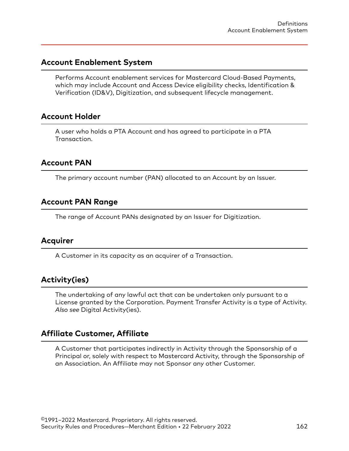#### <span id="page-161-0"></span>**Account Enablement System**

Performs Account enablement services for Mastercard Cloud-Based Payments, which may include Account and Access Device eligibility checks, Identification & Verification (ID&V), Digitization, and subsequent lifecycle management.

#### **Account Holder**

A user who holds a PTA Account and has agreed to participate in a PTA Transaction.

#### **Account PAN**

The primary account number (PAN) allocated to an Account by an Issuer.

#### **Account PAN Range**

The range of Account PANs designated by an Issuer for Digitization.

#### **Acquirer**

A Customer in its capacity as an acquirer of a Transaction.

# **Activity(ies)**

The undertaking of any lawful act that can be undertaken only pursuant to a License granted by the Corporation. Payment Transfer Activity is a type of Activity. *Also see* Digital Activity(ies).

#### **Affiliate Customer, Affiliate**

A Customer that participates indirectly in Activity through the Sponsorship of a Principal or, solely with respect to Mastercard Activity, through the Sponsorship of an Association. An Affiliate may not Sponsor any other Customer.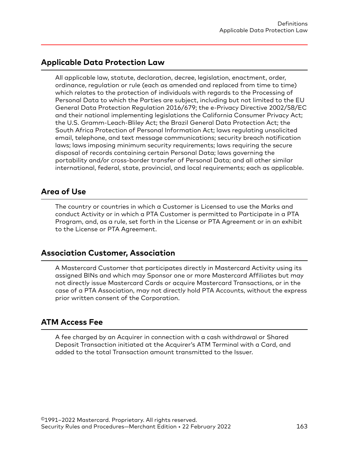#### <span id="page-162-0"></span>**Applicable Data Protection Law**

All applicable law, statute, declaration, decree, legislation, enactment, order, ordinance, regulation or rule (each as amended and replaced from time to time) which relates to the protection of individuals with regards to the Processing of Personal Data to which the Parties are subject, including but not limited to the EU General Data Protection Regulation 2016/679; the e-Privacy Directive 2002/58/EC and their national implementing legislations the California Consumer Privacy Act; the U.S. Gramm-Leach-Bliley Act; the Brazil General Data Protection Act; the South Africa Protection of Personal Information Act; laws regulating unsolicited email, telephone, and text message communications; security breach notification laws; laws imposing minimum security requirements; laws requiring the secure disposal of records containing certain Personal Data; laws governing the portability and/or cross-border transfer of Personal Data; and all other similar international, federal, state, provincial, and local requirements; each as applicable.

#### **Area of Use**

The country or countries in which a Customer is Licensed to use the Marks and conduct Activity or in which a PTA Customer is permitted to Participate in a PTA Program, and, as a rule, set forth in the License or PTA Agreement or in an exhibit to the License or PTA Agreement.

# **Association Customer, Association**

A Mastercard Customer that participates directly in Mastercard Activity using its assigned BINs and which may Sponsor one or more Mastercard Affiliates but may not directly issue Mastercard Cards or acquire Mastercard Transactions, or in the case of a PTA Association, may not directly hold PTA Accounts, without the express prior written consent of the Corporation.

# **ATM Access Fee**

A fee charged by an Acquirer in connection with a cash withdrawal or Shared Deposit Transaction initiated at the Acquirer's ATM Terminal with a Card, and added to the total Transaction amount transmitted to the Issuer.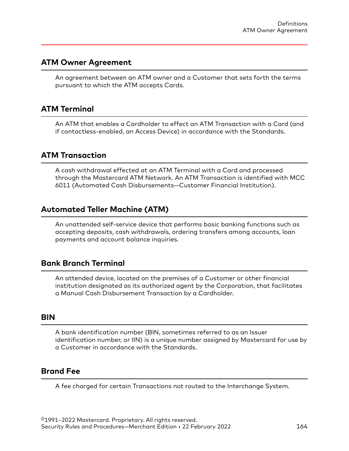#### <span id="page-163-0"></span>**ATM Owner Agreement**

An agreement between an ATM owner and a Customer that sets forth the terms pursuant to which the ATM accepts Cards.

#### **ATM Terminal**

An ATM that enables a Cardholder to effect an ATM Transaction with a Card (and if contactless-enabled, an Access Device) in accordance with the Standards.

#### **ATM Transaction**

A cash withdrawal effected at an ATM Terminal with a Card and processed through the Mastercard ATM Network. An ATM Transaction is identified with MCC 6011 (Automated Cash Disbursements—Customer Financial Institution).

#### **Automated Teller Machine (ATM)**

An unattended self-service device that performs basic banking functions such as accepting deposits, cash withdrawals, ordering transfers among accounts, loan payments and account balance inquiries.

#### **Bank Branch Terminal**

An attended device, located on the premises of a Customer or other financial institution designated as its authorized agent by the Corporation, that facilitates a Manual Cash Disbursement Transaction by a Cardholder.

#### **BIN**

A bank identification number (BIN, sometimes referred to as an Issuer identification number, or IIN) is a unique number assigned by Mastercard for use by a Customer in accordance with the Standards.

#### **Brand Fee**

A fee charged for certain Transactions not routed to the Interchange System.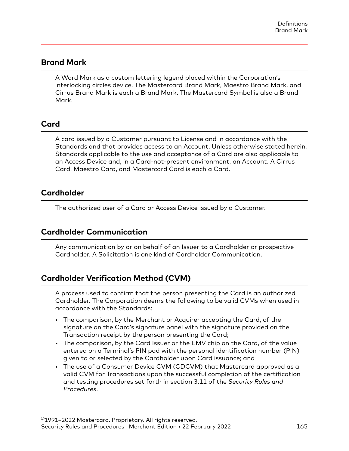#### <span id="page-164-0"></span>**Brand Mark**

A Word Mark as a custom lettering legend placed within the Corporation's interlocking circles device. The Mastercard Brand Mark, Maestro Brand Mark, and Cirrus Brand Mark is each a Brand Mark. The Mastercard Symbol is also a Brand Mark.

#### **Card**

A card issued by a Customer pursuant to License and in accordance with the Standards and that provides access to an Account. Unless otherwise stated herein, Standards applicable to the use and acceptance of a Card are also applicable to an Access Device and, in a Card-not-present environment, an Account. A Cirrus Card, Maestro Card, and Mastercard Card is each a Card.

#### **Cardholder**

The authorized user of a Card or Access Device issued by a Customer.

#### **Cardholder Communication**

Any communication by or on behalf of an Issuer to a Cardholder or prospective Cardholder. A Solicitation is one kind of Cardholder Communication.

# **Cardholder Verification Method (CVM)**

A process used to confirm that the person presenting the Card is an authorized Cardholder. The Corporation deems the following to be valid CVMs when used in accordance with the Standards:

- The comparison, by the Merchant or Acquirer accepting the Card, of the signature on the Card's signature panel with the signature provided on the Transaction receipt by the person presenting the Card;
- The comparison, by the Card Issuer or the EMV chip on the Card, of the value entered on a Terminal's PIN pad with the personal identification number (PIN) given to or selected by the Cardholder upon Card issuance; and
- The use of a Consumer Device CVM (CDCVM) that Mastercard approved as a valid CVM for Transactions upon the successful completion of the certification and testing procedures set forth in section 3.11 of the *Security Rules and Procedures*.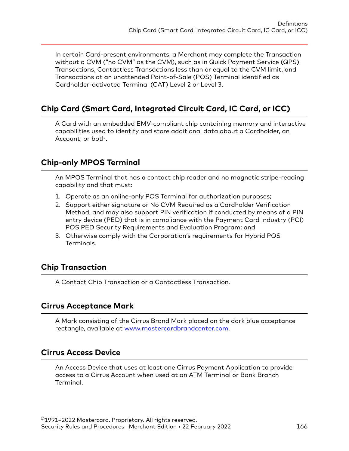<span id="page-165-0"></span>In certain Card-present environments, a Merchant may complete the Transaction without a CVM ("no CVM" as the CVM), such as in Quick Payment Service (QPS) Transactions, Contactless Transactions less than or equal to the CVM limit, and Transactions at an unattended Point-of-Sale (POS) Terminal identified as Cardholder-activated Terminal (CAT) Level 2 or Level 3.

# **Chip Card (Smart Card, Integrated Circuit Card, IC Card, or ICC)**

A Card with an embedded EMV-compliant chip containing memory and interactive capabilities used to identify and store additional data about a Cardholder, an Account, or both.

# **Chip-only MPOS Terminal**

An MPOS Terminal that has a contact chip reader and no magnetic stripe-reading capability and that must:

- 1. Operate as an online-only POS Terminal for authorization purposes;
- 2. Support either signature or No CVM Required as a Cardholder Verification Method, and may also support PIN verification if conducted by means of a PIN entry device (PED) that is in compliance with the Payment Card Industry (PCI) POS PED Security Requirements and Evaluation Program; and
- 3. Otherwise comply with the Corporation's requirements for Hybrid POS Terminals.

# **Chip Transaction**

A Contact Chip Transaction or a Contactless Transaction.

#### **Cirrus Acceptance Mark**

A Mark consisting of the Cirrus Brand Mark placed on the dark blue acceptance rectangle, available at [www.mastercardbrandcenter.com.](http://www.mastercardbrandcenter.com)

# **Cirrus Access Device**

An Access Device that uses at least one Cirrus Payment Application to provide access to a Cirrus Account when used at an ATM Terminal or Bank Branch Terminal.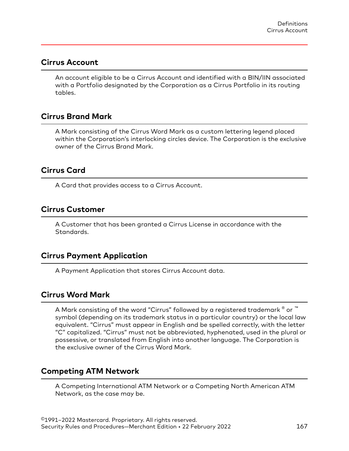#### <span id="page-166-0"></span>**Cirrus Account**

An account eligible to be a Cirrus Account and identified with a BIN/IIN associated with a Portfolio designated by the Corporation as a Cirrus Portfolio in its routing tables.

#### **Cirrus Brand Mark**

A Mark consisting of the Cirrus Word Mark as a custom lettering legend placed within the Corporation's interlocking circles device. The Corporation is the exclusive owner of the Cirrus Brand Mark.

#### **Cirrus Card**

A Card that provides access to a Cirrus Account.

#### **Cirrus Customer**

A Customer that has been granted a Cirrus License in accordance with the Standards.

#### **Cirrus Payment Application**

A Payment Application that stores Cirrus Account data.

#### **Cirrus Word Mark**

A Mark consisting of the word "Cirrus" followed by a registered trademark  $^\circ$  or  $^{\text{\tiny{\textsf{TM}}}}$ symbol (depending on its trademark status in a particular country) or the local law equivalent. "Cirrus" must appear in English and be spelled correctly, with the letter "C" capitalized. "Cirrus" must not be abbreviated, hyphenated, used in the plural or possessive, or translated from English into another language. The Corporation is the exclusive owner of the Cirrus Word Mark.

#### **Competing ATM Network**

A Competing International ATM Network or a Competing North American ATM Network, as the case may be.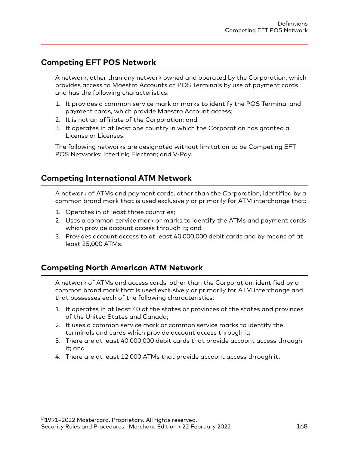#### <span id="page-167-0"></span>**Competing EFT POS Network**

A network, other than any network owned and operated by the Corporation, which provides access to Maestro Accounts at POS Terminals by use of payment cards and has the following characteristics:

- 1. It provides a common service mark or marks to identify the POS Terminal and payment cards, which provide Maestro Account access;
- 2. It is not an affiliate of the Corporation; and
- 3. It operates in at least one country in which the Corporation has granted a License or Licenses.

The following networks are designated without limitation to be Competing EFT POS Networks: Interlink; Electron; and V-Pay.

# **Competing International ATM Network**

A network of ATMs and payment cards, other than the Corporation, identified by a common brand mark that is used exclusively or primarily for ATM interchange that:

- 1. Operates in at least three countries;
- 2. Uses a common service mark or marks to identify the ATMs and payment cards which provide account access through it; and
- 3. Provides account access to at least 40,000,000 debit cards and by means of at least 25,000 ATMs.

# **Competing North American ATM Network**

A network of ATMs and access cards, other than the Corporation, identified by a common brand mark that is used exclusively or primarily for ATM interchange and that possesses each of the following characteristics:

- 1. It operates in at least 40 of the states or provinces of the states and provinces of the United States and Canada;
- 2. It uses a common service mark or common service marks to identify the terminals and cards which provide account access through it;
- 3. There are at least 40,000,000 debit cards that provide account access through it; and
- 4. There are at least 12,000 ATMs that provide account access through it.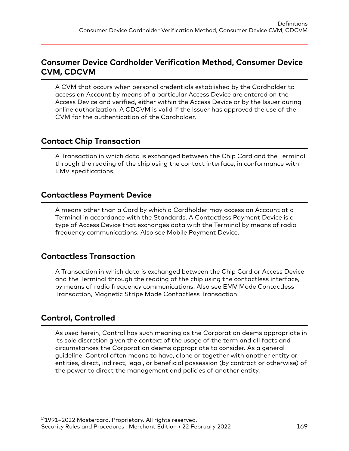#### <span id="page-168-0"></span>**Consumer Device Cardholder Verification Method, Consumer Device CVM, CDCVM**

A CVM that occurs when personal credentials established by the Cardholder to access an Account by means of a particular Access Device are entered on the Access Device and verified, either within the Access Device or by the Issuer during online authorization. A CDCVM is valid if the Issuer has approved the use of the CVM for the authentication of the Cardholder.

#### **Contact Chip Transaction**

A Transaction in which data is exchanged between the Chip Card and the Terminal through the reading of the chip using the contact interface, in conformance with EMV specifications.

#### **Contactless Payment Device**

A means other than a Card by which a Cardholder may access an Account at a Terminal in accordance with the Standards. A Contactless Payment Device is a type of Access Device that exchanges data with the Terminal by means of radio frequency communications. Also see Mobile Payment Device.

#### **Contactless Transaction**

A Transaction in which data is exchanged between the Chip Card or Access Device and the Terminal through the reading of the chip using the contactless interface, by means of radio frequency communications. Also see EMV Mode Contactless Transaction, Magnetic Stripe Mode Contactless Transaction.

# **Control, Controlled**

As used herein, Control has such meaning as the Corporation deems appropriate in its sole discretion given the context of the usage of the term and all facts and circumstances the Corporation deems appropriate to consider. As a general guideline, Control often means to have, alone or together with another entity or entities, direct, indirect, legal, or beneficial possession (by contract or otherwise) of the power to direct the management and policies of another entity.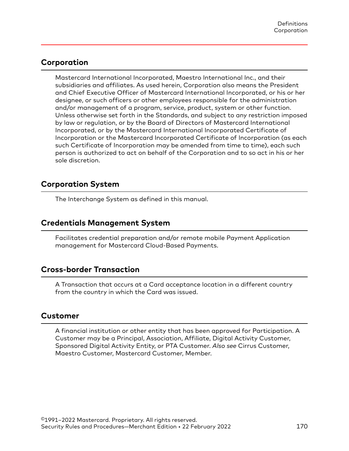#### <span id="page-169-0"></span>**Corporation**

Mastercard International Incorporated, Maestro International Inc., and their subsidiaries and affiliates. As used herein, Corporation also means the President and Chief Executive Officer of Mastercard International Incorporated, or his or her designee, or such officers or other employees responsible for the administration and/or management of a program, service, product, system or other function. Unless otherwise set forth in the Standards, and subject to any restriction imposed by law or regulation, or by the Board of Directors of Mastercard International Incorporated, or by the Mastercard International Incorporated Certificate of Incorporation or the Mastercard Incorporated Certificate of Incorporation (as each such Certificate of Incorporation may be amended from time to time), each such person is authorized to act on behalf of the Corporation and to so act in his or her sole discretion.

#### **Corporation System**

The Interchange System as defined in this manual.

# **Credentials Management System**

Facilitates credential preparation and/or remote mobile Payment Application management for Mastercard Cloud-Based Payments.

#### **Cross-border Transaction**

A Transaction that occurs at a Card acceptance location in a different country from the country in which the Card was issued.

#### **Customer**

A financial institution or other entity that has been approved for Participation. A Customer may be a Principal, Association, Affiliate, Digital Activity Customer, Sponsored Digital Activity Entity, or PTA Customer. *Also see* Cirrus Customer, Maestro Customer, Mastercard Customer, Member.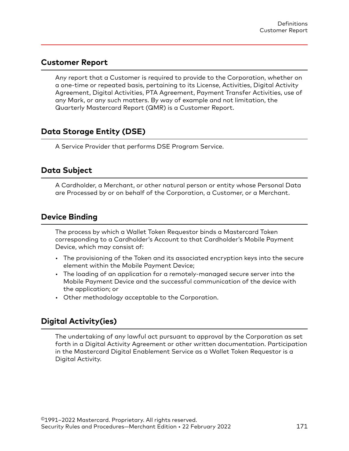#### <span id="page-170-0"></span>**Customer Report**

Any report that a Customer is required to provide to the Corporation, whether on a one-time or repeated basis, pertaining to its License, Activities, Digital Activity Agreement, Digital Activities, PTA Agreement, Payment Transfer Activities, use of any Mark, or any such matters. By way of example and not limitation, the Quarterly Mastercard Report (QMR) is a Customer Report.

# **Data Storage Entity (DSE)**

A Service Provider that performs DSE Program Service.

#### **Data Subject**

A Cardholder, a Merchant, or other natural person or entity whose Personal Data are Processed by or on behalf of the Corporation, a Customer, or a Merchant.

# **Device Binding**

The process by which a Wallet Token Requestor binds a Mastercard Token corresponding to a Cardholder's Account to that Cardholder's Mobile Payment Device, which may consist of:

- The provisioning of the Token and its associated encryption keys into the secure element within the Mobile Payment Device;
- The loading of an application for a remotely-managed secure server into the Mobile Payment Device and the successful communication of the device with the application; or
- Other methodology acceptable to the Corporation.

# **Digital Activity(ies)**

The undertaking of any lawful act pursuant to approval by the Corporation as set forth in a Digital Activity Agreement or other written documentation. Participation in the Mastercard Digital Enablement Service as a Wallet Token Requestor is a Digital Activity.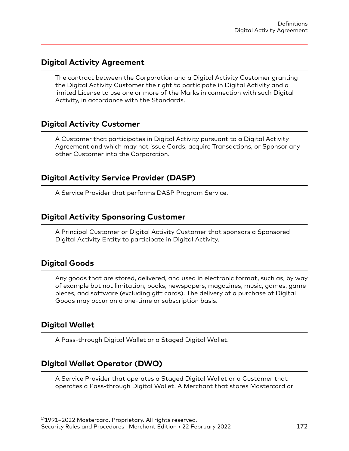#### <span id="page-171-0"></span>**Digital Activity Agreement**

The contract between the Corporation and a Digital Activity Customer granting the Digital Activity Customer the right to participate in Digital Activity and a limited License to use one or more of the Marks in connection with such Digital Activity, in accordance with the Standards.

# **Digital Activity Customer**

A Customer that participates in Digital Activity pursuant to a Digital Activity Agreement and which may not issue Cards, acquire Transactions, or Sponsor any other Customer into the Corporation.

# **Digital Activity Service Provider (DASP)**

A Service Provider that performs DASP Program Service.

#### **Digital Activity Sponsoring Customer**

A Principal Customer or Digital Activity Customer that sponsors a Sponsored Digital Activity Entity to participate in Digital Activity.

#### **Digital Goods**

Any goods that are stored, delivered, and used in electronic format, such as, by way of example but not limitation, books, newspapers, magazines, music, games, game pieces, and software (excluding gift cards). The delivery of a purchase of Digital Goods may occur on a one-time or subscription basis.

# **Digital Wallet**

A Pass-through Digital Wallet or a Staged Digital Wallet.

# **Digital Wallet Operator (DWO)**

A Service Provider that operates a Staged Digital Wallet or a Customer that operates a Pass-through Digital Wallet. A Merchant that stores Mastercard or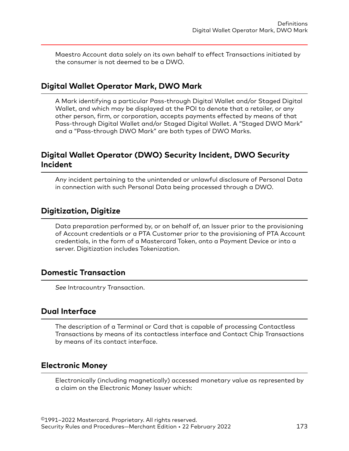<span id="page-172-0"></span>Maestro Account data solely on its own behalf to effect Transactions initiated by the consumer is not deemed to be a DWO.

#### **Digital Wallet Operator Mark, DWO Mark**

A Mark identifying a particular Pass-through Digital Wallet and/or Staged Digital Wallet, and which may be displayed at the POI to denote that a retailer, or any other person, firm, or corporation, accepts payments effected by means of that Pass-through Digital Wallet and/or Staged Digital Wallet. A "Staged DWO Mark" and a "Pass-through DWO Mark" are both types of DWO Marks.

# **Digital Wallet Operator (DWO) Security Incident, DWO Security Incident**

Any incident pertaining to the unintended or unlawful disclosure of Personal Data in connection with such Personal Data being processed through a DWO.

#### **Digitization, Digitize**

Data preparation performed by, or on behalf of, an Issuer prior to the provisioning of Account credentials or a PTA Customer prior to the provisioning of PTA Account credentials, in the form of a Mastercard Token, onto a Payment Device or into a server. Digitization includes Tokenization.

#### **Domestic Transaction**

*See* Intracountry Transaction.

#### **Dual Interface**

The description of a Terminal or Card that is capable of processing Contactless Transactions by means of its contactless interface and Contact Chip Transactions by means of its contact interface.

#### **Electronic Money**

Electronically (including magnetically) accessed monetary value as represented by a claim on the Electronic Money Issuer which: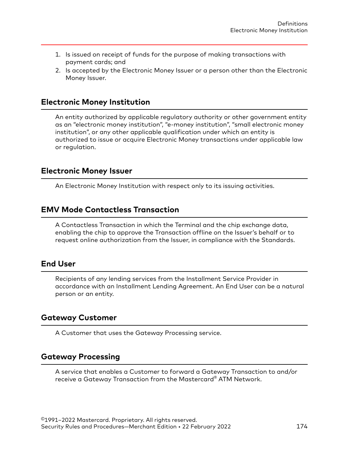- <span id="page-173-0"></span>1. Is issued on receipt of funds for the purpose of making transactions with payment cards; and
- 2. Is accepted by the Electronic Money Issuer or a person other than the Electronic Money Issuer.

#### **Electronic Money Institution**

An entity authorized by applicable regulatory authority or other government entity as an "electronic money institution", "e-money institution", "small electronic money institution", or any other applicable qualification under which an entity is authorized to issue or acquire Electronic Money transactions under applicable law or regulation.

#### **Electronic Money Issuer**

An Electronic Money Institution with respect only to its issuing activities.

#### **EMV Mode Contactless Transaction**

A Contactless Transaction in which the Terminal and the chip exchange data, enabling the chip to approve the Transaction offline on the Issuer's behalf or to request online authorization from the Issuer, in compliance with the Standards.

#### **End User**

Recipients of any lending services from the Installment Service Provider in accordance with an Installment Lending Agreement. An End User can be a natural person or an entity.

# **Gateway Customer**

A Customer that uses the Gateway Processing service.

#### **Gateway Processing**

A service that enables a Customer to forward a Gateway Transaction to and/or receive a Gateway Transaction from the Mastercard® ATM Network.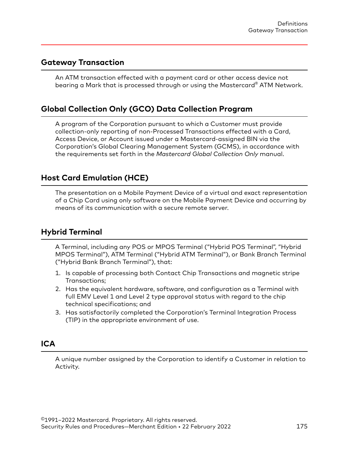#### <span id="page-174-0"></span>**Gateway Transaction**

An ATM transaction effected with a payment card or other access device not bearing a Mark that is processed through or using the Mastercard® ATM Network.

# **Global Collection Only (GCO) Data Collection Program**

A program of the Corporation pursuant to which a Customer must provide collection-only reporting of non-Processed Transactions effected with a Card, Access Device, or Account issued under a Mastercard-assigned BIN via the Corporation's Global Clearing Management System (GCMS), in accordance with the requirements set forth in the *Mastercard Global Collection Only* manual.

# **Host Card Emulation (HCE)**

The presentation on a Mobile Payment Device of a virtual and exact representation of a Chip Card using only software on the Mobile Payment Device and occurring by means of its communication with a secure remote server.

#### **Hybrid Terminal**

A Terminal, including any POS or MPOS Terminal ("Hybrid POS Terminal", "Hybrid MPOS Terminal"), ATM Terminal ("Hybrid ATM Terminal"), or Bank Branch Terminal ("Hybrid Bank Branch Terminal"), that:

- 1. Is capable of processing both Contact Chip Transactions and magnetic stripe Transactions;
- 2. Has the equivalent hardware, software, and configuration as a Terminal with full EMV Level 1 and Level 2 type approval status with regard to the chip technical specifications; and
- 3. Has satisfactorily completed the Corporation's Terminal Integration Process (TIP) in the appropriate environment of use.

# **ICA**

A unique number assigned by the Corporation to identify a Customer in relation to Activity.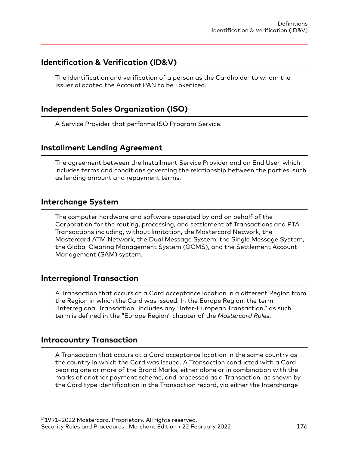#### <span id="page-175-0"></span>**Identification & Verification (ID&V)**

The identification and verification of a person as the Cardholder to whom the Issuer allocated the Account PAN to be Tokenized.

#### **Independent Sales Organization (ISO)**

A Service Provider that performs ISO Program Service.

# **Installment Lending Agreement**

The agreement between the Installment Service Provider and an End User, which includes terms and conditions governing the relationship between the parties, such as lending amount and repayment terms.

#### **Interchange System**

The computer hardware and software operated by and on behalf of the Corporation for the routing, processing, and settlement of Transactions and PTA Transactions including, without limitation, the Mastercard Network, the Mastercard ATM Network, the Dual Message System, the Single Message System, the Global Clearing Management System (GCMS), and the Settlement Account Management (SAM) system.

#### **Interregional Transaction**

A Transaction that occurs at a Card acceptance location in a different Region from the Region in which the Card was issued. In the Europe Region, the term "Interregional Transaction" includes any "Inter-European Transaction," as such term is defined in the "Europe Region" chapter of the *Mastercard Rules*.

#### **Intracountry Transaction**

A Transaction that occurs at a Card acceptance location in the same country as the country in which the Card was issued. A Transaction conducted with a Card bearing one or more of the Brand Marks, either alone or in combination with the marks of another payment scheme, and processed as a Transaction, as shown by the Card type identification in the Transaction record, via either the Interchange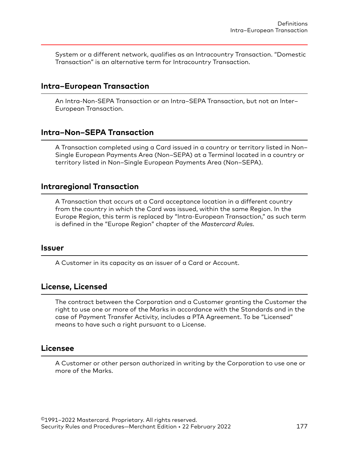<span id="page-176-0"></span>System or a different network, qualifies as an Intracountry Transaction. "Domestic Transaction" is an alternative term for Intracountry Transaction.

#### **Intra–European Transaction**

An Intra-Non-SEPA Transaction or an Intra–SEPA Transaction, but not an Inter– European Transaction.

#### **Intra–Non–SEPA Transaction**

A Transaction completed using a Card issued in a country or territory listed in Non– Single European Payments Area (Non–SEPA) at a Terminal located in a country or territory listed in Non–Single European Payments Area (Non–SEPA).

#### **Intraregional Transaction**

A Transaction that occurs at a Card acceptance location in a different country from the country in which the Card was issued, within the same Region. In the Europe Region, this term is replaced by "Intra-European Transaction," as such term is defined in the "Europe Region" chapter of the *Mastercard Rules*.

#### **Issuer**

A Customer in its capacity as an issuer of a Card or Account.

#### **License, Licensed**

The contract between the Corporation and a Customer granting the Customer the right to use one or more of the Marks in accordance with the Standards and in the case of Payment Transfer Activity, includes a PTA Agreement. To be "Licensed" means to have such a right pursuant to a License.

#### **Licensee**

A Customer or other person authorized in writing by the Corporation to use one or more of the Marks.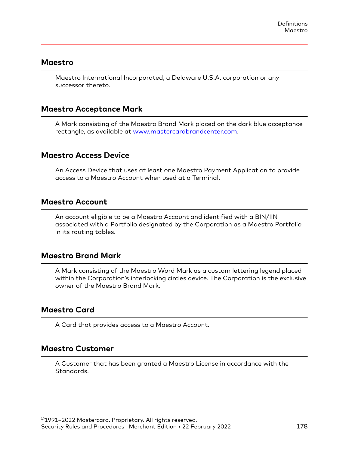#### <span id="page-177-0"></span>**Maestro**

Maestro International Incorporated, a Delaware U.S.A. corporation or any successor thereto.

#### **Maestro Acceptance Mark**

A Mark consisting of the Maestro Brand Mark placed on the dark blue acceptance rectangle, as available at [www.mastercardbrandcenter.com.](http://www.mastercardbrandcenter.com)

#### **Maestro Access Device**

An Access Device that uses at least one Maestro Payment Application to provide access to a Maestro Account when used at a Terminal.

#### **Maestro Account**

An account eligible to be a Maestro Account and identified with a BIN/IIN associated with a Portfolio designated by the Corporation as a Maestro Portfolio in its routing tables.

#### **Maestro Brand Mark**

A Mark consisting of the Maestro Word Mark as a custom lettering legend placed within the Corporation's interlocking circles device. The Corporation is the exclusive owner of the Maestro Brand Mark.

#### **Maestro Card**

A Card that provides access to a Maestro Account.

#### **Maestro Customer**

A Customer that has been granted a Maestro License in accordance with the Standards.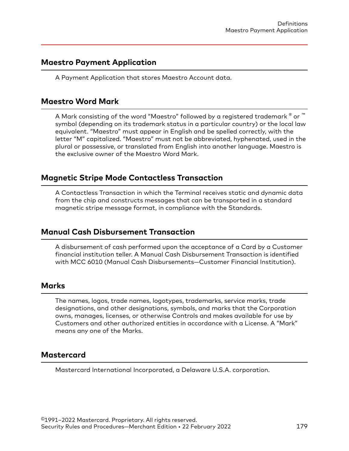#### <span id="page-178-0"></span>**Maestro Payment Application**

A Payment Application that stores Maestro Account data.

#### **Maestro Word Mark**

A Mark consisting of the word "Maestro" followed by a registered trademark  $^\circ$  or  $^\text{\tiny{\textsf{m}}}$ symbol (depending on its trademark status in a particular country) or the local law equivalent. "Maestro" must appear in English and be spelled correctly, with the letter "M" capitalized. "Maestro" must not be abbreviated, hyphenated, used in the plural or possessive, or translated from English into another language. Maestro is the exclusive owner of the Maestro Word Mark.

# **Magnetic Stripe Mode Contactless Transaction**

A Contactless Transaction in which the Terminal receives static and dynamic data from the chip and constructs messages that can be transported in a standard magnetic stripe message format, in compliance with the Standards.

#### **Manual Cash Disbursement Transaction**

A disbursement of cash performed upon the acceptance of a Card by a Customer financial institution teller. A Manual Cash Disbursement Transaction is identified with MCC 6010 (Manual Cash Disbursements—Customer Financial Institution).

#### **Marks**

The names, logos, trade names, logotypes, trademarks, service marks, trade designations, and other designations, symbols, and marks that the Corporation owns, manages, licenses, or otherwise Controls and makes available for use by Customers and other authorized entities in accordance with a License. A "Mark" means any one of the Marks.

# **Mastercard**

Mastercard International Incorporated, a Delaware U.S.A. corporation.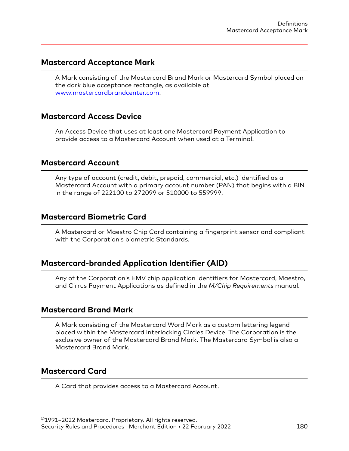#### <span id="page-179-0"></span>**Mastercard Acceptance Mark**

A Mark consisting of the Mastercard Brand Mark or Mastercard Symbol placed on the dark blue acceptance rectangle, as available at [www.mastercardbrandcenter.com](http://www.mastercardbrandcenter.com).

#### **Mastercard Access Device**

An Access Device that uses at least one Mastercard Payment Application to provide access to a Mastercard Account when used at a Terminal.

#### **Mastercard Account**

Any type of account (credit, debit, prepaid, commercial, etc.) identified as a Mastercard Account with a primary account number (PAN) that begins with a BIN in the range of 222100 to 272099 or 510000 to 559999.

#### **Mastercard Biometric Card**

A Mastercard or Maestro Chip Card containing a fingerprint sensor and compliant with the Corporation's biometric Standards.

#### **Mastercard-branded Application Identifier (AID)**

Any of the Corporation's EMV chip application identifiers for Mastercard, Maestro, and Cirrus Payment Applications as defined in the *M/Chip Requirements* manual.

#### **Mastercard Brand Mark**

A Mark consisting of the Mastercard Word Mark as a custom lettering legend placed within the Mastercard Interlocking Circles Device. The Corporation is the exclusive owner of the Mastercard Brand Mark. The Mastercard Symbol is also a Mastercard Brand Mark.

#### **Mastercard Card**

A Card that provides access to a Mastercard Account.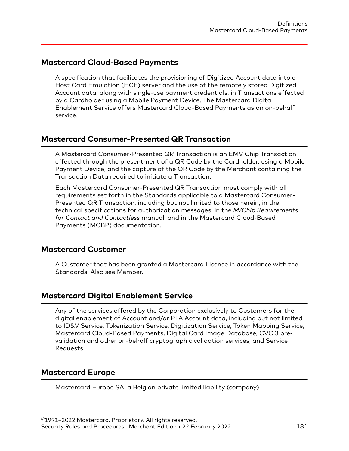#### **Mastercard Cloud-Based Payments**

A specification that facilitates the provisioning of Digitized Account data into a Host Card Emulation (HCE) server and the use of the remotely stored Digitized Account data, along with single-use payment credentials, in Transactions effected by a Cardholder using a Mobile Payment Device. The Mastercard Digital Enablement Service offers Mastercard Cloud-Based Payments as an on-behalf service.

## **Mastercard Consumer-Presented QR Transaction**

A Mastercard Consumer-Presented QR Transaction is an EMV Chip Transaction effected through the presentment of a QR Code by the Cardholder, using a Mobile Payment Device, and the capture of the QR Code by the Merchant containing the Transaction Data required to initiate a Transaction.

Each Mastercard Consumer-Presented QR Transaction must comply with all requirements set forth in the Standards applicable to a Mastercard Consumer-Presented QR Transaction, including but not limited to those herein, in the technical specifications for authorization messages, in the *M/Chip Requirements for Contact and Contactless* manual, and in the Mastercard Cloud-Based Payments (MCBP) documentation.

#### **Mastercard Customer**

A Customer that has been granted a Mastercard License in accordance with the Standards. Also see Member.

#### **Mastercard Digital Enablement Service**

Any of the services offered by the Corporation exclusively to Customers for the digital enablement of Account and/or PTA Account data, including but not limited to ID&V Service, Tokenization Service, Digitization Service, Token Mapping Service, Mastercard Cloud-Based Payments, Digital Card Image Database, CVC 3 prevalidation and other on-behalf cryptographic validation services, and Service Requests.

#### **Mastercard Europe**

Mastercard Europe SA, a Belgian private limited liability (company).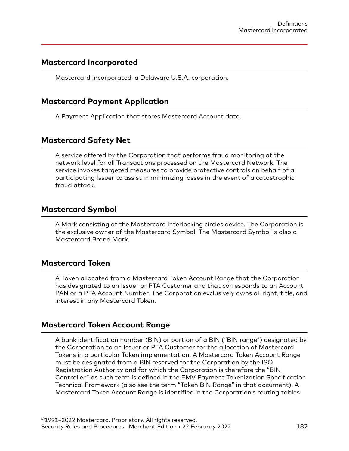#### **Mastercard Incorporated**

Mastercard Incorporated, a Delaware U.S.A. corporation.

## **Mastercard Payment Application**

A Payment Application that stores Mastercard Account data.

## **Mastercard Safety Net**

A service offered by the Corporation that performs fraud monitoring at the network level for all Transactions processed on the Mastercard Network. The service invokes targeted measures to provide protective controls on behalf of a participating Issuer to assist in minimizing losses in the event of a catastrophic fraud attack.

#### **Mastercard Symbol**

A Mark consisting of the Mastercard interlocking circles device. The Corporation is the exclusive owner of the Mastercard Symbol. The Mastercard Symbol is also a Mastercard Brand Mark.

#### **Mastercard Token**

A Token allocated from a Mastercard Token Account Range that the Corporation has designated to an Issuer or PTA Customer and that corresponds to an Account PAN or a PTA Account Number. The Corporation exclusively owns all right, title, and interest in any Mastercard Token.

#### **Mastercard Token Account Range**

A bank identification number (BIN) or portion of a BIN ("BIN range") designated by the Corporation to an Issuer or PTA Customer for the allocation of Mastercard Tokens in a particular Token implementation. A Mastercard Token Account Range must be designated from a BIN reserved for the Corporation by the ISO Registration Authority and for which the Corporation is therefore the "BIN Controller," as such term is defined in the EMV Payment Tokenization Specification Technical Framework (also see the term "Token BIN Range" in that document). A Mastercard Token Account Range is identified in the Corporation's routing tables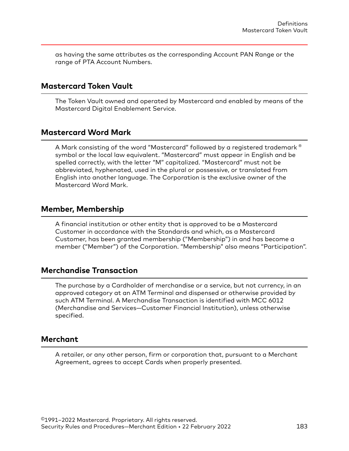as having the same attributes as the corresponding Account PAN Range or the range of PTA Account Numbers.

#### **Mastercard Token Vault**

The Token Vault owned and operated by Mastercard and enabled by means of the Mastercard Digital Enablement Service.

#### **Mastercard Word Mark**

A Mark consisting of the word "Mastercard" followed by a registered trademark ® symbol or the local law equivalent. "Mastercard" must appear in English and be spelled correctly, with the letter "M" capitalized. "Mastercard" must not be abbreviated, hyphenated, used in the plural or possessive, or translated from English into another language. The Corporation is the exclusive owner of the Mastercard Word Mark.

#### **Member, Membership**

A financial institution or other entity that is approved to be a Mastercard Customer in accordance with the Standards and which, as a Mastercard Customer, has been granted membership ("Membership") in and has become a member ("Member") of the Corporation. "Membership" also means "Participation".

## **Merchandise Transaction**

The purchase by a Cardholder of merchandise or a service, but not currency, in an approved category at an ATM Terminal and dispensed or otherwise provided by such ATM Terminal. A Merchandise Transaction is identified with MCC 6012 (Merchandise and Services—Customer Financial Institution), unless otherwise specified.

#### **Merchant**

A retailer, or any other person, firm or corporation that, pursuant to a Merchant Agreement, agrees to accept Cards when properly presented.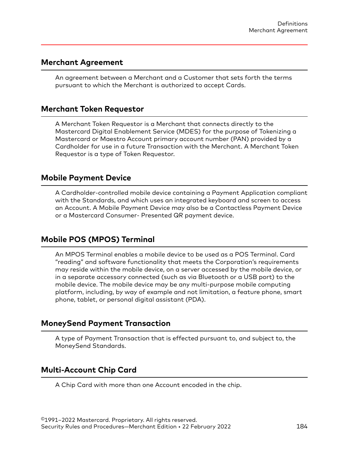#### **Merchant Agreement**

An agreement between a Merchant and a Customer that sets forth the terms pursuant to which the Merchant is authorized to accept Cards.

#### **Merchant Token Requestor**

A Merchant Token Requestor is a Merchant that connects directly to the Mastercard Digital Enablement Service (MDES) for the purpose of Tokenizing a Mastercard or Maestro Account primary account number (PAN) provided by a Cardholder for use in a future Transaction with the Merchant. A Merchant Token Requestor is a type of Token Requestor.

#### **Mobile Payment Device**

A Cardholder-controlled mobile device containing a Payment Application compliant with the Standards, and which uses an integrated keyboard and screen to access an Account. A Mobile Payment Device may also be a Contactless Payment Device or a Mastercard Consumer- Presented QR payment device.

#### **Mobile POS (MPOS) Terminal**

An MPOS Terminal enables a mobile device to be used as a POS Terminal. Card "reading" and software functionality that meets the Corporation's requirements may reside within the mobile device, on a server accessed by the mobile device, or in a separate accessory connected (such as via Bluetooth or a USB port) to the mobile device. The mobile device may be any multi-purpose mobile computing platform, including, by way of example and not limitation, a feature phone, smart phone, tablet, or personal digital assistant (PDA).

#### **MoneySend Payment Transaction**

A type of Payment Transaction that is effected pursuant to, and subject to, the MoneySend Standards.

#### **Multi-Account Chip Card**

A Chip Card with more than one Account encoded in the chip.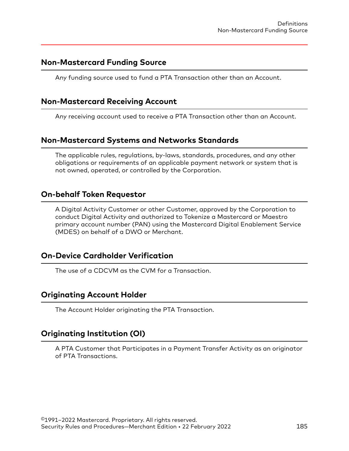#### **Non-Mastercard Funding Source**

Any funding source used to fund a PTA Transaction other than an Account.

## **Non-Mastercard Receiving Account**

Any receiving account used to receive a PTA Transaction other than an Account.

## **Non-Mastercard Systems and Networks Standards**

The applicable rules, regulations, by-laws, standards, procedures, and any other obligations or requirements of an applicable payment network or system that is not owned, operated, or controlled by the Corporation.

#### **On-behalf Token Requestor**

A Digital Activity Customer or other Customer, approved by the Corporation to conduct Digital Activity and authorized to Tokenize a Mastercard or Maestro primary account number (PAN) using the Mastercard Digital Enablement Service (MDES) on behalf of a DWO or Merchant.

#### **On-Device Cardholder Verification**

The use of a CDCVM as the CVM for a Transaction.

#### **Originating Account Holder**

The Account Holder originating the PTA Transaction.

## **Originating Institution (OI)**

A PTA Customer that Participates in a Payment Transfer Activity as an originator of PTA Transactions.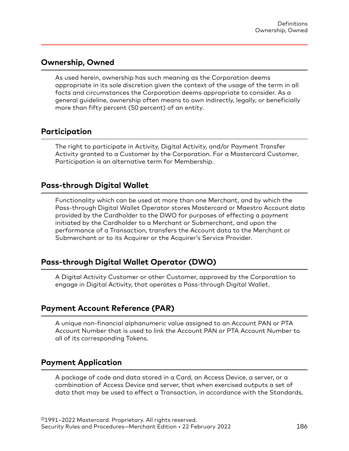#### **Ownership, Owned**

As used herein, ownership has such meaning as the Corporation deems appropriate in its sole discretion given the context of the usage of the term in all facts and circumstances the Corporation deems appropriate to consider. As a general guideline, ownership often means to own indirectly, legally, or beneficially more than fifty percent (50 percent) of an entity.

#### **Participation**

The right to participate in Activity, Digital Activity, and/or Payment Transfer Activity granted to a Customer by the Corporation. For a Mastercard Customer, Participation is an alternative term for Membership.

#### **Pass-through Digital Wallet**

Functionality which can be used at more than one Merchant, and by which the Pass-through Digital Wallet Operator stores Mastercard or Maestro Account data provided by the Cardholder to the DWO for purposes of effecting a payment initiated by the Cardholder to a Merchant or Submerchant, and upon the performance of a Transaction, transfers the Account data to the Merchant or Submerchant or to its Acquirer or the Acquirer's Service Provider.

## **Pass-through Digital Wallet Operator (DWO)**

A Digital Activity Customer or other Customer, approved by the Corporation to engage in Digital Activity, that operates a Pass-through Digital Wallet.

#### **Payment Account Reference (PAR)**

A unique non-financial alphanumeric value assigned to an Account PAN or PTA Account Number that is used to link the Account PAN or PTA Account Number to all of its corresponding Tokens.

#### **Payment Application**

A package of code and data stored in a Card, an Access Device, a server, or a combination of Access Device and server, that when exercised outputs a set of data that may be used to effect a Transaction, in accordance with the Standards.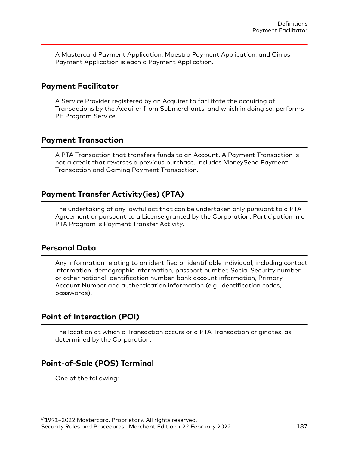A Mastercard Payment Application, Maestro Payment Application, and Cirrus Payment Application is each a Payment Application.

#### **Payment Facilitator**

A Service Provider registered by an Acquirer to facilitate the acquiring of Transactions by the Acquirer from Submerchants, and which in doing so, performs PF Program Service.

## **Payment Transaction**

A PTA Transaction that transfers funds to an Account. A Payment Transaction is not a credit that reverses a previous purchase. Includes MoneySend Payment Transaction and Gaming Payment Transaction.

## **Payment Transfer Activity(ies) (PTA)**

The undertaking of any lawful act that can be undertaken only pursuant to a PTA Agreement or pursuant to a License granted by the Corporation. Participation in a PTA Program is Payment Transfer Activity.

#### **Personal Data**

Any information relating to an identified or identifiable individual, including contact information, demographic information, passport number, Social Security number or other national identification number, bank account information, Primary Account Number and authentication information (e.g. identification codes, passwords).

## **Point of Interaction (POI)**

The location at which a Transaction occurs or a PTA Transaction originates, as determined by the Corporation.

## **Point-of-Sale (POS) Terminal**

One of the following: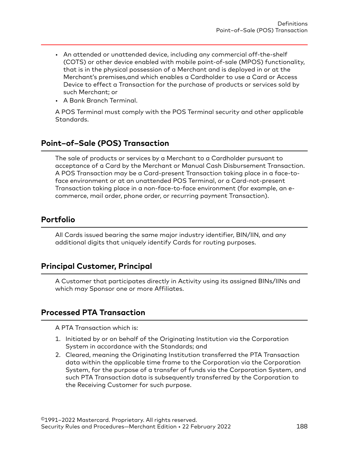- An attended or unattended device, including any commercial off-the-shelf (COTS) or other device enabled with mobile point-of-sale (MPOS) functionality, that is in the physical possession of a Merchant and is deployed in or at the Merchant's premises,and which enables a Cardholder to use a Card or Access Device to effect a Transaction for the purchase of products or services sold by such Merchant; or
- A Bank Branch Terminal.

A POS Terminal must comply with the POS Terminal security and other applicable Standards.

## **Point–of–Sale (POS) Transaction**

The sale of products or services by a Merchant to a Cardholder pursuant to acceptance of a Card by the Merchant or Manual Cash Disbursement Transaction. A POS Transaction may be a Card-present Transaction taking place in a face-toface environment or at an unattended POS Terminal, or a Card-not-present Transaction taking place in a non-face-to-face environment (for example, an ecommerce, mail order, phone order, or recurring payment Transaction).

## **Portfolio**

All Cards issued bearing the same major industry identifier, BIN/IIN, and any additional digits that uniquely identify Cards for routing purposes.

## **Principal Customer, Principal**

A Customer that participates directly in Activity using its assigned BINs/IINs and which may Sponsor one or more Affiliates.

## **Processed PTA Transaction**

A PTA Transaction which is:

- 1. Initiated by or on behalf of the Originating Institution via the Corporation System in accordance with the Standards; and
- 2. Cleared, meaning the Originating Institution transferred the PTA Transaction data within the applicable time frame to the Corporation via the Corporation System, for the purpose of a transfer of funds via the Corporation System, and such PTA Transaction data is subsequently transferred by the Corporation to the Receiving Customer for such purpose.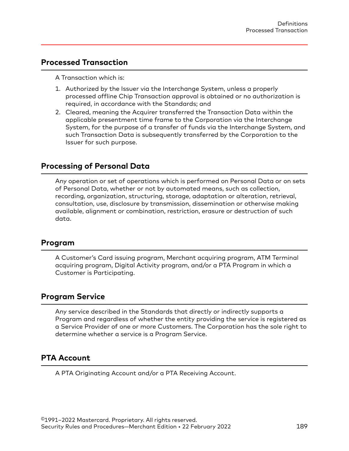#### **Processed Transaction**

A Transaction which is:

- 1. Authorized by the Issuer via the Interchange System, unless a properly processed offline Chip Transaction approval is obtained or no authorization is required, in accordance with the Standards; and
- 2. Cleared, meaning the Acquirer transferred the Transaction Data within the applicable presentment time frame to the Corporation via the Interchange System, for the purpose of a transfer of funds via the Interchange System, and such Transaction Data is subsequently transferred by the Corporation to the Issuer for such purpose.

#### **Processing of Personal Data**

Any operation or set of operations which is performed on Personal Data or on sets of Personal Data, whether or not by automated means, such as collection, recording, organization, structuring, storage, adaptation or alteration, retrieval, consultation, use, disclosure by transmission, dissemination or otherwise making available, alignment or combination, restriction, erasure or destruction of such data.

#### **Program**

A Customer's Card issuing program, Merchant acquiring program, ATM Terminal acquiring program, Digital Activity program, and/or a PTA Program in which a Customer is Participating.

#### **Program Service**

Any service described in the Standards that directly or indirectly supports a Program and regardless of whether the entity providing the service is registered as a Service Provider of one or more Customers. The Corporation has the sole right to determine whether a service is a Program Service.

#### **PTA Account**

A PTA Originating Account and/or a PTA Receiving Account.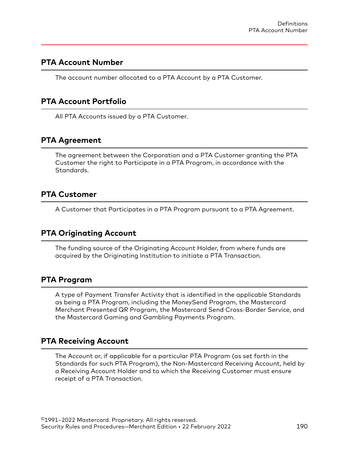#### **PTA Account Number**

The account number allocated to a PTA Account by a PTA Customer.

#### **PTA Account Portfolio**

All PTA Accounts issued by a PTA Customer.

## **PTA Agreement**

The agreement between the Corporation and a PTA Customer granting the PTA Customer the right to Participate in a PTA Program, in accordance with the Standards.

#### **PTA Customer**

A Customer that Participates in a PTA Program pursuant to a PTA Agreement.

#### **PTA Originating Account**

The funding source of the Originating Account Holder, from where funds are acquired by the Originating Institution to initiate a PTA Transaction.

#### **PTA Program**

A type of Payment Transfer Activity that is identified in the applicable Standards as being a PTA Program, including the MoneySend Program, the Mastercard Merchant Presented QR Program, the Mastercard Send Cross-Border Service, and the Mastercard Gaming and Gambling Payments Program.

#### **PTA Receiving Account**

The Account or, if applicable for a particular PTA Program (as set forth in the Standards for such PTA Program), the Non-Mastercard Receiving Account, held by a Receiving Account Holder and to which the Receiving Customer must ensure receipt of a PTA Transaction.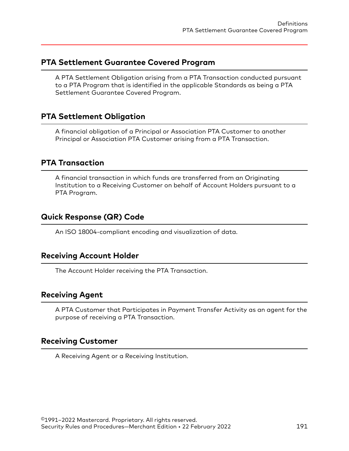#### **PTA Settlement Guarantee Covered Program**

A PTA Settlement Obligation arising from a PTA Transaction conducted pursuant to a PTA Program that is identified in the applicable Standards as being a PTA Settlement Guarantee Covered Program.

## **PTA Settlement Obligation**

A financial obligation of a Principal or Association PTA Customer to another Principal or Association PTA Customer arising from a PTA Transaction.

#### **PTA Transaction**

A financial transaction in which funds are transferred from an Originating Institution to a Receiving Customer on behalf of Account Holders pursuant to a PTA Program.

## **Quick Response (QR) Code**

An ISO 18004-compliant encoding and visualization of data.

#### **Receiving Account Holder**

The Account Holder receiving the PTA Transaction.

#### **Receiving Agent**

A PTA Customer that Participates in Payment Transfer Activity as an agent for the purpose of receiving a PTA Transaction.

#### **Receiving Customer**

A Receiving Agent or a Receiving Institution.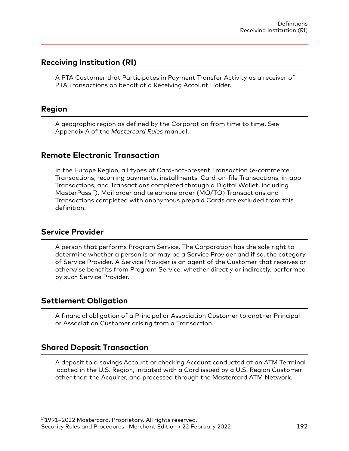#### **Receiving Institution (RI)**

A PTA Customer that Participates in Payment Transfer Activity as a receiver of PTA Transactions on behalf of a Receiving Account Holder.

#### **Region**

A geographic region as defined by the Corporation from time to time. See Appendix A of the *Mastercard Rules* manual.

#### **Remote Electronic Transaction**

In the Europe Region, all types of Card-not-present Transaction (e-commerce Transactions, recurring payments, installments, Card-on-file Transactions, in-app Transactions, and Transactions completed through a Digital Wallet, including MasterPass™). Mail order and telephone order (MO/TO) Transactions and Transactions completed with anonymous prepaid Cards are excluded from this definition.

#### **Service Provider**

A person that performs Program Service. The Corporation has the sole right to determine whether a person is or may be a Service Provider and if so, the category of Service Provider. A Service Provider is an agent of the Customer that receives or otherwise benefits from Program Service, whether directly or indirectly, performed by such Service Provider.

#### **Settlement Obligation**

A financial obligation of a Principal or Association Customer to another Principal or Association Customer arising from a Transaction.

#### **Shared Deposit Transaction**

A deposit to a savings Account or checking Account conducted at an ATM Terminal located in the U.S. Region, initiated with a Card issued by a U.S. Region Customer other than the Acquirer, and processed through the Mastercard ATM Network.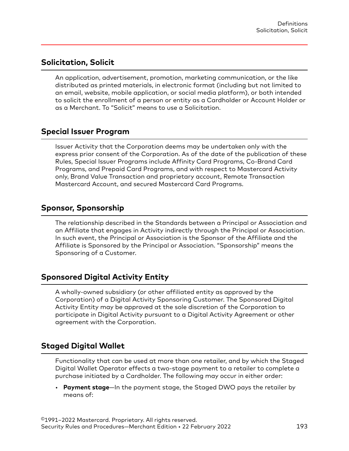## **Solicitation, Solicit**

An application, advertisement, promotion, marketing communication, or the like distributed as printed materials, in electronic format (including but not limited to an email, website, mobile application, or social media platform), or both intended to solicit the enrollment of a person or entity as a Cardholder or Account Holder or as a Merchant. To "Solicit" means to use a Solicitation.

## **Special Issuer Program**

Issuer Activity that the Corporation deems may be undertaken only with the express prior consent of the Corporation. As of the date of the publication of these Rules, Special Issuer Programs include Affinity Card Programs, Co-Brand Card Programs, and Prepaid Card Programs, and with respect to Mastercard Activity only, Brand Value Transaction and proprietary account, Remote Transaction Mastercard Account, and secured Mastercard Card Programs.

## **Sponsor, Sponsorship**

The relationship described in the Standards between a Principal or Association and an Affiliate that engages in Activity indirectly through the Principal or Association. In such event, the Principal or Association is the Sponsor of the Affiliate and the Affiliate is Sponsored by the Principal or Association. "Sponsorship" means the Sponsoring of a Customer.

#### **Sponsored Digital Activity Entity**

A wholly-owned subsidiary (or other affiliated entity as approved by the Corporation) of a Digital Activity Sponsoring Customer. The Sponsored Digital Activity Entity may be approved at the sole discretion of the Corporation to participate in Digital Activity pursuant to a Digital Activity Agreement or other agreement with the Corporation.

## **Staged Digital Wallet**

Functionality that can be used at more than one retailer, and by which the Staged Digital Wallet Operator effects a two-stage payment to a retailer to complete a purchase initiated by a Cardholder. The following may occur in either order:

• **Payment stage**—In the payment stage, the Staged DWO pays the retailer by means of: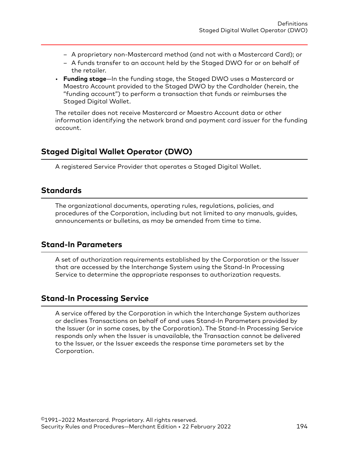- A proprietary non-Mastercard method (and not with a Mastercard Card); or
- A funds transfer to an account held by the Staged DWO for or on behalf of the retailer.
- **Funding stage**—In the funding stage, the Staged DWO uses a Mastercard or Maestro Account provided to the Staged DWO by the Cardholder (herein, the "funding account") to perform a transaction that funds or reimburses the Staged Digital Wallet.

The retailer does not receive Mastercard or Maestro Account data or other information identifying the network brand and payment card issuer for the funding account.

## **Staged Digital Wallet Operator (DWO)**

A registered Service Provider that operates a Staged Digital Wallet.

## **Standards**

The organizational documents, operating rules, regulations, policies, and procedures of the Corporation, including but not limited to any manuals, guides, announcements or bulletins, as may be amended from time to time.

## **Stand-In Parameters**

A set of authorization requirements established by the Corporation or the Issuer that are accessed by the Interchange System using the Stand-In Processing Service to determine the appropriate responses to authorization requests.

## **Stand-In Processing Service**

A service offered by the Corporation in which the Interchange System authorizes or declines Transactions on behalf of and uses Stand-In Parameters provided by the Issuer (or in some cases, by the Corporation). The Stand-In Processing Service responds only when the Issuer is unavailable, the Transaction cannot be delivered to the Issuer, or the Issuer exceeds the response time parameters set by the Corporation.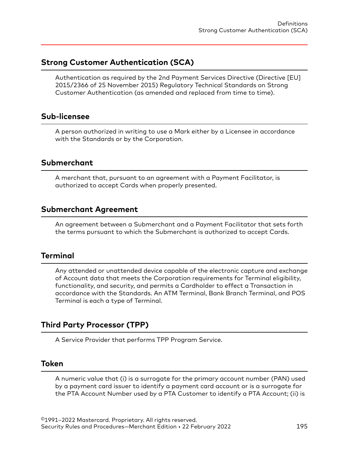## **Strong Customer Authentication (SCA)**

Authentication as required by the 2nd Payment Services Directive (Directive [EU] 2015/2366 of 25 November 2015) Regulatory Technical Standards on Strong Customer Authentication (as amended and replaced from time to time).

#### **Sub-licensee**

A person authorized in writing to use a Mark either by a Licensee in accordance with the Standards or by the Corporation.

#### **Submerchant**

A merchant that, pursuant to an agreement with a Payment Facilitator, is authorized to accept Cards when properly presented.

#### **Submerchant Agreement**

An agreement between a Submerchant and a Payment Facilitator that sets forth the terms pursuant to which the Submerchant is authorized to accept Cards.

#### **Terminal**

Any attended or unattended device capable of the electronic capture and exchange of Account data that meets the Corporation requirements for Terminal eligibility, functionality, and security, and permits a Cardholder to effect a Transaction in accordance with the Standards. An ATM Terminal, Bank Branch Terminal, and POS Terminal is each a type of Terminal.

## **Third Party Processor (TPP)**

A Service Provider that performs TPP Program Service.

#### **Token**

A numeric value that (i) is a surrogate for the primary account number (PAN) used by a payment card issuer to identify a payment card account or is a surrogate for the PTA Account Number used by a PTA Customer to identify a PTA Account; (ii) is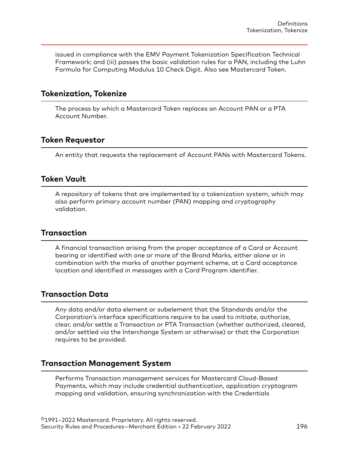issued in compliance with the EMV Payment Tokenization Specification Technical Framework; and (iii) passes the basic validation rules for a PAN, including the Luhn Formula for Computing Modulus 10 Check Digit. Also see Mastercard Token.

#### **Tokenization, Tokenize**

The process by which a Mastercard Token replaces an Account PAN or a PTA Account Number.

#### **Token Requestor**

An entity that requests the replacement of Account PANs with Mastercard Tokens.

#### **Token Vault**

A repository of tokens that are implemented by a tokenization system, which may also perform primary account number (PAN) mapping and cryptography validation.

#### **Transaction**

A financial transaction arising from the proper acceptance of a Card or Account bearing or identified with one or more of the Brand Marks, either alone or in combination with the marks of another payment scheme, at a Card acceptance location and identified in messages with a Card Program identifier.

#### **Transaction Data**

Any data and/or data element or subelement that the Standards and/or the Corporation's interface specifications require to be used to initiate, authorize, clear, and/or settle a Transaction or PTA Transaction (whether authorized, cleared, and/or settled via the Interchange System or otherwise) or that the Corporation requires to be provided.

#### **Transaction Management System**

Performs Transaction management services for Mastercard Cloud-Based Payments, which may include credential authentication, application cryptogram mapping and validation, ensuring synchronization with the Credentials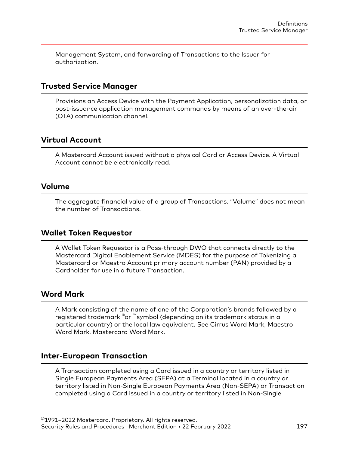Management System, and forwarding of Transactions to the Issuer for authorization.

#### **Trusted Service Manager**

Provisions an Access Device with the Payment Application, personalization data, or post-issuance application management commands by means of an over-the-air (OTA) communication channel.

#### **Virtual Account**

A Mastercard Account issued without a physical Card or Access Device. A Virtual Account cannot be electronically read.

#### **Volume**

The aggregate financial value of a group of Transactions. "Volume" does not mean the number of Transactions.

#### **Wallet Token Requestor**

A Wallet Token Requestor is a Pass-through DWO that connects directly to the Mastercard Digital Enablement Service (MDES) for the purpose of Tokenizing a Mastercard or Maestro Account primary account number (PAN) provided by a Cardholder for use in a future Transaction.

#### **Word Mark**

A Mark consisting of the name of one of the Corporation's brands followed by a registered trademark ®or ™symbol (depending on its trademark status in a particular country) or the local law equivalent. See Cirrus Word Mark, Maestro Word Mark, Mastercard Word Mark.

#### **Inter-European Transaction**

A Transaction completed using a Card issued in a country or territory listed in Single European Payments Area (SEPA) at a Terminal located in a country or territory listed in Non-Single European Payments Area (Non-SEPA) or Transaction completed using a Card issued in a country or territory listed in Non-Single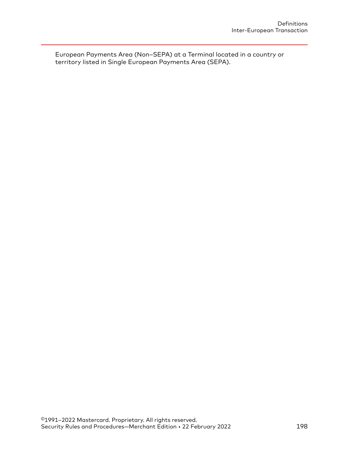European Payments Area (Non–SEPA) at a Terminal located in a country or territory listed in Single European Payments Area (SEPA).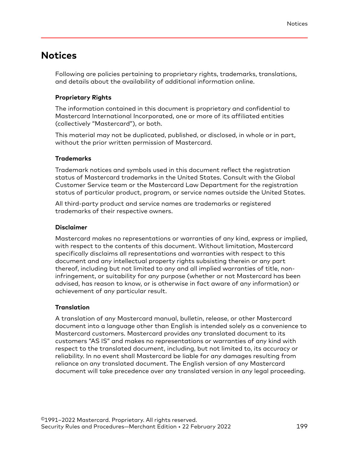# **Notices**

Following are policies pertaining to proprietary rights, trademarks, translations, and details about the availability of additional information online.

#### **Proprietary Rights**

The information contained in this document is proprietary and confidential to Mastercard International Incorporated, one or more of its affiliated entities (collectively "Mastercard"), or both.

This material may not be duplicated, published, or disclosed, in whole or in part, without the prior written permission of Mastercard.

#### **Trademarks**

Trademark notices and symbols used in this document reflect the registration status of Mastercard trademarks in the United States. Consult with the Global Customer Service team or the Mastercard Law Department for the registration status of particular product, program, or service names outside the United States.

All third-party product and service names are trademarks or registered trademarks of their respective owners.

#### **Disclaimer**

Mastercard makes no representations or warranties of any kind, express or implied, with respect to the contents of this document. Without limitation, Mastercard specifically disclaims all representations and warranties with respect to this document and any intellectual property rights subsisting therein or any part thereof, including but not limited to any and all implied warranties of title, noninfringement, or suitability for any purpose (whether or not Mastercard has been advised, has reason to know, or is otherwise in fact aware of any information) or achievement of any particular result.

#### **Translation**

A translation of any Mastercard manual, bulletin, release, or other Mastercard document into a language other than English is intended solely as a convenience to Mastercard customers. Mastercard provides any translated document to its customers "AS IS" and makes no representations or warranties of any kind with respect to the translated document, including, but not limited to, its accuracy or reliability. In no event shall Mastercard be liable for any damages resulting from reliance on any translated document. The English version of any Mastercard document will take precedence over any translated version in any legal proceeding.